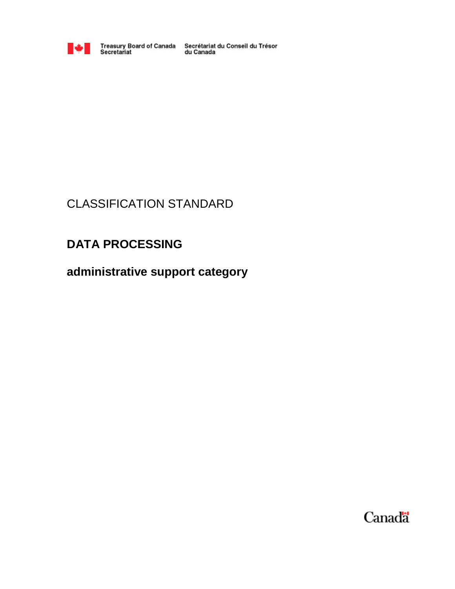

Treasury Board of Canada Secrétariat du Conseil du Trésor<br>Secretariat du Canada

# CLASSIFICATION STANDARD

# **DATA PROCESSING**

**administrative support category**

Canada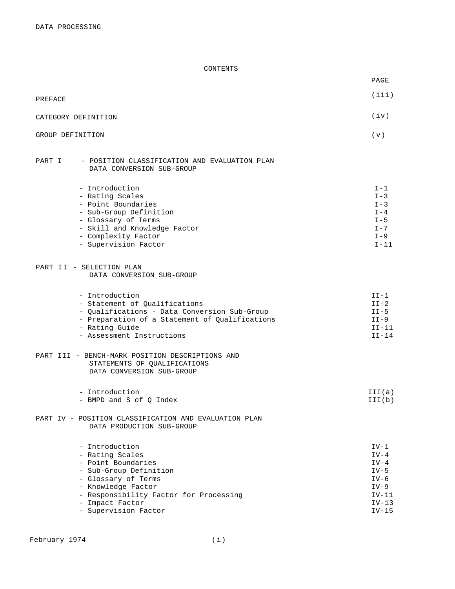DATA PROCESSING

CONTENTS

PAGE

| PREFACE                                                                                                                                                                                                             | (iii)                                                                                     |
|---------------------------------------------------------------------------------------------------------------------------------------------------------------------------------------------------------------------|-------------------------------------------------------------------------------------------|
| CATEGORY DEFINITION                                                                                                                                                                                                 | (iv)                                                                                      |
| GROUP DEFINITION                                                                                                                                                                                                    | (v)                                                                                       |
| PART I<br>- POSITION CLASSIFICATION AND EVALUATION PLAN<br>DATA CONVERSION SUB-GROUP                                                                                                                                |                                                                                           |
| - Introduction<br>- Rating Scales<br>- Point Boundaries<br>- Sub-Group Definition<br>- Glossary of Terms<br>- Skill and Knowledge Factor<br>- Complexity Factor<br>- Supervision Factor                             | $I-1$<br>$I - 3$<br>$I - 3$<br>$I - 4$<br>$I - 5$<br>$I - 7$<br>$I - 9$<br>$I-11$         |
| PART II - SELECTION PLAN<br>DATA CONVERSION SUB-GROUP                                                                                                                                                               |                                                                                           |
| - Introduction<br>- Statement of Qualifications<br>- Qualifications - Data Conversion Sub-Group<br>- Preparation of a Statement of Qualifications<br>- Rating Guide<br>- Assessment Instructions                    | $II-1$<br>$II-2$<br>$II-5$<br>$II-9$<br>$II-11$<br>$II-14$                                |
| PART III - BENCH-MARK POSITION DESCRIPTIONS AND<br>STATEMENTS OF QUALIFICATIONS<br>DATA CONVERSION SUB-GROUP                                                                                                        |                                                                                           |
| - Introduction<br>- BMPD and S of Q Index                                                                                                                                                                           | III(a)<br>III(b)                                                                          |
| PART IV - POSITION CLASSIFICATION AND EVALUATION PLAN<br>DATA PRODUCTION SUB-GROUP                                                                                                                                  |                                                                                           |
| - Introduction<br>- Rating Scales<br>- Point Boundaries<br>- Sub-Group Definition<br>- Glossary of Terms<br>- Knowledge Factor<br>- Responsibility Factor for Processing<br>- Impact Factor<br>- Supervision Factor | $IV-1$<br>$IV-4$<br>$IV-4$<br>$IV-5$<br>$IV-6$<br>$IV-9$<br>$IV-11$<br>$IV-13$<br>$IV-15$ |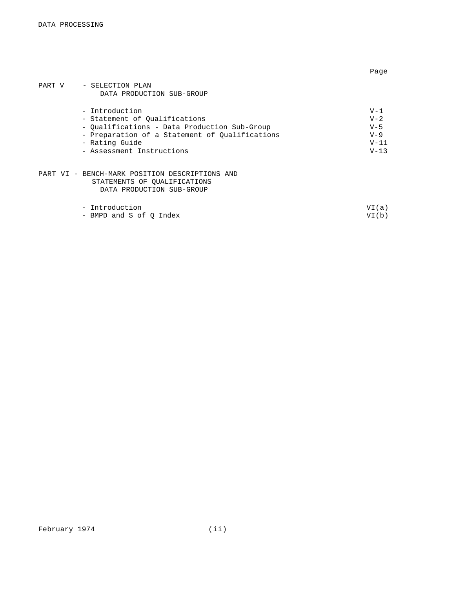|                                                                                                                                                                                                  | Page                                                       |
|--------------------------------------------------------------------------------------------------------------------------------------------------------------------------------------------------|------------------------------------------------------------|
| PART V - SELECTION PLAN<br>DATA PRODUCTION SUB-GROUP                                                                                                                                             |                                                            |
| - Introduction<br>- Statement of Oualifications<br>- Oualifications - Data Production Sub-Group<br>- Preparation of a Statement of Oualifications<br>- Rating Guide<br>- Assessment Instructions | $V-1$<br>$V - 2$<br>$V - 5$<br>$V - 9$<br>$V-11$<br>$V-13$ |
| PART VI - BENCH-MARK POSITION DESCRIPTIONS AND<br>STATEMENTS OF OUALIFICATIONS<br>DATA PRODUCTION SUB-GROUP                                                                                      |                                                            |
| - Introduction<br>- BMPD and S of O Index                                                                                                                                                        | VI(a)<br>VI(b)                                             |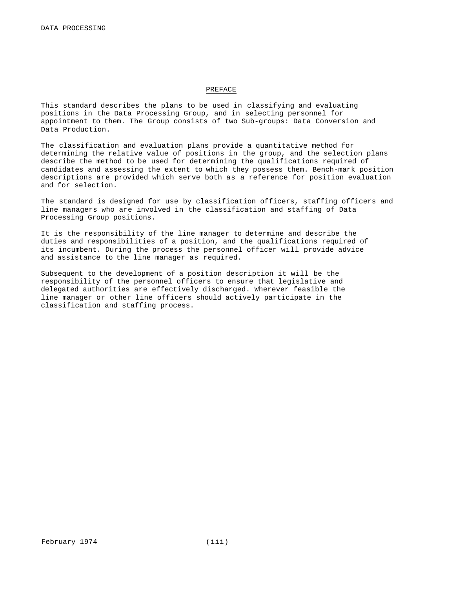#### PREFACE

This standard describes the plans to be used in classifying and evaluating positions in the Data Processing Group, and in selecting personnel for appointment to them. The Group consists of two Sub-groups: Data Conversion and Data Production.

The classification and evaluation plans provide a quantitative method for determining the relative value of positions in the group, and the selection plans describe the method to be used for determining the qualifications required of candidates and assessing the extent to which they possess them. Bench-mark position descriptions are provided which serve both as a reference for position evaluation and for selection.

The standard is designed for use by classification officers, staffing officers and line managers who are involved in the classification and staffing of Data Processing Group positions.

It is the responsibility of the line manager to determine and describe the duties and responsibilities of a position, and the qualifications required of its incumbent. During the process the personnel officer will provide advice and assistance to the line manager as required.

Subsequent to the development of a position description it will be the responsibility of the personnel officers to ensure that legislative and delegated authorities are effectively discharged. Wherever feasible the line manager or other line officers should actively participate in the classification and staffing process.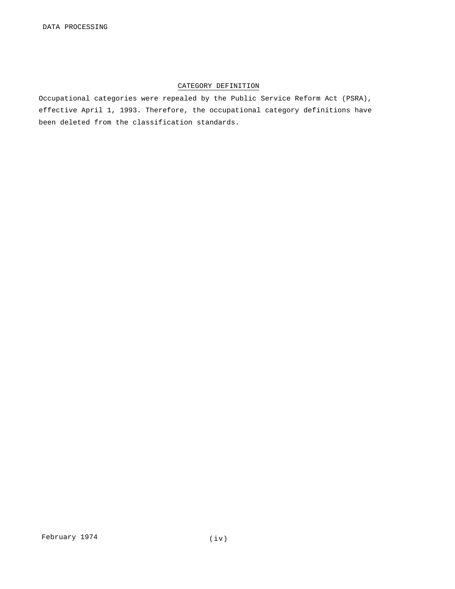# CATEGORY DEFINITION

Occupational categories were repealed by the Public Service Reform Act (PSRA), effective April 1, 1993. Therefore, the occupational category definitions have been deleted from the classification standards.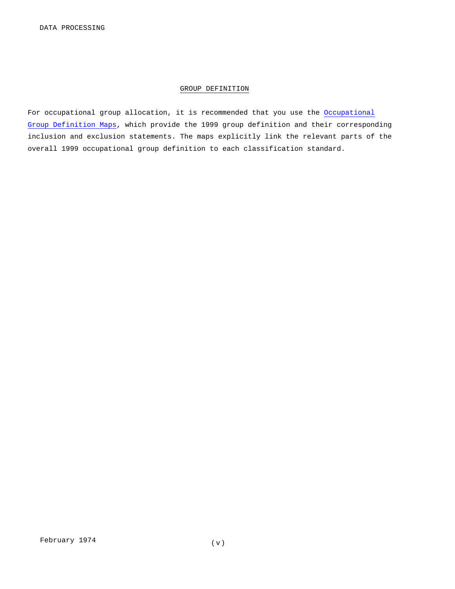# GROUP DEFINITION

For occupational group allocation, it is recommended that you use the Occupational Group Definition Maps, which provide the 1999 group definition and their corresponding inclusion and exclusion statements. The maps explicitly link the relevant parts of the overall 1999 occupational group definition to each classification standard.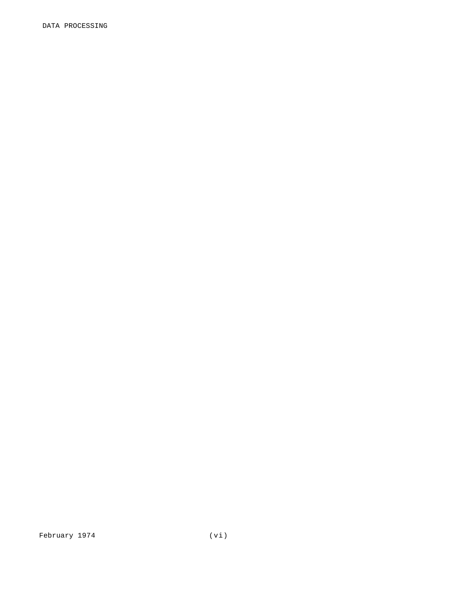DATA PROCESSING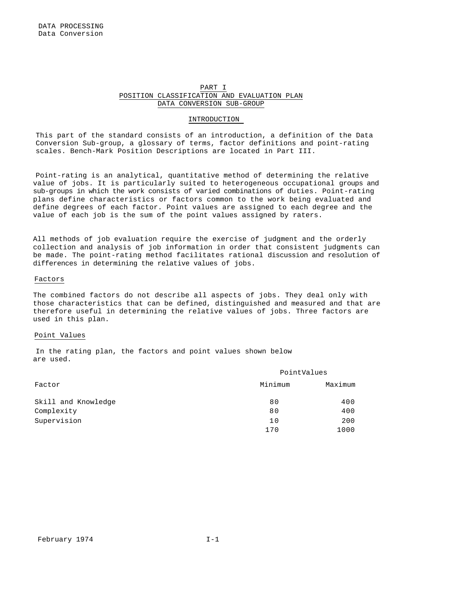### PART I POSITION CLASSIFICATION AND EVALUATION PLAN DATA CONVERSION SUB-GROUP

### INTRODUCTION

This part of the standard consists of an introduction, a definition of the Data Conversion Sub-group, a glossary of terms, factor definitions and point-rating scales. Bench-Mark Position Descriptions are located in Part III.

Point-rating is an analytical, quantitative method of determining the relative value of jobs. It is particularly suited to heterogeneous occupational groups and sub-groups in which the work consists of varied combinations of duties. Point-rating plans define characteristics or factors common to the work being evaluated and define degrees of each factor. Point values are assigned to each degree and the value of each job is the sum of the point values assigned by raters.

All methods of job evaluation require the exercise of judgment and the orderly collection and analysis of job information in order that consistent judgments can be made. The point-rating method facilitates rational discussion and resolution of differences in determining the relative values of jobs.

#### Factors

The combined factors do not describe all aspects of jobs. They deal only with those characteristics that can be defined, distinguished and measured and that are therefore useful in determining the relative values of jobs. Three factors are used in this plan.

#### Point Values

In the rating plan, the factors and point values shown below are used.

|                     |         | PointValues |  |  |  |
|---------------------|---------|-------------|--|--|--|
| Factor              | Minimum | Maximum     |  |  |  |
| Skill and Knowledge | 80      | 400         |  |  |  |
| Complexity          | 80      | 400         |  |  |  |
| Supervision         | 10      | 200         |  |  |  |
|                     | 170     | 1000        |  |  |  |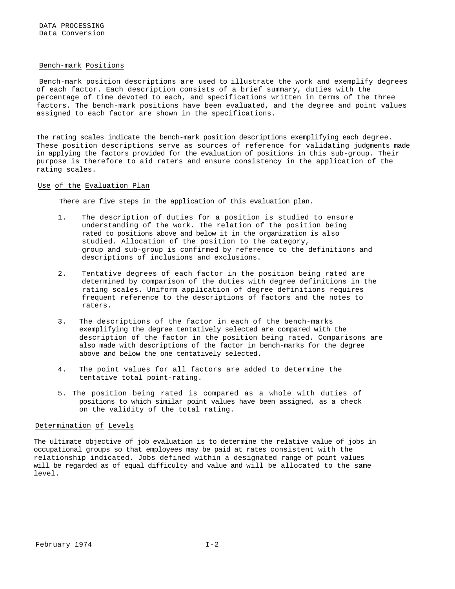## Bench-mark Positions

Bench-mark position descriptions are used to illustrate the work and exemplify degrees of each factor. Each description consists of a brief summary, duties with the percentage of time devoted to each, and specifications written in terms of the three factors. The bench-mark positions have been evaluated, and the degree and point values assigned to each factor are shown in the specifications.

The rating scales indicate the bench-mark position descriptions exemplifying each degree. These position descriptions serve as sources of reference for validating judgments made in applying the factors provided for the evaluation of positions in this sub-group. Their purpose is therefore to aid raters and ensure consistency in the application of the rating scales.

#### Use of the Evaluation Plan

There are five steps in the application of this evaluation plan.

- 1. The description of duties for a position is studied to ensure understanding of the work. The relation of the position being rated to positions above and below it in the organization is also studied. Allocation of the position to the category, group and sub-group is confirmed by reference to the definitions and descriptions of inclusions and exclusions.
- 2. Tentative degrees of each factor in the position being rated are determined by comparison of the duties with degree definitions in the rating scales. Uniform application of degree definitions requires frequent reference to the descriptions of factors and the notes to raters.
- 3. The descriptions of the factor in each of the bench-marks exemplifying the degree tentatively selected are compared with the description of the factor in the position being rated. Comparisons are also made with descriptions of the factor in bench-marks for the degree above and below the one tentatively selected.
- 4. The point values for all factors are added to determine the tentative total point-rating.
- 5. The position being rated is compared as a whole with duties of positions to which similar point values have been assigned, as a check on the validity of the total rating.

#### Determination of Levels

The ultimate objective of job evaluation is to determine the relative value of jobs in occupational groups so that employees may be paid at rates consistent with the relationship indicated. Jobs defined within a designated range of point values will be regarded as of equal difficulty and value and will be allocated to the same level.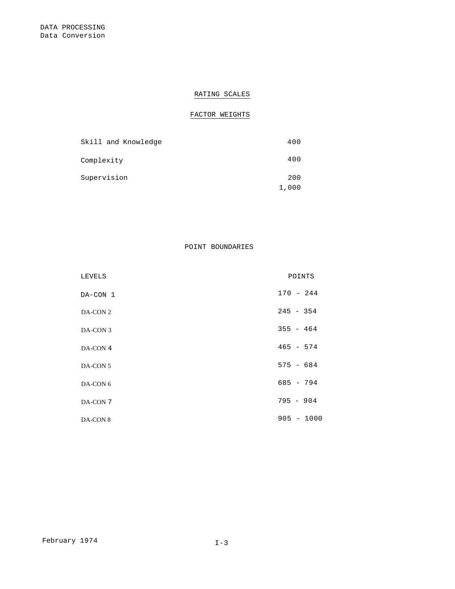# RATING SCALES

# FACTOR WEIGHTS

| Skill and Knowledge | 400   |
|---------------------|-------|
| Complexity          | 400   |
| Supervision         | 200   |
|                     | 1,000 |

# POINT BOUNDARIES

| <b>LEVELS</b>       | POINTS       |
|---------------------|--------------|
| DA-CON 1            | $170 - 244$  |
| DA-CON 2            | $245 - 354$  |
| DA-CON 3            | $355 - 464$  |
| DA-CON 4            | $465 - 574$  |
| DA-CON 5            | $575 - 684$  |
| DA-CON 6            | $685 - 794$  |
| DA-CON 7            | $795 - 904$  |
| DA-CON <sub>8</sub> | $905 - 1000$ |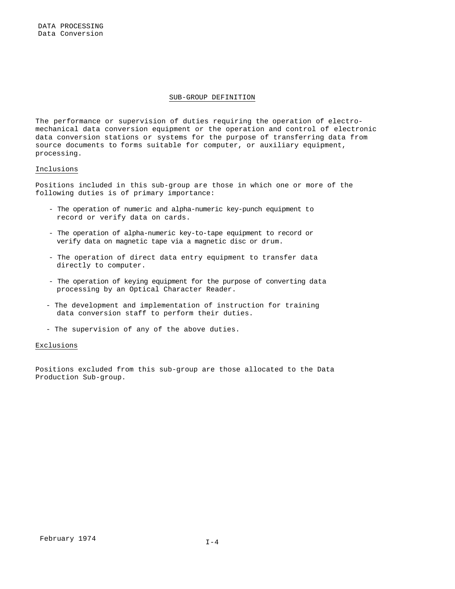## SUB-GROUP DEFINITION

The performance or supervision of duties requiring the operation of electromechanical data conversion equipment or the operation and control of electronic data conversion stations or systems for the purpose of transferring data from source documents to forms suitable for computer, or auxiliary equipment, processing.

#### Inclusions

Positions included in this sub-group are those in which one or more of the following duties is of primary importance:

- The operation of numeric and alpha-numeric key-punch equipment to record or verify data on cards.
- The operation of alpha-numeric key-to-tape equipment to record or verify data on magnetic tape via a magnetic disc or drum.
- The operation of direct data entry equipment to transfer data directly to computer.
- The operation of keying equipment for the purpose of converting data processing by an Optical Character Reader.
- The development and implementation of instruction for training data conversion staff to perform their duties.
- The supervision of any of the above duties.

#### Exclusions

Positions excluded from this sub-group are those allocated to the Data Production Sub-group.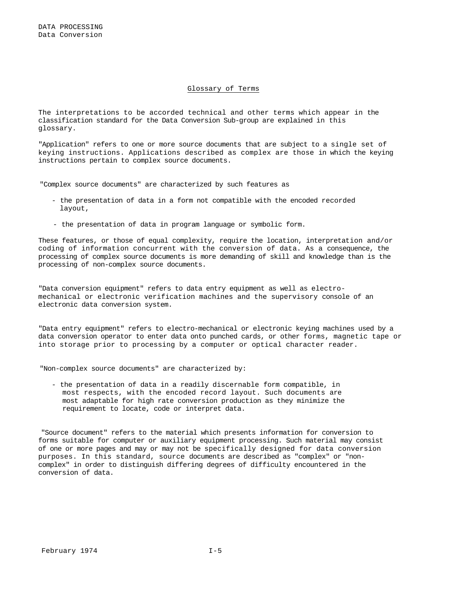#### Glossary of Terms

The interpretations to be accorded technical and other terms which appear in the classification standard for the Data Conversion Sub-group are explained in this glossary.

"Application" refers to one or more source documents that are subject to a single set of keying instructions. Applications described as complex are those in which the keying instructions pertain to complex source documents.

"Complex source documents" are characterized by such features as

- the presentation of data in a form not compatible with the encoded recorded layout,
- the presentation of data in program language or symbolic form.

These features, or those of equal complexity, require the location, interpretation and/or coding of information concurrent with the conversion of data. As a consequence, the processing of complex source documents is more demanding of skill and knowledge than is the processing of non-complex source documents.

"Data conversion equipment" refers to data entry equipment as well as electromechanical or electronic verification machines and the supervisory console of an electronic data conversion system.

"Data entry equipment" refers to electro-mechanical or electronic keying machines used by a data conversion operator to enter data onto punched cards, or other forms, magnetic tape or into storage prior to processing by a computer or optical character reader.

"Non-complex source documents" are characterized by:

- the presentation of data in a readily discernable form compatible, in most respects, with the encoded record layout. Such documents are most adaptable for high rate conversion production as they minimize the requirement to locate, code or interpret data.

"Source document" refers to the material which presents information for conversion to forms suitable for computer or auxiliary equipment processing. Such material may consist of one or more pages and may or may not be specifically designed for data conversion purposes. In this standard, source documents are described as "complex" or "noncomplex" in order to distinguish differing degrees of difficulty encountered in the conversion of data.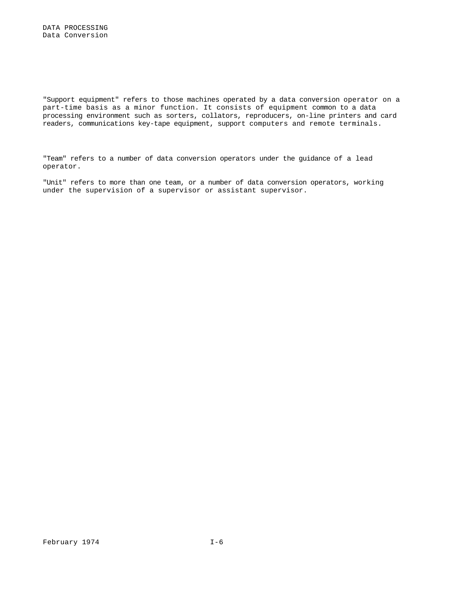"Support equipment" refers to those machines operated by a data conversion operator on a part-time basis as a minor function. It consists of equipment common to a data processing environment such as sorters, collators, reproducers, on-line printers and card readers, communications key-tape equipment, support computers and remote terminals.

"Team" refers to a number of data conversion operators under the guidance of a lead operator.

"Unit" refers to more than one team, or a number of data conversion operators, working under the supervision of a supervisor or assistant supervisor.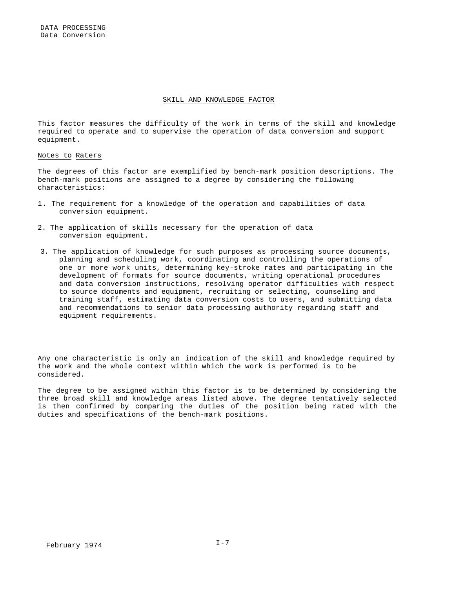#### SKILL AND KNOWLEDGE FACTOR

This factor measures the difficulty of the work in terms of the skill and knowledge required to operate and to supervise the operation of data conversion and support equipment.

#### Notes to Raters

The degrees of this factor are exemplified by bench-mark position descriptions. The bench-mark positions are assigned to a degree by considering the following characteristics:

- 1. The requirement for a knowledge of the operation and capabilities of data conversion equipment.
- 2. The application of skills necessary for the operation of data conversion equipment.
- 3. The application of knowledge for such purposes as processing source documents, planning and scheduling work, coordinating and controlling the operations of one or more work units, determining key-stroke rates and participating in the development of formats for source documents, writing operational procedures and data conversion instructions, resolving operator difficulties with respect to source documents and equipment, recruiting or selecting, counseling and training staff, estimating data conversion costs to users, and submitting data and recommendations to senior data processing authority regarding staff and equipment requirements.

Any one characteristic is only an indication of the skill and knowledge required by the work and the whole context within which the work is performed is to be considered.

The degree to be assigned within this factor is to be determined by considering the three broad skill and knowledge areas listed above. The degree tentatively selected is then confirmed by comparing the duties of the position being rated with the duties and specifications of the bench-mark positions.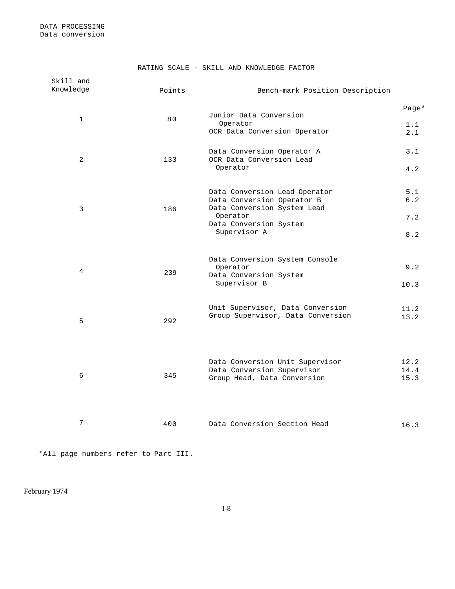# RATING SCALE - SKILL AND KNOWLEDGE FACTOR

| Skill and<br>Knowledge | Points | Bench-mark Position Description                                                            |                      |
|------------------------|--------|--------------------------------------------------------------------------------------------|----------------------|
|                        |        | Junior Data Conversion                                                                     | Page*                |
| $1\,$                  | 80     | Operator<br>OCR Data Conversion Operator                                                   | 1.1<br>2.1           |
| $\overline{2}$         | 133    | Data Conversion Operator A<br>OCR Data Conversion Lead<br>Operator                         | 3.1                  |
|                        |        |                                                                                            | 4.2                  |
| 3                      | 186    | Data Conversion Lead Operator<br>Data Conversion Operator B<br>Data Conversion System Lead | 5.1<br>$6.2$         |
|                        |        | Operator<br>Data Conversion System                                                         | 7.2                  |
|                        |        | Supervisor A                                                                               | 8.2                  |
| 4                      | 239    | Data Conversion System Console<br>Operator                                                 | 9.2                  |
|                        |        | Data Conversion System<br>Supervisor B                                                     | 10.3                 |
|                        |        | Unit Supervisor, Data Conversion<br>Group Supervisor, Data Conversion                      | 11.2                 |
| 5                      | 292    |                                                                                            | 13.2                 |
|                        |        |                                                                                            |                      |
| 6                      | 345    | Data Conversion Unit Supervisor<br>Data Conversion Supervisor                              | 12.2<br>14.4<br>15.3 |
|                        |        | Group Head, Data Conversion                                                                |                      |
|                        |        |                                                                                            |                      |
| 7                      | 400    | Data Conversion Section Head                                                               | 16.3                 |

\*All page numbers refer to Part III.

February 1974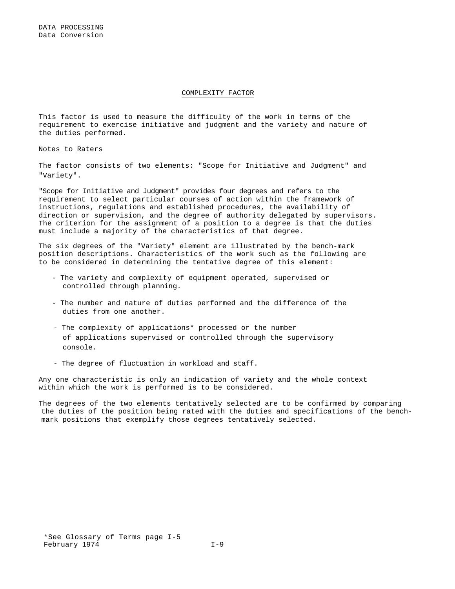#### COMPLEXITY FACTOR

This factor is used to measure the difficulty of the work in terms of the requirement to exercise initiative and judgment and the variety and nature of the duties performed.

# Notes to Raters

The factor consists of two elements: "Scope for Initiative and Judgment" and "Variety".

"Scope for Initiative and Judgment" provides four degrees and refers to the requirement to select particular courses of action within the framework of instructions, regulations and established procedures, the availability of direction or supervision, and the degree of authority delegated by supervisors. The criterion for the assignment of a position to a degree is that the duties must include a majority of the characteristics of that degree.

The six degrees of the "Variety" element are illustrated by the bench-mark position descriptions. Characteristics of the work such as the following are to be considered in determining the tentative degree of this element:

- The variety and complexity of equipment operated, supervised or controlled through planning.
- The number and nature of duties performed and the difference of the duties from one another.
- The complexity of applications\* processed or the number of applications supervised or controlled through the supervisory console.
- The degree of fluctuation in workload and staff.

Any one characteristic is only an indication of variety and the whole context within which the work is performed is to be considered.

The degrees of the two elements tentatively selected are to be confirmed by comparing the duties of the position being rated with the duties and specifications of the benchmark positions that exemplify those degrees tentatively selected.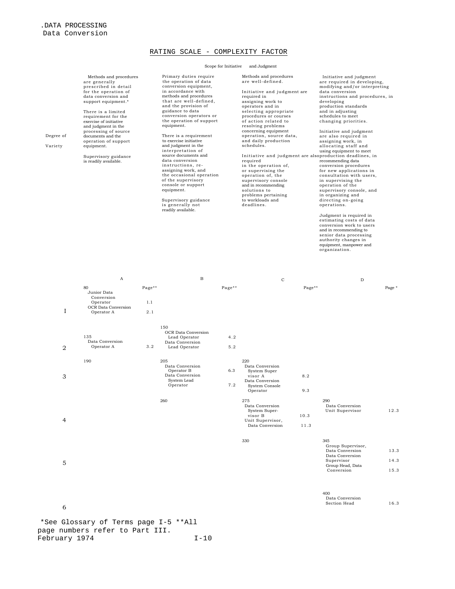# RATING SCALE - COMPLEXITY FACTOR

#### Scope for Initiative and Judgment

| Degree of<br>Variety | Methods and procedures<br>are generally<br>prescribed in detail<br>for the operation of<br>data conversion and<br>support equipment.*<br>There is a limited<br>requirement for the<br>exercise of initiative<br>and judgment in the<br>processing of source<br>documents and the<br>operation of support<br>equipment.<br>Supervisory guidance<br>is readily available. |                      | Primary duties require<br>the operation of data<br>conversion equipment,<br>in accordance with<br>methods and procedures<br>that are well-defined,<br>and the provision of<br>guidance to data<br>conversion operators or<br>the operation of support<br>equipment.<br>There is a requirement<br>to exercise initiative<br>and judgment in the<br>interpretation of<br>source documents and<br>data conversion<br>instructions. re-<br>assigning work, and<br>the occasional operation<br>of the supervisory<br>console or support<br>equipment.<br>Supervisory guidance<br>is generally not<br>readily available. |            | Methods and procedures<br>are well-defined.<br>Initiative and judgment are<br>required in<br>assigning work to<br>operators and in<br>selecting appropriate<br>procedures or courses<br>of action related to<br>resolving problems<br>concerning equipment<br>operation, source data,<br>and daily production<br>schedules.<br>required<br>in the operation of,<br>or supervising the<br>operation of, the<br>supervisory console<br>and in recommending<br>solutions to<br>problems pertaining<br>to workloads and<br>deadlines. |              | Initiative and judgment<br>are required in developing,<br>modifying and/or interpreting<br>data conversion<br>instructions and procedures, in<br>developing<br>production standards<br>and in adjusting<br>schedules to meet<br>changing priorities.<br>Initiative and judgment<br>are also required in<br>assigning work, in<br>allocating staff and<br>using equipment to meet<br>Initiative and judgment are alsoproduction deadlines, in<br>recommending data<br>conversion procedures<br>for new applications in<br>consultation with users,<br>in supervising the<br>operation of the<br>supervisory console, and<br>in organizing and<br>directing on-going<br>operations.<br>Judgment is required in<br>estimating costs of data<br>conversion work to users<br>and in recommending to<br>senior data processing<br>authority changes in<br>equipment, manpower and<br>organization. |              |
|----------------------|-------------------------------------------------------------------------------------------------------------------------------------------------------------------------------------------------------------------------------------------------------------------------------------------------------------------------------------------------------------------------|----------------------|--------------------------------------------------------------------------------------------------------------------------------------------------------------------------------------------------------------------------------------------------------------------------------------------------------------------------------------------------------------------------------------------------------------------------------------------------------------------------------------------------------------------------------------------------------------------------------------------------------------------|------------|-----------------------------------------------------------------------------------------------------------------------------------------------------------------------------------------------------------------------------------------------------------------------------------------------------------------------------------------------------------------------------------------------------------------------------------------------------------------------------------------------------------------------------------|--------------|----------------------------------------------------------------------------------------------------------------------------------------------------------------------------------------------------------------------------------------------------------------------------------------------------------------------------------------------------------------------------------------------------------------------------------------------------------------------------------------------------------------------------------------------------------------------------------------------------------------------------------------------------------------------------------------------------------------------------------------------------------------------------------------------------------------------------------------------------------------------------------------------|--------------|
|                      | A                                                                                                                                                                                                                                                                                                                                                                       |                      | $_{\rm B}$                                                                                                                                                                                                                                                                                                                                                                                                                                                                                                                                                                                                         |            | $\mathbf C$                                                                                                                                                                                                                                                                                                                                                                                                                                                                                                                       |              | $\mathbf D$                                                                                                                                                                                                                                                                                                                                                                                                                                                                                                                                                                                                                                                                                                                                                                                                                                                                                  |              |
| Ι                    | 80<br>Junior Data<br>Conversion<br>Operator<br>OCR Data Conversion<br>Operator A                                                                                                                                                                                                                                                                                        | Page**<br>1.1<br>2.1 | 150                                                                                                                                                                                                                                                                                                                                                                                                                                                                                                                                                                                                                | Page**     |                                                                                                                                                                                                                                                                                                                                                                                                                                                                                                                                   | Page**       |                                                                                                                                                                                                                                                                                                                                                                                                                                                                                                                                                                                                                                                                                                                                                                                                                                                                                              | Page *       |
| $\overline{2}$       | 135<br>Data Conversion<br>Operator A                                                                                                                                                                                                                                                                                                                                    | 3.2                  | OCR Data Conversion<br>Lead Operator<br>Data Conversion<br>Lead Operator                                                                                                                                                                                                                                                                                                                                                                                                                                                                                                                                           | 4.2<br>5.2 |                                                                                                                                                                                                                                                                                                                                                                                                                                                                                                                                   |              |                                                                                                                                                                                                                                                                                                                                                                                                                                                                                                                                                                                                                                                                                                                                                                                                                                                                                              |              |
| 3                    | 190                                                                                                                                                                                                                                                                                                                                                                     |                      | 205<br>Data Conversion<br>Operator B<br>Data Conversion<br>System Lead<br>Operator                                                                                                                                                                                                                                                                                                                                                                                                                                                                                                                                 | 6.3<br>7.2 | 220<br>Data Conversion<br>System Super<br>visor A<br>Data Conversion<br>System Console<br>Operator                                                                                                                                                                                                                                                                                                                                                                                                                                | 8.2<br>9.3   |                                                                                                                                                                                                                                                                                                                                                                                                                                                                                                                                                                                                                                                                                                                                                                                                                                                                                              |              |
| 4                    |                                                                                                                                                                                                                                                                                                                                                                         |                      | 260                                                                                                                                                                                                                                                                                                                                                                                                                                                                                                                                                                                                                |            | 275<br>Data Conversion<br>System Super-<br>visor B<br>Unit Supervisor,<br>Data Conversion                                                                                                                                                                                                                                                                                                                                                                                                                                         | 10.3<br>11.3 | 290<br>Data Conversion<br>Unit Supervisor                                                                                                                                                                                                                                                                                                                                                                                                                                                                                                                                                                                                                                                                                                                                                                                                                                                    | 12.3         |
| 5                    |                                                                                                                                                                                                                                                                                                                                                                         |                      |                                                                                                                                                                                                                                                                                                                                                                                                                                                                                                                                                                                                                    |            | 330                                                                                                                                                                                                                                                                                                                                                                                                                                                                                                                               |              | 345<br>Group Supervisor,<br>Data Conversion<br>Data Conversion<br>Supervisor<br>Group Head, Data                                                                                                                                                                                                                                                                                                                                                                                                                                                                                                                                                                                                                                                                                                                                                                                             | 13.3<br>14.3 |
|                      |                                                                                                                                                                                                                                                                                                                                                                         |                      |                                                                                                                                                                                                                                                                                                                                                                                                                                                                                                                                                                                                                    |            |                                                                                                                                                                                                                                                                                                                                                                                                                                                                                                                                   |              | Conversion<br>400                                                                                                                                                                                                                                                                                                                                                                                                                                                                                                                                                                                                                                                                                                                                                                                                                                                                            | 15.3         |
| 6                    |                                                                                                                                                                                                                                                                                                                                                                         |                      |                                                                                                                                                                                                                                                                                                                                                                                                                                                                                                                                                                                                                    |            |                                                                                                                                                                                                                                                                                                                                                                                                                                                                                                                                   |              | Data Conversion<br>Section Head                                                                                                                                                                                                                                                                                                                                                                                                                                                                                                                                                                                                                                                                                                                                                                                                                                                              | 16.3         |
| February 1974        | *See Glossary of Terms page I-5 **All<br>page numbers refer to Part III.                                                                                                                                                                                                                                                                                                |                      | $I - 10$                                                                                                                                                                                                                                                                                                                                                                                                                                                                                                                                                                                                           |            |                                                                                                                                                                                                                                                                                                                                                                                                                                                                                                                                   |              |                                                                                                                                                                                                                                                                                                                                                                                                                                                                                                                                                                                                                                                                                                                                                                                                                                                                                              |              |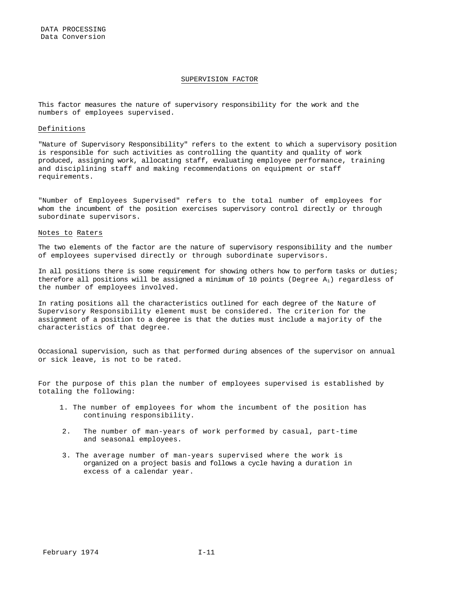#### SUPERVISION FACTOR

This factor measures the nature of supervisory responsibility for the work and the numbers of employees supervised.

#### Definitions

"Nature of Supervisory Responsibility" refers to the extent to which a supervisory position is responsible for such activities as controlling the quantity and quality of work produced, assigning work, allocating staff, evaluating employee performance, training and disciplining staff and making recommendations on equipment or staff requirements.

"Number of Employees Supervised" refers to the total number of employees for whom the incumbent of the position exercises supervisory control directly or through subordinate supervisors.

#### Notes to Raters

The two elements of the factor are the nature of supervisory responsibility and the number of employees supervised directly or through subordinate supervisors.

In all positions there is some requirement for showing others how to perform tasks or duties; therefore all positions will be assigned a minimum of 10 points (Degree  $A_1$ ) regardless of the number of employees involved.

In rating positions all the characteristics outlined for each degree of the Nature of Supervisory Responsibility element must be considered. The criterion for the assignment of a position to a degree is that the duties must include a majority of the characteristics of that degree.

Occasional supervision, such as that performed during absences of the supervisor on annual or sick leave, is not to be rated.

For the purpose of this plan the number of employees supervised is established by totaling the following:

- 1. The number of employees for whom the incumbent of the position has continuing responsibility.
- 2. The number of man-years of work performed by casual, part-time and seasonal employees.
- 3. The average number of man-years supervised where the work is organized on a project basis and follows a cycle having a duration in excess of a calendar year.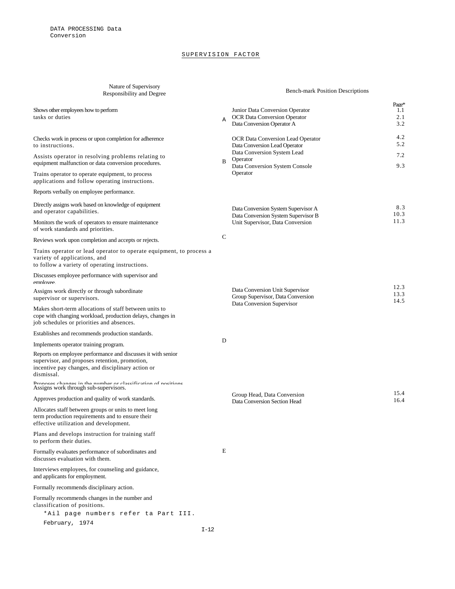### SUPERVISION FACTOR

| Nature of Supervisory<br>Responsibility and Degree                                                                                                                                                                                                                                                                                                                                                                                                                  |              | <b>Bench-mark Position Descriptions</b>                                                                                                                     |                            |  |  |
|---------------------------------------------------------------------------------------------------------------------------------------------------------------------------------------------------------------------------------------------------------------------------------------------------------------------------------------------------------------------------------------------------------------------------------------------------------------------|--------------|-------------------------------------------------------------------------------------------------------------------------------------------------------------|----------------------------|--|--|
| Shows other employees how to perform<br>tasks or duties                                                                                                                                                                                                                                                                                                                                                                                                             | $\mathbb{A}$ | Junior Data Conversion Operator<br><b>OCR Data Conversion Operator</b><br>Data Conversion Operator A                                                        | Page*<br>1.1<br>2.1<br>3.2 |  |  |
| Checks work in process or upon completion for adherence<br>to instructions.<br>Assists operator in resolving problems relating to<br>equipment malfunction or data conversion procedures.<br>Trains operator to operate equipment, to process<br>applications and follow operating instructions.<br>Reports verbally on employee performance.                                                                                                                       | B            | OCR Data Conversion Lead Operator<br>Data Conversion Lead Operator<br>Data Conversion System Lead<br>Operator<br>Data Conversion System Console<br>Operator | 4.2<br>5.2<br>7.2<br>9.3   |  |  |
| Directly assigns work based on knowledge of equipment<br>and operator capabilities.<br>Monitors the work of operators to ensure maintenance<br>of work standards and priorities.<br>Reviews work upon completion and accepts or rejects.<br>Trains operator or lead operator to operate equipment, to process a<br>variety of applications, and<br>to follow a variety of operating instructions.<br>Discusses employee performance with supervisor and<br>emnlovee | $\mathsf{C}$ | Data Conversion System Supervisor A<br>Data Conversion System Supervisor B<br>Unit Supervisor, Data Conversion                                              | 8.3<br>10.3<br>11.3        |  |  |
| Assigns work directly or through subordinate<br>supervisor or supervisors.<br>Makes short-term allocations of staff between units to<br>cope with changing workload, production delays, changes in<br>job schedules or priorities and absences.                                                                                                                                                                                                                     |              | Data Conversion Unit Supervisor<br>Group Supervisor, Data Conversion<br>Data Conversion Supervisor                                                          | 12.3<br>13.3<br>14.5       |  |  |
| Establishes and recommends production standards.<br>Implements operator training program.<br>Reports on employee performance and discusses it with senior<br>supervisor, and proposes retention, promotion,<br>incentive pay changes, and disciplinary action or<br>dismissal.<br>Pronoses changes in the number or classification of nositions<br>Assigns work through sub-supervisors.                                                                            | D            |                                                                                                                                                             |                            |  |  |
| Approves production and quality of work standards.<br>Allocates staff between groups or units to meet long<br>term production requirements and to ensure their<br>effective utilization and development.<br>Plans and develops instruction for training staff<br>to perform their duties.                                                                                                                                                                           |              | Group Head, Data Conversion<br>Data Conversion Section Head                                                                                                 | 15.4<br>16.4               |  |  |
| Formally evaluates performance of subordinates and<br>discusses evaluation with them.<br>Interviews employees, for counseling and guidance,<br>and applicants for employment.<br>Formally recommends disciplinary action.<br>Formally recommends changes in the number and<br>classification of positions.<br>*Ail page numbers refer ta Part III.<br>February, 1974                                                                                                | Ε            |                                                                                                                                                             |                            |  |  |
| $I-12$                                                                                                                                                                                                                                                                                                                                                                                                                                                              |              |                                                                                                                                                             |                            |  |  |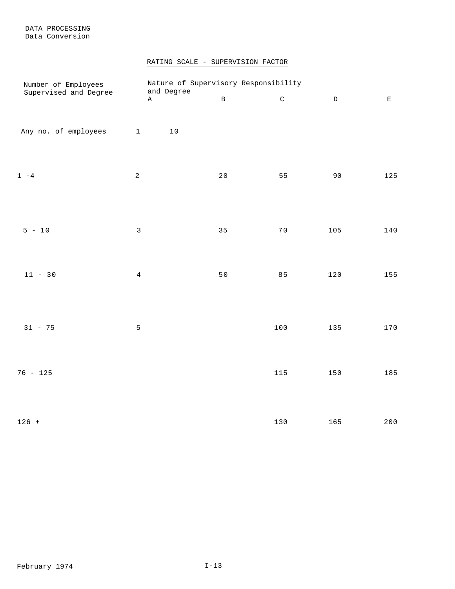DATA PROCESSING Data Conversion

# RATING SCALE - SUPERVISION FACTOR

| Number of Employees   |                            | Nature of Supervisory Responsibility |         |             |             |  |
|-----------------------|----------------------------|--------------------------------------|---------|-------------|-------------|--|
| Supervised and Degree | and Degree<br>$\, {\bf A}$ | $\, {\bf B}$                         | $\rm C$ | $\mathbb D$ | $\mathbf E$ |  |
| Any no. of employees  | $1\,0$<br>$\mathbf 1$      |                                      |         |             |             |  |
| $1 - 4$               | $\sqrt{2}$                 | $2\,0$                               | 55      | 90          | 125         |  |
| $5 - 10$              | $\mathbf{3}$               | 35                                   | $7\,0$  | 105         | 140         |  |
| $11 - 30$             | $\sqrt{4}$                 | 50                                   | 85      | 120         | 155         |  |
| $31 - 75$             | 5                          |                                      | 100     | 135         | $170\,$     |  |
| $76 - 125$            |                            |                                      | 115     | 150         | 185         |  |
| $126 +$               |                            |                                      | 130     | 165         | $200$       |  |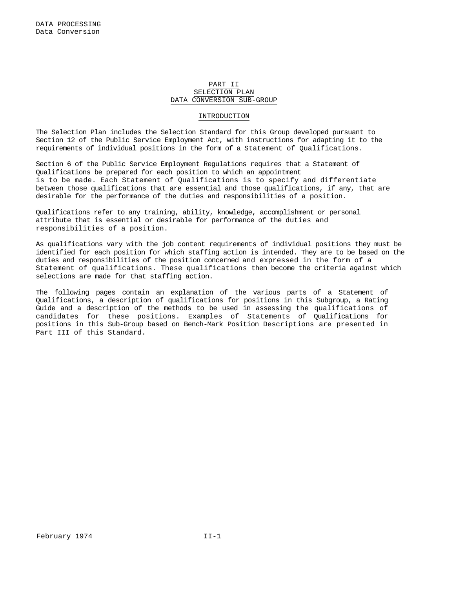#### PART II SELECTION PLAN DATA CONVERSION SUB-GROUP

#### INTRODUCTION

The Selection Plan includes the Selection Standard for this Group developed pursuant to Section 12 of the Public Service Employment Act, with instructions for adapting it to the requirements of individual positions in the form of a Statement of Qualifications.

Section 6 of the Public Service Employment Regulations requires that a Statement of Qualifications be prepared for each position to which an appointment is to be made. Each Statement of Qualifications is to specify and differentiate between those qualifications that are essential and those qualifications, if any, that are desirable for the performance of the duties and responsibilities of a position.

Qualifications refer to any training, ability, knowledge, accomplishment or personal attribute that is essential or desirable for performance of the duties and responsibilities of a position.

As qualifications vary with the job content requirements of individual positions they must be identified for each position for which staffing action is intended. They are to be based on the duties and responsibilities of the position concerned and expressed in the form of a Statement of qualifications. These qualifications then become the criteria against which selections are made for that staffing action.

The following pages contain an explanation of the various parts of a Statement of Qualifications, a description of qualifications for positions in this Subgroup, a Rating Guide and a description of the methods to be used in assessing the qualifications of candidates for these positions. Examples of Statements of Qualifications for positions in this Sub-Group based on Bench-Mark Position Descriptions are presented in Part III of this Standard.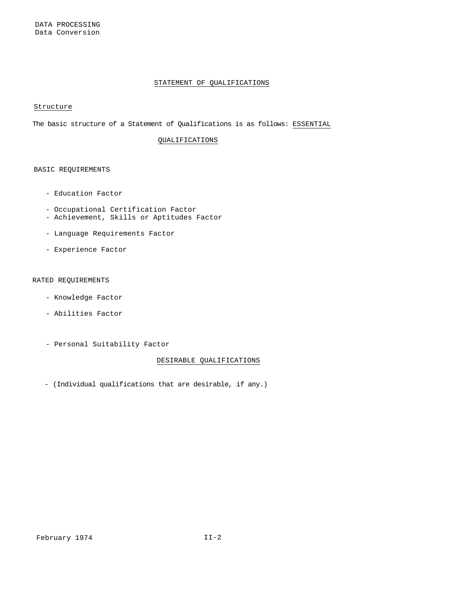## STATEMENT OF QUALIFICATIONS

Structure

The basic structure of a Statement of Qualifications is as follows: ESSENTIAL

## QUALIFICATIONS

## BASIC REQUIREMENTS

- Education Factor
- Occupational Certification Factor
- Achievement, Skills or Aptitudes Factor
- Language Requirements Factor
- Experience Factor

## RATED REQUIREMENTS

- Knowledge Factor
- Abilities Factor
- Personal Suitability Factor

#### DESIRABLE QUALIFICATIONS

- (Individual qualifications that are desirable, if any.)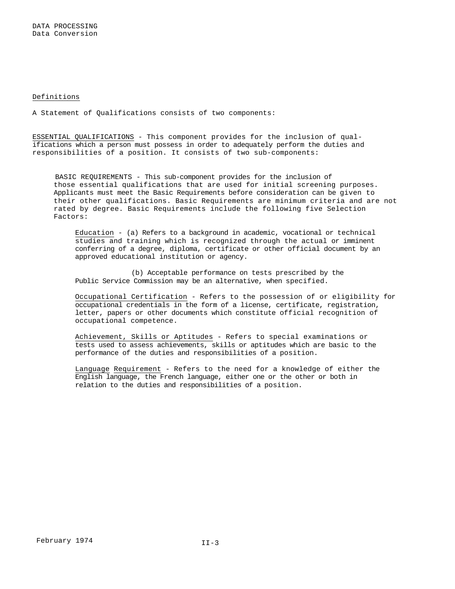## Definitions

A Statement of Qualifications consists of two components:

ESSENTIAL QUALIFICATIONS - This component provides for the inclusion of qualifications which a person must possess in order to adequately perform the duties and responsibilities of a position. It consists of two sub-components:

BASIC REQUIREMENTS - This sub-component provides for the inclusion of those essential qualifications that are used for initial screening purposes. Applicants must meet the Basic Requirements before consideration can be given to their other qualifications. Basic Requirements are minimum criteria and are not rated by degree. Basic Requirements include the following five Selection Factors:

Education - (a) Refers to a background in academic, vocational or technical studies and training which is recognized through the actual or imminent conferring of a degree, diploma, certificate or other official document by an approved educational institution or agency.

(b) Acceptable performance on tests prescribed by the Public Service Commission may be an alternative, when specified.

Occupational Certification - Refers to the possession of or eligibility for occupational credentials in the form of a license, certificate, registration, letter, papers or other documents which constitute official recognition of occupational competence.

Achievement, Skills or Aptitudes - Refers to special examinations or tests used to assess achievements, skills or aptitudes which are basic to the performance of the duties and responsibilities of a position.

Language Requirement - Refers to the need for a knowledge of either the English language, the French language, either one or the other or both in relation to the duties and responsibilities of a position.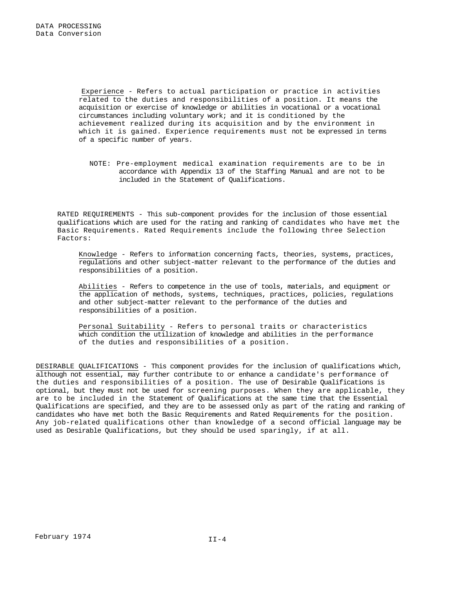Experience - Refers to actual participation or practice in activities related to the duties and responsibilities of a position. It means the acquisition or exercise of knowledge or abilities in vocational or a vocational circumstances including voluntary work; and it is conditioned by the achievement realized during its acquisition and by the environment in which it is gained. Experience requirements must not be expressed in terms of a specific number of years.

NOTE: Pre-employment medical examination requirements are to be in accordance with Appendix 13 of the Staffing Manual and are not to be included in the Statement of Qualifications.

RATED REQUIREMENTS - This sub-component provides for the inclusion of those essential qualifications which are used for the rating and ranking of candidates who have met the Basic Requirements. Rated Requirements include the following three Selection Factors:

Knowledge - Refers to information concerning facts, theories, systems, practices, regulations and other subject-matter relevant to the performance of the duties and responsibilities of a position.

Abilities - Refers to competence in the use of tools, materials, and equipment or the application of methods, systems, techniques, practices, policies, regulations and other subject-matter relevant to the performance of the duties and responsibilities of a position.

Personal Suitability - Refers to personal traits or characteristics which condition the utilization of knowledge and abilities in the performance of the duties and responsibilities of a position.

DESIRABLE QUALIFICATIONS - This component provides for the inclusion of qualifications which, although not essential, may further contribute to or enhance a candidate's performance of the duties and responsibilities of a position. The use of Desirable Qualifications is optional, but they must not be used for screening purposes. When they are applicable, they are to be included in the Statement of Qualifications at the same time that the Essential Qualifications are specified, and they are to be assessed only as part of the rating and ranking of candidates who have met both the Basic Requirements and Rated Requirements for the position. Any job-related qualifications other than knowledge of a second official language may be used as Desirable Qualifications, but they should be used sparingly, if at all.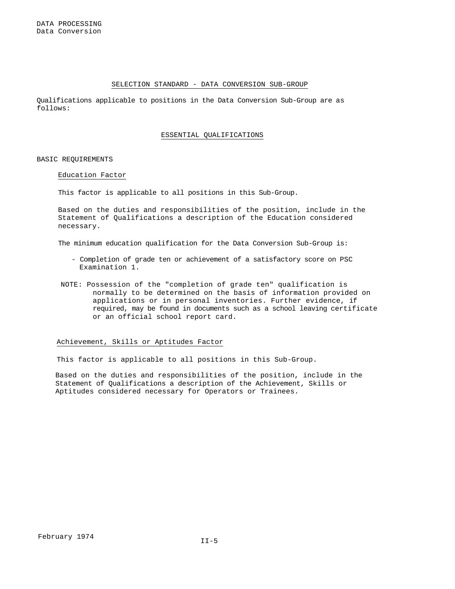#### SELECTION STANDARD - DATA CONVERSION SUB-GROUP

Qualifications applicable to positions in the Data Conversion Sub-Group are as follows:

#### ESSENTIAL QUALIFICATIONS

#### BASIC REQUIREMENTS

## Education Factor

This factor is applicable to all positions in this Sub-Group.

Based on the duties and responsibilities of the position, include in the Statement of Qualifications a description of the Education considered necessary.

The minimum education qualification for the Data Conversion Sub-Group is:

- Completion of grade ten or achievement of a satisfactory score on PSC Examination 1.
- NOTE: Possession of the "completion of grade ten" qualification is normally to be determined on the basis of information provided on applications or in personal inventories. Further evidence, if required, may be found in documents such as a school leaving certificate or an official school report card.

#### Achievement, Skills or Aptitudes Factor

This factor is applicable to all positions in this Sub-Group.

Based on the duties and responsibilities of the position, include in the Statement of Qualifications a description of the Achievement, Skills or Aptitudes considered necessary for Operators or Trainees.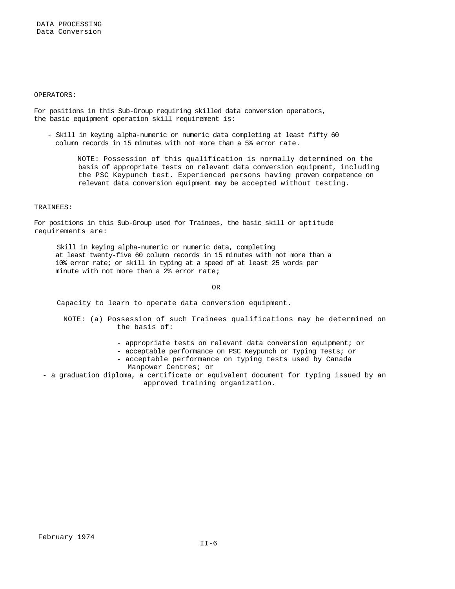#### OPERATORS:

For positions in this Sub-Group requiring skilled data conversion operators, the basic equipment operation skill requirement is:

- Skill in keying alpha-numeric or numeric data completing at least fifty 60 column records in 15 minutes with not more than a 5% error rate.

NOTE: Possession of this qualification is normally determined on the basis of appropriate tests on relevant data conversion equipment, including the PSC Keypunch test. Experienced persons having proven competence on relevant data conversion equipment may be accepted without testing.

#### TRAINEES:

For positions in this Sub-Group used for Trainees, the basic skill or aptitude requirements are:

Skill in keying alpha-numeric or numeric data, completing at least twenty-five 60 column records in 15 minutes with not more than a 10% error rate; or skill in typing at a speed of at least 25 words per minute with not more than a 2% error rate;

OR

Capacity to learn to operate data conversion equipment.

- NOTE: (a) Possession of such Trainees qualifications may be determined on the basis of:
	- appropriate tests on relevant data conversion equipment; or
	- acceptable performance on PSC Keypunch or Typing Tests; or
	- acceptable performance on typing tests used by Canada Manpower Centres; or
- a graduation diploma, a certificate or equivalent document for typing issued by an approved training organization.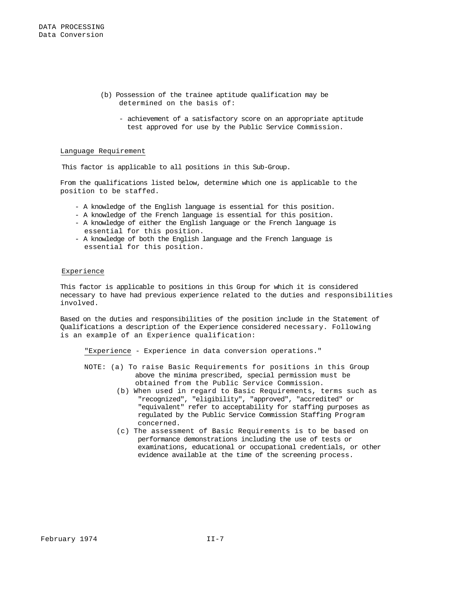- (b) Possession of the trainee aptitude qualification may be determined on the basis of:
	- achievement of a satisfactory score on an appropriate aptitude test approved for use by the Public Service Commission.

### Language Requirement

This factor is applicable to all positions in this Sub-Group.

From the qualifications listed below, determine which one is applicable to the position to be staffed.

- A knowledge of the English language is essential for this position.
- A knowledge of the French language is essential for this position.
- A knowledge of either the English language or the French language is essential for this position.
- A knowledge of both the English language and the French language is essential for this position.

#### Experience

This factor is applicable to positions in this Group for which it is considered necessary to have had previous experience related to the duties and responsibilities involved.

Based on the duties and responsibilities of the position include in the Statement of Qualifications a description of the Experience considered necessary. Following is an example of an Experience qualification:

"Experience - Experience in data conversion operations."

- NOTE: (a) To raise Basic Requirements for positions in this Group above the minima prescribed, special permission must be obtained from the Public Service Commission.
	- (b) When used in regard to Basic Requirements, terms such as "recognized", "eligibility", "approved", "accredited" or "equivalent" refer to acceptability for staffing purposes as regulated by the Public Service Commission Staffing Program concerned.
	- (c) The assessment of Basic Requirements is to be based on performance demonstrations including the use of tests or examinations, educational or occupational credentials, or other evidence available at the time of the screening process.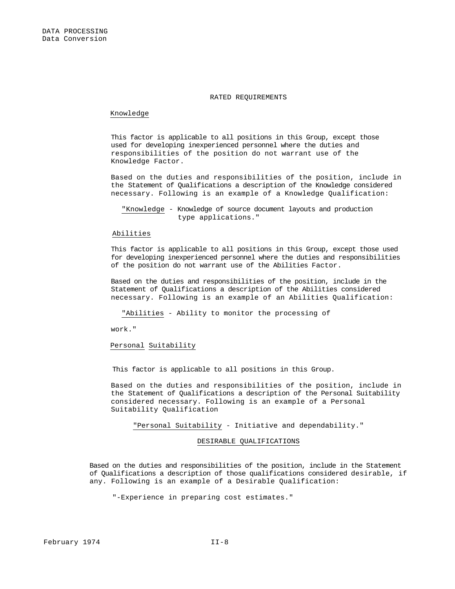#### RATED REQUIREMENTS

#### Knowledge

This factor is applicable to all positions in this Group, except those used for developing inexperienced personnel where the duties and responsibilities of the position do not warrant use of the Knowledge Factor.

Based on the duties and responsibilities of the position, include in the Statement of Qualifications a description of the Knowledge considered necessary. Following is an example of a Knowledge Qualification:

"Knowledge - Knowledge of source document layouts and production type applications."

#### Abilities

This factor is applicable to all positions in this Group, except those used for developing inexperienced personnel where the duties and responsibilities of the position do not warrant use of the Abilities Factor.

Based on the duties and responsibilities of the position, include in the Statement of Qualifications a description of the Abilities considered necessary. Following is an example of an Abilities Qualification:

"Abilities - Ability to monitor the processing of

work."

#### Personal Suitability

This factor is applicable to all positions in this Group.

Based on the duties and responsibilities of the position, include in the Statement of Qualifications a description of the Personal Suitability considered necessary. Following is an example of a Personal Suitability Qualification

"Personal Suitability - Initiative and dependability."

#### DESIRABLE QUALIFICATIONS

Based on the duties and responsibilities of the position, include in the Statement of Qualifications a description of those qualifications considered desirable, if any. Following is an example of a Desirable Qualification:

"-Experience in preparing cost estimates."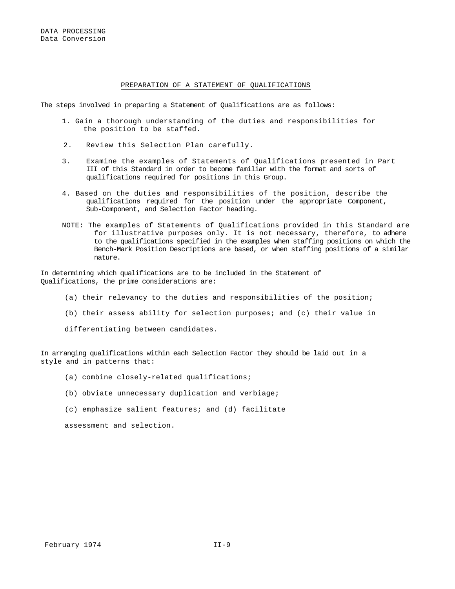#### PREPARATION OF A STATEMENT OF QUALIFICATIONS

The steps involved in preparing a Statement of Qualifications are as follows:

- 1. Gain a thorough understanding of the duties and responsibilities for the position to be staffed.
- 2. Review this Selection Plan carefully.
- 3. Examine the examples of Statements of Qualifications presented in Part III of this Standard in order to become familiar with the format and sorts of qualifications required for positions in this Group.
- 4. Based on the duties and responsibilities of the position, describe the qualifications required for the position under the appropriate Component, Sub-Component, and Selection Factor heading.
- NOTE: The examples of Statements of Qualifications provided in this Standard are for illustrative purposes only. It is not necessary, therefore, to adhere to the qualifications specified in the examples when staffing positions on which the Bench-Mark Position Descriptions are based, or when staffing positions of a similar nature.

In determining which qualifications are to be included in the Statement of Qualifications, the prime considerations are:

- (a) their relevancy to the duties and responsibilities of the position;
- (b) their assess ability for selection purposes; and (c) their value in
- differentiating between candidates.

In arranging qualifications within each Selection Factor they should be laid out in a style and in patterns that:

- (a) combine closely-related qualifications;
- (b) obviate unnecessary duplication and verbiage;
- (c) emphasize salient features; and (d) facilitate

assessment and selection.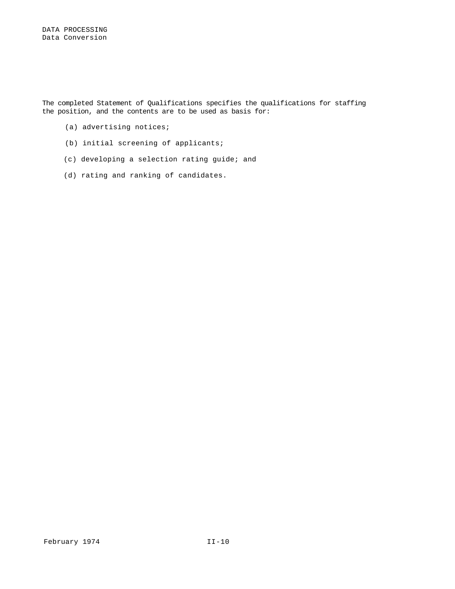The completed Statement of Qualifications specifies the qualifications for staffing the position, and the contents are to be used as basis for:

- (a) advertising notices;
- (b) initial screening of applicants;
- (c) developing a selection rating guide; and
- (d) rating and ranking of candidates.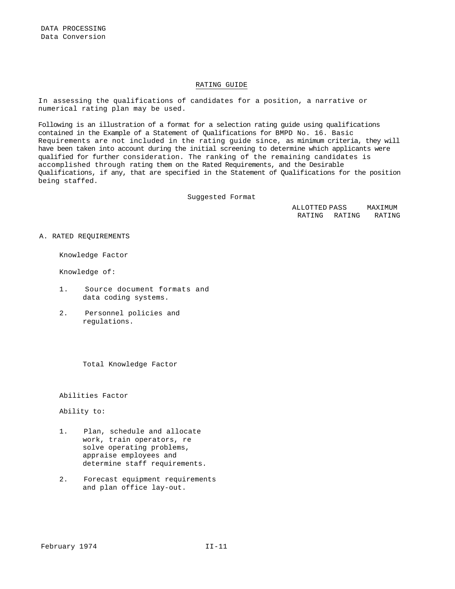## RATING GUIDE

In assessing the qualifications of candidates for a position, a narrative or numerical rating plan may be used.

Following is an illustration of a format for a selection rating guide using qualifications contained in the Example of a Statement of Qualifications for BMPD No. 16. Basic Requirements are not included in the rating guide since, as minimum criteria, they will have been taken into account during the initial screening to determine which applicants were qualified for further consideration. The ranking of the remaining candidates is accomplished through rating them on the Rated Requirements, and the Desirable Qualifications, if any, that are specified in the Statement of Qualifications for the position being staffed.

Suggested Format

ALLOTTED PASS RATING RATING RATING MAXIMUM

### A. RATED REQUIREMENTS

Knowledge Factor

Knowledge of:

- 1. Source document formats and data coding systems.
- 2. Personnel policies and regulations.

Total Knowledge Factor

Abilities Factor

Ability to:

- 1. Plan, schedule and allocate work, train operators, re solve operating problems, appraise employees and determine staff requirements.
- 2. Forecast equipment requirements and plan office lay-out.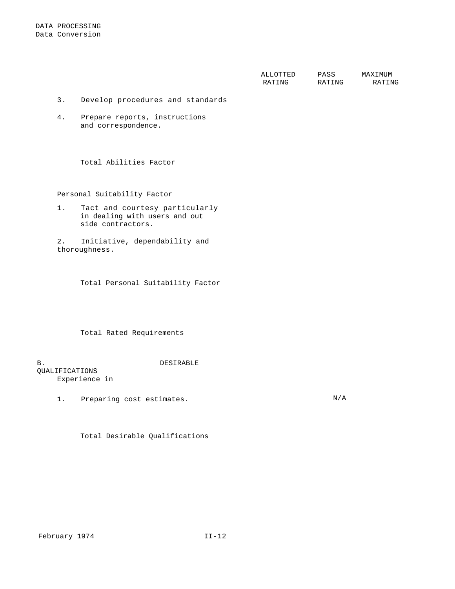DATA PROCESSING Data Conversion

| ALLOTTED | PASS   | MAXIMUM |
|----------|--------|---------|
| RATING   | RATING | RATING  |

- 3. Develop procedures and standards
- 4. Prepare reports, instructions and correspondence.

Total Abilities Factor

Personal Suitability Factor

1. Tact and courtesy particularly in dealing with users and out side contractors.

2. Initiative, dependability and thoroughness.

Total Personal Suitability Factor

Total Rated Requirements

B. DESIRABLE QUALIFICATIONS Experience in

1. Preparing cost estimates. N/A

Total Desirable Qualifications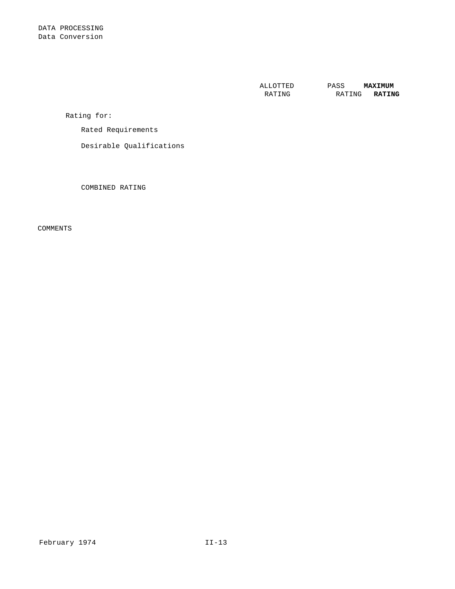ALLOTTED RATING PASS RATING **MAXIMUM RATING** 

Rating for:

Rated Requirements

Desirable Qualifications

COMBINED RATING

COMMENTS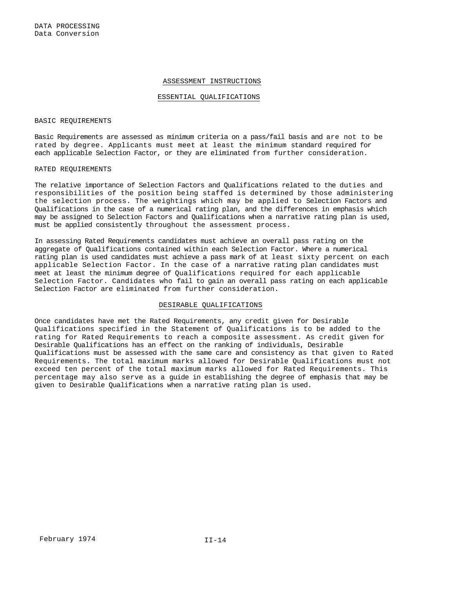## ASSESSMENT INSTRUCTIONS

#### ESSENTIAL QUALIFICATIONS

#### BASIC REQUIREMENTS

Basic Requirements are assessed as minimum criteria on a pass/fail basis and are not to be rated by degree. Applicants must meet at least the minimum standard required for each applicable Selection Factor, or they are eliminated from further consideration.

#### RATED REQUIREMENTS

The relative importance of Selection Factors and Qualifications related to the duties and responsibilities of the position being staffed is determined by those administering the selection process. The weightings which may be applied to Selection Factors and Qualifications in the case of a numerical rating plan, and the differences in emphasis which may be assigned to Selection Factors and Qualifications when a narrative rating plan is used, must be applied consistently throughout the assessment process.

In assessing Rated Requirements candidates must achieve an overall pass rating on the aggregate of Qualifications contained within each Selection Factor. Where a numerical rating plan is used candidates must achieve a pass mark of at least sixty percent on each applicable Selection Factor. In the case of a narrative rating plan candidates must meet at least the minimum degree of Qualifications required for each applicable Selection Factor. Candidates who fail to gain an overall pass rating on each applicable Selection Factor are eliminated from further consideration.

#### DESIRABLE QUALIFICATIONS

Once candidates have met the Rated Requirements, any credit given for Desirable Qualifications specified in the Statement of Qualifications is to be added to the rating for Rated Requirements to reach a composite assessment. As credit given for Desirable Qualifications has an effect on the ranking of individuals, Desirable Qualifications must be assessed with the same care and consistency as that given to Rated Requirements. The total maximum marks allowed for Desirable Qualifications must not exceed ten percent of the total maximum marks allowed for Rated Requirements. This percentage may also serve as a guide in establishing the degree of emphasis that may be given to Desirable Qualifications when a narrative rating plan is used.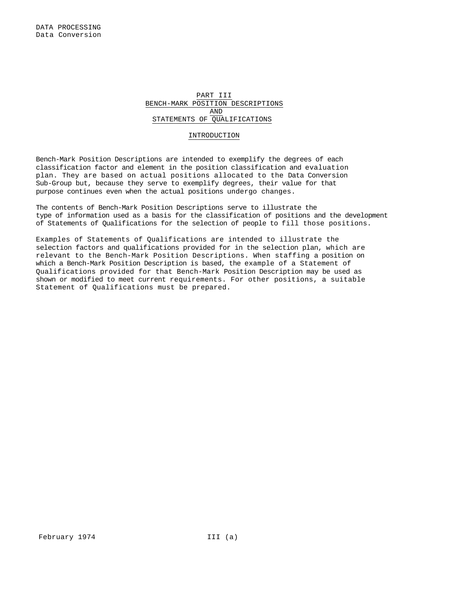### PART III BENCH-MARK POSITION DESCRIPTIONS AND STATEMENTS OF QUALIFICATIONS

#### INTRODUCTION

Bench-Mark Position Descriptions are intended to exemplify the degrees of each classification factor and element in the position classification and evaluation plan. They are based on actual positions allocated to the Data Conversion Sub-Group but, because they serve to exemplify degrees, their value for that purpose continues even when the actual positions undergo changes.

The contents of Bench-Mark Position Descriptions serve to illustrate the type of information used as a basis for the classification of positions and the development of Statements of Qualifications for the selection of people to fill those positions.

Examples of Statements of Qualifications are intended to illustrate the selection factors and qualifications provided for in the selection plan, which are relevant to the Bench-Mark Position Descriptions. When staffing a position on which a Bench-Mark Position Description is based, the example of a Statement of Qualifications provided for that Bench-Mark Position Description may be used as shown or modified to meet current requirements. For other positions, a suitable Statement of Qualifications must be prepared.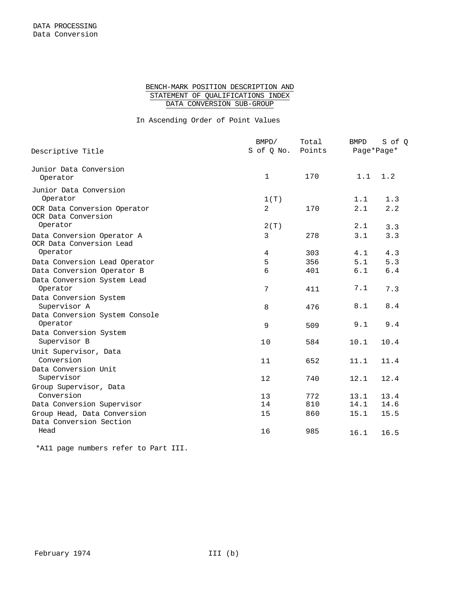# BENCH-MARK POSITION DESCRIPTION AND STATEMENT OF QUALIFICATIONS INDEX DATA CONVERSION SUB-GROUP

# In Ascending Order of Point Values

| Descriptive Title                                      | BMPD/<br>S of Q No. | Total<br>Points | <b>BMPD</b><br>Page*Page* | S of Q |
|--------------------------------------------------------|---------------------|-----------------|---------------------------|--------|
| Junior Data Conversion<br>Operator                     | $1\,$               | 170             | 1.1                       | 1.2    |
| Junior Data Conversion<br>Operator                     | 1(T)                |                 | 1.1                       | 1.3    |
| OCR Data Conversion Operator<br>OCR Data Conversion    | 2                   | 170             | 2.1                       | 2.2    |
| Operator                                               | 2(T)                |                 | 2.1                       | 3.3    |
| Data Conversion Operator A<br>OCR Data Conversion Lead | 3                   | 278             | 3.1                       | 3.3    |
| Operator                                               | $\overline{4}$      | 303             | 4.1                       | 4.3    |
| Data Conversion Lead Operator                          | 5                   | 356             | 5.1                       | 5.3    |
| Data Conversion Operator B                             | 6                   | 401             | 6.1                       | 6.4    |
| Data Conversion System Lead<br>Operator                | 7                   | 411             | 7.1                       | 7.3    |
| Data Conversion System                                 |                     |                 |                           |        |
| Supervisor A                                           | 8                   | 476             | $\bf 8.1$                 | 8.4    |
| Data Conversion System Console<br>Operator             | 9                   | 509             | 9.1                       | 9.4    |
| Data Conversion System<br>Supervisor B                 | 10                  | 584             | 10.1                      | 10.4   |
| Unit Supervisor, Data<br>Conversion                    | 11                  | 652             | 11.1                      | 11.4   |
| Data Conversion Unit<br>Supervisor                     | 12                  | 740             | 12.1                      | 12.4   |
| Group Supervisor, Data                                 |                     |                 |                           |        |
| Conversion                                             | 13                  | 772             | 13.1                      | 13.4   |
| Data Conversion Supervisor                             | 14                  | 810             | 14.1                      | 14.6   |
| Group Head, Data Conversion<br>Data Conversion Section | 15                  | 860             | 15.1                      | 15.5   |
| Head                                                   | 16                  | 985             | 16.1                      | 16.5   |

\*A11 page numbers refer to Part III.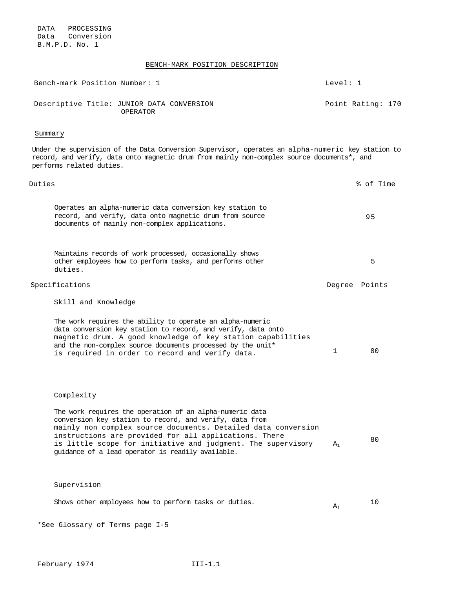## BENCH-MARK POSITION DESCRIPTION

| BENCH-MARK POSITION DESCRIPTION                                                                                                                                                                                                                                                                            |              |                   |
|------------------------------------------------------------------------------------------------------------------------------------------------------------------------------------------------------------------------------------------------------------------------------------------------------------|--------------|-------------------|
| Bench-mark Position Number: 1                                                                                                                                                                                                                                                                              | Level: 1     |                   |
| Descriptive Title: JUNIOR DATA CONVERSION<br>OPERATOR                                                                                                                                                                                                                                                      |              | Point Rating: 170 |
| Summary                                                                                                                                                                                                                                                                                                    |              |                   |
| Under the supervision of the Data Conversion Supervisor, operates an alpha-numeric key station to<br>record, and verify, data onto magnetic drum from mainly non-complex source documents*, and<br>performs related duties.                                                                                |              |                   |
| Duties                                                                                                                                                                                                                                                                                                     |              | % of Time         |
| Operates an alpha-numeric data conversion key station to<br>record, and verify, data onto magnetic drum from source<br>documents of mainly non-complex applications.                                                                                                                                       |              | 95                |
| Maintains records of work processed, occasionally shows<br>other employees how to perform tasks, and performs other<br>duties.                                                                                                                                                                             |              | 5                 |
| Specifications                                                                                                                                                                                                                                                                                             |              | Degree Points     |
| Skill and Knowledge                                                                                                                                                                                                                                                                                        |              |                   |
| The work requires the ability to operate an alpha-numeric<br>data conversion key station to record, and verify, data onto<br>magnetic drum. A good knowledge of key station capabilities<br>and the non-complex source documents processed by the unit*<br>is required in order to record and verify data. | $\mathbf{1}$ | 80                |
| Complexity                                                                                                                                                                                                                                                                                                 |              |                   |
| The work requires the operation of an alpha-numeric data<br>conversion key station to record, and verify, data from<br>mainly non complex source documents. Detailed data conversion<br>instructions are provided for all applications. There                                                              |              | 80                |

guidance of a lead operator is readily available.

Supervision

Shows other employees how to perform tasks or duties.  $A_1$ 10

 $A_1$ 

is little scope for initiative and judgment. The supervisory

\*See Glossary of Terms page I-5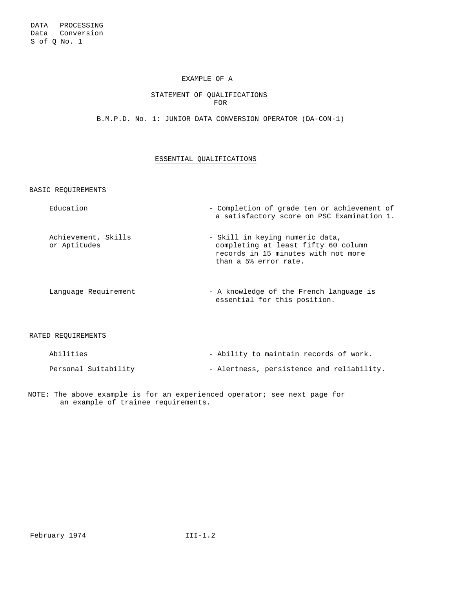## STATEMENT OF QUALIFICATIONS FOR

# B.M.P.D. No. 1: JUNIOR DATA CONVERSION OPERATOR (DA-CON-1)

### ESSENTIAL QUALIFICATIONS

BASIC REQUIREMENTS

| Education | - Completion of grade ten or achievement of |
|-----------|---------------------------------------------|
|           | a satisfactory score on PSC Examination 1.  |

- Achievement, Skills or Aptitudes - Skill in keying numeric data, completing at least fifty 60 column records in 15 minutes with not more than a 5% error rate.
- Language Requirement A knowledge of the French language is essential for this position.

#### RATED REQUIREMENTS

| Abilities            | - Ability to maintain records of work.    |
|----------------------|-------------------------------------------|
| Personal Suitability | - Alertness, persistence and reliability. |

NOTE: The above example is for an experienced operator; see next page for an example of trainee requirements.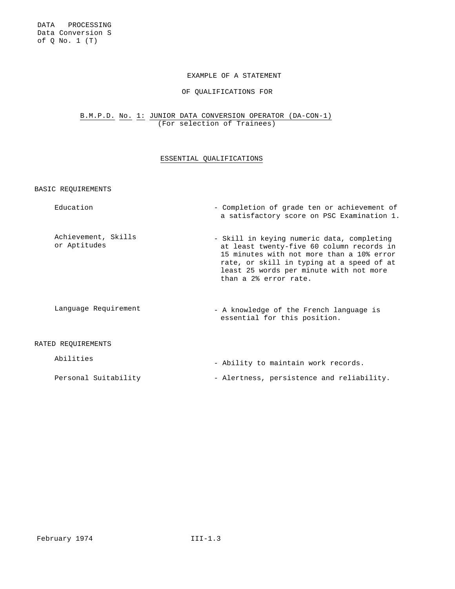#### EXAMPLE OF A STATEMENT

### OF QUALIFICATIONS FOR

## B.M.P.D. No. 1: JUNIOR DATA CONVERSION OPERATOR (DA-CON-1) (For selection of Trainees)

### ESSENTIAL QUALIFICATIONS

BASIC REQUIREMENTS

| Education | - Completion of grade ten or achievement of |  |
|-----------|---------------------------------------------|--|
|           | a satisfactory score on PSC Examination 1.  |  |

- Achievement, Skills or Aptitudes - Skill in keying numeric data, completing at least twenty-five 60 column records in 15 minutes with not more than a 10% error rate, or skill in typing at a speed of at least 25 words per minute with not more than a 2% error rate.
- Language Requirement A knowledge of the French language is essential for this position.

#### RATED REQUIREMENTS

| Abilities            | - Ability to maintain work records.       |
|----------------------|-------------------------------------------|
| Personal Suitability | - Alertness, persistence and reliability. |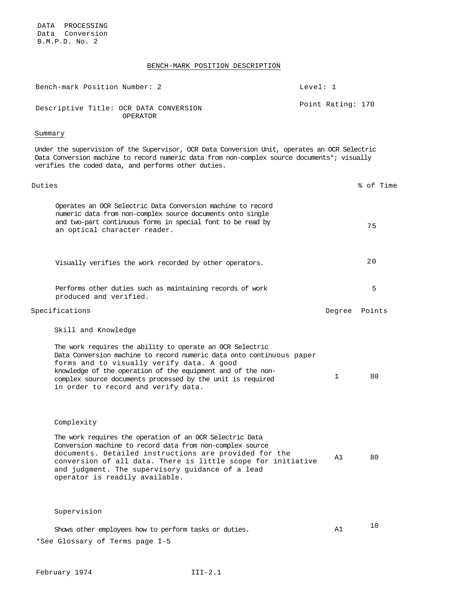#### BENCH-MARK POSITION DESCRIPTION

| Bench-mark Position Number: 2                                                                       | Level: 1          |
|-----------------------------------------------------------------------------------------------------|-------------------|
| Descriptive Title: OCR DATA CONVERSION<br><b>OPERATOR</b>                                           | Point Rating: 170 |
| Summary                                                                                             |                   |
| trada abada a baba afair Araba American Ana a bastar talla anno 2008. Americana a sensibilitat da b |                   |

Under the supervision of the Supervisor, OCR Data Conversion Unit, operates an OCR Selectric Data Conversion machine to record numeric data from non-complex source documents\*; visually verifies the coded data, and performs other duties.

| Duties                                                                                                                                                                                                                                                                                                                                             |        | % of Time |
|----------------------------------------------------------------------------------------------------------------------------------------------------------------------------------------------------------------------------------------------------------------------------------------------------------------------------------------------------|--------|-----------|
| Operates an OCR Selectric Data Conversion machine to record<br>numeric data from non-complex source documents onto single<br>and two-part continuous forms in special font to be read by<br>an optical character reader.                                                                                                                           |        | 75        |
| Visually verifies the work recorded by other operators.                                                                                                                                                                                                                                                                                            |        | 20        |
| Performs other duties such as maintaining records of work<br>produced and verified.                                                                                                                                                                                                                                                                |        | 5         |
| Specifications                                                                                                                                                                                                                                                                                                                                     | Degree | Points    |
| Skill and Knowledge                                                                                                                                                                                                                                                                                                                                |        |           |
| The work requires the ability to operate an OCR Selectric<br>Data Conversion machine to record numeric data onto continuous paper<br>forms and to visually verify data. A good<br>knowledge of the operation of the equipment and of the non-<br>complex source documents processed by the unit is required<br>in order to record and verify data. | 1      | 80        |

Complexity

The work requires the operation of an OCR Selectric Data Conversion machine to record data from non-complex source documents. Detailed instructions are provided for the conversion of all data. There is little scope for initiative and judgment. The supervisory guidance of a lead operator is readily available. A1 80

#### Supervision

Shows other employees how to perform tasks or duties.  $10$ \*See Glossary of Terms page I-5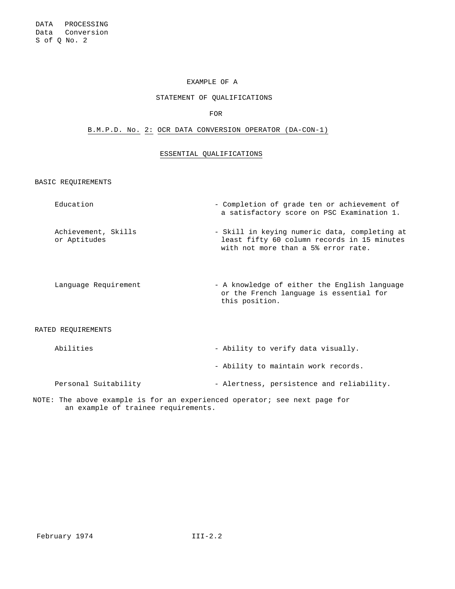#### STATEMENT OF QUALIFICATIONS

#### FOR

## B.M.P.D. No. 2: OCR DATA CONVERSION OPERATOR (DA-CON-1)

#### ESSENTIAL QUALIFICATIONS

BASIC REQUIREMENTS

- Education  $\qquad \qquad -$  Completion of grade ten or achievement of a satisfactory score on PSC Examination 1.
- Achievement, Skills or Aptitudes - Skill in keying numeric data, completing at least fifty 60 column records in 15 minutes with not more than a 5% error rate.
- Language Requirement A knowledge of either the English language or the French language is essential for this position.

#### RATED REQUIREMENTS

Abilities  $\qquad \qquad$  - Ability to verify data visually. - Ability to maintain work records. Personal Suitability  $-$  Alertness, persistence and reliability.

NOTE: The above example is for an experienced operator; see next page for an example of trainee requirements.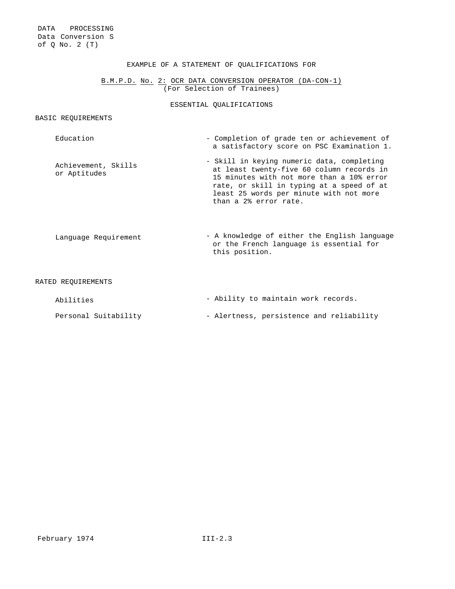DATA PROCESSING Data Conversion S of Q No. 2 (T)

#### EXAMPLE OF A STATEMENT OF QUALIFICATIONS FOR

## B.M.P.D. No. 2: OCR DATA CONVERSION OPERATOR (DA-CON-1) (For Selection of Trainees)

### ESSENTIAL QUALIFICATIONS

## BASIC REQUIREMENTS

| Education                           | - Completion of grade ten or achievement of<br>a satisfactory score on PSC Examination 1.                                                                                                                                                             |
|-------------------------------------|-------------------------------------------------------------------------------------------------------------------------------------------------------------------------------------------------------------------------------------------------------|
| Achievement, Skills<br>or Aptitudes | - Skill in keying numeric data, completing<br>at least twenty-five 60 column records in<br>15 minutes with not more than a 10% error<br>rate, or skill in typing at a speed of at<br>least 25 words per minute with not more<br>than a 2% error rate. |

Language Requirement - A knowledge of either the English language or the French language is essential for this position.

## RATED REQUIREMENTS

| Abilities            |  |  | - Ability to maintain work records.      |
|----------------------|--|--|------------------------------------------|
| Personal Suitability |  |  | - Alertness, persistence and reliability |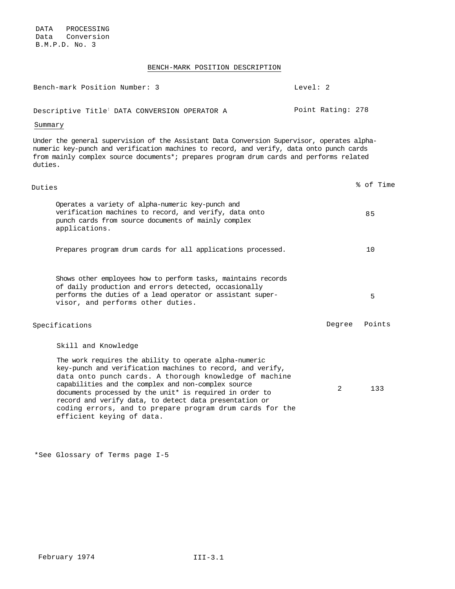## BENCH-MARK POSITION DESCRIPTION

| Bench-mark Position Number: 3                | Level: 2          |
|----------------------------------------------|-------------------|
| Descriptive Title DATA CONVERSION OPERATOR A | Point Rating: 278 |
| Summary                                      |                   |

Under the general supervision of the Assistant Data Conversion Supervisor, operates alphanumeric key-punch and verification machines to record, and verify, data onto punch cards from mainly complex source documents\*; prepares program drum cards and performs related duties.

| Duties |                                                                                                                                                                                                                                                                                                                                                                                                                                                      |                | % of Time |
|--------|------------------------------------------------------------------------------------------------------------------------------------------------------------------------------------------------------------------------------------------------------------------------------------------------------------------------------------------------------------------------------------------------------------------------------------------------------|----------------|-----------|
|        | Operates a variety of alpha-numeric key-punch and<br>verification machines to record, and verify, data onto<br>punch cards from source documents of mainly complex<br>applications.                                                                                                                                                                                                                                                                  |                | 85        |
|        | Prepares program drum cards for all applications processed.                                                                                                                                                                                                                                                                                                                                                                                          |                | 10        |
|        | Shows other employees how to perform tasks, maintains records<br>of daily production and errors detected, occasionally<br>performs the duties of a lead operator or assistant super-<br>visor, and performs other duties.                                                                                                                                                                                                                            |                | 5         |
|        | Specifications                                                                                                                                                                                                                                                                                                                                                                                                                                       | Degree         | Points    |
|        | Skill and Knowledge                                                                                                                                                                                                                                                                                                                                                                                                                                  |                |           |
|        | The work requires the ability to operate alpha-numeric<br>key-punch and verification machines to record, and verify,<br>data onto punch cards. A thorough knowledge of machine<br>capabilities and the complex and non-complex source<br>documents processed by the unit* is required in order to<br>record and verify data, to detect data presentation or<br>coding errors, and to prepare program drum cards for the<br>efficient keying of data. | $\mathfrak{D}$ | 133       |

\*See Glossary of Terms page I-5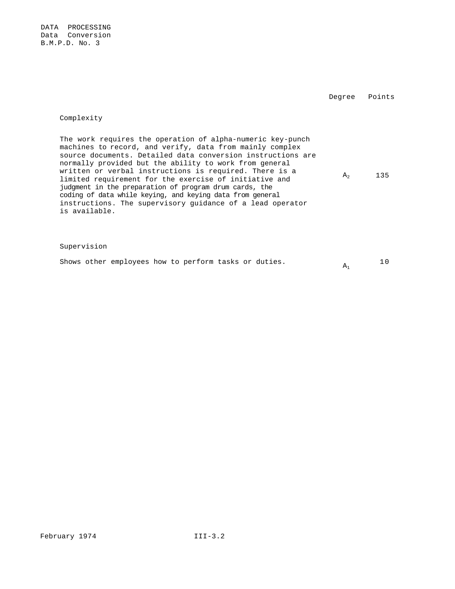| Degree | Points |
|--------|--------|
|--------|--------|

## Complexity

The work requires the operation of alpha-numeric key-punch machines to record, and verify, data from mainly complex source documents. Detailed data conversion instructions are normally provided but the ability to work from general written or verbal instructions is required. There is a limited requirement for the exercise of initiative and judgment in the preparation of program drum cards, the coding of data while keying, and keying data from general instructions. The supervisory guidance of a lead operator is available.  $A_2$  135

#### Supervision

|  | Shows other employees how to perform tasks or duties. |  |  |  |  |
|--|-------------------------------------------------------|--|--|--|--|
|  |                                                       |  |  |  |  |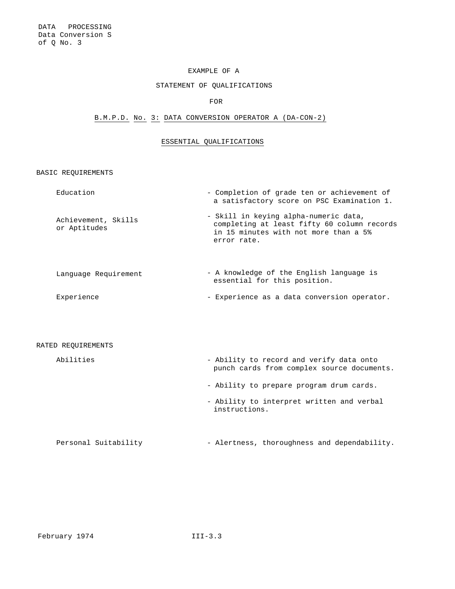## STATEMENT OF QUALIFICATIONS

FOR

# B.M.P.D. No. 3: DATA CONVERSION OPERATOR A (DA-CON-2)

## ESSENTIAL QUALIFICATIONS

BASIC REQUIREMENTS

| Education                           | - Completion of grade ten or achievement of<br>a satisfactory score on PSC Examination 1.                                                    |
|-------------------------------------|----------------------------------------------------------------------------------------------------------------------------------------------|
| Achievement, Skills<br>or Aptitudes | - Skill in keying alpha-numeric data,<br>completing at least fifty 60 column records<br>in 15 minutes with not more than a 5%<br>error rate. |
| Language Requirement                | - A knowledge of the English language is<br>essential for this position.                                                                     |

|  | RATED REQUIREMENTS |  |
|--|--------------------|--|
|--|--------------------|--|

| Abilities | - Ability to record and verify data onto<br>punch cards from complex source documents. |
|-----------|----------------------------------------------------------------------------------------|
|           | - Ability to prepare program drum cards.                                               |
|           | - Ability to interpret written and verbal<br>instructions.                             |
|           |                                                                                        |

Personal Suitability  $\qquad \qquad$  - Alertness, thoroughness and dependability.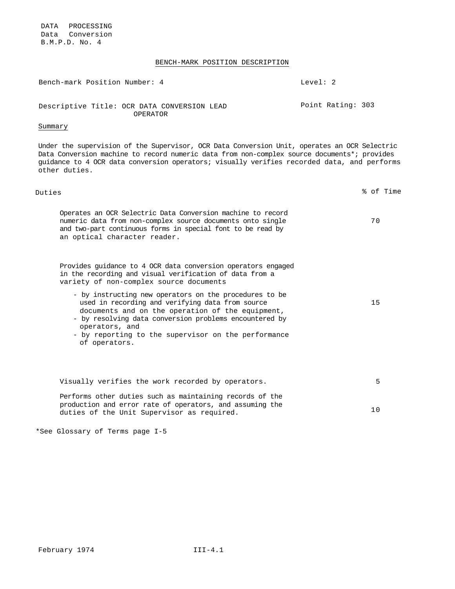### BENCH-MARK POSITION DESCRIPTION

| Bench-mark Position Number: 4                                                                                                                                                                                                                                                                                      | Level: 2          |  |
|--------------------------------------------------------------------------------------------------------------------------------------------------------------------------------------------------------------------------------------------------------------------------------------------------------------------|-------------------|--|
| Descriptive Title: OCR DATA CONVERSION LEAD<br><b>OPERATOR</b>                                                                                                                                                                                                                                                     | Point Rating: 303 |  |
| Summary                                                                                                                                                                                                                                                                                                            |                   |  |
| Under the supervision of the Supervisor, OCR Data Conversion Unit, operates an OCR Selectric<br>Data Conversion machine to record numeric data from non-complex source documents*; provides<br>guidance to 4 OCR data conversion operators; visually verifies recorded data, and performs<br>other duties.         |                   |  |
| Duties                                                                                                                                                                                                                                                                                                             | % of Time         |  |
| Operates an OCR Selectric Data Conversion machine to record<br>numeric data from non-complex source documents onto single<br>and two-part continuous forms in special font to be read by<br>an optical character reader.                                                                                           | 70                |  |
| Provides quidance to 4 OCR data conversion operators engaged<br>in the recording and visual verification of data from a<br>variety of non-complex source documents                                                                                                                                                 |                   |  |
| - by instructing new operators on the procedures to be<br>used in recording and verifying data from source<br>documents and on the operation of the equipment,<br>- by resolving data conversion problems encountered by<br>operators, and<br>- by reporting to the supervisor on the performance<br>of operators. | 15                |  |
| Visually verifies the work recorded by operators.                                                                                                                                                                                                                                                                  | 5                 |  |
|                                                                                                                                                                                                                                                                                                                    |                   |  |

Performs other duties such as maintaining records of the production and error rate of operators, and assuming the production and error rate of operators, and assuming the duties of the Unit Supervisor as required.

\*See Glossary of Terms page I-5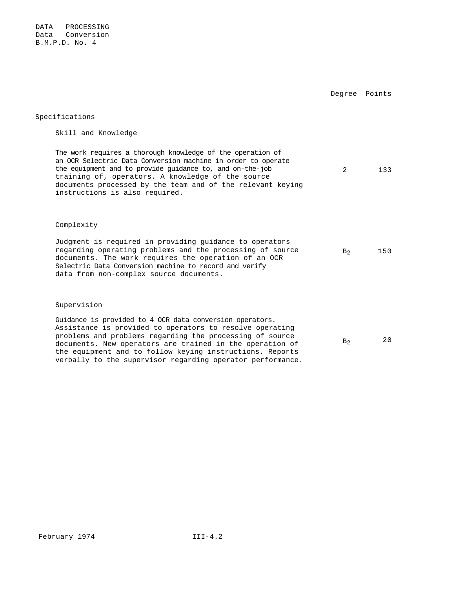| Degree | Points |
|--------|--------|
|--------|--------|

#### Specifications

## Skill and Knowledge

The work requires a thorough knowledge of the operation of an OCR Selectric Data Conversion machine in order to operate the equipment and to provide guidance to, and on-the-job training of, operators. A knowledge of the source documents processed by the team and of the relevant keying instructions is also required. 2 133

## Complexity

| Judgment is required in providing quidance to operators   |              |     |
|-----------------------------------------------------------|--------------|-----|
| regarding operating problems and the processing of source | $\mathbf{B}$ | 150 |
| documents. The work requires the operation of an OCR      |              |     |
| Selectric Data Conversion machine to record and verify    |              |     |
| data from non-complex source documents.                   |              |     |

### Supervision

| Guidance is provided to 4 OCR data conversion operators.   |                |    |
|------------------------------------------------------------|----------------|----|
| Assistance is provided to operators to resolve operating   |                |    |
| problems and problems regarding the processing of source   |                |    |
| documents. New operators are trained in the operation of   | B <sub>2</sub> | 20 |
| the equipment and to follow keying instructions. Reports   |                |    |
| verbally to the supervisor regarding operator performance. |                |    |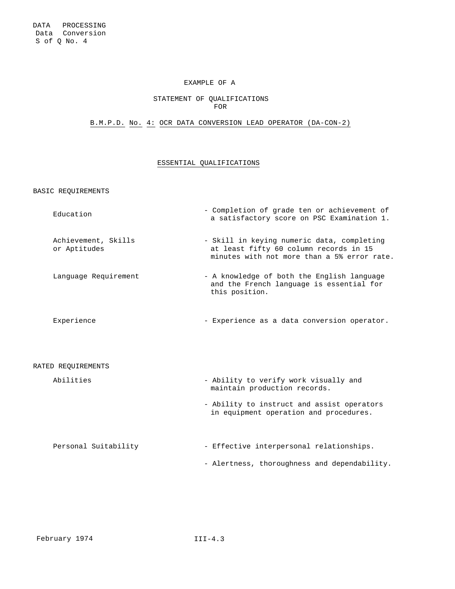#### STATEMENT OF QUALIFICATIONS FOR

### B.M.P.D. No. 4: OCR DATA CONVERSION LEAD OPERATOR (DA-CON-2)

### ESSENTIAL QUALIFICATIONS

#### BASIC REQUIREMENTS

- Education Completion of grade ten or achievement of a satisfactory score on PSC Examination 1.
- Achievement, Skills or Aptitudes - Skill in keying numeric data, completing at least fifty 60 column records in 15 minutes with not more than a 5% error rate.
- Language Requirement A knowledge of both the English language and the French language is essential for this position.
- Experience Experience as a data conversion operator.

#### RATED REQUIREMENTS

Abilities - Ability to verify work visually and maintain production records. - Ability to instruct and assist operators in equipment operation and procedures. Personal Suitability - Effective interpersonal relationships.

- Alertness, thoroughness and dependability.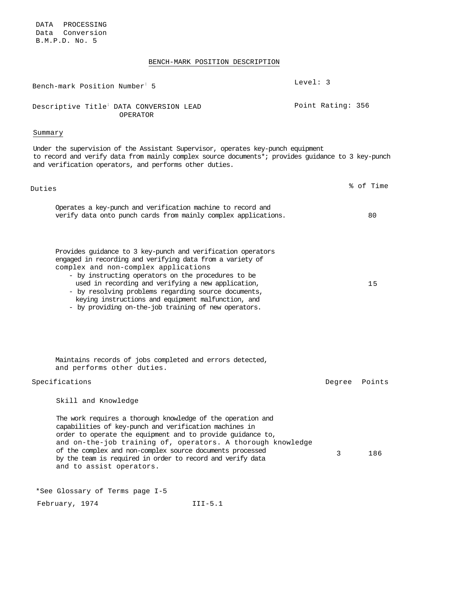## BENCH-MARK POSITION DESCRIPTION

|         | Bench-mark Position Number 5                                                                                                                                                                                                                                                                                                                                                                                                                      |           | Level: 3          |           |
|---------|---------------------------------------------------------------------------------------------------------------------------------------------------------------------------------------------------------------------------------------------------------------------------------------------------------------------------------------------------------------------------------------------------------------------------------------------------|-----------|-------------------|-----------|
|         | Descriptive Title <sup>:</sup> DATA CONVERSION LEAD<br>OPERATOR                                                                                                                                                                                                                                                                                                                                                                                   |           | Point Rating: 356 |           |
| Summary |                                                                                                                                                                                                                                                                                                                                                                                                                                                   |           |                   |           |
|         | Under the supervision of the Assistant Supervisor, operates key-punch equipment<br>to record and verify data from mainly complex source documents*; provides guidance to 3 key-punch<br>and verification operators, and performs other duties.                                                                                                                                                                                                    |           |                   |           |
| Duties  |                                                                                                                                                                                                                                                                                                                                                                                                                                                   |           |                   | % of Time |
|         | Operates a key-punch and verification machine to record and<br>verify data onto punch cards from mainly complex applications.                                                                                                                                                                                                                                                                                                                     |           |                   | 80        |
|         | Provides guidance to 3 key-punch and verification operators<br>engaged in recording and verifying data from a variety of<br>complex and non-complex applications<br>- by instructing operators on the procedures to be<br>used in recording and verifying a new application,<br>- by resolving problems regarding source documents,<br>keying instructions and equipment malfunction, and<br>- by providing on-the-job training of new operators. |           |                   | 15        |
|         | Maintains records of jobs completed and errors detected,<br>and performs other duties.                                                                                                                                                                                                                                                                                                                                                            |           |                   |           |
|         | Specifications                                                                                                                                                                                                                                                                                                                                                                                                                                    |           | Degree            | Points    |
|         | Skill and Knowledge                                                                                                                                                                                                                                                                                                                                                                                                                               |           |                   |           |
|         | The work requires a thorough knowledge of the operation and<br>capabilities of key-punch and verification machines in<br>order to operate the equipment and to provide guidance to,<br>and on-the-job training of, operators. A thorough knowledge<br>of the complex and non-complex source documents processed<br>by the team is required in order to record and verify data<br>and to assist operators.                                         |           | 3                 | 186       |
|         | *See Glossary of Terms page I-5                                                                                                                                                                                                                                                                                                                                                                                                                   |           |                   |           |
|         | February, 1974                                                                                                                                                                                                                                                                                                                                                                                                                                    | $III-5.1$ |                   |           |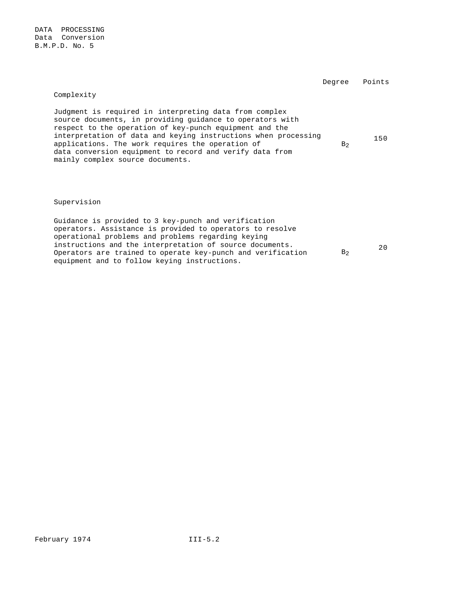|                                                                                                                                                                                                                                                                                                                                                                                                      | Degree         | Points |
|------------------------------------------------------------------------------------------------------------------------------------------------------------------------------------------------------------------------------------------------------------------------------------------------------------------------------------------------------------------------------------------------------|----------------|--------|
| Complexity                                                                                                                                                                                                                                                                                                                                                                                           |                |        |
| Judgment is required in interpreting data from complex<br>source documents, in providing guidance to operators with<br>respect to the operation of key-punch equipment and the<br>interpretation of data and keying instructions when processing<br>applications. The work requires the operation of<br>data conversion equipment to record and verify data from<br>mainly complex source documents. | B <sub>2</sub> | 150    |

#### Supervision

Guidance is provided to 3 key-punch and verification operators. Assistance is provided to operators to resolve operational problems and problems regarding keying instructions and the interpretation of source documents. Operators are trained to operate key-punch and verification  $B_2$ equipment and to follow keying instructions. 20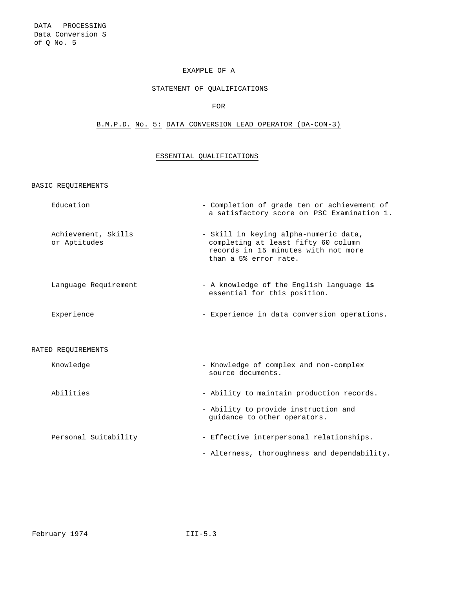## STATEMENT OF QUALIFICATIONS

### FOR

## B.M.P.D. No. 5: DATA CONVERSION LEAD OPERATOR (DA-CON-3)

## ESSENTIAL QUALIFICATIONS

BASIC REQUIREMENTS

| Education                           | - Completion of grade ten or achievement of<br>a satisfactory score on PSC Examination 1.                                                    |
|-------------------------------------|----------------------------------------------------------------------------------------------------------------------------------------------|
| Achievement, Skills<br>or Aptitudes | - Skill in keying alpha-numeric data,<br>completing at least fifty 60 column<br>records in 15 minutes with not more<br>than a 5% error rate. |
| Language Requirement                | - A knowledge of the English language is<br>essential for this position.                                                                     |
| Experience                          | - Experience in data conversion operations.                                                                                                  |
| RATED REQUIREMENTS                  |                                                                                                                                              |
| Knowledge                           | - Knowledge of complex and non-complex<br>source documents.                                                                                  |
| Abilities                           | - Ability to maintain production records.                                                                                                    |
|                                     | - Ability to provide instruction and<br>guidance to other operators.                                                                         |
| Personal Suitability                | - Effective interpersonal relationships.                                                                                                     |
|                                     | - Alterness, thoroughness and dependability.                                                                                                 |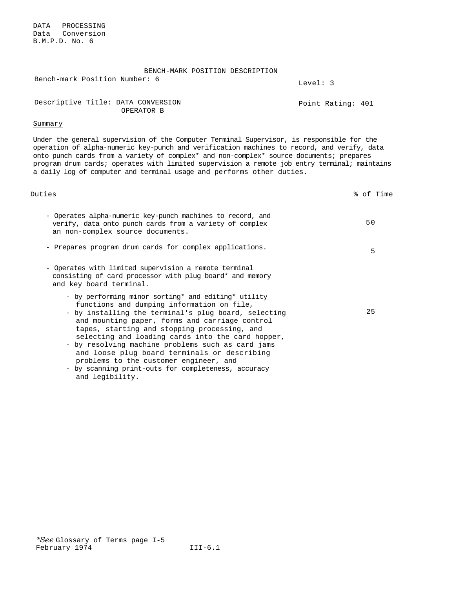## BENCH-MARK POSITION DESCRIPTION

Bench-mark Position Number: 6 Level: 3

| Descriptive Title: DATA CONVERSION | Point Rating: 401 |
|------------------------------------|-------------------|
| OPERATOR B                         |                   |

#### Summary

Under the general supervision of the Computer Terminal Supervisor, is responsible for the operation of alpha-numeric key-punch and verification machines to record, and verify, data onto punch cards from a variety of complex\* and non-complex\* source documents; prepares program drum cards; operates with limited supervision a remote job entry terminal; maintains a daily log of computer and terminal usage and performs other duties.

| Duties                                                                                                                                                                                                                                                                                                                                                                                                                                                          | % of Time |
|-----------------------------------------------------------------------------------------------------------------------------------------------------------------------------------------------------------------------------------------------------------------------------------------------------------------------------------------------------------------------------------------------------------------------------------------------------------------|-----------|
| - Operates alpha-numeric key-punch machines to record, and<br>verify, data onto punch cards from a variety of complex<br>an non-complex source documents.                                                                                                                                                                                                                                                                                                       | 50        |
| - Prepares program drum cards for complex applications.                                                                                                                                                                                                                                                                                                                                                                                                         | 5         |
| - Operates with limited supervision a remote terminal<br>consisting of card processor with plug board* and memory<br>and key board terminal.                                                                                                                                                                                                                                                                                                                    |           |
| - by performing minor sorting* and editing* utility<br>functions and dumping information on file,<br>- by installing the terminal's plug board, selecting<br>and mounting paper, forms and carriage control<br>tapes, starting and stopping processing, and<br>selecting and loading cards into the card hopper,<br>- by resolving machine problems such as card jams<br>and loose plug board terminals or describing<br>problems to the customer engineer, and | 25        |
| - by scanning print-outs for completeness, accuracy<br>and legibility.                                                                                                                                                                                                                                                                                                                                                                                          |           |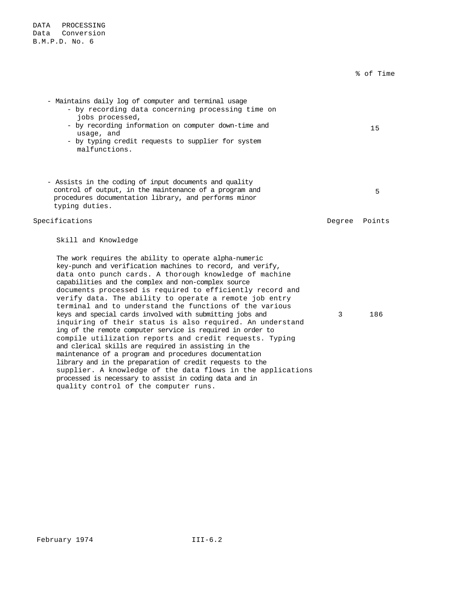% of Time - Maintains daily log of computer and terminal usage - by recording data concerning processing time on jobs processed, - by recording information on computer down-time and usage, and - by typing credit requests to supplier for system malfunctions. 15 - Assists in the coding of input documents and quality control of output, in the maintenance of a program and procedures documentation library, and performs minor typing duties. 5 Specifications **Degree** Points **Degree** Points Skill and Knowledge The work requires the ability to operate alpha-numeric key-punch and verification machines to record, and verify, data onto punch cards. A thorough knowledge of machine capabilities and the complex and non-complex source documents processed is required to efficiently record and verify data. The ability to operate a remote job entry terminal and to understand the functions of the various keys and special cards involved with submitting jobs and inquiring of their status is also required. An understand ing of the remote computer service is required in order to compile utilization reports and credit requests. Typing and clerical skills are required in assisting in the maintenance of a program and procedures documentation library and in the preparation of credit requests to the supplier. A knowledge of the data flows in the applications processed is necessary to assist in coding data and in quality control of the computer runs. 3 186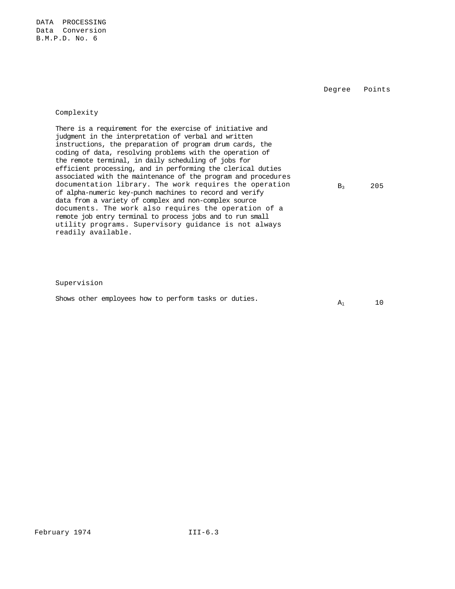```
Degree Points
```
 $B_3$  205

Complexity

There is a requirement for the exercise of initiative and judgment in the interpretation of verbal and written instructions, the preparation of program drum cards, the coding of data, resolving problems with the operation of the remote terminal, in daily scheduling of jobs for efficient processing, and in performing the clerical duties associated with the maintenance of the program and procedures documentation library. The work requires the operation of alpha-numeric key-punch machines to record and verify data from a variety of complex and non-complex source documents. The work also requires the operation of a remote job entry terminal to process jobs and to run small utility programs. Supervisory guidance is not always readily available.

Supervision

Shows other employees how to perform tasks or duties.  $A_1$  10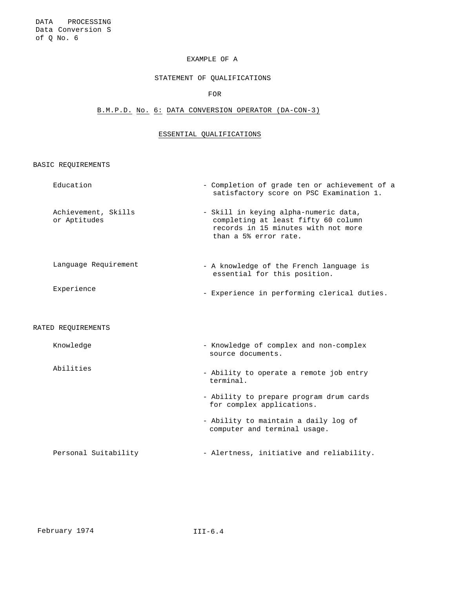### STATEMENT OF QUALIFICATIONS

FOR

# B.M.P.D. No. 6: DATA CONVERSION OPERATOR (DA-CON-3)

## ESSENTIAL QUALIFICATIONS

#### BASIC REQUIREMENTS

| Education                           | - Completion of grade ten or achievement of a<br>satisfactory score on PSC Examination 1.                                                    |
|-------------------------------------|----------------------------------------------------------------------------------------------------------------------------------------------|
| Achievement, Skills<br>or Aptitudes | - Skill in keying alpha-numeric data,<br>completing at least fifty 60 column<br>records in 15 minutes with not more<br>than a 5% error rate. |
| Language Requirement                | - A knowledge of the French language is<br>essential for this position.                                                                      |
| Experience                          | - Experience in performing clerical duties.                                                                                                  |
| RATED REQUIREMENTS                  |                                                                                                                                              |
| Knowledge                           | - Knowledge of complex and non-complex<br>source documents.                                                                                  |
| Abilities                           | - Ability to operate a remote job entry<br>terminal.                                                                                         |
|                                     | - Ability to prepare program drum cards<br>for complex applications.                                                                         |
|                                     | - Ability to maintain a daily log of<br>computer and terminal usage.                                                                         |
| Personal Suitability                | - Alertness, initiative and reliability.                                                                                                     |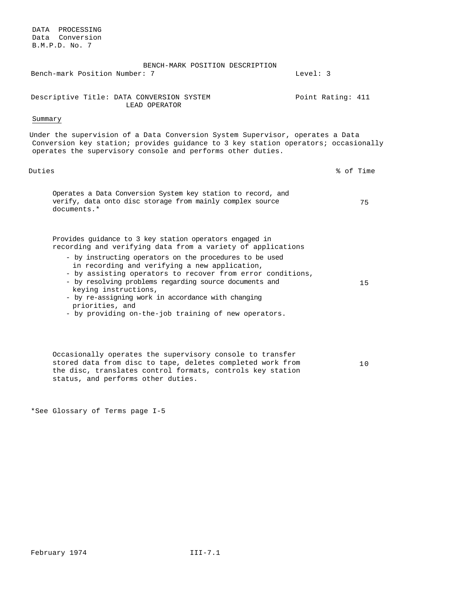| BENCH-MARK POSITION DESCRIPTION                                                                                                                                                                                                                                                                                                                                                                                                                                                                                     |                   |
|---------------------------------------------------------------------------------------------------------------------------------------------------------------------------------------------------------------------------------------------------------------------------------------------------------------------------------------------------------------------------------------------------------------------------------------------------------------------------------------------------------------------|-------------------|
| Bench-mark Position Number: 7                                                                                                                                                                                                                                                                                                                                                                                                                                                                                       | Level: 3          |
| Descriptive Title: DATA CONVERSION SYSTEM<br>LEAD OPERATOR                                                                                                                                                                                                                                                                                                                                                                                                                                                          | Point Rating: 411 |
| Summary                                                                                                                                                                                                                                                                                                                                                                                                                                                                                                             |                   |
| Under the supervision of a Data Conversion System Supervisor, operates a Data<br>Conversion key station; provides guidance to 3 key station operators; occasionally<br>operates the supervisory console and performs other duties.                                                                                                                                                                                                                                                                                  |                   |
| Duties                                                                                                                                                                                                                                                                                                                                                                                                                                                                                                              | % of Time         |
| Operates a Data Conversion System key station to record, and<br>verify, data onto disc storage from mainly complex source<br>documents.*                                                                                                                                                                                                                                                                                                                                                                            | 75                |
| Provides quidance to 3 key station operators engaged in<br>recording and verifying data from a variety of applications<br>- by instructing operators on the procedures to be used<br>in recording and verifying a new application,<br>- by assisting operators to recover from error conditions,<br>- by resolving problems regarding source documents and<br>keying instructions,<br>- by re-assigning work in accordance with changing<br>priorities, and<br>- by providing on-the-job training of new operators. | 15                |

| Occasionally operates the supervisory console to transfer  |     |
|------------------------------------------------------------|-----|
| stored data from disc to tape, deletes completed work from | 1 N |
| the disc, translates control formats, controls key station |     |
| status, and performs other duties.                         |     |

\*See Glossary of Terms page I-5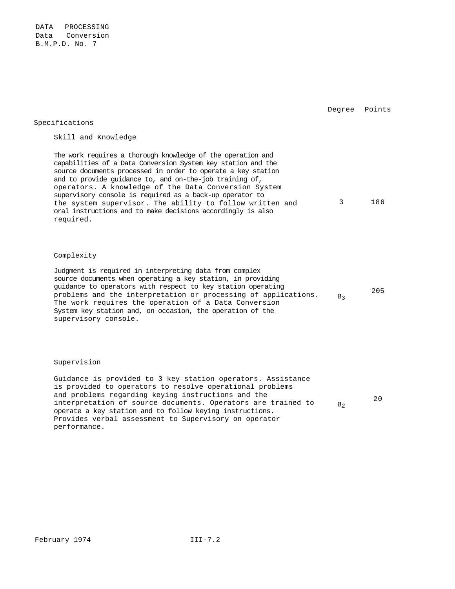Degree Points

Specifications

Skill and Knowledge

The work requires a thorough knowledge of the operation and capabilities of a Data Conversion System key station and the source documents processed in order to operate a key station and to provide guidance to, and on-the-job training of, operators. A knowledge of the Data Conversion System supervisory console is required as a back-up operator to the system supervisor. The ability to follow written and oral instructions and to make decisions accordingly is also required. 3 186

#### Complexity

Judgment is required in interpreting data from complex source documents when operating a key station, in providing guidance to operators with respect to key station operating problems and the interpretation or processing of applications. The work requires the operation of a Data Conversion System key station and, on occasion, the operation of the supervisory console.  $B<sub>2</sub>$ 205

#### Supervision

Guidance is provided to 3 key station operators. Assistance is provided to operators to resolve operational problems and problems regarding keying instructions and the interpretation of source documents. Operators are trained to operate a key station and to follow keying instructions. Provides verbal assessment to Supervisory on operator performance.  $B<sub>2</sub>$ 20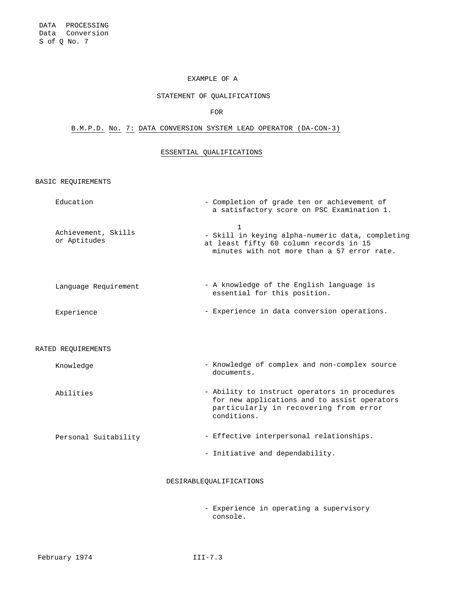## STATEMENT OF QUALIFICATIONS

#### FOR

## B.M.P.D. No. 7: DATA CONVERSION SYSTEM LEAD OPERATOR (DA-CON-3)

## ESSENTIAL QUALIFICATIONS

BASIC REQUIREMENTS

| Education                           | - Completion of grade ten or achievement of<br>a satisfactory score on PSC Examination 1.                                                                |  |  |
|-------------------------------------|----------------------------------------------------------------------------------------------------------------------------------------------------------|--|--|
| Achievement, Skills<br>or Aptitudes | $\mathbf 1$<br>- Skill in keying alpha-numeric data, completing<br>at least fifty 60 column records in 15<br>minutes with not more than a 57 error rate. |  |  |
| Language Requirement                | - A knowledge of the English language is<br>essential for this position.                                                                                 |  |  |
| Experience                          | - Experience in data conversion operations.                                                                                                              |  |  |
| RATED REQUIREMENTS                  |                                                                                                                                                          |  |  |
| Knowledge                           | - Knowledge of complex and non-complex source<br>documents.                                                                                              |  |  |
| Abilities                           | - Ability to instruct operators in procedures<br>for new applications and to assist operators<br>particularly in recovering from error<br>conditions.    |  |  |
| Personal Suitability                | - Effective interpersonal relationships.                                                                                                                 |  |  |
|                                     | - Initiative and dependability.                                                                                                                          |  |  |

## DESIRABLEQUALIFICATIONS

- Experience in operating a supervisory console.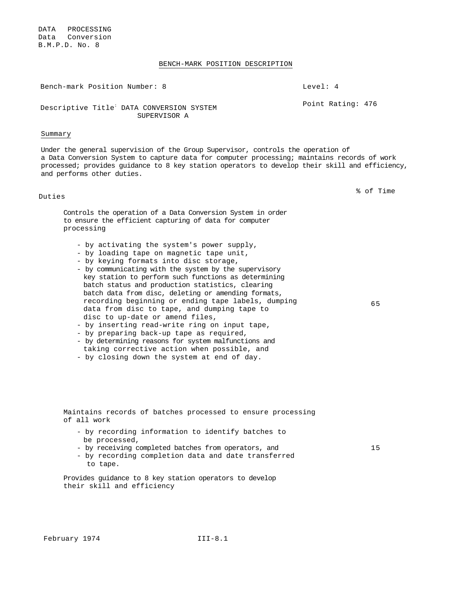#### BENCH-MARK POSITION DESCRIPTION

Bench-mark Position Number: 8 Level: 4

Point Rating: 476

## Descriptive Title<sup>:</sup> DATA CONVERSION SYSTEM SUPERVISOR A

#### Summary

Under the general supervision of the Group Supervisor, controls the operation of a Data Conversion System to capture data for computer processing; maintains records of work processed; provides guidance to 8 key station operators to develop their skill and efficiency, and performs other duties.

Duties

Controls the operation of a Data Conversion System in order to ensure the efficient capturing of data for computer processing

- by activating the system's power supply,
- by loading tape on magnetic tape unit,
- by keying formats into disc storage,
- by communicating with the system by the supervisory key station to perform such functions as determining batch status and production statistics, clearing batch data from disc, deleting or amending formats, recording beginning or ending tape labels, dumping data from disc to tape, and dumping tape to disc to up-date or amend files,

- by inserting read-write ring on input tape,

- by preparing back-up tape as required,

- by determining reasons for system malfunctions and taking corrective action when possible, and

- by closing down the system at end of day.

Maintains records of batches processed to ensure processing of all work

- by recording information to identify batches to be processed,
- by receiving completed batches from operators, and
- by recording completion data and date transferred to tape.

Provides guidance to 8 key station operators to develop their skill and efficiency

% of Time

65

15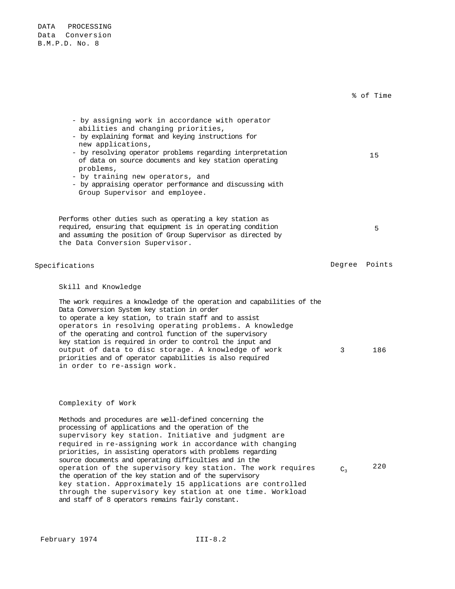% of Time - by assigning work in accordance with operator abilities and changing priorities, - by explaining format and keying instructions for new applications, - by resolving operator problems regarding interpretation of data on source documents and key station operating problems, - by training new operators, and - by appraising operator performance and discussing with Group Supervisor and employee. 15 Performs other duties such as operating a key station as required, ensuring that equipment is in operating condition and assuming the position of Group Supervisor as directed by the Data Conversion Supervisor. 5 Specifications **Degree** Points Skill and Knowledge The work requires a knowledge of the operation and capabilities of the Data Conversion System key station in order to operate a key station, to train staff and to assist operators in resolving operating problems. A knowledge of the operating and control function of the supervisory key station is required in order to control the input and output of data to disc storage. A knowledge of work priorities and of operator capabilities is also required in order to re-assign work. 3 186

#### Complexity of Work

Methods and procedures are well-defined concerning the processing of applications and the operation of the supervisory key station. Initiative and judgment are required in re-assigning work in accordance with changing priorities, in assisting operators with problems regarding source documents and operating difficulties and in the operation of the supervisory key station. The work requires the operation of the key station and of the supervisory key station. Approximately 15 applications are controlled through the supervisory key station at one time. Workload and staff of 8 operators remains fairly constant.  $C_3$  220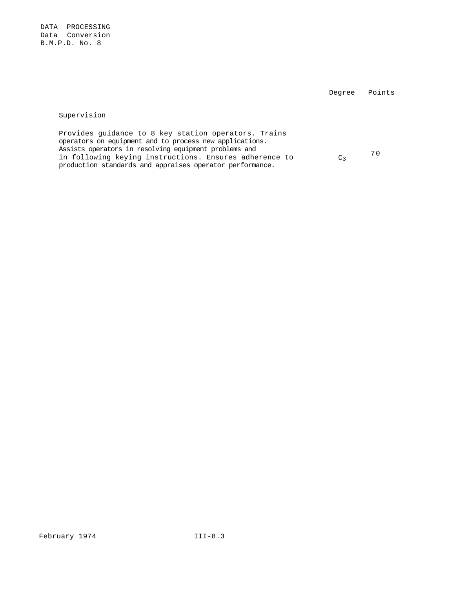|                                                                                                                    | Degree | Points |
|--------------------------------------------------------------------------------------------------------------------|--------|--------|
| Supervision                                                                                                        |        |        |
| Provides quidance to 8 key station operators. Trains                                                               |        |        |
| operators on equipment and to process new applications.<br>Assists operators in resolving equipment problems and   |        |        |
| in following keying instructions. Ensures adherence to<br>production standards and appraises operator performance. | С٦     | 70     |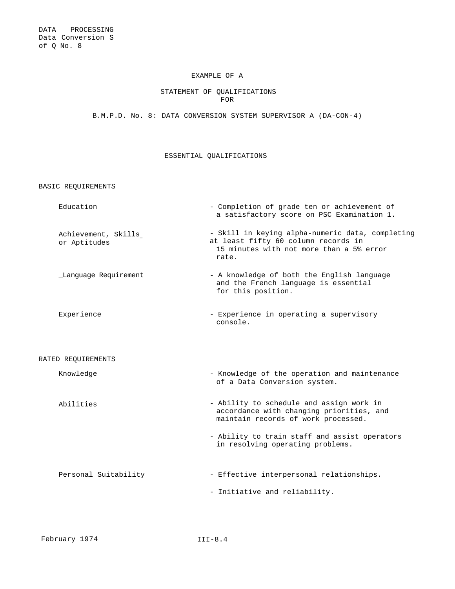### STATEMENT OF QUALIFICATIONS FOR

## B.M.P.D. No. 8: DATA CONVERSION SYSTEM SUPERVISOR A (DA-CON-4)

## ESSENTIAL QUALIFICATIONS

BASIC REQUIREMENTS

| Education                           | - Completion of grade ten or achievement of<br>a satisfactory score on PSC Examination 1.                                                    |
|-------------------------------------|----------------------------------------------------------------------------------------------------------------------------------------------|
| Achievement, Skills<br>or Aptitudes | - Skill in keying alpha-numeric data, completing<br>at least fifty 60 column records in<br>15 minutes with not more than a 5% error<br>rate. |
| Language Requirement                | - A knowledge of both the English language<br>and the French language is essential<br>for this position.                                     |
| Experience                          | - Experience in operating a supervisory<br>console.                                                                                          |
| RATED REOUIREMENTS                  |                                                                                                                                              |
| Knowledge                           | - Knowledge of the operation and maintenance<br>of a Data Conversion system.                                                                 |
| Abilities                           | - Ability to schedule and assign work in<br>accordance with changing priorities, and<br>maintain records of work processed.                  |
|                                     | - Ability to train staff and assist operators<br>in resolving operating problems.                                                            |
| Personal Suitability                | - Effective interpersonal relationships.                                                                                                     |
|                                     | - Initiative and reliability.                                                                                                                |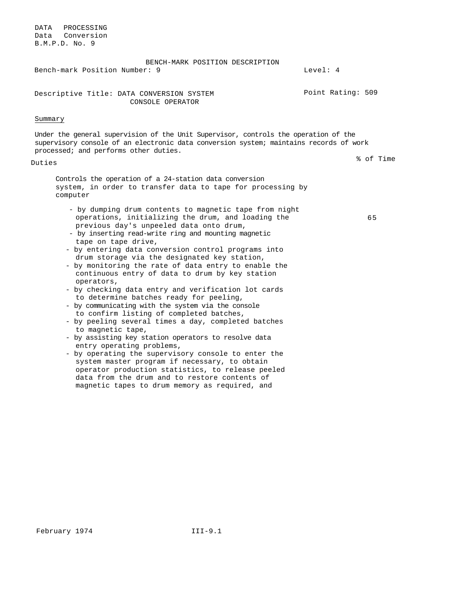BENCH-MARK POSITION DESCRIPTION Bench-mark Position Number: 9 Level: 4 Descriptive Title: DATA CONVERSION SYSTEM CONSOLE OPERATOR Point Rating: 509 Summary

Under the general supervision of the Unit Supervisor, controls the operation of the supervisory console of an electronic data conversion system; maintains records of work processed; and performs other duties.

# Duties % of Time

Controls the operation of a 24-station data conversion system, in order to transfer data to tape for processing by computer

- by dumping drum contents to magnetic tape from night operations, initializing the drum, and loading the previous day's unpeeled data onto drum,
- by inserting read-write ring and mounting magnetic tape on tape drive,
- by entering data conversion control programs into drum storage via the designated key station,
- by monitoring the rate of data entry to enable the continuous entry of data to drum by key station operators,
- by checking data entry and verification lot cards to determine batches ready for peeling,
- by communicating with the system via the console to confirm listing of completed batches,
- by peeling several times a day, completed batches to magnetic tape,
- by assisting key station operators to resolve data entry operating problems,
- by operating the supervisory console to enter the system master program if necessary, to obtain operator production statistics, to release peeled data from the drum and to restore contents of magnetic tapes to drum memory as required, and

65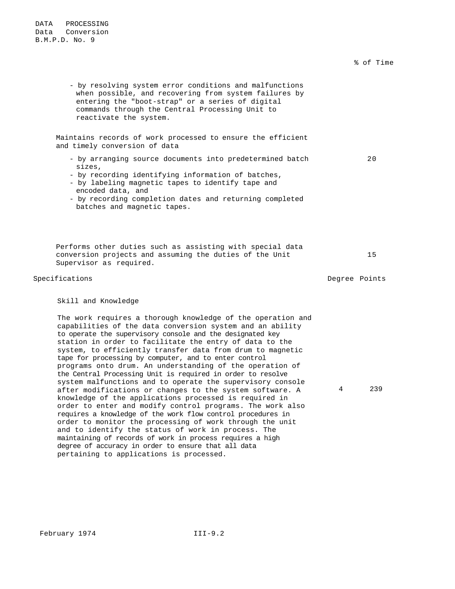> - by resolving system error conditions and malfunctions when possible, and recovering from system failures by entering the "boot-strap" or a series of digital commands through the Central Processing Unit to reactivate the system.

Maintains records of work processed to ensure the efficient and timely conversion of data

- by arranging source documents into predetermined batch sizes,
- by recording identifying information of batches,
- by labeling magnetic tapes to identify tape and encoded data, and
- by recording completion dates and returning completed batches and magnetic tapes.

Performs other duties such as assisting with special data conversion projects and assuming the duties of the Unit Supervisor as required.

#### Specifications Degree Points

#### Skill and Knowledge

The work requires a thorough knowledge of the operation and capabilities of the data conversion system and an ability to operate the supervisory console and the designated key station in order to facilitate the entry of data to the system, to efficiently transfer data from drum to magnetic tape for processing by computer, and to enter control programs onto drum. An understanding of the operation of the Central Processing Unit is required in order to resolve system malfunctions and to operate the supervisory console after modifications or changes to the system software. A knowledge of the applications processed is required in order to enter and modify control programs. The work also requires a knowledge of the work flow control procedures in order to monitor the processing of work through the unit and to identify the status of work in process. The maintaining of records of work in process requires a high degree of accuracy in order to ensure that all data pertaining to applications is processed.

4 239

% of Time

20

15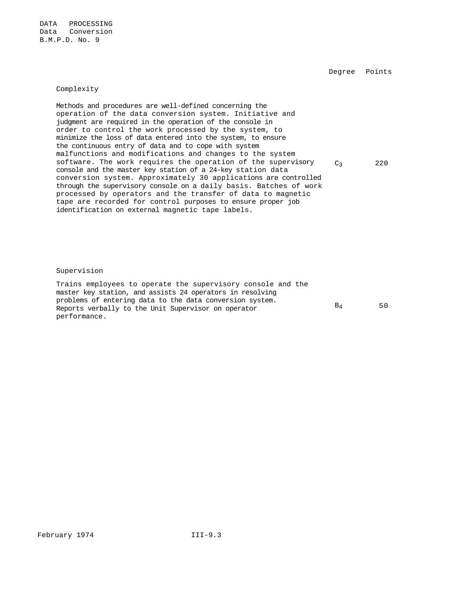Degree Points

Complexity

Methods and procedures are well-defined concerning the operation of the data conversion system. Initiative and judgment are required in the operation of the console in order to control the work processed by the system, to minimize the loss of data entered into the system, to ensure the continuous entry of data and to cope with system malfunctions and modifications and changes to the system software. The work requires the operation of the supervisory console and the master key station of a 24-key station data conversion system. Approximately 30 applications are controlled through the supervisory console on a daily basis. Batches of work processed by operators and the transfer of data to magnetic tape are recorded for control purposes to ensure proper job identification on external magnetic tape labels.

 $C_3$  220

#### Supervision

Trains employees to operate the supervisory console and the master key station, and assists 24 operators in resolving problems of entering data to the data conversion system. Reports verbally to the Unit Supervisor on operator performance.

B<sub>4</sub> 50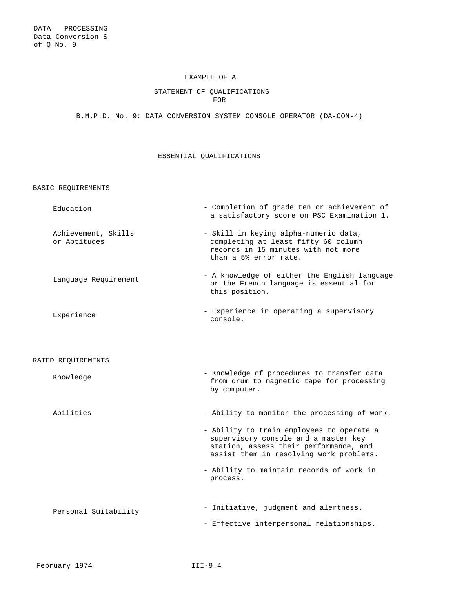#### STATEMENT OF QUALIFICATIONS FOR

# B.M.P.D. No. 9: DATA CONVERSION SYSTEM CONSOLE OPERATOR (DA-CON-4)

## ESSENTIAL QUALIFICATIONS

### BASIC REQUIREMENTS

| Education                           | - Completion of grade ten or achievement of<br>a satisfactory score on PSC Examination 1.                                                                              |
|-------------------------------------|------------------------------------------------------------------------------------------------------------------------------------------------------------------------|
| Achievement, Skills<br>or Aptitudes | - Skill in keying alpha-numeric data,<br>completing at least fifty 60 column<br>records in 15 minutes with not more<br>than a 5% error rate.                           |
| Language Requirement                | - A knowledge of either the English language<br>or the French language is essential for<br>this position.                                                              |
| Experience                          | - Experience in operating a supervisory<br>console.                                                                                                                    |
| RATED REQUIREMENTS                  |                                                                                                                                                                        |
| Knowledge                           | - Knowledge of procedures to transfer data<br>from drum to magnetic tape for processing<br>by computer.                                                                |
| Abilities                           | - Ability to monitor the processing of work.                                                                                                                           |
|                                     | - Ability to train employees to operate a<br>supervisory console and a master key<br>station, assess their performance, and<br>assist them in resolving work problems. |
|                                     | - Ability to maintain records of work in<br>process.                                                                                                                   |
| Personal Suitability                | - Initiative, judgment and alertness.                                                                                                                                  |
|                                     | - Effective interpersonal relationships.                                                                                                                               |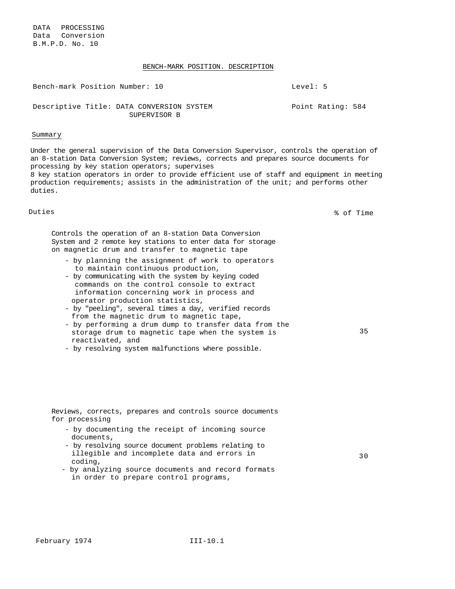#### BENCH-MARK POSITION. DESCRIPTION

Bench-mark Position Number: 10 Level: 5

Point Rating: 584

Descriptive Title: DATA CONVERSION SYSTEM SUPERVISOR B

#### Summary

Under the general supervision of the Data Conversion Supervisor, controls the operation of an 8-station Data Conversion System; reviews, corrects and prepares source documents for processing by key station operators; supervises 8 key station operators in order to provide efficient use of staff and equipment in meeting production requirements; assists in the administration of the unit; and performs other duties.

Duties % of Time

35

30

Controls the operation of an 8-station Data Conversion System and 2 remote key stations to enter data for storage on magnetic drum and transfer to magnetic tape

- by planning the assignment of work to operators to maintain continuous production,
- by communicating with the system by keying coded commands on the control console to extract information concerning work in process and operator production statistics,
- by "peeling", several times a day, verified records from the magnetic drum to magnetic tape,
- by performing a drum dump to transfer data from the storage drum to magnetic tape when the system is reactivated, and
- by resolving system malfunctions where possible.

Reviews, corrects, prepares and controls source documents for processing

- by documenting the receipt of incoming source documents,
- by resolving source document problems relating to illegible and incomplete data and errors in coding,
- by analyzing source documents and record formats in order to prepare control programs,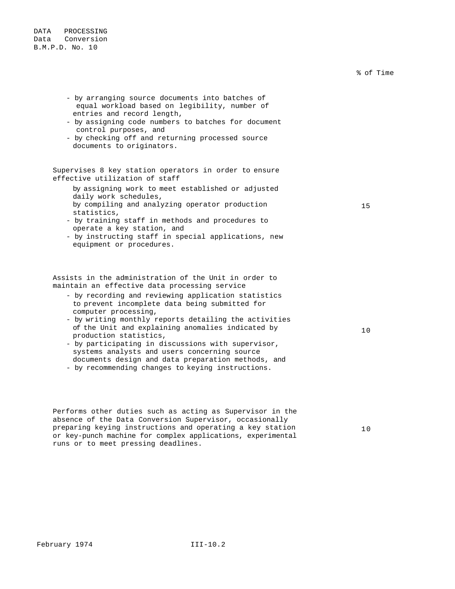- by arranging source documents into batches of equal workload based on legibility, number of entries and record length,
- by assigning code numbers to batches for document control purposes, and
- by checking off and returning processed source documents to originators.

Supervises 8 key station operators in order to ensure effective utilization of staff

by assigning work to meet established or adjusted daily work schedules, by compiling and analyzing operator production statistics,

- by training staff in methods and procedures to operate a key station, and
- by instructing staff in special applications, new equipment or procedures.

Assists in the administration of the Unit in order to maintain an effective data processing service

- by recording and reviewing application statistics to prevent incomplete data being submitted for computer processing,
- by writing monthly reports detailing the activities of the Unit and explaining anomalies indicated by production statistics,
- by participating in discussions with supervisor, systems analysts and users concerning source documents design and data preparation methods, and
- by recommending changes to keying instructions.

Performs other duties such as acting as Supervisor in the absence of the Data Conversion Supervisor, occasionally preparing keying instructions and operating a key station or key-punch machine for complex applications, experimental runs or to meet pressing deadlines.

10

10

% of Time

15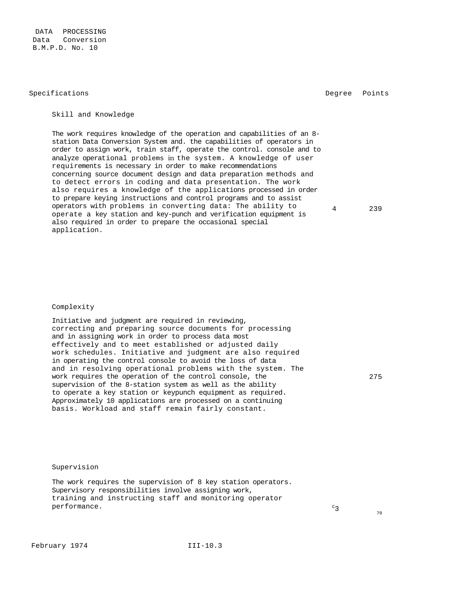Specifications **Degree** Points

#### Skill and Knowledge

The work requires knowledge of the operation and capabilities of an 8 station Data Conversion System and. the capabilities of operators in order to assign work, train staff, operate the control. console and to analyze operational problems in the system. A knowledge of user requirements is necessary in order to make recommendations concerning source document design and data preparation methods and to detect errors in coding and data presentation. The work also requires a knowledge of the applications processed in order to prepare keying instructions and control programs and to assist operators with problems in converting data: The ability to operate a key station and key-punch and verification equipment is also required in order to prepare the occasional special application.

4 239

#### Complexity

Initiative and judgment are required in reviewing, correcting and preparing source documents for processing and in assigning work in order to process data most effectively and to meet established or adjusted daily work schedules. Initiative and judgment are also required in operating the control console to avoid the loss of data and in resolving operational problems with the system. The work requires the operation of the control console, the supervision of the 8-station system as well as the ability to operate a key station or keypunch equipment as required. Approximately 10 applications are processed on a continuing basis. Workload and staff remain fairly constant.

275

#### Supervision

The work requires the supervision of 8 key station operators. Supervisory responsibilities involve assigning work, training and instructing staff and monitoring operator  $\Gamma$  performance.

 $3 \t\t 70$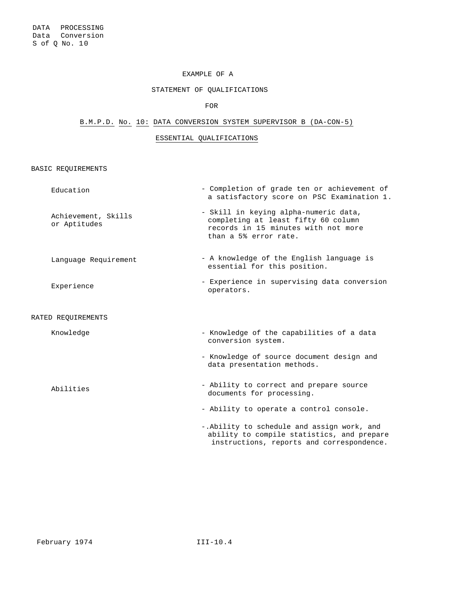## STATEMENT OF QUALIFICATIONS

FOR

## B.M.P.D. No. 10: DATA CONVERSION SYSTEM SUPERVISOR B (DA-CON-5)

### ESSENTIAL QUALIFICATIONS

BASIC REQUIREMENTS

| Education                           | - Completion of grade ten or achievement of<br>a satisfactory score on PSC Examination 1.                                                    |
|-------------------------------------|----------------------------------------------------------------------------------------------------------------------------------------------|
| Achievement, Skills<br>or Aptitudes | - Skill in keying alpha-numeric data,<br>completing at least fifty 60 column<br>records in 15 minutes with not more<br>than a 5% error rate. |
| Language Requirement                | - A knowledge of the English language is<br>essential for this position.                                                                     |
| Experience                          | - Experience in supervising data conversion<br>operators.                                                                                    |
| RATED REQUIREMENTS                  |                                                                                                                                              |
| Knowledge                           | - Knowledge of the capabilities of a data<br>conversion system.                                                                              |
|                                     | - Knowledge of source document design and<br>data presentation methods.                                                                      |
| Abilities                           | - Ability to correct and prepare source<br>documents for processing.                                                                         |
|                                     | - Ability to operate a control console.                                                                                                      |
|                                     | -. Ability to schedule and assign work, and<br>ability to compile statistics, and prepare<br>instructions, reports and correspondence.       |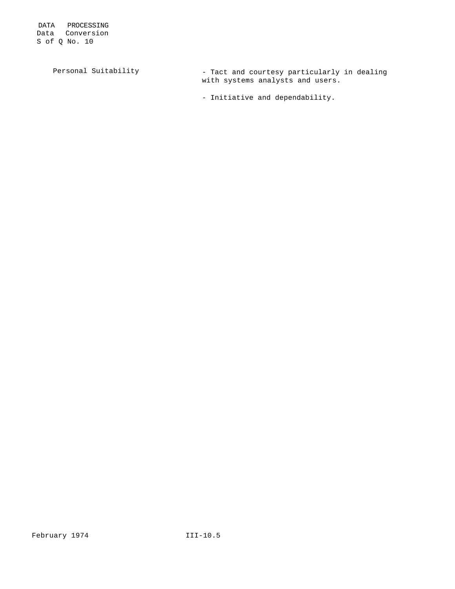DATA PROCESSING Data Conversion S of Q No. 10

> Personal Suitability - Tact and courtesy particularly in dealing with systems analysts and users.

> > - Initiative and dependability.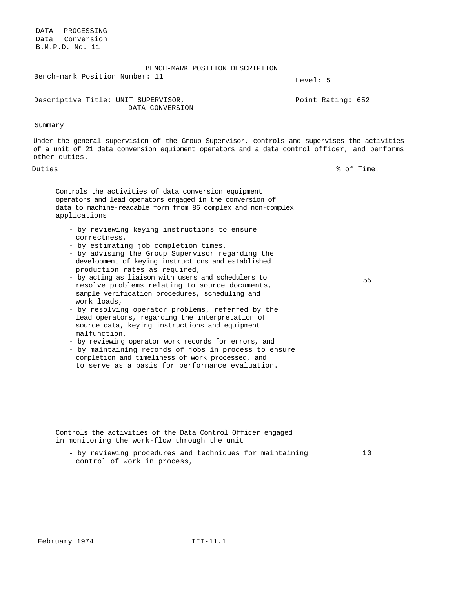#### BENCH-MARK POSITION DESCRIPTION

Bench-mark Position Number: 11 Level: 5

Descriptive Title: UNIT SUPERVISOR, DATA CONVERSION

#### Summary

Under the general supervision of the Group Supervisor, controls and supervises the activities of a unit of 21 data conversion equipment operators and a data control officer, and performs other duties.

Duties % of Time

55

Point Rating: 652

Controls the activities of data conversion equipment operators and lead operators engaged in the conversion of data to machine-readable form from 86 complex and non-complex applications

- by reviewing keying instructions to ensure correctness,
- by estimating job completion times,
- by advising the Group Supervisor regarding the development of keying instructions and established production rates as required,
- by acting as liaison with users and schedulers to resolve problems relating to source documents, sample verification procedures, scheduling and work loads,
- by resolving operator problems, referred by the lead operators, regarding the interpretation of source data, keying instructions and equipment malfunction,
- by reviewing operator work records for errors, and
- by maintaining records of jobs in process to ensure completion and timeliness of work processed, and to serve as a basis for performance evaluation.

Controls the activities of the Data Control Officer engaged in monitoring the work-flow through the unit

- by reviewing procedures and techniques for maintaining control of work in process,

10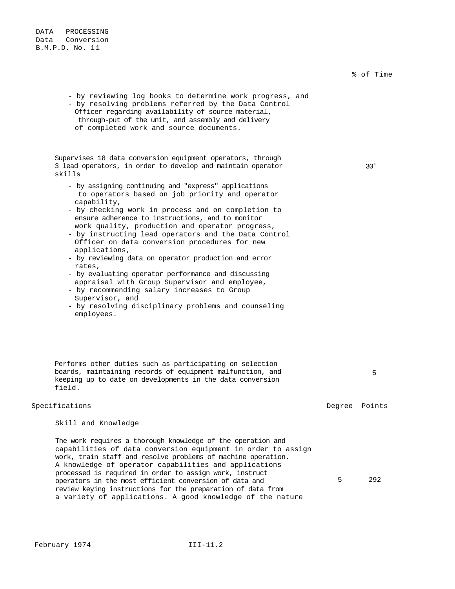% of Time

30'

- by reviewing log books to determine work progress, and - by resolving problems referred by the Data Control
- Officer regarding availability of source material, through-put of the unit, and assembly and delivery of completed work and source documents.

Supervises 18 data conversion equipment operators, through 3 lead operators, in order to develop and maintain operator skills

- by assigning continuing and "express" applications to operators based on job priority and operator capability,
- by checking work in process and on completion to ensure adherence to instructions, and to monitor work quality, production and operator progress,
- by instructing lead operators and the Data Control Officer on data conversion procedures for new applications,
- by reviewing data on operator production and error rates,
- by evaluating operator performance and discussing appraisal with Group Supervisor and employee,
- by recommending salary increases to Group Supervisor, and
- by resolving disciplinary problems and counseling employees.

Performs other duties such as participating on selection boards, maintaining records of equipment malfunction, and keeping up to date on developments in the data conversion field.

# 5

## Specifications and the contractions of the contractions of the contractions of the contractions of the contractions of the contractions of the contractions of the contractions of the contractions of the contractions of the

### Skill and Knowledge

The work requires a thorough knowledge of the operation and capabilities of data conversion equipment in order to assign work, train staff and resolve problems of machine operation. A knowledge of operator capabilities and applications processed is required in order to assign work, instruct operators in the most efficient conversion of data and review keying instructions for the preparation of data from a variety of applications. A good knowledge of the nature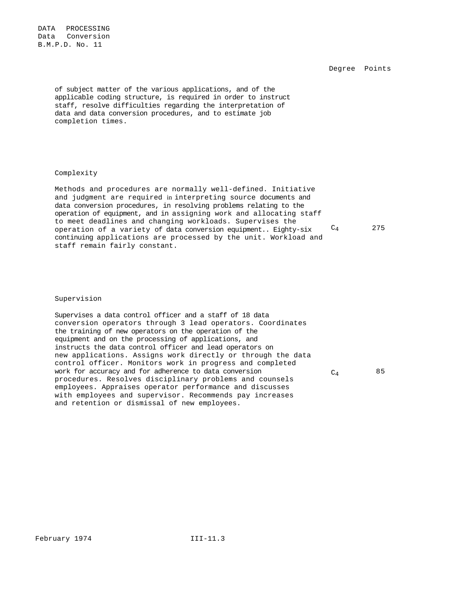Degree Points

of subject matter of the various applications, and of the applicable coding structure, is required in order to instruct staff, resolve difficulties regarding the interpretation of data and data conversion procedures, and to estimate job completion times.

#### Complexity

Methods and procedures are normally well-defined. Initiative and judgment are required in interpreting source documents and data conversion procedures, in resolving problems relating to the operation of equipment, and in assigning work and allocating staff to meet deadlines and changing workloads. Supervises the operation of a variety of data conversion equipment.. Eighty-six continuing applications are processed by the unit. Workload and staff remain fairly constant.

C4 275

### Supervision

Supervises a data control officer and a staff of 18 data conversion operators through 3 lead operators. Coordinates the training of new operators on the operation of the equipment and on the processing of applications, and instructs the data control officer and lead operators on new applications. Assigns work directly or through the data control officer. Monitors work in progress and completed work for accuracy and for adherence to data conversion procedures. Resolves disciplinary problems and counsels employees. Appraises operator performance and discusses with employees and supervisor. Recommends pay increases and retention or dismissal of new employees.

C4 85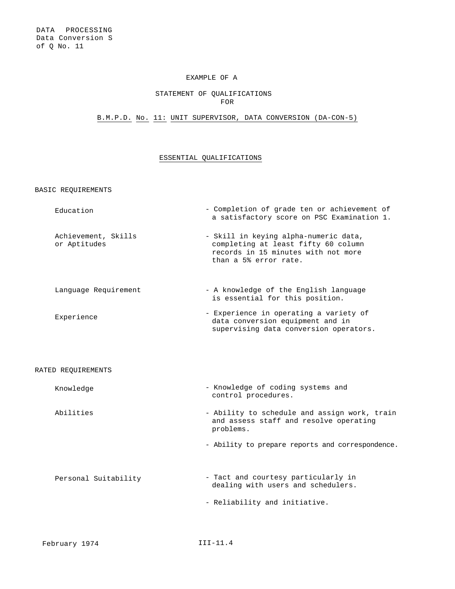#### EXAMPLE OF A

## STATEMENT OF QUALIFICATIONS FOR

# B.M.P.D. No. 11: UNIT SUPERVISOR, DATA CONVERSION (DA-CON-5)

## ESSENTIAL QUALIFICATIONS

#### BASIC REQUIREMENTS

- Education  $\blacksquare$  Completion of grade ten or achievement of a satisfactory score on PSC Examination 1.
- Achievement, Skills or Aptitudes - Skill in keying alpha-numeric data, completing at least fifty 60 column records in 15 minutes with not more than a 5% error rate.
- Language Requirement A knowledge of the English language is essential for this position.
- Experience Experience in operating a variety of data conversion equipment and in supervising data conversion operators.

#### RATED REQUIREMENTS

- Knowledge Knowledge Knowledge of coding systems and control procedures. Abilities - Ability to schedule and assign work, train and assess staff and resolve operating problems. - Ability to prepare reports and correspondence.
	- Personal Suitability Tact and courtesy particularly in dealing with users and schedulers. - Reliability and initiative.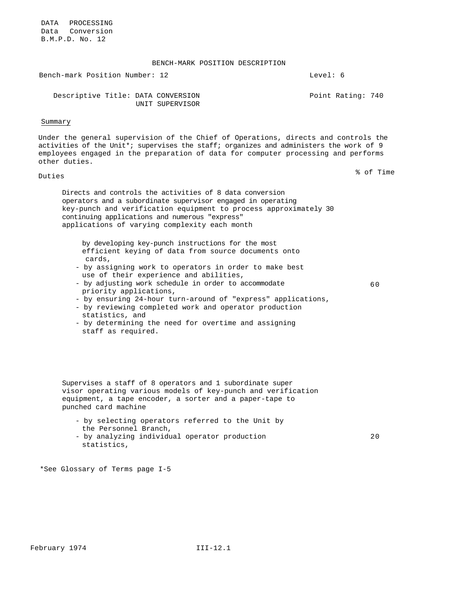# BENCH-MARK POSITION DESCRIPTION Bench-mark Position Number: 12 Level: 6 Descriptive Title: DATA CONVERSION UNIT SUPERVISOR Point Rating: 740 Under the general supervision of the Chief of Operations, directs and controls the activities of the Unit\*; supervises the staff; organizes and administers the work of 9 employees engaged in the preparation of data for computer processing and performs other duties. Duties % of Time

Summary

60

Directs and controls the activities of 8 data conversion operators and a subordinate supervisor engaged in operating key-punch and verification equipment to process approximately 30 continuing applications and numerous "express" applications of varying complexity each month

by developing key-punch instructions for the most efficient keying of data from source documents onto cards,

- by assigning work to operators in order to make best use of their experience and abilities,

- by adjusting work schedule in order to accommodate priority applications,

- by ensuring 24-hour turn-around of "express" applications,

- by reviewing completed work and operator production statistics, and
- by determining the need for overtime and assigning staff as required.

Supervises a staff of 8 operators and 1 subordinate super visor operating various models of key-punch and verification equipment, a tape encoder, a sorter and a paper-tape to punched card machine

- by selecting operators referred to the Unit by the Personnel Branch,
- by analyzing individual operator production statistics,  $2.0$

\*See Glossary of Terms page I-5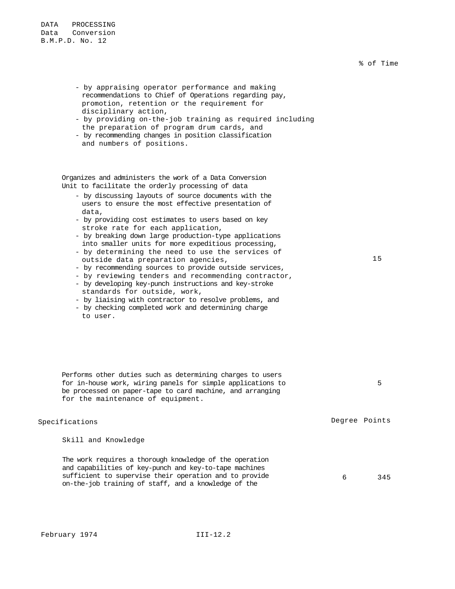- by appraising operator performance and making recommendations to Chief of Operations regarding pay, promotion, retention or the requirement for disciplinary action,
- by providing on-the-job training as required including the preparation of program drum cards, and
- by recommending changes in position classification and numbers of positions.

Organizes and administers the work of a Data Conversion Unit to facilitate the orderly processing of data

- by discussing layouts of source documents with the users to ensure the most effective presentation of data,
- by providing cost estimates to users based on key stroke rate for each application,
- by breaking down large production-type applications into smaller units for more expeditious processing,
- by determining the need to use the services of outside data preparation agencies,
- by recommending sources to provide outside services,
- by reviewing tenders and recommending contractor,
- by developing key-punch instructions and key-stroke standards for outside, work,
- by liaising with contractor to resolve problems, and
- by checking completed work and determining charge to user.

Performs other duties such as determining charges to users for in-house work, wiring panels for simple applications to be processed on paper-tape to card machine, and arranging for the maintenance of equipment.

| Specifications                                                                                                                                                                                                                      |   | Degree Points |
|-------------------------------------------------------------------------------------------------------------------------------------------------------------------------------------------------------------------------------------|---|---------------|
| Skill and Knowledge                                                                                                                                                                                                                 |   |               |
| The work requires a thorough knowledge of the operation<br>and capabilities of key-punch and key-to-tape machines<br>sufficient to supervise their operation and to provide<br>on-the-job training of staff, and a knowledge of the | 6 | 345           |

15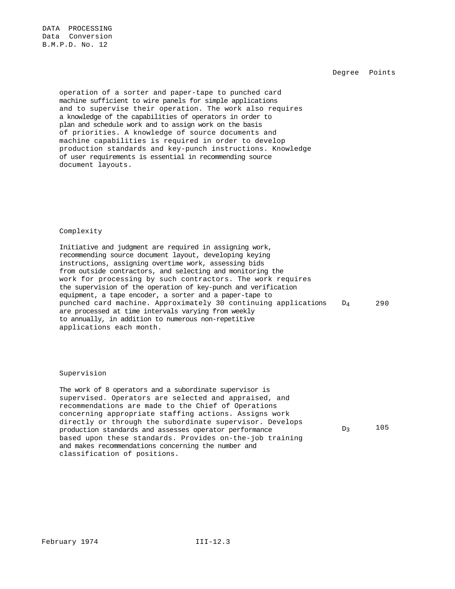Degree Points

operation of a sorter and paper-tape to punched card machine sufficient to wire panels for simple applications and to supervise their operation. The work also requires a knowledge of the capabilities of operators in order to plan and schedule work and to assign work on the basis of priorities. A knowledge of source documents and machine capabilities is required in order to develop production standards and key-punch instructions. Knowledge of user requirements is essential in recommending source document layouts.

#### Complexity

Initiative and judgment are required in assigning work, recommending source document layout, developing keying instructions, assigning overtime work, assessing bids from outside contractors, and selecting and monitoring the work for processing by such contractors. The work requires the supervision of the operation of key-punch and verification equipment, a tape encoder, a sorter and a paper-tape to punched card machine. Approximately 30 continuing applications D4 290 are processed at time intervals varying from weekly to annually, in addition to numerous non-repetitive applications each month.

## Supervision

The work of 8 operators and a subordinate supervisor is supervised. Operators are selected and appraised, and recommendations are made to the Chief of Operations concerning appropriate staffing actions. Assigns work directly or through the subordinate supervisor. Develops production standards and assesses operator performance based upon these standards. Provides on-the-job training and makes recommendations concerning the number and classification of positions.

D3 105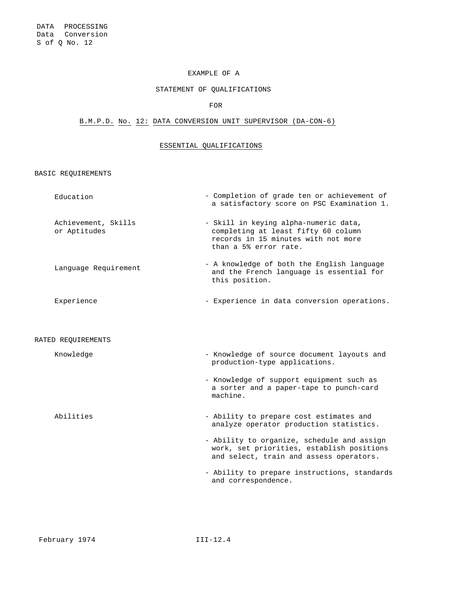## EXAMPLE OF A

## STATEMENT OF QUALIFICATIONS

FOR

## B.M.P.D. No. 12: DATA CONVERSION UNIT SUPERVISOR (DA-CON-6)

## ESSENTIAL QUALIFICATIONS

BASIC REQUIREMENTS

| Education                           | - Completion of grade ten or achievement of<br>a satisfactory score on PSC Examination 1.                                                    |
|-------------------------------------|----------------------------------------------------------------------------------------------------------------------------------------------|
| Achievement, Skills<br>or Aptitudes | - Skill in keying alpha-numeric data,<br>completing at least fifty 60 column<br>records in 15 minutes with not more<br>than a 5% error rate. |
| Language Requirement                | - A knowledge of both the English language<br>and the French language is essential for<br>this position.                                     |
| Experience                          | - Experience in data conversion operations.                                                                                                  |
| RATED REQUIREMENTS                  |                                                                                                                                              |
| Knowledge                           | - Knowledge of source document layouts and<br>production-type applications.                                                                  |
|                                     | - Knowledge of support equipment such as<br>a sorter and a paper-tape to punch-card<br>machine.                                              |
| Abilities                           | - Ability to prepare cost estimates and<br>analyze operator production statistics.                                                           |
|                                     | - Ability to organize, schedule and assign<br>work, set priorities, establish positions<br>and select, train and assess operators.           |
|                                     | - Ability to prepare instructions, standards<br>and correspondence.                                                                          |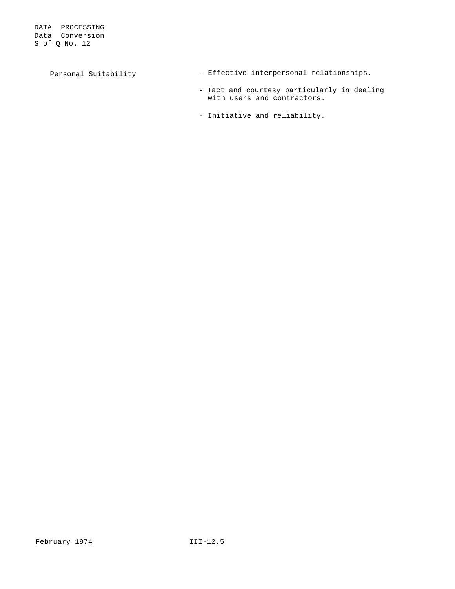DATA PROCESSING Data Conversion S of Q No. 12

Personal Suitability - Effective interpersonal relationships.

- Tact and courtesy particularly in dealing with users and contractors.
- Initiative and reliability.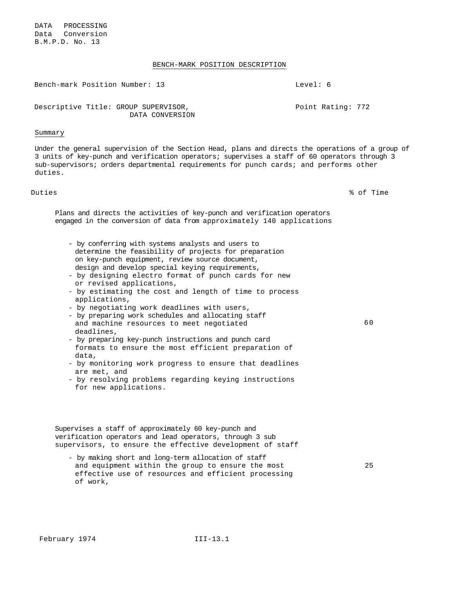#### BENCH-MARK POSITION DESCRIPTION

Bench-mark Position Number: 13 Level: 6

Descriptive Title: GROUP SUPERVISOR,

DATA CONVERSION Point Rating: 772

#### Summary

Under the general supervision of the Section Head, plans and directs the operations of a group of 3 units of key-punch and verification operators; supervises a staff of 60 operators through 3 sub-supervisors; orders departmental requirements for punch cards; and performs other duties.

Duties % of Time

60

Plans and directs the activities of key-punch and verification operators engaged in the conversion of data from approximately 140 applications

- by conferring with systems analysts and users to determine the feasibility of projects for preparation on key-punch equipment, review source document, design and develop special keying requirements,
- by designing electro format of punch cards for new or revised applications,
- by estimating the cost and length of time to process applications,
- by negotiating work deadlines with users,
- by preparing work schedules and allocating staff and machine resources to meet negotiated deadlines,
- by preparing key-punch instructions and punch card formats to ensure the most efficient preparation of data,
- by monitoring work progress to ensure that deadlines are met, and
- by resolving problems regarding keying instructions for new applications.

Supervises a staff of approximately 60 key-punch and verification operators and lead operators, through 3 sub supervisors, to ensure the effective development of staff

- by making short and long-term allocation of staff and equipment within the group to ensure the most effective use of resources and efficient processing of work, 25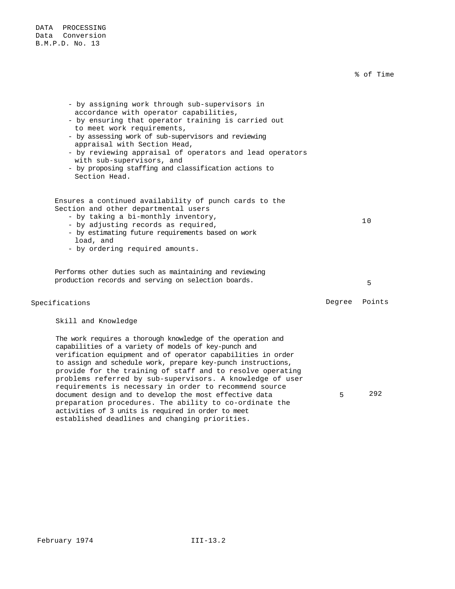% of Time

- by assigning work through sub-supervisors in accordance with operator capabilities, - by ensuring that operator training is carried out to meet work requirements, - by assessing work of sub-supervisors and reviewing appraisal with Section Head, - by reviewing appraisal of operators and lead operators with sub-supervisors, and - by proposing staffing and classification actions to Section Head. Ensures a continued availability of punch cards to the Section and other departmental users - by taking a bi-monthly inventory, - by adjusting records as required, - by estimating future requirements based on work load, and - by ordering required amounts. 10 Performs other duties such as maintaining and reviewing production records and serving on selection boards. 5 Specifications **Degree** Points **Degree** Points Skill and Knowledge The work requires a thorough knowledge of the operation and capabilities of a variety of models of key-punch and verification equipment and of operator capabilities in order to assign and schedule work, prepare key-punch instructions, provide for the training of staff and to resolve operating

5 292

problems referred by sub-supervisors. A knowledge of user requirements is necessary in order to recommend source document design and to develop the most effective data preparation procedures. The ability to co-ordinate the

activities of 3 units is required in order to meet established deadlines and changing priorities.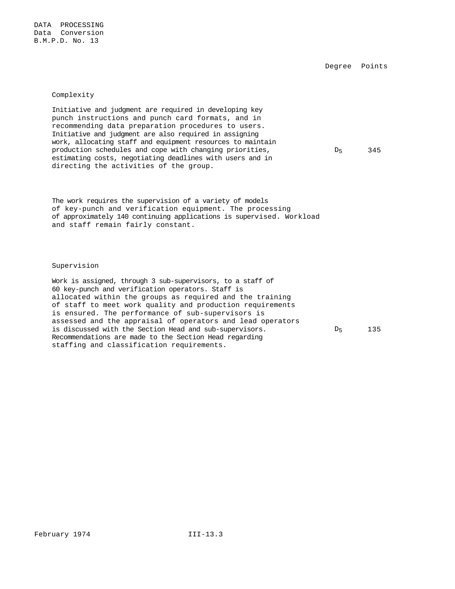Degree Points

#### Complexity

Initiative and judgment are required in developing key punch instructions and punch card formats, and in recommending data preparation procedures to users. Initiative and judgment are also required in assigning work, allocating staff and equipment resources to maintain production schedules and cope with changing priorities, estimating costs, negotiating deadlines with users and in directing the activities of the group.

The work requires the supervision of a variety of models of key-punch and verification equipment. The processing of approximately 140 continuing applications is supervised. Workload and staff remain fairly constant.

## Supervision

Work is assigned, through 3 sub-supervisors, to a staff of 60 key-punch and verification operators. Staff is allocated within the groups as required and the training of staff to meet work quality and production requirements is ensured. The performance of sub-supervisors is assessed and the appraisal of operators and lead operators is discussed with the Section Head and sub-supervisors. Recommendations are made to the Section Head regarding staffing and classification requirements.

D5 345

D5 135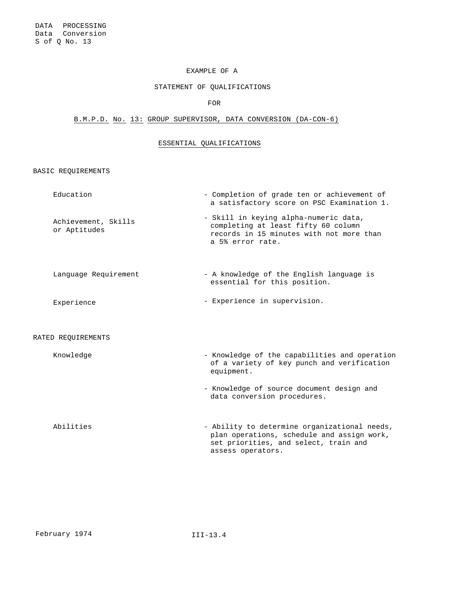## EXAMPLE OF A

## STATEMENT OF QUALIFICATIONS

FOR

# B.M.P.D. No. 13: GROUP SUPERVISOR, DATA CONVERSION (DA-CON-6)

## ESSENTIAL QUALIFICATIONS

BASIC REQUIREMENTS

| Education                           | - Completion of grade ten or achievement of<br>a satisfactory score on PSC Examination 1.                                                                |  |  |  |
|-------------------------------------|----------------------------------------------------------------------------------------------------------------------------------------------------------|--|--|--|
| Achievement, Skills<br>or Aptitudes | - Skill in keying alpha-numeric data,<br>completing at least fifty 60 column<br>records in 15 minutes with not more than<br>a 5% error rate.             |  |  |  |
| Language Requirement                | - A knowledge of the English language is<br>essential for this position.                                                                                 |  |  |  |
| Experience                          | - Experience in supervision.                                                                                                                             |  |  |  |
| RATED REQUIREMENTS                  |                                                                                                                                                          |  |  |  |
| Knowledge                           | - Knowledge of the capabilities and operation<br>of a variety of key punch and verification<br>equipment.                                                |  |  |  |
|                                     | - Knowledge of source document design and<br>data conversion procedures.                                                                                 |  |  |  |
| Abilities                           | - Ability to determine organizational needs,<br>plan operations, schedule and assign work,<br>set priorities, and select, train and<br>assess operators. |  |  |  |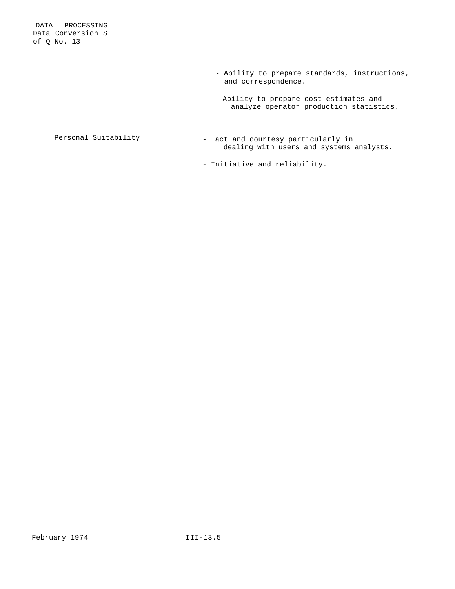DATA PROCESSING Data Conversion S of Q No. 13

- Ability to prepare standards, instructions, and correspondence.
- Ability to prepare cost estimates and analyze operator production statistics.
- Personal Suitability Tact and courtesy particularly in dealing with users and systems analysts.
	- Initiative and reliability.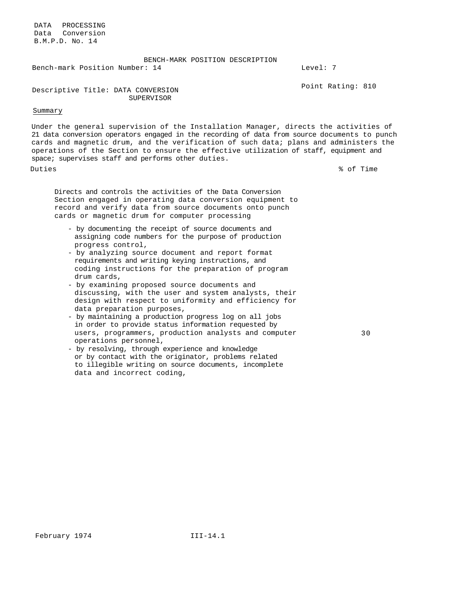BENCH-MARK POSITION DESCRIPTION Bench-mark Position Number: 14 Level: 7

Point Rating: 810

#### Descriptive Title: DATA CONVERSION SUPERVISOR

## Summary

Under the general supervision of the Installation Manager, directs the activities of 21 data conversion operators engaged in the recording of data from source documents to punch cards and magnetic drum, and the verification of such data; plans and administers the operations of the Section to ensure the effective utilization of staff, equipment and space; supervises staff and performs other duties.

Duties % of Time

Directs and controls the activities of the Data Conversion Section engaged in operating data conversion equipment to record and verify data from source documents onto punch cards or magnetic drum for computer processing

- by documenting the receipt of source documents and assigning code numbers for the purpose of production progress control,
- by analyzing source document and report format requirements and writing keying instructions, and coding instructions for the preparation of program drum cards,
- by examining proposed source documents and discussing, with the user and system analysts, their design with respect to uniformity and efficiency for data preparation purposes,
- by maintaining a production progress log on all jobs in order to provide status information requested by users, programmers, production analysts and computer operations personnel,
- by resolving, through experience and knowledge or by contact with the originator, problems related to illegible writing on source documents, incomplete data and incorrect coding,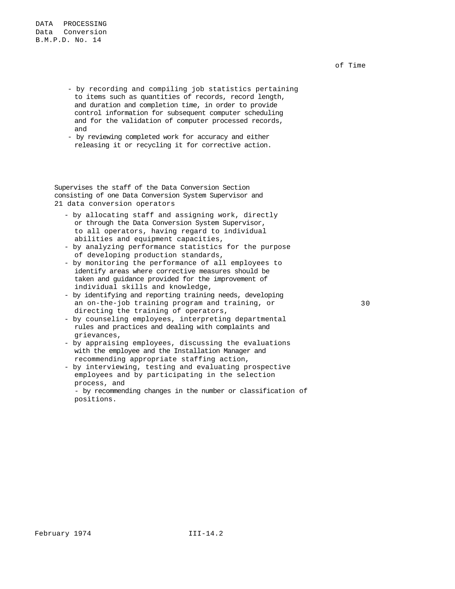- by recording and compiling job statistics pertaining to items such as quantities of records, record length, and duration and completion time, in order to provide control information for subsequent computer scheduling and for the validation of computer processed records, and
- by reviewing completed work for accuracy and either releasing it or recycling it for corrective action.

Supervises the staff of the Data Conversion Section consisting of one Data Conversion System Supervisor and 21 data conversion operators

- by allocating staff and assigning work, directly or through the Data Conversion System Supervisor, to all operators, having regard to individual abilities and equipment capacities,
- by analyzing performance statistics for the purpose of developing production standards,
- by monitoring the performance of all employees to identify areas where corrective measures should be taken and guidance provided for the improvement of individual skills and knowledge,
- by identifying and reporting training needs, developing an on-the-job training program and training, or directing the training of operators,
- by counseling employees, interpreting departmental rules and practices and dealing with complaints and grievances,
- by appraising employees, discussing the evaluations with the employee and the Installation Manager and recommending appropriate staffing action,
- by interviewing, testing and evaluating prospective employees and by participating in the selection process, and

- by recommending changes in the number or classification of positions.

of Time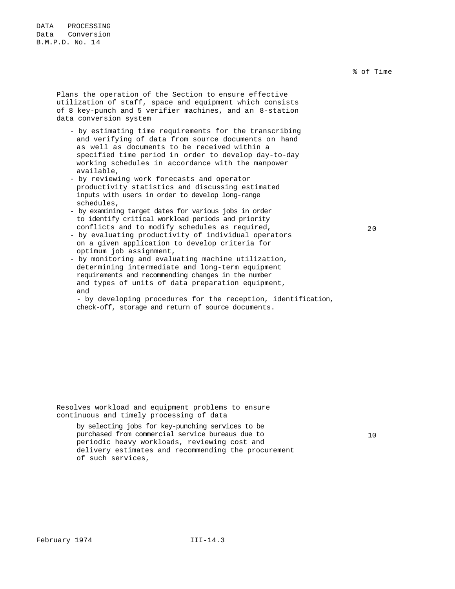% of Time

Plans the operation of the Section to ensure effective utilization of staff, space and equipment which consists of 8 key-punch and 5 verifier machines, and an 8-station data conversion system

- by estimating time requirements for the transcribing and verifying of data from source documents on hand as well as documents to be received within a specified time period in order to develop day-to-day working schedules in accordance with the manpower available,
- by reviewing work forecasts and operator productivity statistics and discussing estimated inputs with users in order to develop long-range schedules,
- by examining target dates for various jobs in order to identify critical workload periods and priority conflicts and to modify schedules as required,
- by evaluating productivity of individual operators on a given application to develop criteria for optimum job assignment,
- by monitoring and evaluating machine utilization, determining intermediate and long-term equipment requirements and recommending changes in the number and types of units of data preparation equipment, and

- by developing procedures for the reception, identification, check-off, storage and return of source documents.

Resolves workload and equipment problems to ensure continuous and timely processing of data

by selecting jobs for key-punching services to be purchased from commercial service bureaus due to periodic heavy workloads, reviewing cost and delivery estimates and recommending the procurement of such services,

20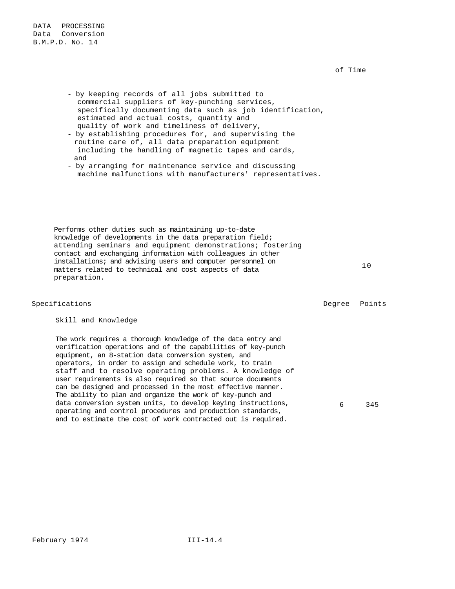of Time

- by keeping records of all jobs submitted to commercial suppliers of key-punching services, specifically documenting data such as job identification, estimated and actual costs, quantity and quality of work and timeliness of delivery,
- by establishing procedures for, and supervising the routine care of, all data preparation equipment including the handling of magnetic tapes and cards, and
- by arranging for maintenance service and discussing machine malfunctions with manufacturers' representatives.

Performs other duties such as maintaining up-to-date knowledge of developments in the data preparation field; attending seminars and equipment demonstrations; fostering contact and exchanging information with colleagues in other installations; and advising users and computer personnel on matters related to technical and cost aspects of data preparation.

#### Specifications and the contractions of the contractions of the contractions of the contractions of the contractions of the contractions of the contractions of the contractions of the contractions of the contractions of the

10

Skill and Knowledge

The work requires a thorough knowledge of the data entry and verification operations and of the capabilities of key-punch equipment, an 8-station data conversion system, and operators, in order to assign and schedule work, to train staff and to resolve operating problems. A knowledge of user requirements is also required so that source documents can be designed and processed in the most effective manner. The ability to plan and organize the work of key-punch and data conversion system units, to develop keying instructions, operating and control procedures and production standards, and to estimate the cost of work contracted out is required.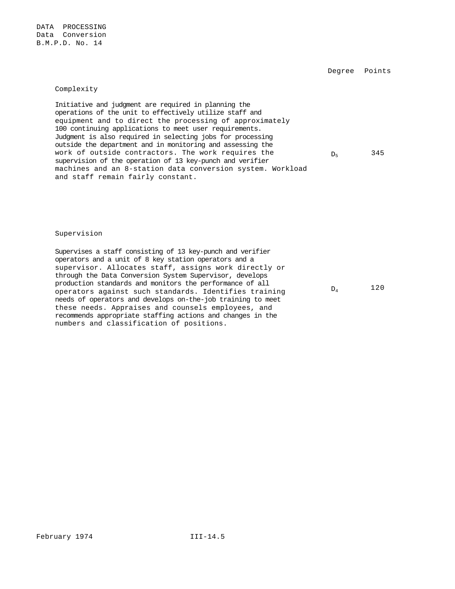Degree Points

### Complexity

Initiative and judgment are required in planning the operations of the unit to effectively utilize staff and equipment and to direct the processing of approximately 100 continuing applications to meet user requirements. Judgment is also required in selecting jobs for processing outside the department and in monitoring and assessing the work of outside contractors. The work requires the supervision of the operation of 13 key-punch and verifier machines and an 8-station data conversion system. Workload and staff remain fairly constant.  $D_5$  345

## Supervision

Supervises a staff consisting of 13 key-punch and verifier operators and a unit of 8 key station operators and a supervisor. Allocates staff, assigns work directly or through the Data Conversion System Supervisor, develops production standards and monitors the performance of all operators against such standards. Identifies training needs of operators and develops on-the-job training to meet these needs. Appraises and counsels employees, and recommends appropriate staffing actions and changes in the numbers and classification of positions.

 $D_4$  120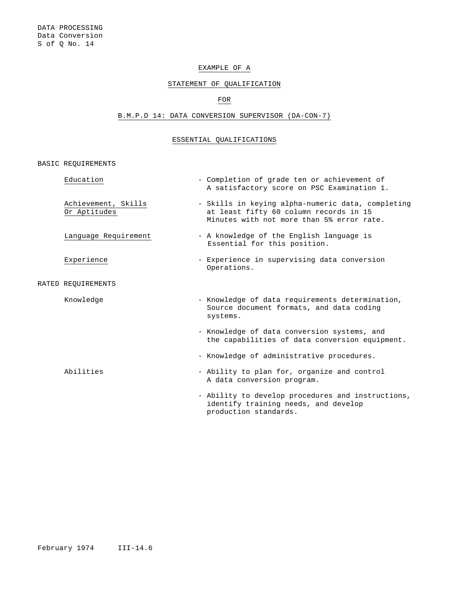## EXAMPLE OF A

## STATEMENT OF QUALIFICATION

## FOR

## B.M.P.D 14: DATA CONVERSION SUPERVISOR (DA-CON-7)

## ESSENTIAL QUALIFICATIONS

BASIC REQUIREMENTS

| Education                           | - Completion of grade ten or achievement of<br>A satisfactory score on PSC Examination 1.                                                |
|-------------------------------------|------------------------------------------------------------------------------------------------------------------------------------------|
| Achievement, Skills<br>Or Aptitudes | - Skills in keying alpha-numeric data, completing<br>at least fifty 60 column records in 15<br>Minutes with not more than 5% error rate. |
| Language Requirement                | - A knowledge of the English language is<br>Essential for this position.                                                                 |
| Experience                          | - Experience in supervising data conversion<br>Operations.                                                                               |
| RATED REOUIREMENTS                  |                                                                                                                                          |
| Knowledge                           | - Knowledge of data requirements determination,<br>Source document formats, and data coding<br>systems.                                  |
|                                     | - Knowledge of data conversion systems, and<br>the capabilities of data conversion equipment.                                            |
|                                     | - Knowledge of administrative procedures.                                                                                                |
| Abilities                           | - Ability to plan for, organize and control<br>A data conversion program.                                                                |
|                                     | - Ability to develop procedures and instructions,<br>identify training needs, and develop<br>production standards.                       |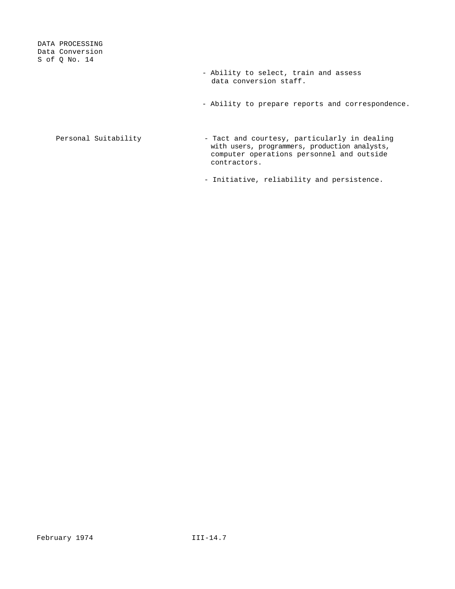DATA PROCESSING Data Conversion S of Q No. 14

- Ability to select, train and assess data conversion staff.
- Ability to prepare reports and correspondence.
- Personal Suitability Tact and courtesy, particularly in dealing with users, programmers, production analysts, computer operations personnel and outside contractors.
	- Initiative, reliability and persistence.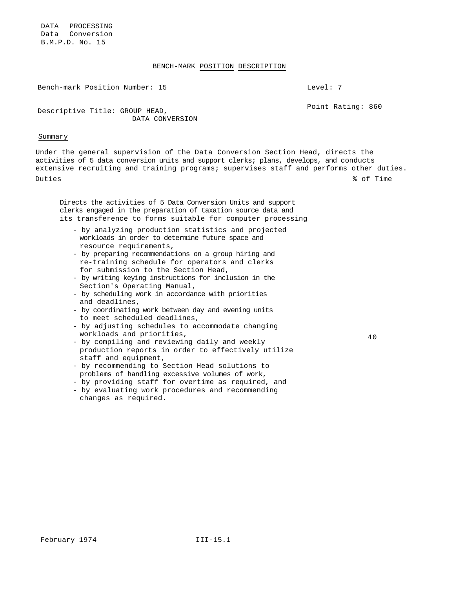#### BENCH-MARK POSITION DESCRIPTION

Bench-mark Position Number: 15 Level: 7

Point Rating: 860

Descriptive Title: GROUP HEAD, DATA CONVERSION

#### Summary

Under the general supervision of the Data Conversion Section Head, directs the activities of 5 data conversion units and support clerks; plans, develops, and conducts extensive recruiting and training programs; supervises staff and performs other duties. Duties % of Time

Directs the activities of 5 Data Conversion Units and support clerks engaged in the preparation of taxation source data and its transference to forms suitable for computer processing

- by analyzing production statistics and projected workloads in order to determine future space and resource requirements,
- by preparing recommendations on a group hiring and re-training schedule for operators and clerks for submission to the Section Head,
- by writing keying instructions for inclusion in the Section's Operating Manual,
- by scheduling work in accordance with priorities and deadlines,
- by coordinating work between day and evening units to meet scheduled deadlines,
- by adjusting schedules to accommodate changing workloads and priorities,
- by compiling and reviewing daily and weekly production reports in order to effectively utilize staff and equipment,
- by recommending to Section Head solutions to problems of handling excessive volumes of work,
- by providing staff for overtime as required, and
- by evaluating work procedures and recommending changes as required.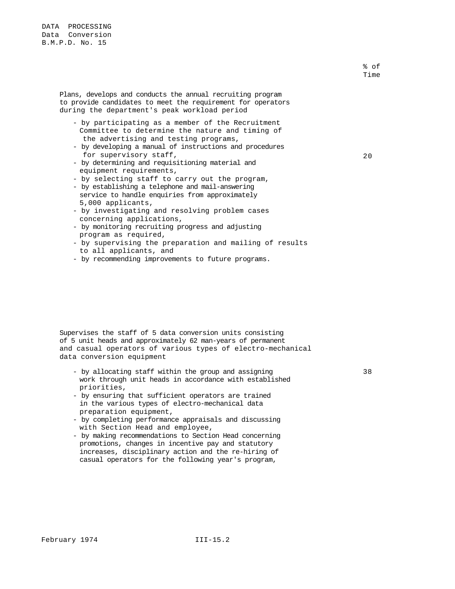Plans, develops and conducts the annual recruiting program to provide candidates to meet the requirement for operators during the department's peak workload period

- by participating as a member of the Recruitment Committee to determine the nature and timing of the advertising and testing programs,
- by developing a manual of instructions and procedures for supervisory staff,
- by determining and requisitioning material and equipment requirements,
- by selecting staff to carry out the program,
- by establishing a telephone and mail-answering service to handle enquiries from approximately 5,000 applicants,
- by investigating and resolving problem cases concerning applications,
- by monitoring recruiting progress and adjusting program as required,
- by supervising the preparation and mailing of results to all applicants, and
- by recommending improvements to future programs.

Supervises the staff of 5 data conversion units consisting of 5 unit heads and approximately 62 man-years of permanent and casual operators of various types of electro-mechanical data conversion equipment

- by allocating staff within the group and assigning work through unit heads in accordance with established priorities,
- by ensuring that sufficient operators are trained in the various types of electro-mechanical data preparation equipment,
- by completing performance appraisals and discussing with Section Head and employee,
- by making recommendations to Section Head concerning promotions, changes in incentive pay and statutory increases, disciplinary action and the re-hiring of casual operators for the following year's program,

20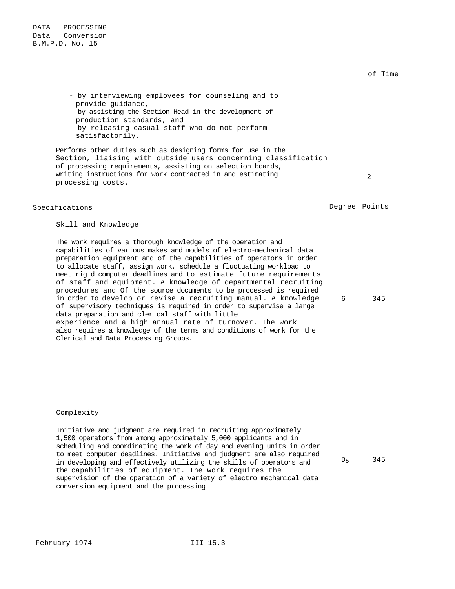- by interviewing employees for counseling and to provide guidance,
- by assisting the Section Head in the development of production standards, and
- by releasing casual staff who do not perform satisfactorily.

Performs other duties such as designing forms for use in the Section, liaising with outside users concerning classification of processing requirements, assisting on selection boards, writing instructions for work contracted in and estimating processing costs.

Specifications **Degree Points Degree Points** 

#### Skill and Knowledge

The work requires a thorough knowledge of the operation and capabilities of various makes and models of electro-mechanical data preparation equipment and of the capabilities of operators in order to allocate staff, assign work, schedule a fluctuating workload to meet rigid computer deadlines and to estimate future requirements of staff and equipment. A knowledge of departmental recruiting procedures and Of the source documents to be processed is required in order to develop or revise a recruiting manual. A knowledge of supervisory techniques is required in order to supervise a large data preparation and clerical staff with little experience and a high annual rate of turnover. The work also requires a knowledge of the terms and conditions of work for the Clerical and Data Processing Groups.

Complexity

Initiative and judgment are required in recruiting approximately 1,500 operators from among approximately 5,000 applicants and in scheduling and coordinating the work of day and evening units in order to meet computer deadlines. Initiative and judgment are also required in developing and effectively utilizing the skills of operators and the capabilities of equipment. The work requires the supervision of the operation of a variety of electro mechanical data conversion equipment and the processing

D5 345

of Time

2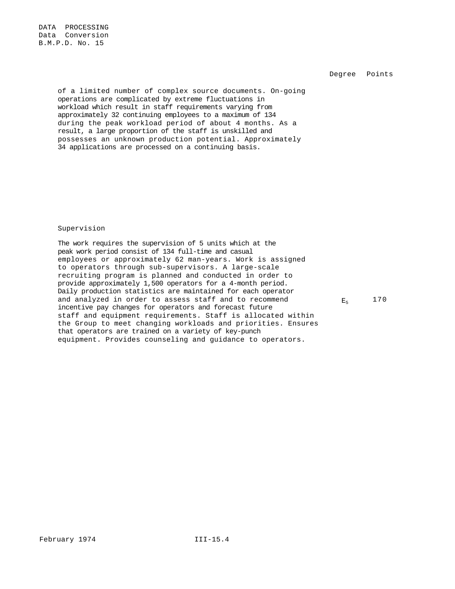Degree Points

of a limited number of complex source documents. On-going operations are complicated by extreme fluctuations in workload which result in staff requirements varying from approximately 32 continuing employees to a maximum of 134 during the peak workload period of about 4 months. As a result, a large proportion of the staff is unskilled and possesses an unknown production potential. Approximately 34 applications are processed on a continuing basis.

## Supervision

The work requires the supervision of 5 units which at the peak work period consist of 134 full-time and casual employees or approximately 62 man-years. Work is assigned to operators through sub-supervisors. A large-scale recruiting program is planned and conducted in order to provide approximately 1,500 operators for a 4-month period. Daily production statistics are maintained for each operator and analyzed in order to assess staff and to recommend incentive pay changes for operators and forecast future staff and equipment requirements. Staff is allocated within the Group to meet changing workloads and priorities. Ensures that operators are trained on a variety of key-punch equipment. Provides counseling and guidance to operators.

 $E_5$  170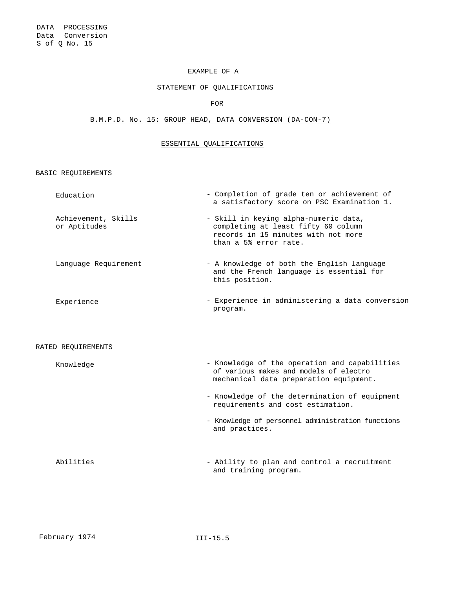## EXAMPLE OF A

## STATEMENT OF QUALIFICATIONS

FOR

## B.M.P.D. No. 15: GROUP HEAD, DATA CONVERSION (DA-CON-7)

## ESSENTIAL QUALIFICATIONS

BASIC REQUIREMENTS

| Education                           | - Completion of grade ten or achievement of<br>a satisfactory score on PSC Examination 1.                                                    |
|-------------------------------------|----------------------------------------------------------------------------------------------------------------------------------------------|
| Achievement, Skills<br>or Aptitudes | - Skill in keying alpha-numeric data,<br>completing at least fifty 60 column<br>records in 15 minutes with not more<br>than a 5% error rate. |
| Language Requirement                | - A knowledge of both the English language<br>and the French language is essential for<br>this position.                                     |
| Experience                          | - Experience in administering a data conversion<br>program.                                                                                  |
| RATED REOUIREMENTS                  |                                                                                                                                              |
| Knowledge                           | - Knowledge of the operation and capabilities<br>of various makes and models of electro<br>mechanical data preparation equipment.            |
|                                     | - Knowledge of the determination of equipment<br>requirements and cost estimation.                                                           |
|                                     | - Knowledge of personnel administration functions<br>and practices.                                                                          |
| Abilities                           | - Ability to plan and control a recruitment<br>and training program.                                                                         |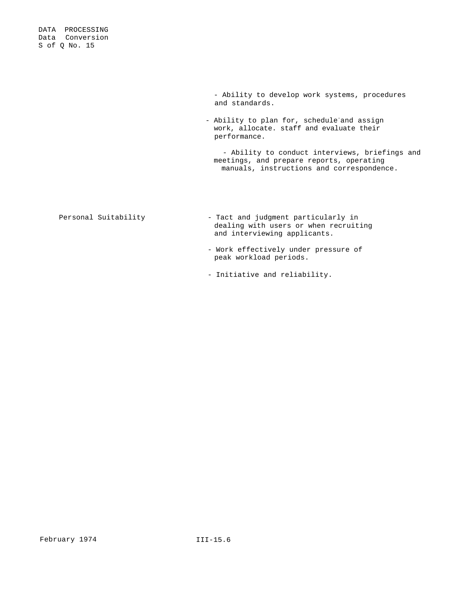DATA PROCESSING Data Conversion S of Q No. 15

> - Ability to develop work systems, procedures and standards.

- Ability to plan for, schedule and assign work, allocate. staff and evaluate their performance.

- Ability to conduct interviews, briefings and meetings, and prepare reports, operating manuals, instructions and correspondence.

- Personal Suitability Tact and judgment particularly in dealing with users or when recruiting and interviewing applicants.
	- Work effectively under pressure of peak workload periods.
	- Initiative and reliability.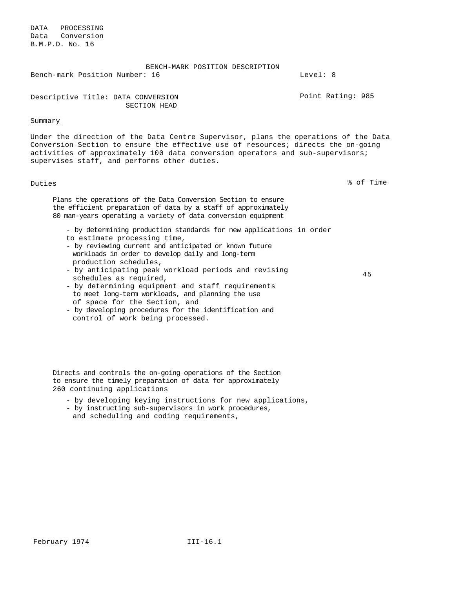#### BENCH-MARK POSITION DESCRIPTION

Bench-mark Position Number: 16 Level: 8

Point Rating: 985

Descriptive Title: DATA CONVERSION SECTION HEAD

### Summary

Under the direction of the Data Centre Supervisor, plans the operations of the Data Conversion Section to ensure the effective use of resources; directs the on-going activities of approximately 100 data conversion operators and sub-supervisors; supervises staff, and performs other duties.

Duties % of Time

Plans the operations of the Data Conversion Section to ensure the efficient preparation of data by a staff of approximately 80 man-years operating a variety of data conversion equipment

- by determining production standards for new applications in order to estimate processing time,

- by reviewing current and anticipated or known future workloads in order to develop daily and long-term production schedules,
- by anticipating peak workload periods and revising schedules as required,

45

- by determining equipment and staff requirements to meet long-term workloads, and planning the use of space for the Section, and
- by developing procedures for the identification and control of work being processed.

Directs and controls the on-going operations of the Section to ensure the timely preparation of data for approximately 260 continuing applications

- by developing keying instructions for new applications,
- by instructing sub-supervisors in work procedures, and scheduling and coding requirements,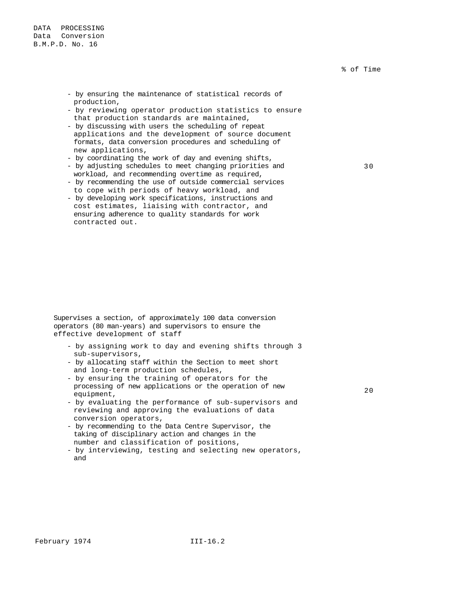- by ensuring the maintenance of statistical records of production,
- by reviewing operator production statistics to ensure that production standards are maintained,
- by discussing with users the scheduling of repeat applications and the development of source document formats, data conversion procedures and scheduling of new applications,
- by coordinating the work of day and evening shifts,
- by adjusting schedules to meet changing priorities and workload, and recommending overtime as required,
- by recommending the use of outside commercial services to cope with periods of heavy workload, and
- by developing work specifications, instructions and cost estimates, liaising with contractor, and ensuring adherence to quality standards for work contracted out.

Supervises a section, of approximately 100 data conversion operators (80 man-years) and supervisors to ensure the effective development of staff

- by assigning work to day and evening shifts through 3 sub-supervisors,
- by allocating staff within the Section to meet short and long-term production schedules,
- by ensuring the training of operators for the processing of new applications or the operation of new equipment,
- by evaluating the performance of sub-supervisors and reviewing and approving the evaluations of data conversion operators,
- by recommending to the Data Centre Supervisor, the taking of disciplinary action and changes in the number and classification of positions,
- by interviewing, testing and selecting new operators, and

30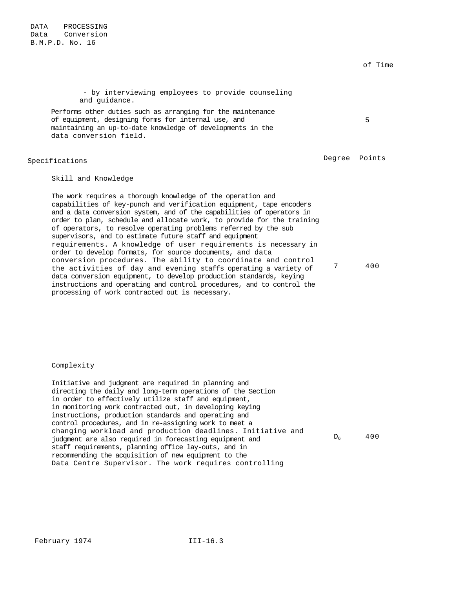- by interviewing employees to provide counseling and guidance. Performs other duties such as arranging for the maintenance of equipment, designing forms for internal use, and maintaining an up-to-date knowledge of developments in the data conversion field. 5 Specifications **Degree** Points Skill and Knowledge The work requires a thorough knowledge of the operation and capabilities of key-punch and verification equipment, tape encoders and a data conversion system, and of the capabilities of operators in order to plan, schedule and allocate work, to provide for the training of operators, to resolve operating problems referred by the sub supervisors, and to estimate future staff and equipment requirements. A knowledge of user requirements is necessary in order to develop formats, for source documents, and data conversion procedures. The ability to coordinate and control the activities of day and evening staffs operating a variety of data conversion equipment, to develop production standards, keying instructions and operating and control procedures, and to control the 7 400

#### Complexity

Initiative and judgment are required in planning and directing the daily and long-term operations of the Section in order to effectively utilize staff and equipment, in monitoring work contracted out, in developing keying instructions, production standards and operating and control procedures, and in re-assigning work to meet a changing workload and production deadlines. Initiative and judgment are also required in forecasting equipment and staff requirements, planning office lay-outs, and in recommending the acquisition of new equipment to the Data Centre Supervisor. The work requires controlling

processing of work contracted out is necessary.

 $D_6$  400

of Time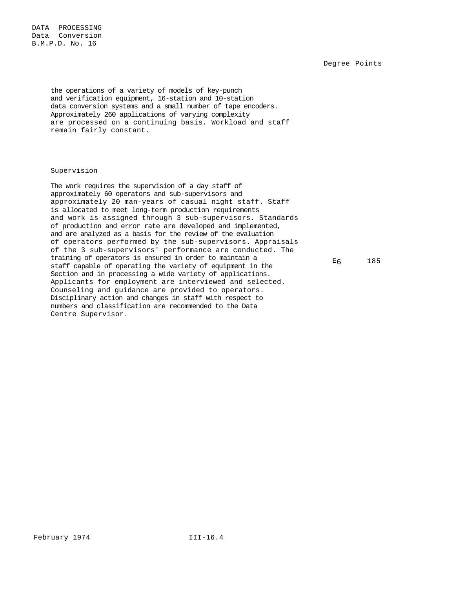Degree Points

the operations of a variety of models of key-punch and verification equipment, 16-station and 10-station data conversion systems and a small number of tape encoders. Approximately 260 applications of varying complexity are processed on a continuing basis. Workload and staff remain fairly constant.

Supervision

The work requires the supervision of a day staff of approximately 60 operators and sub-supervisors and approximately 20 man-years of casual night staff. Staff is allocated to meet long-term production requirements and work is assigned through 3 sub-supervisors. Standards of production and error rate are developed and implemented, and are analyzed as a basis for the review of the evaluation of operators performed by the sub-supervisors. Appraisals of the 3 sub-supervisors' performance are conducted. The training of operators is ensured in order to maintain a staff capable of operating the variety of equipment in the Section and in processing a wide variety of applications. Applicants for employment are interviewed and selected. Counseling and guidance are provided to operators. Disciplinary action and changes in staff with respect to numbers and classification are recommended to the Data Centre Supervisor.

E6 185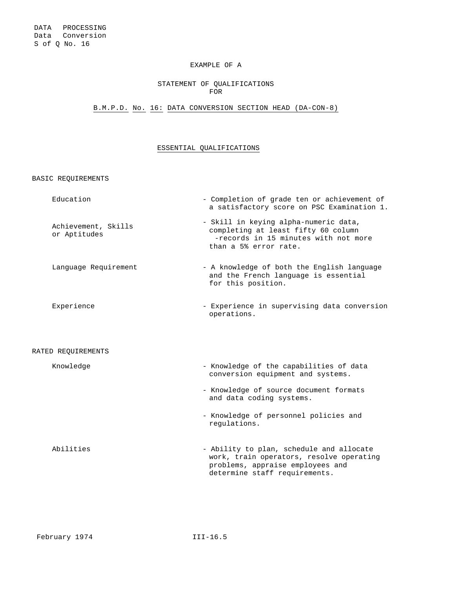## EXAMPLE OF A

## STATEMENT OF QUALIFICATIONS FOR

## B.M.P.D. No. 16: DATA CONVERSION SECTION HEAD (DA-CON-8)

## ESSENTIAL QUALIFICATIONS

#### BASIC REQUIREMENTS

| Education                           | - Completion of grade ten or achievement of<br>a satisfactory score on PSC Examination 1.                                                                 |  |  |  |  |
|-------------------------------------|-----------------------------------------------------------------------------------------------------------------------------------------------------------|--|--|--|--|
| Achievement, Skills<br>or Aptitudes | - Skill in keying alpha-numeric data,<br>completing at least fifty 60 column<br>-records in 15 minutes with not more<br>than a 5% error rate.             |  |  |  |  |
| Language Requirement                | - A knowledge of both the English language<br>and the French language is essential<br>for this position.                                                  |  |  |  |  |
| Experience                          | - Experience in supervising data conversion<br>operations.                                                                                                |  |  |  |  |
| RATED REQUIREMENTS                  |                                                                                                                                                           |  |  |  |  |
| Knowledge                           | - Knowledge of the capabilities of data<br>conversion equipment and systems.                                                                              |  |  |  |  |
|                                     | - Knowledge of source document formats<br>and data coding systems.                                                                                        |  |  |  |  |
|                                     | - Knowledge of personnel policies and<br>requlations.                                                                                                     |  |  |  |  |
| Abilities                           | - Ability to plan, schedule and allocate<br>work, train operators, resolve operating<br>problems, appraise employees and<br>determine staff requirements. |  |  |  |  |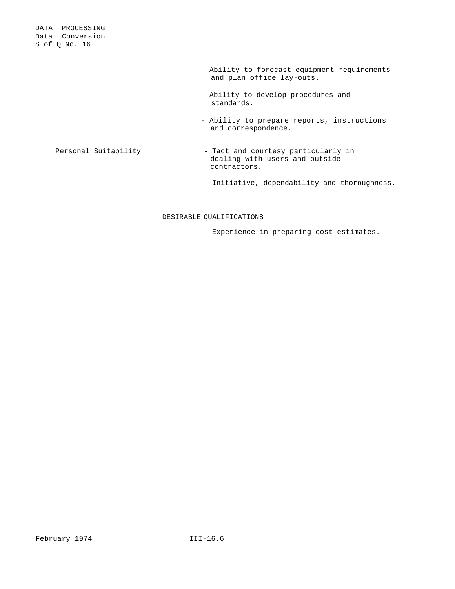DATA PROCESSING Data Conversion S of Q No. 16

- Ability to forecast equipment requirements and plan office lay-outs.
- Ability to develop procedures and standards.
- Ability to prepare reports, instructions and correspondence.
- Personal Suitability  $-$  Tact and courtesy particularly in dealing with users and outside contractors.
	- Initiative, dependability and thoroughness.

## DESIRABLE QUALIFICATIONS

- Experience in preparing cost estimates.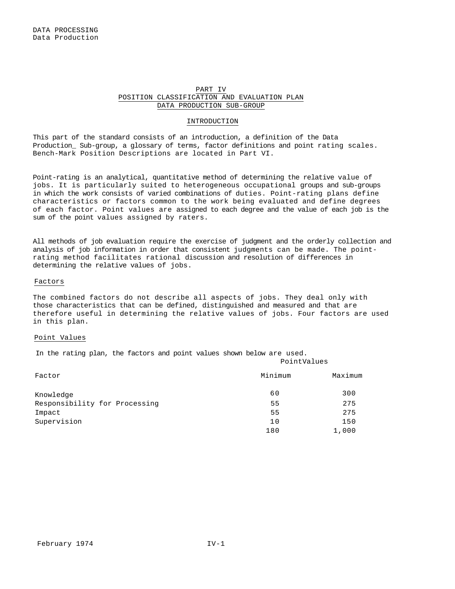## PART IV POSITION CLASSIFICATION AND EVALUATION PLAN DATA PRODUCTION SUB-GROUP

#### INTRODUCTION

This part of the standard consists of an introduction, a definition of the Data Production\_ Sub-group, a glossary of terms, factor definitions and point rating scales. Bench-Mark Position Descriptions are located in Part VI.

Point-rating is an analytical, quantitative method of determining the relative value of jobs. It is particularly suited to heterogeneous occupational groups and sub-groups in which the work consists of varied combinations of duties. Point-rating plans define characteristics or factors common to the work being evaluated and define degrees of each factor. Point values are assigned to each degree and the value of each job is the sum of the point values assigned by raters.

All methods of job evaluation require the exercise of judgment and the orderly collection and analysis of job information in order that consistent judgments can be made. The pointrating method facilitates rational discussion and resolution of differences in determining the relative values of jobs.

#### Factors

The combined factors do not describe all aspects of jobs. They deal only with those characteristics that can be defined, distinguished and measured and that are therefore useful in determining the relative values of jobs. Four factors are used in this plan.

#### Point Values

In the rating plan, the factors and point values shown below are used. PointValues

| Factor                        | Minimum | Maximum |
|-------------------------------|---------|---------|
| Knowledge                     | 60      | 300     |
| Responsibility for Processing | 55      | 275     |
| Impact                        | 55      | 275     |
| Supervision                   | 10      | 150     |
|                               | 180     | 1,000   |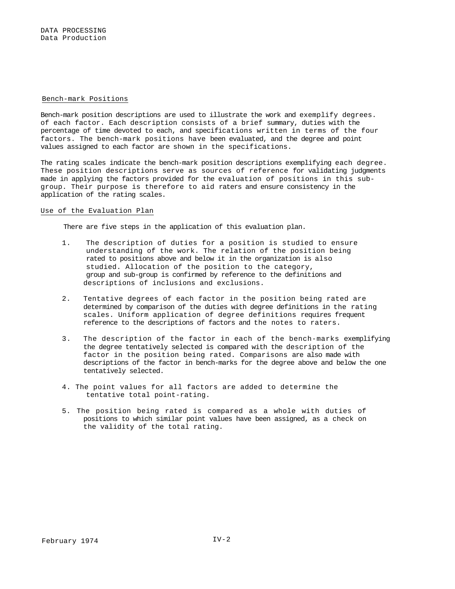#### Bench-mark Positions

Bench-mark position descriptions are used to illustrate the work and exemplify degrees. of each factor. Each description consists of a brief summary, duties with the percentage of time devoted to each, and specifications written in terms of the four factors. The bench-mark positions have been evaluated, and the degree and point values assigned to each factor are shown in the specifications.

The rating scales indicate the bench-mark position descriptions exemplifying each degree. These position descriptions serve as sources of reference for validating judgments made in applying the factors provided for the evaluation of positions in this subgroup. Their purpose is therefore to aid raters and ensure consistency in the application of the rating scales.

#### Use of the Evaluation Plan

There are five steps in the application of this evaluation plan.

- 1. The description of duties for a position is studied to ensure understanding of the work. The relation of the position being rated to positions above and below it in the organization is also studied. Allocation of the position to the category, group and sub-group is confirmed by reference to the definitions and descriptions of inclusions and exclusions.
- 2. Tentative degrees of each factor in the position being rated are determined by comparison of the duties with degree definitions in the rating scales. Uniform application of degree definitions requires frequent reference to the descriptions of factors and the notes to raters.
- 3. The description of the factor in each of the bench-marks exemplifying the degree tentatively selected is compared with the description of the factor in the position being rated. Comparisons are also made with descriptions of the factor in bench-marks for the degree above and below the one tentatively selected.
- 4. The point values for all factors are added to determine the tentative total point-rating.
- 5. The position being rated is compared as a whole with duties of positions to which similar point values have been assigned, as a check on the validity of the total rating.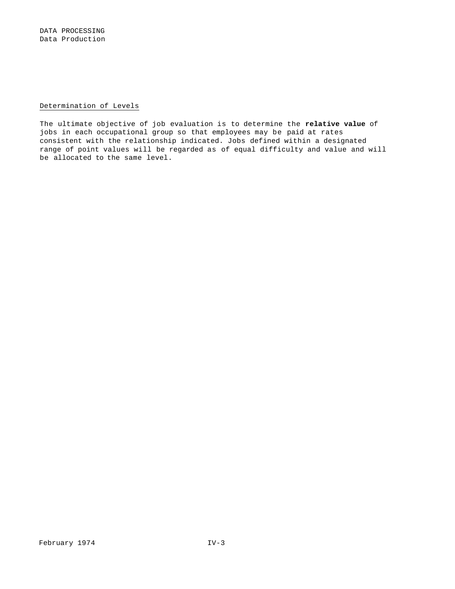## Determination of Levels

The ultimate objective of job evaluation is to determine the **relative value** of jobs in each occupational group so that employees may be paid at rates consistent with the relationship indicated. Jobs defined within a designated range of point values will be regarded as of equal difficulty and value and will be allocated to the same level.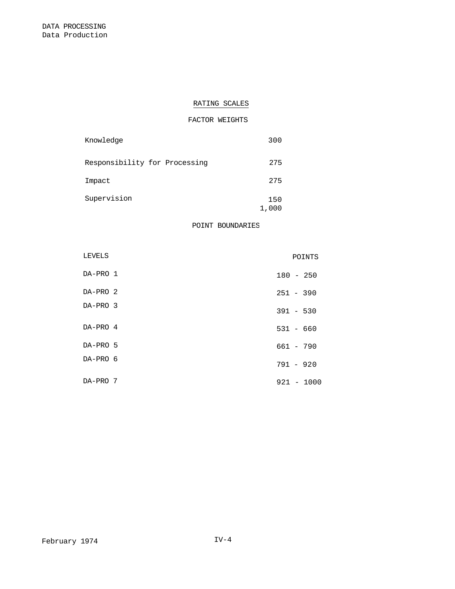# RATING SCALES

## FACTOR WEIGHTS

| Knowledge                     | 300          |
|-------------------------------|--------------|
| Responsibility for Processing | 275          |
| Impact                        | 275          |
| Supervision                   | 150<br>1,000 |

## POINT BOUNDARIES

| LEVELS   |             | POINTS       |
|----------|-------------|--------------|
| DA-PRO 1 | $180 - 250$ |              |
| DA-PRO 2 | $251 - 390$ |              |
| DA-PRO 3 | $391 - 530$ |              |
| DA-PRO 4 | $531 - 660$ |              |
| DA-PRO 5 | $661 - 790$ |              |
| DA-PRO 6 | $791 - 920$ |              |
| DA-PRO 7 |             | $921 - 1000$ |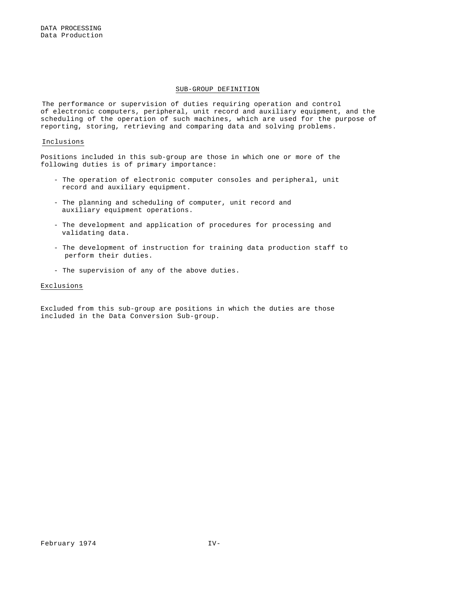### SUB-GROUP DEFINITION

The performance or supervision of duties requiring operation and control of electronic computers, peripheral, unit record and auxiliary equipment, and the scheduling of the operation of such machines, which are used for the purpose of reporting, storing, retrieving and comparing data and solving problems.

### Inclusions

Positions included in this sub-group are those in which one or more of the following duties is of primary importance:

- The operation of electronic computer consoles and peripheral, unit record and auxiliary equipment.
- The planning and scheduling of computer, unit record and auxiliary equipment operations.
- The development and application of procedures for processing and validating data.
- The development of instruction for training data production staff to perform their duties.
- The supervision of any of the above duties.

### Exclusions

Excluded from this sub-group are positions in which the duties are those included in the Data Conversion Sub-group.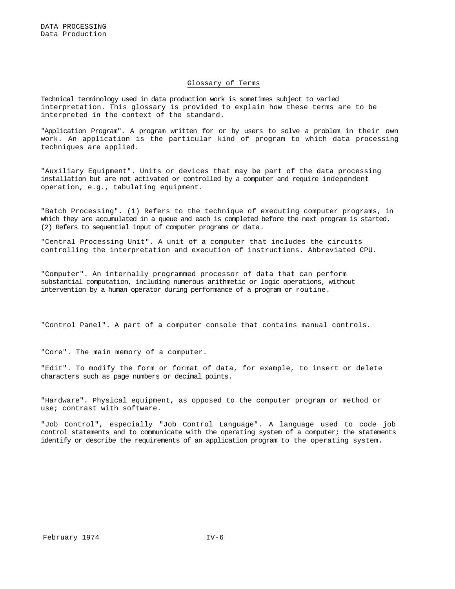# Glossary of Terms

Technical terminology used in data production work is sometimes subject to varied interpretation. This glossary is provided to explain how these terms are to be interpreted in the context of the standard.

"Application Program". A program written for or by users to solve a problem in their own work. An application is the particular kind of program to which data processing techniques are applied.

"Auxiliary Equipment". Units or devices that may be part of the data processing installation but are not activated or controlled by a computer and require independent operation, e.g., tabulating equipment.

"Batch Processing". (1) Refers to the technique of executing computer programs, in which they are accumulated in a queue and each is completed before the next program is started. (2) Refers to sequential input of computer programs or data.

"Central Processing Unit". A unit of a computer that includes the circuits controlling the interpretation and execution of instructions. Abbreviated CPU.

"Computer". An internally programmed processor of data that can perform substantial computation, including numerous arithmetic or logic operations, without intervention by a human operator during performance of a program or routine.

"Control Panel". A part of a computer console that contains manual controls.

"Core". The main memory of a computer.

"Edit". To modify the form or format of data, for example, to insert or delete characters such as page numbers or decimal points.

"Hardware". Physical equipment, as opposed to the computer program or method or use; contrast with software.

"Job Control", especially "Job Control Language". A language used to code job control statements and to communicate with the operating system of a computer; the statements identify or describe the requirements of an application program to the operating system.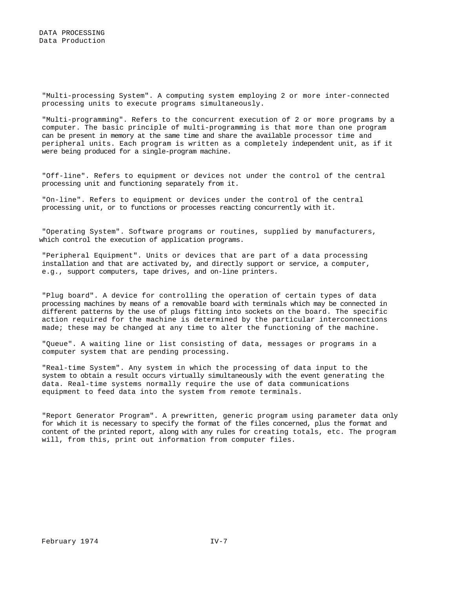"Multi-processing System". A computing system employing 2 or more inter-connected processing units to execute programs simultaneously.

"Multi-programming". Refers to the concurrent execution of 2 or more programs by a computer. The basic principle of multi-programming is that more than one program can be present in memory at the same time and share the available processor time and peripheral units. Each program is written as a completely independent unit, as if it were being produced for a single-program machine.

"Off-line". Refers to equipment or devices not under the control of the central processing unit and functioning separately from it.

"On-line". Refers to equipment or devices under the control of the central processing unit, or to functions or processes reacting concurrently with it.

"Operating System". Software programs or routines, supplied by manufacturers, which control the execution of application programs.

"Peripheral Equipment". Units or devices that are part of a data processing installation and that are activated by, and directly support or service, a computer, e.g., support computers, tape drives, and on-line printers.

"Plug board". A device for controlling the operation of certain types of data processing machines by means of a removable board with terminals which may be connected in different patterns by the use of plugs fitting into sockets on the board. The specific action required for the machine is determined by the particular interconnections made; these may be changed at any time to alter the functioning of the machine.

"Queue". A waiting line or list consisting of data, messages or programs in a computer system that are pending processing.

"Real-time System". Any system in which the processing of data input to the system to obtain a result occurs virtually simultaneously with the event generating the data. Real-time systems normally require the use of data communications equipment to feed data into the system from remote terminals.

"Report Generator Program". A prewritten, generic program using parameter data only for which it is necessary to specify the format of the files concerned, plus the format and content of the printed report, along with any rules for creating totals, etc. The program will, from this, print out information from computer files.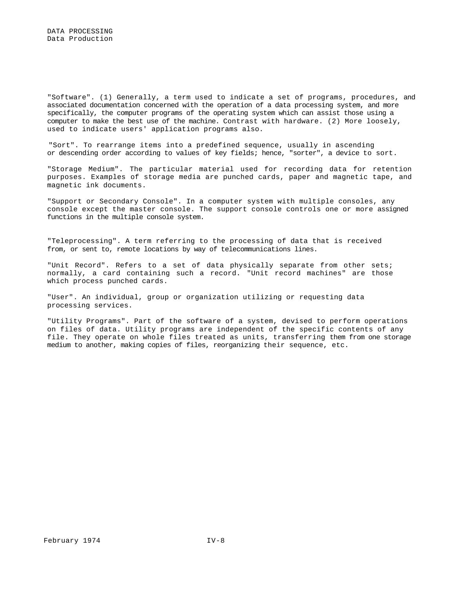"Software". (1) Generally, a term used to indicate a set of programs, procedures, and associated documentation concerned with the operation of a data processing system, and more specifically, the computer programs of the operating system which can assist those using a computer to make the best use of the machine. Contrast with hardware. (2) More loosely, used to indicate users' application programs also.

"Sort". To rearrange items into a predefined sequence, usually in ascending or descending order according to values of key fields; hence, "sorter", a device to sort.

"Storage Medium". The particular material used for recording data for retention purposes. Examples of storage media are punched cards, paper and magnetic tape, and magnetic ink documents.

"Support or Secondary Console". In a computer system with multiple consoles, any console except the master console. The support console controls one or more assigned functions in the multiple console system.

"Teleprocessing". A term referring to the processing of data that is received from, or sent to, remote locations by way of telecommunications lines.

"Unit Record". Refers to a set of data physically separate from other sets; normally, a card containing such a record. "Unit record machines" are those which process punched cards.

"User". An individual, group or organization utilizing or requesting data processing services.

"Utility Programs". Part of the software of a system, devised to perform operations on files of data. Utility programs are independent of the specific contents of any file. They operate on whole files treated as units, transferring them from one storage medium to another, making copies of files, reorganizing their sequence, etc.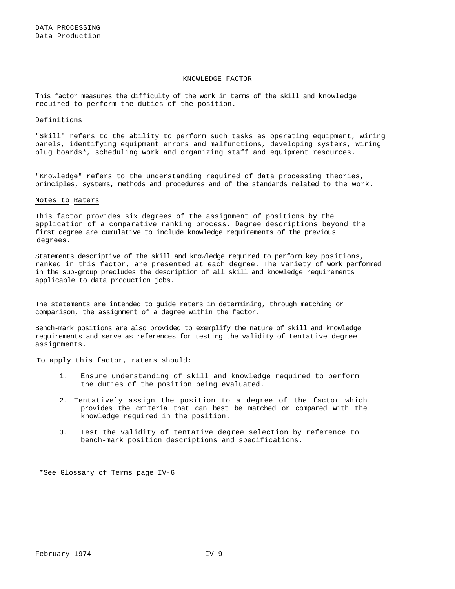### KNOWLEDGE FACTOR

This factor measures the difficulty of the work in terms of the skill and knowledge required to perform the duties of the position.

### Definitions

"Skill" refers to the ability to perform such tasks as operating equipment, wiring panels, identifying equipment errors and malfunctions, developing systems, wiring plug boards\*, scheduling work and organizing staff and equipment resources.

"Knowledge" refers to the understanding required of data processing theories, principles, systems, methods and procedures and of the standards related to the work.

### Notes to Raters

This factor provides six degrees of the assignment of positions by the application of a comparative ranking process. Degree descriptions beyond the first degree are cumulative to include knowledge requirements of the previous degrees.

Statements descriptive of the skill and knowledge required to perform key positions, ranked in this factor, are presented at each degree. The variety of work performed in the sub-group precludes the description of all skill and knowledge requirements applicable to data production jobs.

The statements are intended to guide raters in determining, through matching or comparison, the assignment of a degree within the factor.

Bench-mark positions are also provided to exemplify the nature of skill and knowledge requirements and serve as references for testing the validity of tentative degree assignments.

To apply this factor, raters should:

- 1. Ensure understanding of skill and knowledge required to perform the duties of the position being evaluated.
- 2. Tentatively assign the position to a degree of the factor which provides the criteria that can best be matched or compared with the knowledge required in the position.
- 3. Test the validity of tentative degree selection by reference to bench-mark position descriptions and specifications.

\*See Glossary of Terms page IV-6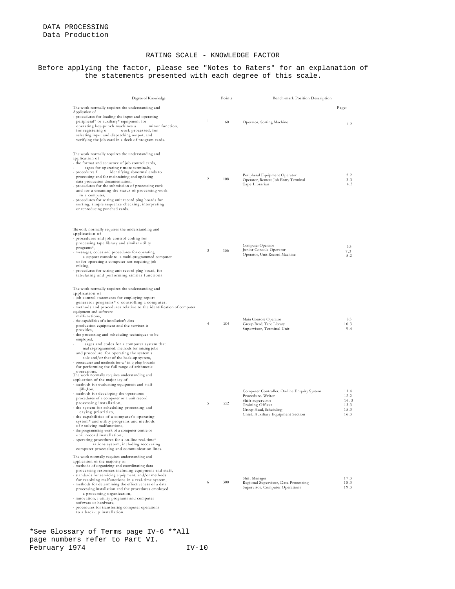# RATING SCALE - KNOWLEDGE FACTOR

# Before applying the factor, please see "Notes to Raters" for an explanation of the statements presented with each degree of this scale.

| Degree of Knowledge                                                                                                                                                                                                                                                                                                                                                                                                                                                                                                                                                                                                                                                                                                                                                                                           |                | Points | Bench-mark Position Description                                                                                                                                          |                                              |
|---------------------------------------------------------------------------------------------------------------------------------------------------------------------------------------------------------------------------------------------------------------------------------------------------------------------------------------------------------------------------------------------------------------------------------------------------------------------------------------------------------------------------------------------------------------------------------------------------------------------------------------------------------------------------------------------------------------------------------------------------------------------------------------------------------------|----------------|--------|--------------------------------------------------------------------------------------------------------------------------------------------------------------------------|----------------------------------------------|
| The work normally requires the understanding and<br>Application of<br>- procedures for loading the input and operating<br>peripheral* or auxiliary* equipment for<br>operating key-punch machines a<br>minor function,<br>for registering o<br>work processed, for<br>selecting input and dispatching output, and<br>verifying the job card in a deck of program cards.                                                                                                                                                                                                                                                                                                                                                                                                                                       | $\mathbf{1}$   | 60     | Operator, Sorting Machine                                                                                                                                                | Page-<br>1.2                                 |
| The work normally requires the understanding and<br>application of<br>- the format and sequence of job control cards,<br>sages for operating r mote terminals,<br>identifying abnormal ends to<br>- procedures f<br>processing and for maintaining and updating<br>data production documentation,<br>- procedures for the submission of processing cork<br>and for a creaming the status of processing work<br>in a computer,<br>- procedures for wiring unit record plug boards for<br>sorting, simple sequence checking, interpreting<br>or reproducing punched cards.                                                                                                                                                                                                                                      | 2              | 108    | Peripheral Equipment Operator<br>Operator, Remote Job Entry Terminal<br>Tape Librarian                                                                                   | 2.2<br>3.3<br>43                             |
| The work normally requires the understanding and<br>application of<br>- procedures and job control coding for<br>processing tape library and similar utility<br>programs*,<br>- messages, codes and procedures for operating<br>a support console to a multi-programmed computer<br>or for operating a computer not requiring job<br>mixing.<br>- procedures for wiring unit record plug board, for<br>tabulating and performing similar functions.                                                                                                                                                                                                                                                                                                                                                           | 3              | 156    | Computer Operator<br>Junior Console Operator<br>Operator, Unit Record Machine                                                                                            | 6.3<br>7,3<br>5.2                            |
| The work normally requires the understanding and<br>application of<br>- job control statements for employing report<br>generator programs* o controlling a computer,<br>- methods and procedures relative to the identification of computer<br>equipment and software<br>malfunctions,<br>- the capabilities of a installation's data<br>production equipment and the services it<br>provides,<br>- the processing and scheduling techniques to be<br>employed,<br>sages and codes for a computer system that<br>mal ci-programmed, methods for mixing jobs<br>and procedure. for operating the system's<br>sole and/or that of the back-up system,                                                                                                                                                           | $\overline{4}$ | 204    | Main Console Operator<br>Group Read, Tape Library<br>Supervisor, Terminal Unit                                                                                           | 8.3<br>10.3<br>9.4                           |
| - procedures and methods for w ' in g plug boards<br>for performing the full range of arithmetic<br>operations.<br>The work normally requires understanding and<br>application of the major icy of<br>- methods for evaluating equipment and staff<br>fill-, Ion,<br>- methods for developing the operations<br>procedures of a computer or a unit record<br>processing installation,<br>- the system for scheduling processing and<br>crying priorities,<br>- the capabilities of a computer's operating<br>system* and utility programs and methods<br>of r solving malfunctions,<br>- the programming work of a computer centre or<br>unit record installation,<br>- operating procedures for a on-line real-time*<br>rations system, including recovering<br>computer processing and communication lines. | 5              | 252    | Computer Controller, On-line Enquiry System<br>Procedure. Writer<br>Shift supervisor<br>Training Officer<br>Group Head, Scheduling<br>Chief, Auxiliary Equipment Section | 11.4<br>12.2<br>14.3<br>13.3<br>15.3<br>16.3 |
| The work normally requires understanding and<br>application of the majority of<br>- methods of organizing and coordinating data<br>processing resources including equipment and staff,<br>- standards for servicing equipment, and/or methods<br>for resolving malfunctions in a real-time system,<br>- methods for determining the effectiveness of a data<br>processing installation and the procedures employed<br>a processing organization,<br>- innovation, i utility programs and computer<br>software or hardware,<br>- procedures for transferring computer operations<br>to a back-up installation.                                                                                                                                                                                                 | 6              | 300    | Shift Manager<br>Regional Supervisor, Data Processing<br>Supervisor, Computer Operations                                                                                 | 17.3<br>18.3<br>19.3                         |

\*See Glossary of Terms page IV-6 \*\*All page numbers refer to Part VI. February 1974 **IV-10**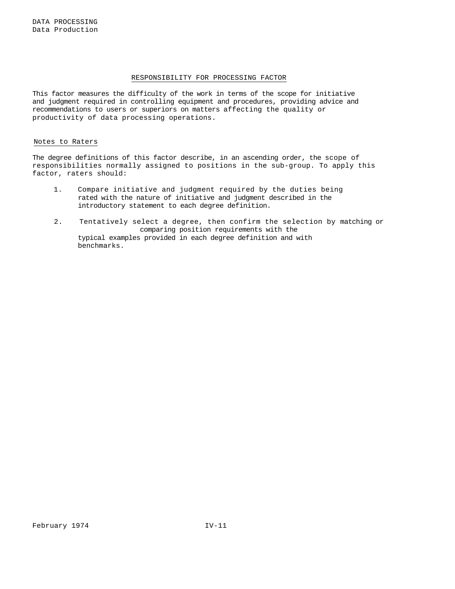# RESPONSIBILITY FOR PROCESSING FACTOR

This factor measures the difficulty of the work in terms of the scope for initiative and judgment required in controlling equipment and procedures, providing advice and recommendations to users or superiors on matters affecting the quality or productivity of data processing operations.

### Notes to Raters

The degree definitions of this factor describe, in an ascending order, the scope of responsibilities normally assigned to positions in the sub-group. To apply this factor, raters should:

- 1. Compare initiative and judgment required by the duties being rated with the nature of initiative and judgment described in the introductory statement to each degree definition.
- 2. Tentatively select a degree, then confirm the selection by matching or comparing position requirements with the typical examples provided in each degree definition and with benchmarks.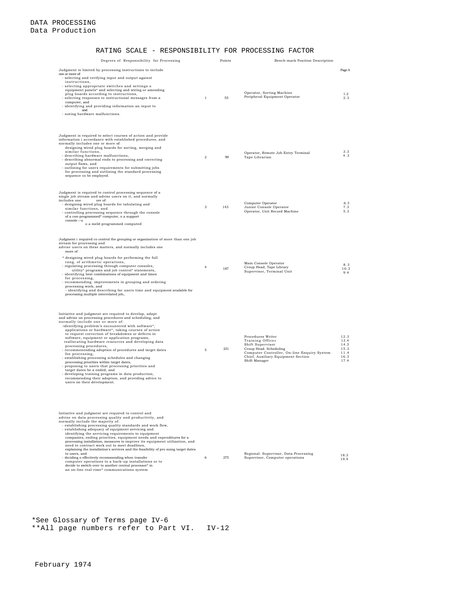# RATING SCALE - RESPONSIBILITY FOR PROCESSING FACTOR

| Degrees of Responsibility for Processing                                                                                                                                                                                                                                                                                                                                                                                                                                                                                                                                                                                                                                                                                                                                                                                                                                  |                | Points | Bench-mark Position Description                                                                                                                                                           |                                                      |
|---------------------------------------------------------------------------------------------------------------------------------------------------------------------------------------------------------------------------------------------------------------------------------------------------------------------------------------------------------------------------------------------------------------------------------------------------------------------------------------------------------------------------------------------------------------------------------------------------------------------------------------------------------------------------------------------------------------------------------------------------------------------------------------------------------------------------------------------------------------------------|----------------|--------|-------------------------------------------------------------------------------------------------------------------------------------------------------------------------------------------|------------------------------------------------------|
| Judgment is limited by processing instructions to include<br>one or more of:<br>- selecting and verifying input and output against<br>instructions,<br>- selecting appropriate switches and settings o<br>equipment panels* and selecting and wiring or amending<br>plug boards according to instructions,<br>- selecting responses to instructional messages from a<br>computer, and<br>- identifying and providing information an input to<br>and<br>- noting hardware malfunctions.                                                                                                                                                                                                                                                                                                                                                                                    | $\,1$          | 55     | Operator, Sorting Machine<br>Peripheral Equipment Operator                                                                                                                                | Page A<br>1.2<br>2.3                                 |
| Judgment is required to select courses of action and provide<br>information i accordance with established procedures, and<br>normally includes one or more of:<br>designing wired plug boards for sorting, merging and<br>similar functions.<br>- describing hardware malfunctions,<br>- describing abnormal ends to processing and correcting<br>output flaws, and<br>- outlining for users requirements for submitting jobs<br>for processing and outlining the standard processing<br>sequence co be employed.                                                                                                                                                                                                                                                                                                                                                         | $\mathfrak{D}$ | 99     | Operator, Remote Job Entry Terminal<br>Tape Librarian                                                                                                                                     | 3.3<br>4.3                                           |
| Judgment is required to control processing sequence of a<br>single job stream and advise users on it, and normally<br>includes one<br>ore of:<br>- designing wired plug boards for tabulating and<br>similar functions, and<br>- controlling processing sequence through the console<br>of a con-programmed* computer, o a support<br>console t-u<br>o a meld-programmed computed                                                                                                                                                                                                                                                                                                                                                                                                                                                                                         | 3              | 143    | Computer Operator<br>Junior Console Operator<br>Operator, Unit Record Machine                                                                                                             | 6.3<br>7.3<br>5.3                                    |
| Judgment i required co control the grouping or organization of more than one job<br>stream for processing and<br>advise users on these matters, and normally includes one<br>more of<br>- designing wired plug boards for performing the full<br>rang, of arithmetic operations.<br>- regulating processing through computer consoles,<br>utility* programs and job control* statements,<br>- identifying best combinations of equipment and times<br>for processing,<br>- recommending. improvements in grouping and ordering<br>processing work, and<br>- identifying and describing far users time and equipment available for<br>processing multiple interrelated job,.                                                                                                                                                                                               | $\overline{4}$ | 187    | Main Console Operator<br>Croup Head, Tape Library<br>Supervisor, Terminal Unit                                                                                                            | 8.3<br>10.3<br>9.4                                   |
| Initiative and judgment are required to develop, adapt<br>and advise on processing procedures and scheduling, and<br>normally include one or more of:<br>-identifying problem's encountered with software*,<br>applications or hardware*, taking courses of action<br>to request correction of breakdowns or defects in<br>software, equipment or application programs,<br>reallocating hardware resources and developing data<br>processing procedures,<br>recommenending adoption of procedures and target dates<br>foe processing,<br>establishing processing schedules and changing<br>processing priorities within target dates,<br>- proposing to users that processing priorities and<br>target dates be a ended, and<br>- developing training programs in data production,<br>recommending their adoption, and providing advice to<br>users on their development. | 5              | 231    | Procedures Writer<br>Training Officer<br>Shift Supervisor<br>Croup Head. Scheduling<br>Computer Controller, On-line Enquiry System<br>Chief, Auxiliary Equipment Section<br>Shift Manager | 12.3<br>13.4<br>14.3<br>15.3<br>11.4<br>16.3<br>17.4 |
| Initiative and judgment are required to control and<br>advise on data processing quality and productivity, and<br>normally include the majority of:<br>- establishing processing quality standards and work flow,<br>- establishing adequacy of equipment servicing and<br>identifying the servicing requirements to equipment<br>companies, ending priorities, equipment needs and expenditures for a<br>processing installation, measures to improve its equipment utilization, and<br>need to contract work out to meet deadlines,<br>explaining the installation's services and the feasibility of pro suing target dates<br>to users, and<br>deciding o effectively recommending when transfer<br>computer operations to a back-up installations or to<br>decide to switch-over to another central processor* in<br>an on-line real-rime* communications system      | 6              | 275    | Regional. Supervisor, Data Processing<br>Supervisor, Computer operations                                                                                                                  | 18.3<br>19.4                                         |

\*See Glossary of Terms page IV-6 \*\*All page numbers refer to Part VI. IV-12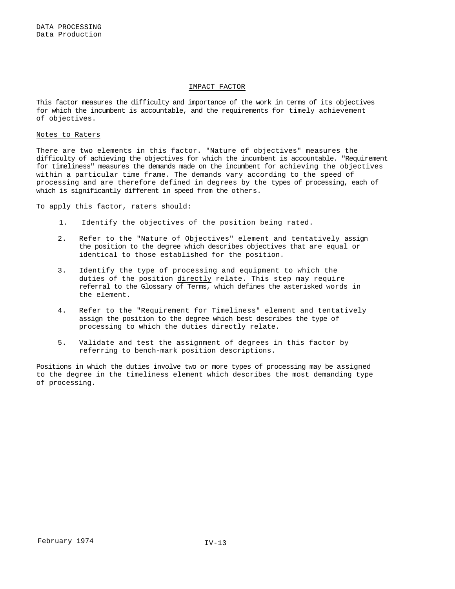### IMPACT FACTOR

This factor measures the difficulty and importance of the work in terms of its objectives for which the incumbent is accountable, and the requirements for timely achievement of objectives.

### Notes to Raters

There are two elements in this factor. "Nature of objectives" measures the difficulty of achieving the objectives for which the incumbent is accountable. "Requirement for timeliness" measures the demands made on the incumbent for achieving the objectives within a particular time frame. The demands vary according to the speed of processing and are therefore defined in degrees by the types of processing, each of which is significantly different in speed from the others.

To apply this factor, raters should:

- 1. Identify the objectives of the position being rated.
- 2. Refer to the "Nature of Objectives" element and tentatively assign the position to the degree which describes objectives that are equal or identical to those established for the position.
- 3. Identify the type of processing and equipment to which the duties of the position directly relate. This step may require referral to the Glossary of Terms, which defines the asterisked words in the element.
- 4. Refer to the "Requirement for Timeliness" element and tentatively assign the position to the degree which best describes the type of processing to which the duties directly relate.
- 5. Validate and test the assignment of degrees in this factor by referring to bench-mark position descriptions.

Positions in which the duties involve two or more types of processing may be assigned to the degree in the timeliness element which describes the most demanding type of processing.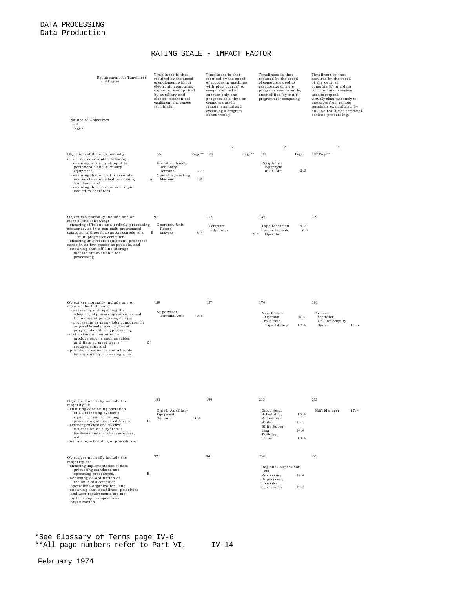# RATING SCALE - IMPACT FACTOR

| Requirement for Timeliness<br>and Degree                                                                                                                                                                                                                                                                                                                                                                                                                                                 | Timeliness is that<br>required by the speed<br>of equipment without<br>electronic computing<br>capacity, exemplified<br>by auxiliary and<br>electro-mechanical<br>equipment and remote<br>terminals. | Timeliness is that<br>required by the speed<br>of accounting machines<br>with plug boards* or<br>computers used to<br>execute only one<br>program at a time or<br>computers used a<br>remote terminal and<br>executing a program<br>concurrently. | Timeliness is that<br>required by the speed<br>of computers used to<br>execute two or more<br>programs concurrently,<br>exemplified by multi-<br>programmed* computing. | Timeliness is that<br>required by the speed<br>of the central<br>computer(s) in a data<br>communications system<br>used to respond<br>virtually simultaneously to<br>messages from remote<br>terminals exemplified by<br>on-line real-time* communi-<br>cations processing. |
|------------------------------------------------------------------------------------------------------------------------------------------------------------------------------------------------------------------------------------------------------------------------------------------------------------------------------------------------------------------------------------------------------------------------------------------------------------------------------------------|------------------------------------------------------------------------------------------------------------------------------------------------------------------------------------------------------|---------------------------------------------------------------------------------------------------------------------------------------------------------------------------------------------------------------------------------------------------|-------------------------------------------------------------------------------------------------------------------------------------------------------------------------|-----------------------------------------------------------------------------------------------------------------------------------------------------------------------------------------------------------------------------------------------------------------------------|
| Nature of Objectives<br>and<br>Degree                                                                                                                                                                                                                                                                                                                                                                                                                                                    |                                                                                                                                                                                                      |                                                                                                                                                                                                                                                   |                                                                                                                                                                         |                                                                                                                                                                                                                                                                             |
| Objectives of the work normally                                                                                                                                                                                                                                                                                                                                                                                                                                                          | Page**<br>55                                                                                                                                                                                         | $\,2\,$<br>Page**<br>73                                                                                                                                                                                                                           | 3<br>90<br>Page-                                                                                                                                                        | $\overline{4}$<br>107 Page**                                                                                                                                                                                                                                                |
| include one or more of the following:<br>- ensuring a curacy of input to<br>peripheral* and auxiliary<br>equipment,<br>- ensuring that output is accurate<br>and meets established processing<br>standards, and<br>- ensuring the correctness of input<br>issued to operators.                                                                                                                                                                                                           | Operator. Remote<br>Job Entry<br>Terminal<br>3.3<br>Operator, Sorting<br>Machine<br>1.2<br>A                                                                                                         |                                                                                                                                                                                                                                                   | Peripheral<br>Equipment<br>2.3<br>operator                                                                                                                              |                                                                                                                                                                                                                                                                             |
| Objectives normally include one or<br>more of the following:                                                                                                                                                                                                                                                                                                                                                                                                                             | 97                                                                                                                                                                                                   | 115                                                                                                                                                                                                                                               | 132                                                                                                                                                                     | 149                                                                                                                                                                                                                                                                         |
| - ensuring efficient and orderly processing<br>sequence, as in a non-multi-programmed<br>computer, or through a support console to a<br>multi-progressed computer,<br>- ensuring unit record equipment processes<br>cards in as few passes as possible, and<br>- ensuring that off-line storage<br>media* are available for<br>processing.                                                                                                                                               | Operator, Unit<br>Record<br>B<br>Machine<br>5.3                                                                                                                                                      | Computer<br>Operator.                                                                                                                                                                                                                             | Tape Librarian<br>4.3<br>Junior Console<br>7.3<br>6.4<br>Operator                                                                                                       |                                                                                                                                                                                                                                                                             |
|                                                                                                                                                                                                                                                                                                                                                                                                                                                                                          |                                                                                                                                                                                                      |                                                                                                                                                                                                                                                   |                                                                                                                                                                         |                                                                                                                                                                                                                                                                             |
| Objectives normally include one or<br>more of the following:<br>- assessing and reporting the<br>adequacy of processing resources and<br>the nature of processing delays,<br>- processing as many jobs concurrently<br>as possible and preventing loss of<br>program data during processing,<br>-instructing a computer to<br>produce reports such as tables<br>and lists to meet users'*<br>requirements, and<br>- providing a sequence and schedule<br>for organizing processing work. | 139<br>Supervisor,<br>Terminal Unit<br>9.5<br>$\mathbf C$                                                                                                                                            | 157                                                                                                                                                                                                                                               | 174<br>Main Console<br>8.3<br>Operator.<br>Group Head,<br>Tape Library<br>10.4                                                                                          | 191<br>Computer<br>controller,<br>On-line Enquiry<br>System<br>11.5                                                                                                                                                                                                         |
| Objectives normally include the                                                                                                                                                                                                                                                                                                                                                                                                                                                          | 181                                                                                                                                                                                                  | 199                                                                                                                                                                                                                                               | 216                                                                                                                                                                     | 233                                                                                                                                                                                                                                                                         |
| majority of:<br>- ensuring continuing operation<br>of a Processing system's<br>equipment and continuing<br>processing at required levels,<br>- achieving efficient and effective<br>utilization of a system's<br>hardware and/or ocher resources,<br>and<br>- improving scheduling or procedures.                                                                                                                                                                                        | Chief, Auxiliary<br>Equipment<br>Section<br>16.4<br>D                                                                                                                                                |                                                                                                                                                                                                                                                   | Group Head,<br>Scheduling<br>15.4<br>Procedures<br>Writer<br>12.3<br>Shift Super<br>14.4<br>visor<br>Training<br>Officer<br>13.4                                        | Shift Manager<br>17.4                                                                                                                                                                                                                                                       |
| Objectives normally include the<br>majority of:<br>- ensuring implementation of data<br>processing standards and<br>operating procedures,<br>- achieving co-ordination of<br>the units of a computer<br>operations organization, and<br>- ensuring that deadlines, priorities<br>and user requirements are met<br>by the computer operations<br>organization.                                                                                                                            | 223<br>$\mathbf E$                                                                                                                                                                                   | 241                                                                                                                                                                                                                                               | 258<br>Regional Supervisor,<br>Data<br>Processing<br>18.4<br>Supervisor,<br>Computer<br>19.4<br>Operations                                                              | 275                                                                                                                                                                                                                                                                         |

\*See Glossary of Terms page IV-6 \*\*All page numbers refer to Part VI. IV-14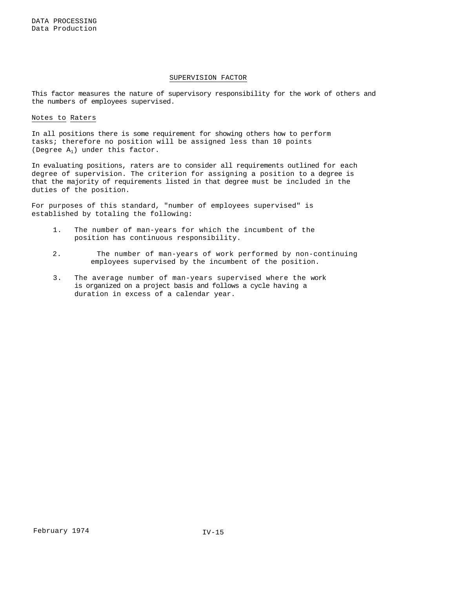### SUPERVISION FACTOR

This factor measures the nature of supervisory responsibility for the work of others and the numbers of employees supervised.

# Notes to Raters

In all positions there is some requirement for showing others how to perform tasks; therefore no position will be assigned less than 10 points (Degree  $A_1$ ) under this factor.

In evaluating positions, raters are to consider all requirements outlined for each degree of supervision. The criterion for assigning a position to a degree is that the majority of requirements listed in that degree must be included in the duties of the position.

For purposes of this standard, "number of employees supervised" is established by totaling the following:

- 1. The number of man-years for which the incumbent of the position has continuous responsibility.
- 2. The number of man-years of work performed by non-continuing employees supervised by the incumbent of the position.
- 3. The average number of man-years supervised where the work is organized on a project basis and follows a cycle having a duration in excess of a calendar year.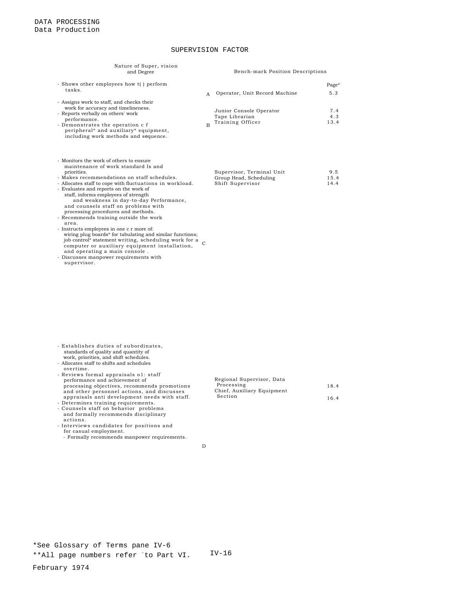# SUPERVISION FACTOR

|              | Bench-mark Position Descriptions                                        |                     |
|--------------|-------------------------------------------------------------------------|---------------------|
| $\mathsf{A}$ | Operator, Unit Record Machine                                           | $Page^*$<br>5.3     |
| $\mathbf{B}$ | Junior Console Operator<br>Tape Librarian<br>Training Officer           | 7.4<br>4.3<br>13.4  |
|              | Supervisor, Terminal Unit<br>Group Head, Scheduling<br>Shift Supervisor | 9.5<br>15.4<br>14.4 |
|              |                                                                         |                     |

| - Establishes duties of subordinates,<br>standards of quality and quantity of<br>work, priorities, and shift schedules.<br>- Allocates staff to shifts and schedules<br>overtime.<br>- Reviews formal appraisals ol: staff<br>performance and achievement of<br>processing objectives, recommends promotions<br>and other personnel actions, and discusses<br>appraisals anti development needs with staff.<br>- Determines training requirements.<br>- Counsels staff on behavior problems<br>and formally recommends disciplinary<br>actions.<br>- Interviews candidates for positions and<br>for casual employment | Regional Supervisor, Data<br>Processing<br>Chief, Auxiliary Equipment<br>Section | 18.4<br>16.4 |
|-----------------------------------------------------------------------------------------------------------------------------------------------------------------------------------------------------------------------------------------------------------------------------------------------------------------------------------------------------------------------------------------------------------------------------------------------------------------------------------------------------------------------------------------------------------------------------------------------------------------------|----------------------------------------------------------------------------------|--------------|
|-----------------------------------------------------------------------------------------------------------------------------------------------------------------------------------------------------------------------------------------------------------------------------------------------------------------------------------------------------------------------------------------------------------------------------------------------------------------------------------------------------------------------------------------------------------------------------------------------------------------------|----------------------------------------------------------------------------------|--------------|

for casual employment. - Formally recommends manpower requirements.

 $\,$  D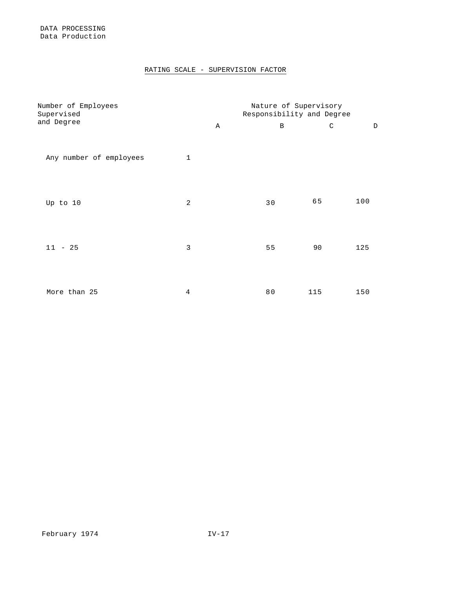# RATING SCALE - SUPERVISION FACTOR

| Number of Employees<br>Supervised |                | Nature of Supervisory<br>Responsibility and Degree |              |             |             |
|-----------------------------------|----------------|----------------------------------------------------|--------------|-------------|-------------|
| and Degree                        |                | $\mathbb A$                                        | $\, {\bf B}$ | $\mathsf C$ | $\mathbb D$ |
| Any number of employees           | 1              |                                                    |              |             |             |
| Up to 10                          | 2              |                                                    | 30           | 65          | 100         |
| $11 - 25$                         | $\mathbf{3}$   |                                                    | 55           | 90          | 125         |
| More than 25                      | $\overline{4}$ |                                                    | 80           | 115         | 150         |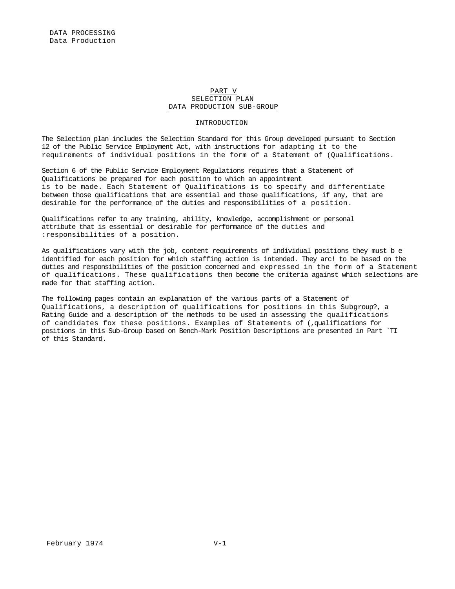### PART V SELECTION PLAN DATA PRODUCTION SUB-GROUP

### INTRODUCTION

The Selection plan includes the Selection Standard for this Group developed pursuant to Section 12 of the Public Service Employment Act, with instructions for adapting it to the requirements of individual positions in the form of a Statement of (Qualifications.

Section 6 of the Public Service Employment Regulations requires that a Statement of Qualifications be prepared for each position to which an appointment is to be made. Each Statement of Qualifications is to specify and differentiate between those qualifications that are essential and those qualifications, if any, that are desirable for the performance of the duties and responsibilities of a position.

Qualifications refer to any training, ability, knowledge, accomplishment or personal attribute that is essential or desirable for performance of the duties and :responsibilities of a position.

As qualifications vary with the job, content requirements of individual positions they must b e identified for each position for which staffing action is intended. They arc! to be based on the duties and responsibilities of the position concerned and expressed in the form of a Statement of qualifications. These qualifications then become the criteria against which selections are made for that staffing action.

The following pages contain an explanation of the various parts of a Statement of Qualifications, a description of qualifications for positions in this Subgroup?, a Rating Guide and a description of the methods to be used in assessing the qualifications of candidates fox these positions. Examples of Statements of (,qualifications for positions in this Sub-Group based on Bench-Mark Position Descriptions are presented in Part `TI of this Standard.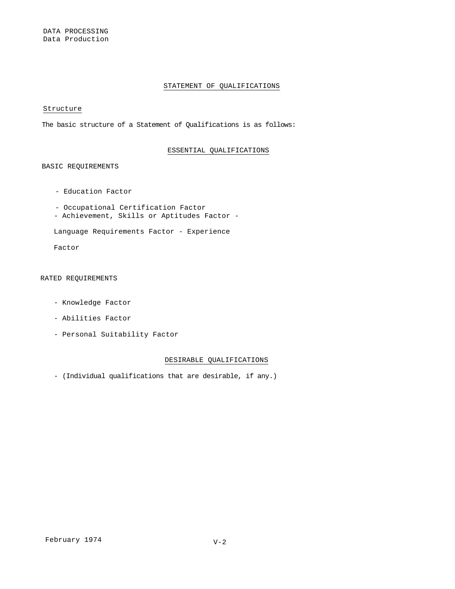DATA PROCESSING Data Production

# STATEMENT OF QUALIFICATIONS

### Structure

The basic structure of a Statement of Qualifications is as follows:

# ESSENTIAL QUALIFICATIONS

BASIC REQUIREMENTS

- Education Factor
- Occupational Certification Factor
- Achievement, Skills or Aptitudes Factor -

Language Requirements Factor - Experience

Factor

# RATED REQUIREMENTS

- Knowledge Factor
- Abilities Factor
- Personal Suitability Factor

# DESIRABLE QUALIFICATIONS

- (Individual qualifications that are desirable, if any.)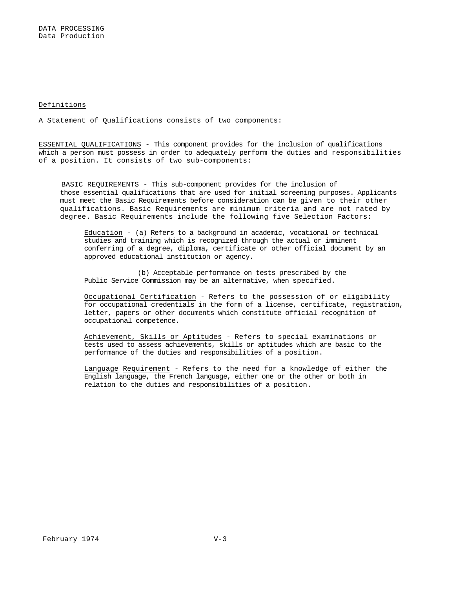### Definitions

A Statement of Qualifications consists of two components:

ESSENTIAL QUALIFICATIONS - This component provides for the inclusion of qualifications which a person must possess in order to adequately perform the duties and responsibilities of a position. It consists of two sub-components:

BASIC REQUIREMENTS - This sub-component provides for the inclusion of those essential qualifications that are used for initial screening purposes. Applicants must meet the Basic Requirements before consideration can be given to their other qualifications. Basic Requirements are minimum criteria and are not rated by degree. Basic Requirements include the following five Selection Factors:

Education - (a) Refers to a background in academic, vocational or technical studies and training which is recognized through the actual or imminent conferring of a degree, diploma, certificate or other official document by an approved educational institution or agency.

(b) Acceptable performance on tests prescribed by the Public Service Commission may be an alternative, when specified.

Occupational Certification - Refers to the possession of or eligibility for occupational credentials in the form of a license, certificate, registration, letter, papers or other documents which constitute official recognition of occupational competence.

Achievement, Skills or Aptitudes - Refers to special examinations or tests used to assess achievements, skills or aptitudes which are basic to the performance of the duties and responsibilities of a position.

Language Requirement - Refers to the need for a knowledge of either the English language, the French language, either one or the other or both in relation to the duties and responsibilities of a position.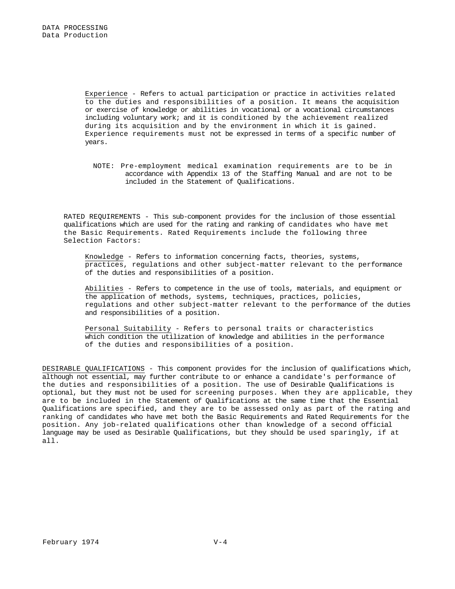Experience - Refers to actual participation or practice in activities related to the duties and responsibilities of a position. It means the acquisition or exercise of knowledge or abilities in vocational or a vocational circumstances including voluntary work; and it is conditioned by the achievement realized during its acquisition and by the environment in which it is gained. Experience requirements must not be expressed in terms of a specific number of years.

NOTE: Pre-employment medical examination requirements are to be in accordance with Appendix 13 of the Staffing Manual and are not to be included in the Statement of Qualifications.

RATED REQUIREMENTS - This sub-component provides for the inclusion of those essential qualifications which are used for the rating and ranking of candidates who have met the Basic Requirements. Rated Requirements include the following three Selection Factors:

Knowledge - Refers to information concerning facts, theories, systems, practices, regulations and other subject-matter relevant to the performance of the duties and responsibilities of a position.

Abilities - Refers to competence in the use of tools, materials, and equipment or the application of methods, systems, techniques, practices, policies, regulations and other subject-matter relevant to the performance of the duties and responsibilities of a position.

Personal Suitability - Refers to personal traits or characteristics which condition the utilization of knowledge and abilities in the performance of the duties and responsibilities of a position.

DESIRABLE QUALIFICATIONS - This component provides for the inclusion of qualifications which, although not essential, may further contribute to or enhance a candidate's performance of the duties and responsibilities of a position. The use of Desirable Qualifications is optional, but they must not be used for screening purposes. When they are applicable, they are to be included in the Statement of Qualifications at the same time that the Essential Qualifications are specified, and they are to be assessed only as part of the rating and ranking of candidates who have met both the Basic Requirements and Rated Requirements for the position. Any job-related qualifications other than knowledge of a second official language may be used as Desirable Qualifications, but they should be used sparingly, if at all.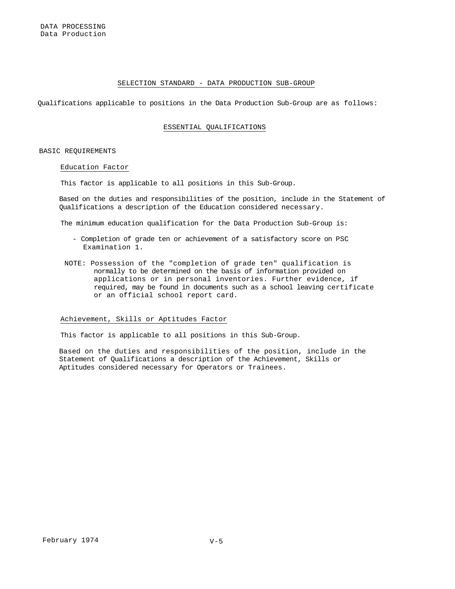# SELECTION STANDARD - DATA PRODUCTION SUB-GROUP

Qualifications applicable to positions in the Data Production Sub-Group are as follows:

### ESSENTIAL QUALIFICATIONS

### BASIC REQUIREMENTS

# Education Factor

This factor is applicable to all positions in this Sub-Group.

Based on the duties and responsibilities of the position, include in the Statement of Qualifications a description of the Education considered necessary.

The minimum education qualification for the Data Production Sub-Group is:

- Completion of grade ten or achievement of a satisfactory score on PSC Examination 1.
- NOTE: Possession of the "completion of grade ten" qualification is normally to be determined on the basis of information provided on applications or in personal inventories. Further evidence, if required, may be found in documents such as a school leaving certificate or an official school report card.

### Achievement, Skills or Aptitudes Factor

This factor is applicable to all positions in this Sub-Group.

Based on the duties and responsibilities of the position, include in the Statement of Qualifications a description of the Achievement, Skills or Aptitudes considered necessary for Operators or Trainees.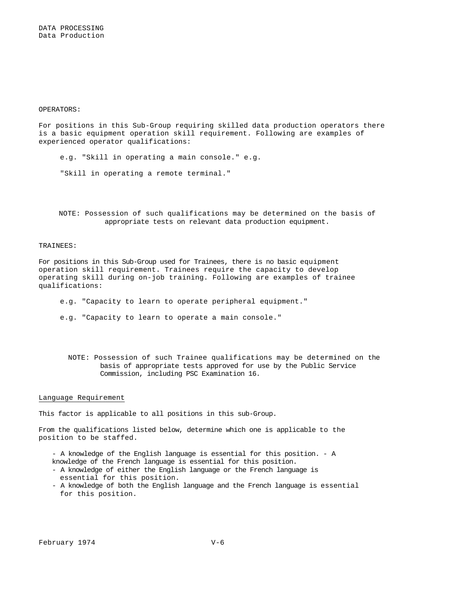### OPERATORS:

For positions in this Sub-Group requiring skilled data production operators there is a basic equipment operation skill requirement. Following are examples of experienced operator qualifications:

e.g. "Skill in operating a main console." e.g.

"Skill in operating a remote terminal."

NOTE: Possession of such qualifications may be determined on the basis of appropriate tests on relevant data production equipment.

### TRAINEES:

For positions in this Sub-Group used for Trainees, there is no basic equipment operation skill requirement. Trainees require the capacity to develop operating skill during on-job training. Following are examples of trainee qualifications:

- e.g. "Capacity to learn to operate peripheral equipment."
- e.g. "Capacity to learn to operate a main console."
	- NOTE: Possession of such Trainee qualifications may be determined on the basis of appropriate tests approved for use by the Public Service Commission, including PSC Examination 16.

### Language Requirement

This factor is applicable to all positions in this sub-Group.

From the qualifications listed below, determine which one is applicable to the position to be staffed.

- A knowledge of the English language is essential for this position. A knowledge of the French language is essential for this position.
- A knowledge of either the English language or the French language is essential for this position.
- A knowledge of both the English language and the French language is essential for this position.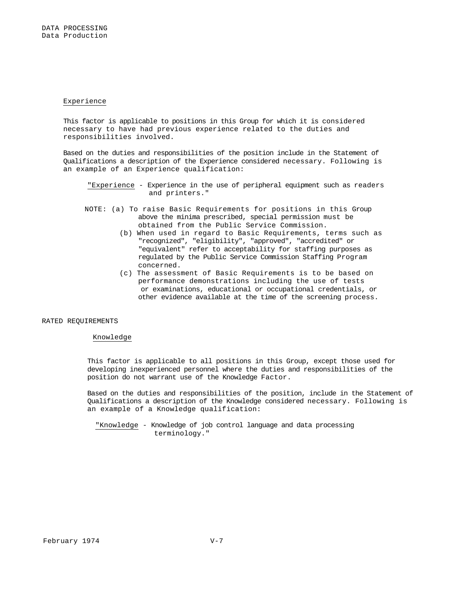### Experience

This factor is applicable to positions in this Group for which it is considered necessary to have had previous experience related to the duties and responsibilities involved.

Based on the duties and responsibilities of the position include in the Statement of Qualifications a description of the Experience considered necessary. Following is an example of an Experience qualification:

- "Experience Experience in the use of peripheral equipment such as readers and printers."
- NOTE: (a) To raise Basic Requirements for positions in this Group above the minima prescribed, special permission must be obtained from the Public Service Commission.
	- (b) When used in regard to Basic Requirements, terms such as "recognized", "eligibility", "approved", "accredited" or "equivalent" refer to acceptability for staffing purposes as regulated by the Public Service Commission Staffing Program concerned.
	- (c) The assessment of Basic Requirements is to be based on performance demonstrations including the use of tests or examinations, educational or occupational credentials, or other evidence available at the time of the screening process.

### RATED REQUIREMENTS

### Knowledge

This factor is applicable to all positions in this Group, except those used for developing inexperienced personnel where the duties and responsibilities of the position do not warrant use of the Knowledge Factor.

Based on the duties and responsibilities of the position, include in the Statement of Qualifications a description of the Knowledge considered necessary. Following is an example of a Knowledge qualification:

"Knowledge - Knowledge of job control language and data processing terminology."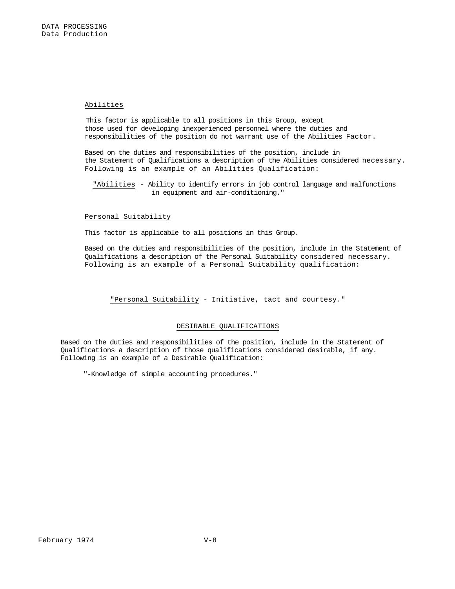### Abilities

This factor is applicable to all positions in this Group, except those used for developing inexperienced personnel where the duties and responsibilities of the position do not warrant use of the Abilities Factor.

Based on the duties and responsibilities of the position, include in the Statement of Qualifications a description of the Abilities considered necessary. Following is an example of an Abilities Qualification:

"Abilities - Ability to identify errors in job control language and malfunctions in equipment and air-conditioning."

# Personal Suitability

This factor is applicable to all positions in this Group.

Based on the duties and responsibilities of the position, include in the Statement of Qualifications a description of the Personal Suitability considered necessary. Following is an example of a Personal Suitability qualification:

"Personal Suitability - Initiative, tact and courtesy."

### DESIRABLE QUALIFICATIONS

Based on the duties and responsibilities of the position, include in the Statement of Qualifications a description of those qualifications considered desirable, if any. Following is an example of a Desirable Qualification:

"-Knowledge of simple accounting procedures."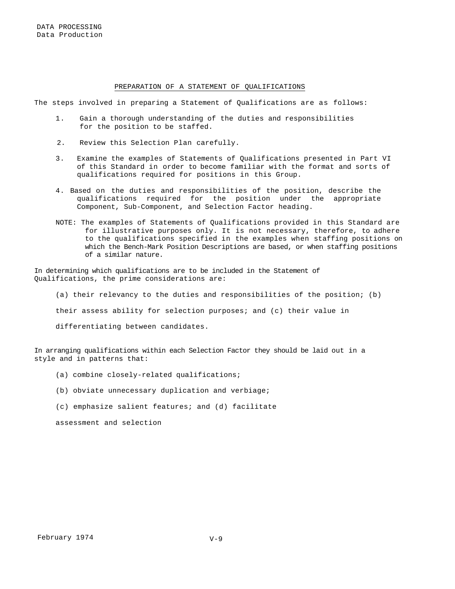### PREPARATION OF A STATEMENT OF QUALIFICATIONS

The steps involved in preparing a Statement of Qualifications are as follows:

- 1. Gain a thorough understanding of the duties and responsibilities for the position to be staffed.
- 2. Review this Selection Plan carefully.
- 3. Examine the examples of Statements of Qualifications presented in Part VI of this Standard in order to become familiar with the format and sorts of qualifications required for positions in this Group.
- 4. Based on the duties and responsibilities of the position, describe the qualifications required for the position under the appropriate Component, Sub-Component, and Selection Factor heading.
- NOTE: The examples of Statements of Qualifications provided in this Standard are for illustrative purposes only. It is not necessary, therefore, to adhere to the qualifications specified in the examples when staffing positions on which the Bench-Mark Position Descriptions are based, or when staffing positions of a similar nature.

In determining which qualifications are to be included in the Statement of Qualifications, the prime considerations are:

(a) their relevancy to the duties and responsibilities of the position; (b)

their assess ability for selection purposes; and (c) their value in

differentiating between candidates.

In arranging qualifications within each Selection Factor they should be laid out in a style and in patterns that:

- (a) combine closely-related qualifications;
- (b) obviate unnecessary duplication and verbiage;
- (c) emphasize salient features; and (d) facilitate

assessment and selection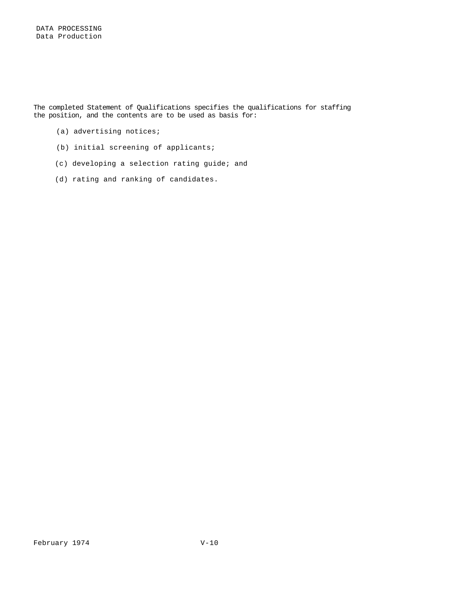The completed Statement of Qualifications specifies the qualifications for staffing the position, and the contents are to be used as basis for:

- (a) advertising notices;
- (b) initial screening of applicants;
- (c) developing a selection rating guide; and
- (d) rating and ranking of candidates.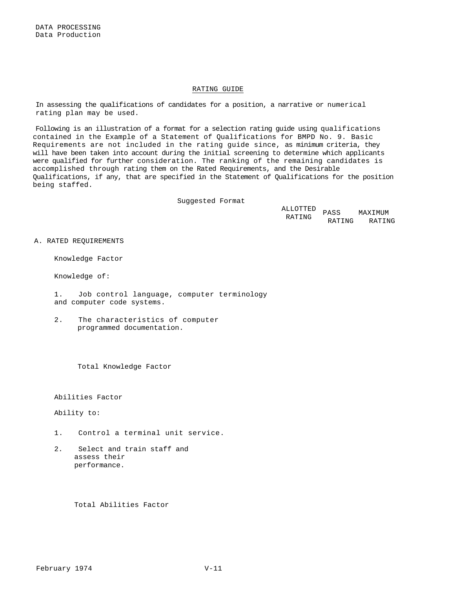### RATING GUIDE

In assessing the qualifications of candidates for a position, a narrative or numerical rating plan may be used.

Following is an illustration of a format for a selection rating guide using qualifications contained in the Example of a Statement of Qualifications for BMPD No. 9. Basic Requirements are not included in the rating guide since, as minimum criteria, they will have been taken into account during the initial screening to determine which applicants were qualified for further consideration. The ranking of the remaining candidates is accomplished through rating them on the Rated Requirements, and the Desirable Qualifications, if any, that are specified in the Statement of Qualifications for the position being staffed.

Suggested Format

ALLOTTED<br>
Interna PASS RATING RATING RATING MAXIMUM

### A. RATED REQUIREMENTS

Knowledge Factor

Knowledge of:

1. Job control language, computer terminology and computer code systems.

2. The characteristics of computer programmed documentation.

Total Knowledge Factor

Abilities Factor

Ability to:

- 1. Control a terminal unit service.
- 2. Select and train staff and assess their performance.

Total Abilities Factor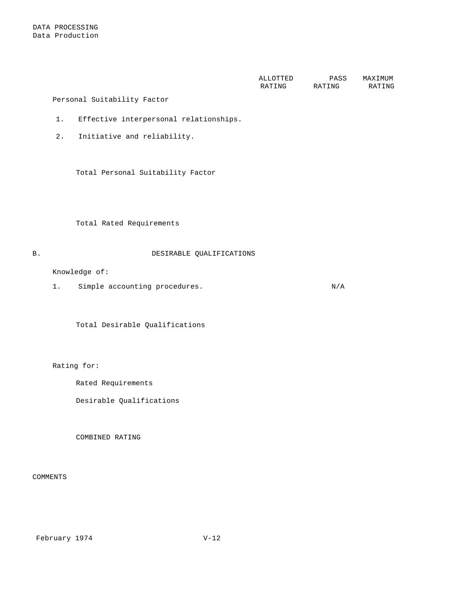DATA PROCESSING Data Production

| ALLOTTED | PASS   | MAXIMUM |
|----------|--------|---------|
| RATING   | RATING | RATING  |

### Personal Suitability Factor

1. Effective interpersonal relationships.

2. Initiative and reliability.

Total Personal Suitability Factor

Total Rated Requirements

# B. DESIRABLE QUALIFICATIONS

Knowledge of:

1. Simple accounting procedures. N/A

Total Desirable Qualifications

Rating for:

Rated Requirements

Desirable Qualifications

COMBINED RATING

### COMMENTS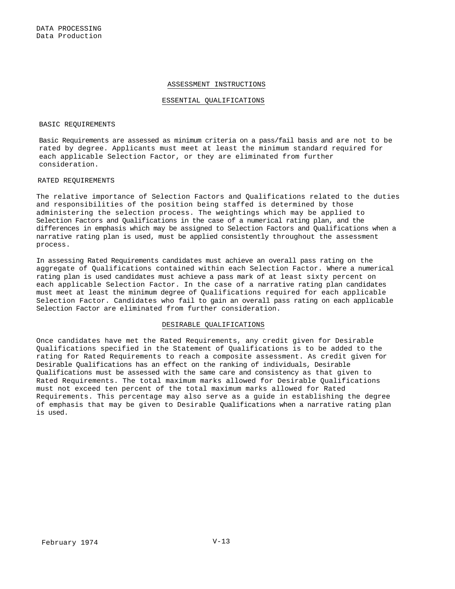### ASSESSMENT INSTRUCTIONS

# ESSENTIAL QUALIFICATIONS

### BASIC REQUIREMENTS

Basic Requirements are assessed as minimum criteria on a pass/fail basis and are not to be rated by degree. Applicants must meet at least the minimum standard required for each applicable Selection Factor, or they are eliminated from further consideration.

### RATED REQUIREMENTS

The relative importance of Selection Factors and Qualifications related to the duties and responsibilities of the position being staffed is determined by those administering the selection process. The weightings which may be applied to Selection Factors and Qualifications in the case of a numerical rating plan, and the differences in emphasis which may be assigned to Selection Factors and Qualifications when a narrative rating plan is used, must be applied consistently throughout the assessment process.

In assessing Rated Requirements candidates must achieve an overall pass rating on the aggregate of Qualifications contained within each Selection Factor. Where a numerical rating plan is used candidates must achieve a pass mark of at least sixty percent on each applicable Selection Factor. In the case of a narrative rating plan candidates must meet at least the minimum degree of Qualifications required for each applicable Selection Factor. Candidates who fail to gain an overall pass rating on each applicable Selection Factor are eliminated from further consideration.

### DESIRABLE QUALIFICATIONS

Once candidates have met the Rated Requirements, any credit given for Desirable Qualifications specified in the Statement of Qualifications is to be added to the rating for Rated Requirements to reach a composite assessment. As credit given for Desirable Qualifications has an effect on the ranking of individuals, Desirable Qualifications must be assessed with the same care and consistency as that given to Rated Requirements. The total maximum marks allowed for Desirable Qualifications must not exceed ten percent of the total maximum marks allowed for Rated Requirements. This percentage may also serve as a guide in establishing the degree of emphasis that may be given to Desirable Qualifications when a narrative rating plan is used.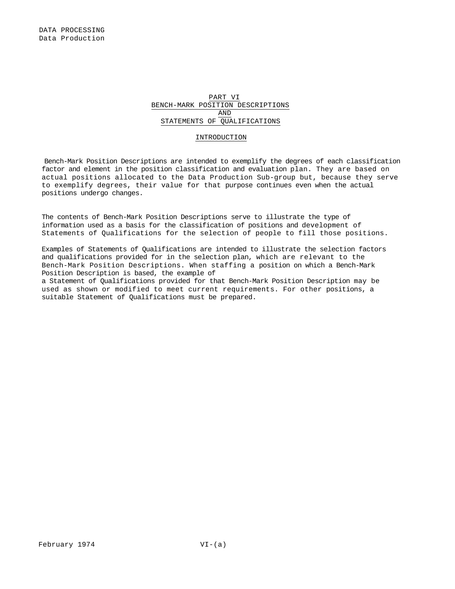# PART VI BENCH-MARK POSITION DESCRIPTIONS AND STATEMENTS OF QUALIFICATIONS

### INTRODUCTION

Bench-Mark Position Descriptions are intended to exemplify the degrees of each classification factor and element in the position classification and evaluation plan. They are based on actual positions allocated to the Data Production Sub-group but, because they serve to exemplify degrees, their value for that purpose continues even when the actual positions undergo changes.

The contents of Bench-Mark Position Descriptions serve to illustrate the type of information used as a basis for the classification of positions and development of Statements of Qualifications for the selection of people to fill those positions.

Examples of Statements of Qualifications are intended to illustrate the selection factors and qualifications provided for in the selection plan, which are relevant to the Bench-Mark Position Descriptions. When staffing a position on which a Bench-Mark Position Description is based, the example of

a Statement of Qualifications provided for that Bench-Mark Position Description may be used as shown or modified to meet current requirements. For other positions, a suitable Statement of Qualifications must be prepared.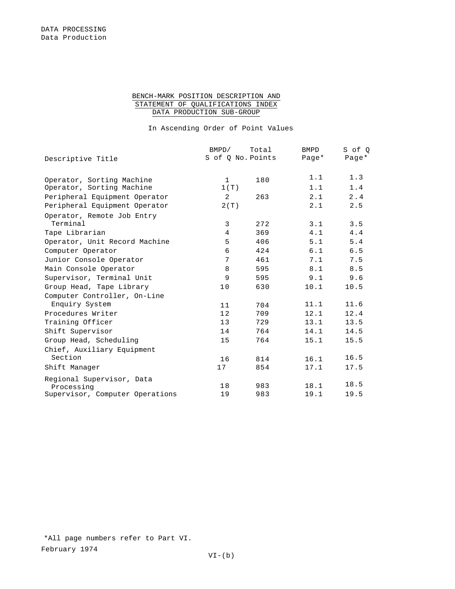# BENCH-MARK POSITION DESCRIPTION AND STATEMENT OF QUALIFICATIONS INDEX DATA PRODUCTION SUB-GROUP

In Ascending Order of Point Values

|                                 | BMPD/          | Total             | <b>BMPD</b> | S of Q  |
|---------------------------------|----------------|-------------------|-------------|---------|
| Descriptive Title               |                | S of Q No. Points | $Page*$     | $Page*$ |
| Operator, Sorting Machine       | $\mathbf{1}$   | 180               | 1.1         | 1.3     |
| Operator, Sorting Machine       | 1(T)           |                   | 1.1         | 1.4     |
| Peripheral Equipment Operator   | 2              | 263               | 2.1         | 2.4     |
| Peripheral Equipment Operator   | 2(T)           |                   | 2.1         | 2.5     |
| Operator, Remote Job Entry      |                |                   |             |         |
| Terminal                        | 3              | 272               | 3.1         | 3.5     |
| Tape Librarian                  | $\overline{4}$ | 369               | 4.1         | 4.4     |
| Operator, Unit Record Machine   | 5              | 406               | 5.1         | 5.4     |
| Computer Operator               | 6              | 424               | 6.1         | 6.5     |
| Junior Console Operator         | 7              | 461               | 7.1         | 7.5     |
| Main Console Operator           | 8              | 595               | 8.1         | 8.5     |
| Supervisor, Terminal Unit       | 9              | 595               | 9.1         | 9.6     |
| Group Head, Tape Library        | 10             | 630               | 10.1        | 10.5    |
| Computer Controller, On-Line    |                |                   |             |         |
| Enquiry System                  | 11             | 704               | 11.1        | 11.6    |
| Procedures Writer               | 12             | 709               | 12.1        | 12.4    |
| Training Officer                | 13             | 729               | 13.1        | 13.5    |
| Shift Supervisor                | 14             | 764               | 14.1        | 14.5    |
| Group Head, Scheduling          | 15             | 764               | 15.1        | 15.5    |
| Chief, Auxiliary Equipment      |                |                   |             |         |
| Section                         | 16             | 814               | 16.1        | 16.5    |
| Shift Manager                   | 17             | 854               | 17.1        | 17.5    |
| Regional Supervisor, Data       |                |                   |             | 18.5    |
| Processing                      | 18             | 983               | 18.1        |         |
| Supervisor, Computer Operations | 19             | 983               | 19.1        | 19.5    |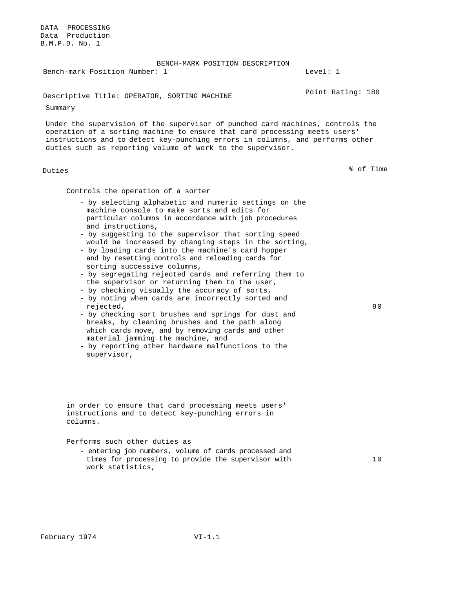DATA PROCESSING Data Production B.M.P.D. No. 1

### BENCH-MARK POSITION DESCRIPTION

Bench-mark Position Number: 1 Level: 1

# Descriptive Title: OPERATOR, SORTING MACHINE Point Rating: 180

### Summary

Under the supervision of the supervisor of punched card machines, controls the operation of a sorting machine to ensure that card processing meets users' instructions and to detect key-punching errors in columns, and performs other duties such as reporting volume of work to the supervisor.

Duties % of Time

### Controls the operation of a sorter

- by selecting alphabetic and numeric settings on the machine console to make sorts and edits for particular columns in accordance with job procedures and instructions,
- by suggesting to the supervisor that sorting speed would be increased by changing steps in the sorting,
- by loading cards into the machine's card hopper and by resetting controls and reloading cards for sorting successive columns,
- by segregating rejected cards and referring them to the supervisor or returning them to the user,
- by checking visually the accuracy of sorts,
- by noting when cards are incorrectly sorted and rejected,
- by checking sort brushes and springs for dust and breaks, by cleaning brushes and the path along which cards move, and by removing cards and other material jamming the machine, and
- by reporting other hardware malfunctions to the supervisor,

in order to ensure that card processing meets users' instructions and to detect key-punching errors in columns.

Performs such other duties as

- entering job numbers, volume of cards processed and times for processing to provide the supervisor with work statistics,

10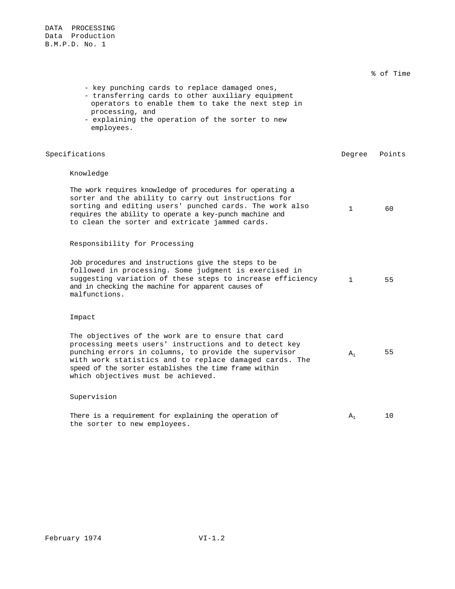# DATA PROCESSING Data Production B.M.P.D. No. 1

% of Time

| - key punching cards to replace damaged ones,<br>- transferring cards to other auxiliary equipment<br>operators to enable them to take the next step in<br>processing, and<br>- explaining the operation of the sorter to new<br>employees.                                                                                    |              |        |
|--------------------------------------------------------------------------------------------------------------------------------------------------------------------------------------------------------------------------------------------------------------------------------------------------------------------------------|--------------|--------|
| Specifications                                                                                                                                                                                                                                                                                                                 | Degree       | Points |
| Knowledge                                                                                                                                                                                                                                                                                                                      |              |        |
| The work requires knowledge of procedures for operating a<br>sorter and the ability to carry out instructions for<br>sorting and editing users' punched cards. The work also<br>requires the ability to operate a key-punch machine and<br>to clean the sorter and extricate jammed cards.                                     | $\mathbf{1}$ | 60     |
| Responsibility for Processing                                                                                                                                                                                                                                                                                                  |              |        |
| Job procedures and instructions give the steps to be<br>followed in processing. Some judgment is exercised in<br>suggesting variation of these steps to increase efficiency<br>and in checking the machine for apparent causes of<br>malfunctions.                                                                             | $\mathbf{1}$ | 55     |
| Impact                                                                                                                                                                                                                                                                                                                         |              |        |
| The objectives of the work are to ensure that card<br>processing meets users' instructions and to detect key<br>punching errors in columns, to provide the supervisor<br>with work statistics and to replace damaged cards. The<br>speed of the sorter establishes the time frame within<br>which objectives must be achieved. | $A_1$        | 55     |
| Supervision                                                                                                                                                                                                                                                                                                                    |              |        |
| There is a requirement for explaining the operation of<br>the sorter to new employees.                                                                                                                                                                                                                                         | $A_1$        | 10     |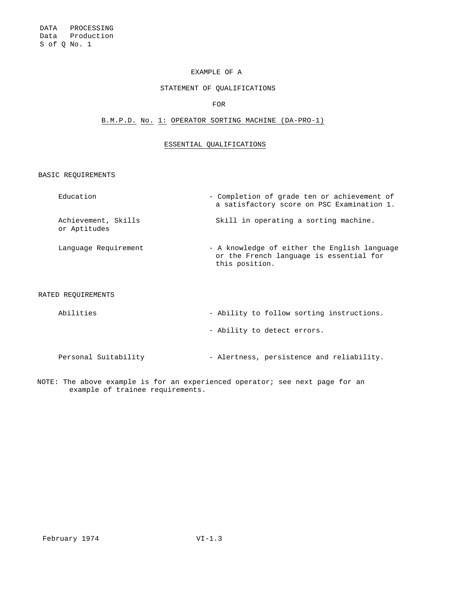# EXAMPLE OF A

# STATEMENT OF QUALIFICATIONS

FOR

# B.M.P.D. No. 1: OPERATOR SORTING MACHINE (DA-PRO-1)

### ESSENTIAL QUALIFICATIONS

BASIC REQUIREMENTS

| Education                           | - Completion of grade ten or achievement of<br>a satisfactory score on PSC Examination 1.                 |
|-------------------------------------|-----------------------------------------------------------------------------------------------------------|
| Achievement, Skills<br>or Aptitudes | Skill in operating a sorting machine.                                                                     |
| Language Requirement                | - A knowledge of either the English language<br>or the French language is essential for<br>this position. |
| RATED REOUIREMENTS                  |                                                                                                           |
| Abilities                           | - Ability to follow sorting instructions.                                                                 |
|                                     | - Ability to detect errors.                                                                               |

Personal Suitability - Alertness, persistence and reliability.

NOTE: The above example is for an experienced operator; see next page for an example of trainee requirements.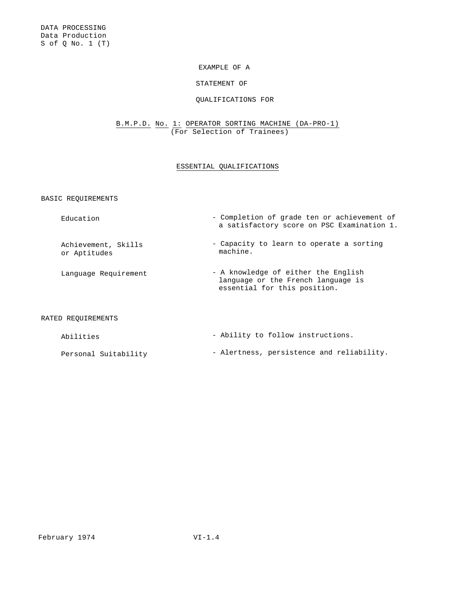### EXAMPLE OF A

### STATEMENT OF

### QUALIFICATIONS FOR

# B.M.P.D. No. 1: OPERATOR SORTING MACHINE (DA-PRO-1) (For Selection of Trainees)

### ESSENTIAL QUALIFICATIONS

BASIC REQUIREMENTS

- Education **Education** Completion of grade ten or achievement of a satisfactory score on PSC Examination 1.
- Achievement, Skills or Aptitudes - Capacity to learn to operate a sorting machine.
- Language Requirement A knowledge of either the English language or the French language is essential for this position.

### RATED REQUIREMENTS

| Abilities            | - Ability to follow instructions.         |
|----------------------|-------------------------------------------|
| Personal Suitability | - Alertness, persistence and reliability. |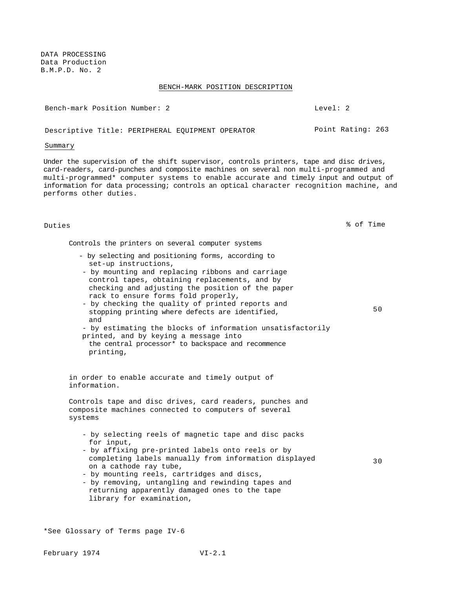DATA PROCESSING Data Production B.M.P.D. No. 2

### BENCH-MARK POSITION DESCRIPTION

Bench-mark Position Number: 2 Level: 2

# Descriptive Title: PERIPHERAL EQUIPMENT OPERATOR Point Rating: 263

Summary

Under the supervision of the shift supervisor, controls printers, tape and disc drives, card-readers, card-punches and composite machines on several non multi-programmed and multi-programmed\* computer systems to enable accurate and timely input and output of information for data processing; controls an optical character recognition machine, and performs other duties.

Duties % of Time

50

Controls the printers on several computer systems

- by selecting and positioning forms, according to set-up instructions,
- by mounting and replacing ribbons and carriage control tapes, obtaining replacements, and by checking and adjusting the position of the paper rack to ensure forms fold properly,
- by checking the quality of printed reports and stopping printing where defects are identified, and
- by estimating the blocks of information unsatisfactorily printed, and by keying a message into the central processor\* to backspace and recommence printing,

in order to enable accurate and timely output of information.

Controls tape and disc drives, card readers, punches and composite machines connected to computers of several systems

- by selecting reels of magnetic tape and disc packs for input,
- by affixing pre-printed labels onto reels or by completing labels manually from information displayed on a cathode ray tube,
- by mounting reels, cartridges and discs,
- by removing, untangling and rewinding tapes and returning apparently damaged ones to the tape library for examination,

\*See Glossary of Terms page IV-6

30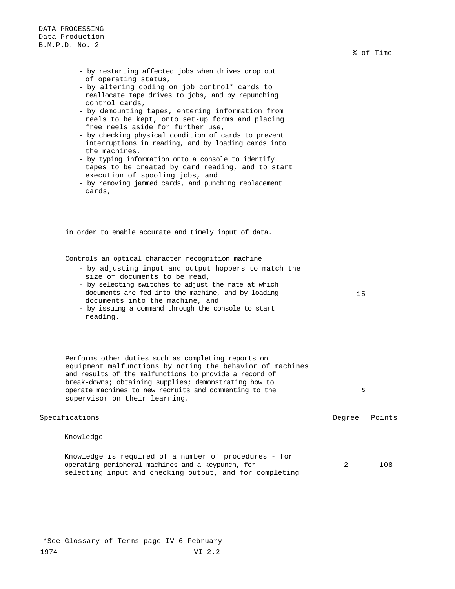15

5

- by restarting affected jobs when drives drop out of operating status,
- by altering coding on job control\* cards to reallocate tape drives to jobs, and by repunching control cards,
- by demounting tapes, entering information from reels to be kept, onto set-up forms and placing free reels aside for further use,
- by checking physical condition of cards to prevent interruptions in reading, and by loading cards into the machines,
- by typing information onto a console to identify tapes to be created by card reading, and to start execution of spooling jobs, and
- by removing jammed cards, and punching replacement cards,

in order to enable accurate and timely input of data.

Controls an optical character recognition machine

- by adjusting input and output hoppers to match the size of documents to be read,
- by selecting switches to adjust the rate at which documents are fed into the machine, and by loading documents into the machine, and
- by issuing a command through the console to start reading.

Performs other duties such as completing reports on equipment malfunctions by noting the behavior of machines and results of the malfunctions to provide a record of break-downs; obtaining supplies; demonstrating how to operate machines to new recruits and commenting to the supervisor on their learning.

| Specifications                                                                                                                                                        | Degree | Points |
|-----------------------------------------------------------------------------------------------------------------------------------------------------------------------|--------|--------|
| Knowledge                                                                                                                                                             |        |        |
| Knowledge is required of a number of procedures - for<br>operating peripheral machines and a keypunch, for<br>selecting input and checking output, and for completing |        | 108    |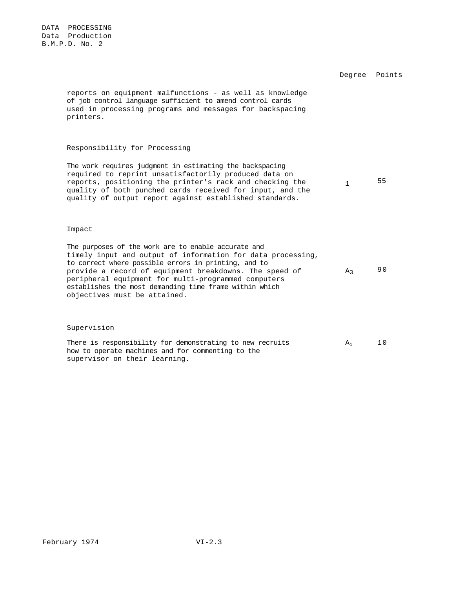Degree Points

reports on equipment malfunctions - as well as knowledge of job control language sufficient to amend control cards used in processing programs and messages for backspacing printers.

# Responsibility for Processing

The work requires judgment in estimating the backspacing required to reprint unsatisfactorily produced data on reports, positioning the printer's rack and checking the quality of both punched cards received for input, and the quality of output report against established standards. 1 55

### Impact

The purposes of the work are to enable accurate and timely input and output of information for data processing, to correct where possible errors in printing, and to provide a record of equipment breakdowns. The speed of peripheral equipment for multi-programmed computers establishes the most demanding time frame within which objectives must be attained. A3 90

Supervision

| There is responsibility for demonstrating to new recruits |  |
|-----------------------------------------------------------|--|
| how to operate machines and for commenting to the         |  |
| supervisor on their learning.                             |  |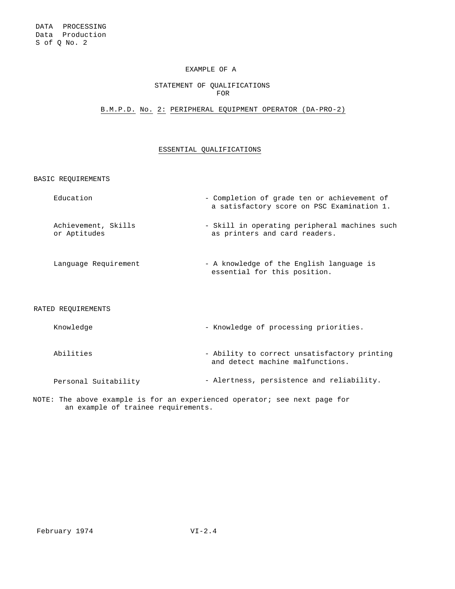# EXAMPLE OF A

# STATEMENT OF QUALIFICATIONS FOR

# B.M.P.D. No. 2: PERIPHERAL EQUIPMENT OPERATOR (DA-PRO-2)

# ESSENTIAL QUALIFICATIONS

BASIC REQUIREMENTS

| Education                           | - Completion of grade ten or achievement of<br>a satisfactory score on PSC Examination 1. |
|-------------------------------------|-------------------------------------------------------------------------------------------|
| Achievement, Skills<br>or Aptitudes | - Skill in operating peripheral machines such<br>as printers and card readers.            |
| Language Requirement                | - A knowledge of the English language is<br>essential for this position.                  |

### RATED REQUIREMENTS

Knowledge  $-$  Knowledge of processing priorities.

Abilities - Ability to correct unsatisfactory printing and detect machine malfunctions.

Personal Suitability - Alertness, persistence and reliability.

NOTE: The above example is for an experienced operator; see next page for an example of trainee requirements.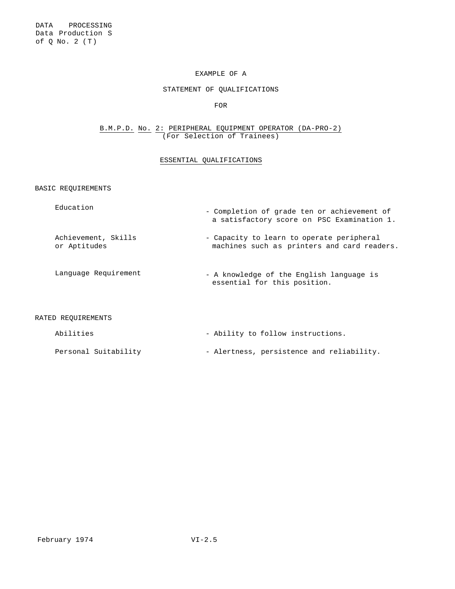#### STATEMENT OF QUALIFICATIONS

### FOR

## B.M.P.D. No. 2: PERIPHERAL EQUIPMENT OPERATOR (DA-PRO-2) (For Selection of Trainees)

### ESSENTIAL QUALIFICATIONS

BASIC REQUIREMENTS

- Education Completion of grade ten or achievement of a satisfactory score on PSC Examination 1.
- Achievement, Skills or Aptitudes - Capacity to learn to operate peripheral machines such as printers and card readers.
- Language Requirement A knowledge of the English language is essential for this position.

#### RATED REQUIREMENTS

| Abilities            | - Ability to follow instructions.         |
|----------------------|-------------------------------------------|
| Personal Suitability | - Alertness, persistence and reliability. |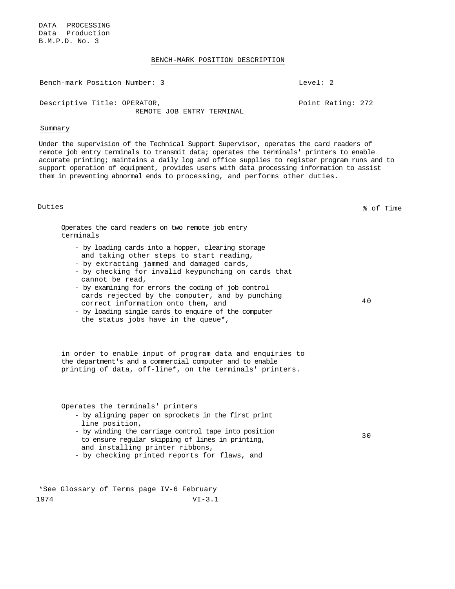#### BENCH-MARK POSITION DESCRIPTION

Bench-mark Position Number: 3 Level: 2

Point Rating: 272

Descriptive Title: OPERATOR, REMOTE JOB ENTRY TERMINAL

#### Summary

Under the supervision of the Technical Support Supervisor, operates the card readers of remote job entry terminals to transmit data; operates the terminals' printers to enable accurate printing; maintains a daily log and office supplies to register program runs and to support operation of equipment, provides users with data processing information to assist them in preventing abnormal ends to processing, and performs other duties.

Duties % of Time

40

Operates the card readers on two remote job entry terminals

- by loading cards into a hopper, clearing storage and taking other steps to start reading,
- by extracting jammed and damaged cards,
- by checking for invalid keypunching on cards that cannot be read,
- by examining for errors the coding of job control cards rejected by the computer, and by punching correct information onto them, and
- by loading single cards to enquire of the computer the status jobs have in the queue\*,

in order to enable input of program data and enquiries to the department's and a commercial computer and to enable printing of data, off-line\*, on the terminals' printers.

Operates the terminals' printers

- by aligning paper on sprockets in the first print line position,
- by winding the carriage control tape into position to ensure regular skipping of lines in printing, and installing printer ribbons, 30
- by checking printed reports for flaws, and

\*See Glossary of Terms page IV-6 February 1974 VI-3.1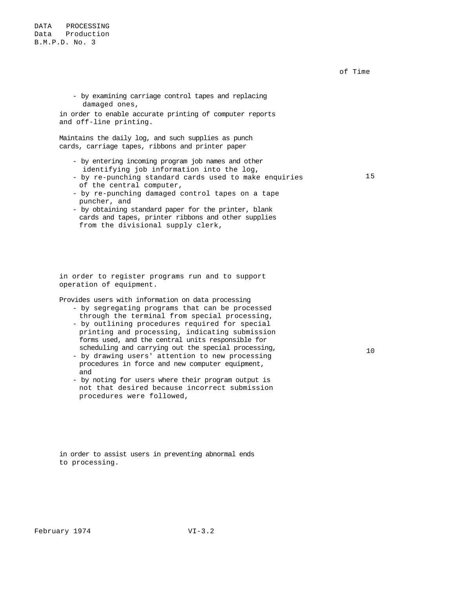of Time

15

10

- by examining carriage control tapes and replacing damaged ones,

in order to enable accurate printing of computer reports and off-line printing.

Maintains the daily log, and such supplies as punch cards, carriage tapes, ribbons and printer paper

- by entering incoming program job names and other identifying job information into the log,
- by re-punching standard cards used to make enquiries of the central computer,
- by re-punching damaged control tapes on a tape puncher, and
- by obtaining standard paper for the printer, blank cards and tapes, printer ribbons and other supplies from the divisional supply clerk,

in order to register programs run and to support operation of equipment.

Provides users with information on data processing

- by segregating programs that can be processed through the terminal from special processing,
- by outlining procedures required for special printing and processing, indicating submission forms used, and the central units responsible for scheduling and carrying out the special processing,
- by drawing users' attention to new processing procedures in force and new computer equipment, and
- by noting for users where their program output is not that desired because incorrect submission procedures were followed,

in order to assist users in preventing abnormal ends to processing.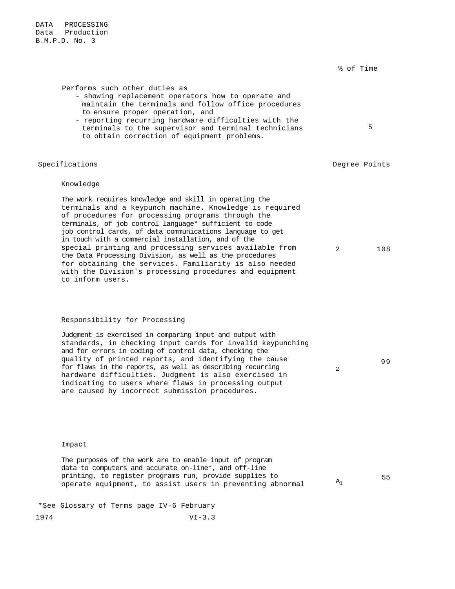% of Time

| Performs such other duties as                        |   |
|------------------------------------------------------|---|
| - showing replacement operators how to operate and   |   |
| maintain the terminals and follow office procedures  |   |
| to ensure proper operation, and                      |   |
| - reporting recurring hardware difficulties with the |   |
| terminals to the supervisor and terminal technicians | ᄃ |
| to obtain correction of equipment problems.          |   |
|                                                      |   |
|                                                      |   |

# Specifications Degree Points

2 108

#### Knowledge

The work requires knowledge and skill in operating the terminals and a keypunch machine. Knowledge is required of procedures for processing programs through the terminals, of job control language\* sufficient to code job control cards, of data communications language to get in touch with a commercial installation, and of the special printing and processing services available from the Data Processing Division, as well as the procedures for obtaining the services. Familiarity is also needed with the Division's processing procedures and equipment to inform users.

### Responsibility for Processing

Judgment is exercised in comparing input and output with standards, in checking input cards for invalid keypunching and for errors in coding of control data, checking the quality of printed reports, and identifying the cause for flaws in the reports, as well as describing recurring hardware difficulties. Judgment is also exercised in indicating to users where flaws in processing output are caused by incorrect submission procedures. 2 99

Impact

The purposes of the work are to enable input of program data to computers and accurate on-line\*, and off-line printing, to register programs run, provide supplies to operate equipment, to assist users in preventing abnormal Al 55

\*See Glossary of Terms page IV-6 February

1974 VI-3.3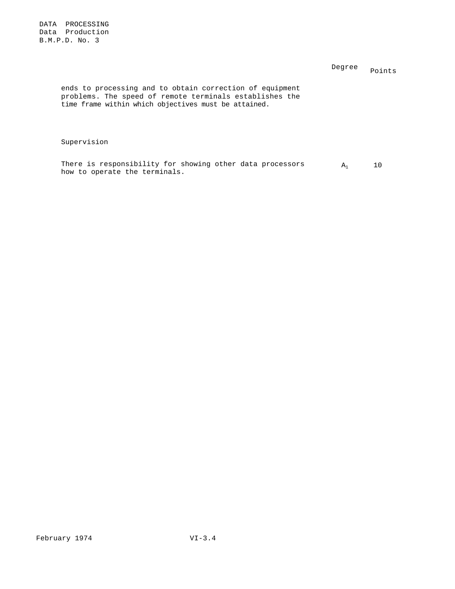Degree Points

ends to processing and to obtain correction of equipment problems. The speed of remote terminals establishes the time frame within which objectives must be attained.

Supervision

There is responsibility for showing other data processors  $A_1$  10 how to operate the terminals.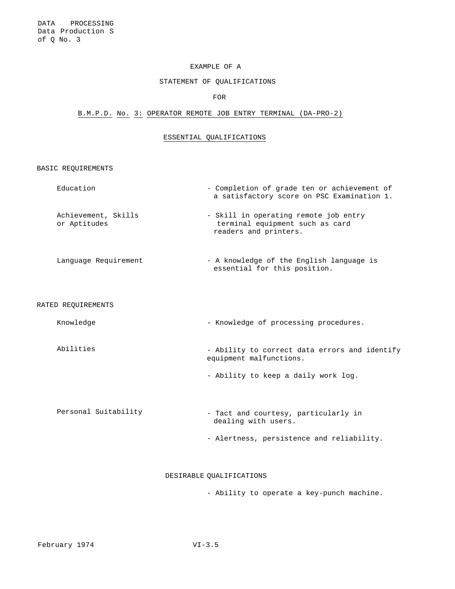# STATEMENT OF QUALIFICATIONS

#### FOR

# B.M.P.D. No. 3: OPERATOR REMOTE JOB ENTRY TERMINAL (DA-PRO-2)

## ESSENTIAL QUALIFICATIONS

BASIC REQUIREMENTS

| Education                           | - Completion of grade ten or achievement of<br>a satisfactory score on PSC Examination 1.         |
|-------------------------------------|---------------------------------------------------------------------------------------------------|
| Achievement, Skills<br>or Aptitudes | - Skill in operating remote job entry<br>terminal equipment such as card<br>readers and printers. |

Language Requirement - A knowledge of the English language is essential for this position.

#### RATED REQUIREMENTS

| Knowledge | - Knowledge of processing procedures.                                    |
|-----------|--------------------------------------------------------------------------|
| Abilities | - Ability to correct data errors and identify<br>equipment malfunctions. |

- Ability to keep a daily work log.

Personal Suitability - Tact and courtesy, particularly in dealing with users.

- Alertness, persistence and reliability.

# DESIRABLE QUALIFICATIONS

- Ability to operate a key-punch machine.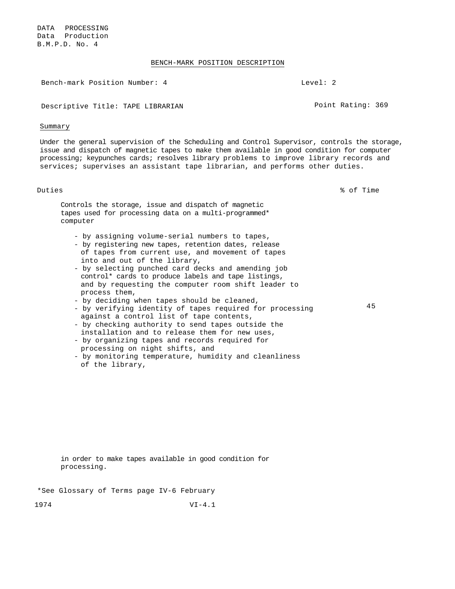#### BENCH-MARK POSITION DESCRIPTION

Descriptive Title: TAPE LIBRARIAN Point Rating: 369

Summary

Under the general supervision of the Scheduling and Control Supervisor, controls the storage, issue and dispatch of magnetic tapes to make them available in good condition for computer processing; keypunches cards; resolves library problems to improve library records and services; supervises an assistant tape librarian, and performs other duties.

Duties % of Time

45

Controls the storage, issue and dispatch of magnetic tapes used for processing data on a multi-programmed\* computer

- by assigning volume-serial numbers to tapes,
- by registering new tapes, retention dates, release of tapes from current use, and movement of tapes into and out of the library,
- by selecting punched card decks and amending job control\* cards to produce labels and tape listings, and by requesting the computer room shift leader to process them,
- by deciding when tapes should be cleaned,
- by verifying identity of tapes required for processing against a control list of tape contents,
- by checking authority to send tapes outside the installation and to release them for new uses,
- by organizing tapes and records required for processing on night shifts, and
- by monitoring temperature, humidity and cleanliness of the library,

in order to make tapes available in good condition for processing.

\*See Glossary of Terms page IV-6 February

1974 VI-4.1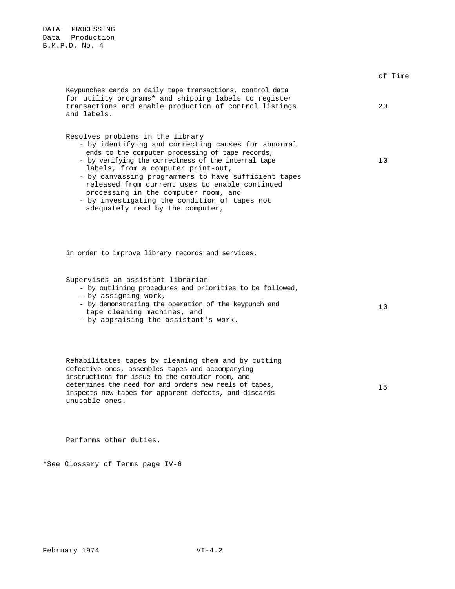|                                                                                                                                                                                                                                                                                                                                                                                                                                                                                 |    | of Time |
|---------------------------------------------------------------------------------------------------------------------------------------------------------------------------------------------------------------------------------------------------------------------------------------------------------------------------------------------------------------------------------------------------------------------------------------------------------------------------------|----|---------|
| Keypunches cards on daily tape transactions, control data<br>for utility programs* and shipping labels to register<br>transactions and enable production of control listings<br>and labels.                                                                                                                                                                                                                                                                                     | 20 |         |
| Resolves problems in the library<br>- by identifying and correcting causes for abnormal<br>ends to the computer processing of tape records,<br>- by verifying the correctness of the internal tape<br>labels, from a computer print-out,<br>- by canvassing programmers to have sufficient tapes<br>released from current uses to enable continued<br>processing in the computer room, and<br>- by investigating the condition of tapes not<br>adequately read by the computer, | 10 |         |
| in order to improve library records and services.                                                                                                                                                                                                                                                                                                                                                                                                                               |    |         |
| Supervises an assistant librarian<br>- by outlining procedures and priorities to be followed,<br>- by assigning work,<br>- by demonstrating the operation of the keypunch and<br>tape cleaning machines, and<br>- by appraising the assistant's work.                                                                                                                                                                                                                           | 10 |         |

Rehabilitates tapes by cleaning them and by cutting defective ones, assembles tapes and accompanying instructions for issue to the computer room, and determines the need for and orders new reels of tapes, inspects new tapes for apparent defects, and discards unusable ones.

15

Performs other duties.

\*See Glossary of Terms page IV-6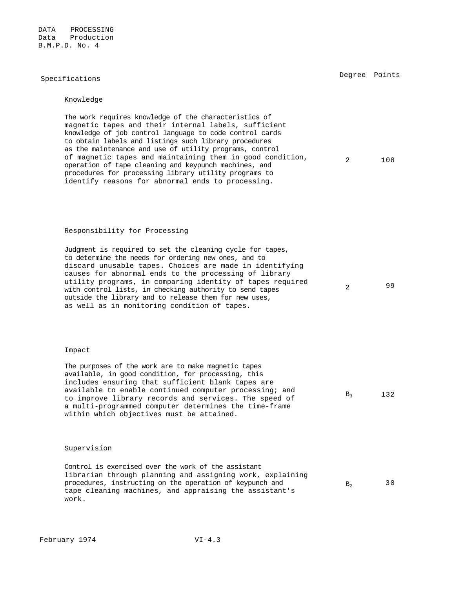Specifications and the set of the set of the set of the Degree Points Degree Points

#### Knowledge

| The work requires knowledge of the characteristics of     |     |
|-----------------------------------------------------------|-----|
| magnetic tapes and their internal labels, sufficient      |     |
| knowledge of job control language to code control cards   |     |
| to obtain labels and listings such library procedures     |     |
| as the maintenance and use of utility programs, control   |     |
| of magnetic tapes and maintaining them in good condition, | 108 |
| operation of tape cleaning and keypunch machines, and     |     |
| procedures for processing library utility programs to     |     |
| identify reasons for abnormal ends to processing.         |     |

#### Responsibility for Processing

Judgment is required to set the cleaning cycle for tapes, to determine the needs for ordering new ones, and to discard unusable tapes. Choices are made in identifying causes for abnormal ends to the processing of library utility programs, in comparing identity of tapes required with control lists, in checking authority to send tapes outside the library and to release them for new uses, as well as in monitoring condition of tapes. 2 99

#### Impact

The purposes of the work are to make magnetic tapes available, in good condition, for processing, this includes ensuring that sufficient blank tapes are available to enable continued computer processing; and to improve library records and services. The speed of a multi-programmed computer determines the time-frame within which objectives must be attained.  $B_3$  132

Supervision

Control is exercised over the work of the assistant librarian through planning and assigning work, explaining procedures, instructing on the operation of keypunch and tape cleaning machines, and appraising the assistant's work.  $B_2$  30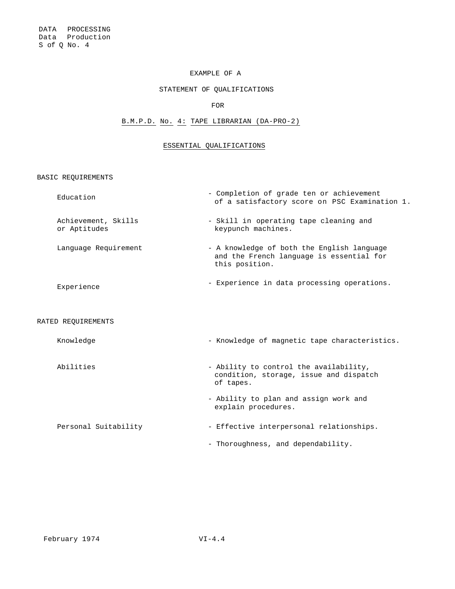# STATEMENT OF QUALIFICATIONS

## FOR

# B.M.P.D. No. 4: TAPE LIBRARIAN (DA-PRO-2)

# ESSENTIAL QUALIFICATIONS

## BASIC REQUIREMENTS

| Education                           | - Completion of grade ten or achievement<br>of a satisfactory score on PSC Examination 1.                |
|-------------------------------------|----------------------------------------------------------------------------------------------------------|
| Achievement, Skills<br>or Aptitudes | - Skill in operating tape cleaning and<br>keypunch machines.                                             |
| Language Requirement                | - A knowledge of both the English language<br>and the French language is essential for<br>this position. |
| Experience                          | - Experience in data processing operations.                                                              |
| RATED REQUIREMENTS                  |                                                                                                          |
| Knowledge                           | - Knowledge of magnetic tape characteristics.                                                            |
| Abilities                           | - Ability to control the availability,<br>condition, storage, issue and dispatch<br>of tapes.            |
|                                     | - Ability to plan and assign work and<br>explain procedures.                                             |
| Personal Suitability                | - Effective interpersonal relationships.                                                                 |
|                                     | - Thoroughness, and dependability.                                                                       |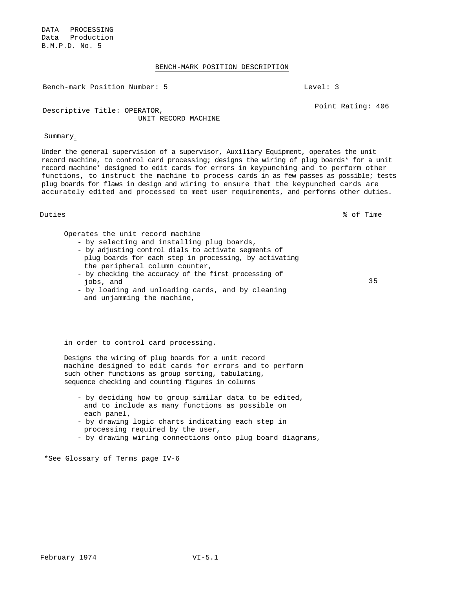#### BENCH-MARK POSITION DESCRIPTION

Bench-mark Position Number: 5 Level: 3

Point Rating: 406

Descriptive Title: OPERATOR, UNIT RECORD MACHINE

## Summary.

Under the general supervision of a supervisor, Auxiliary Equipment, operates the unit record machine, to control card processing; designs the wiring of plug boards\* for a unit record machine\* designed to edit cards for errors in keypunching and to perform other functions, to instruct the machine to process cards in as few passes as possible; tests plug boards for flaws in design and wiring to ensure that the keypunched cards are accurately edited and processed to meet user requirements, and performs other duties.

Duties % of Time

Operates the unit record machine

- by selecting and installing plug boards,
- by adjusting control dials to activate segments of plug boards for each step in processing, by activating the peripheral column counter,
- by checking the accuracy of the first processing of jobs, and
- by loading and unloading cards, and by cleaning and unjamming the machine,

35

in order to control card processing.

Designs the wiring of plug boards for a unit record machine designed to edit cards for errors and to perform such other functions as group sorting, tabulating, sequence checking and counting figures in columns

- by deciding how to group similar data to be edited, and to include as many functions as possible on each panel,
- by drawing logic charts indicating each step in processing required by the user,
- by drawing wiring connections onto plug board diagrams,

\*See Glossary of Terms page IV-6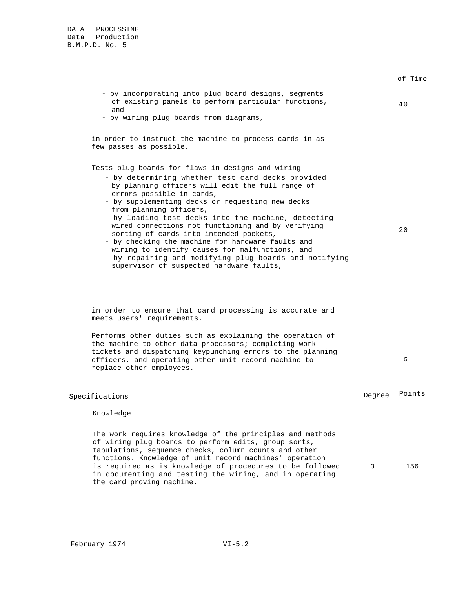|                                                                                                                                                                                                                                                                                                                                                                                                                                                                                                                                                                                                                                              |        | of Time |
|----------------------------------------------------------------------------------------------------------------------------------------------------------------------------------------------------------------------------------------------------------------------------------------------------------------------------------------------------------------------------------------------------------------------------------------------------------------------------------------------------------------------------------------------------------------------------------------------------------------------------------------------|--------|---------|
| - by incorporating into plug board designs, segments<br>of existing panels to perform particular functions,<br>and                                                                                                                                                                                                                                                                                                                                                                                                                                                                                                                           |        | 40      |
| - by wiring plug boards from diagrams,                                                                                                                                                                                                                                                                                                                                                                                                                                                                                                                                                                                                       |        |         |
| in order to instruct the machine to process cards in as<br>few passes as possible.                                                                                                                                                                                                                                                                                                                                                                                                                                                                                                                                                           |        |         |
| Tests plug boards for flaws in designs and wiring<br>- by determining whether test card decks provided<br>by planning officers will edit the full range of<br>errors possible in cards,<br>- by supplementing decks or requesting new decks<br>from planning officers,<br>- by loading test decks into the machine, detecting<br>wired connections not functioning and by verifying<br>sorting of cards into intended pockets,<br>- by checking the machine for hardware faults and<br>wiring to identify causes for malfunctions, and<br>- by repairing and modifying plug boards and notifying<br>supervisor of suspected hardware faults, |        | 20      |
| in order to ensure that card processing is accurate and<br>meets users' requirements.                                                                                                                                                                                                                                                                                                                                                                                                                                                                                                                                                        |        |         |
| Performs other duties such as explaining the operation of<br>the machine to other data processors; completing work<br>tickets and dispatching keypunching errors to the planning<br>officers, and operating other unit record machine to<br>replace other employees.                                                                                                                                                                                                                                                                                                                                                                         |        | 5       |
| Specifications                                                                                                                                                                                                                                                                                                                                                                                                                                                                                                                                                                                                                               | Degree | Points  |
| Knowledge                                                                                                                                                                                                                                                                                                                                                                                                                                                                                                                                                                                                                                    |        |         |
| The work requires knowledge of the principles and methods<br>of wiring plug boards to perform edits, group sorts,<br>tabulations, sequence checks, column counts and other<br>functions. Knowledge of unit record machines' operation<br>is required as is knowledge of procedures to be followed<br>in documenting and testing the wiring, and in operating<br>the card proving machine.                                                                                                                                                                                                                                                    | 3      | 156     |
|                                                                                                                                                                                                                                                                                                                                                                                                                                                                                                                                                                                                                                              |        |         |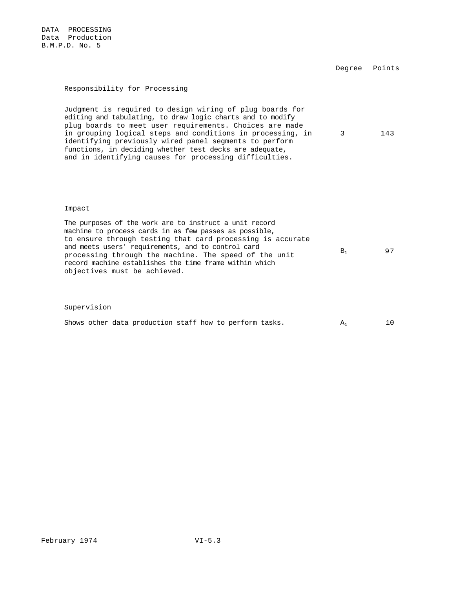Degree Points

# Responsibility for Processing

| Judgment is reguired to design wiring of plug boards for   |               |     |
|------------------------------------------------------------|---------------|-----|
| editing and tabulating, to draw logic charts and to modify |               |     |
| plug boards to meet user requirements. Choices are made    |               |     |
| in grouping logical steps and conditions in processing, in | $\mathcal{R}$ | 143 |
| identifying previously wired panel segments to perform     |               |     |
| functions, in deciding whether test decks are adequate,    |               |     |
| and in identifying causes for processing difficulties.     |               |     |

# Impact

| The purposes of the work are to instruct a unit record     |       |    |
|------------------------------------------------------------|-------|----|
| machine to process cards in as few passes as possible,     |       |    |
| to ensure through testing that card processing is accurate |       |    |
| and meets users' requirements, and to control card         |       | 97 |
| processing through the machine. The speed of the unit      | $B_1$ |    |
| record machine establishes the time frame within which     |       |    |
| objectives must be achieved.                               |       |    |

# Supervision

|  | Shows other data production staff how to perform tasks. |  |  |  |  |
|--|---------------------------------------------------------|--|--|--|--|
|  |                                                         |  |  |  |  |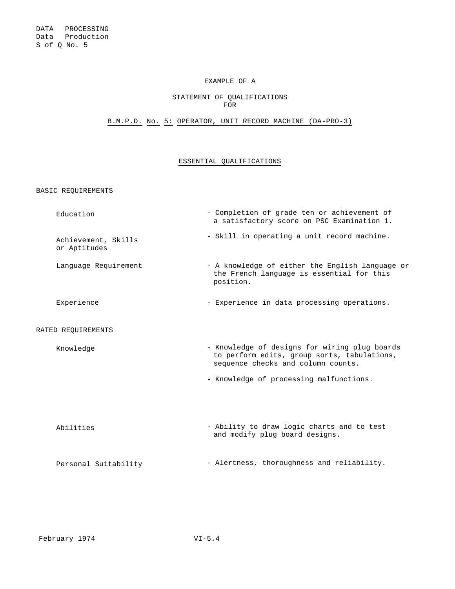# STATEMENT OF QUALIFICATIONS FOR

# B.M.P.D. No. 5: OPERATOR, UNIT RECORD MACHINE (DA-PRO-3)

# ESSENTIAL QUALIFICATIONS

## BASIC REQUIREMENTS

| Education                           | - Completion of grade ten or achievement of<br>a satisfactory score on PSC Examination 1.                                          |
|-------------------------------------|------------------------------------------------------------------------------------------------------------------------------------|
| Achievement, Skills<br>or Aptitudes | - Skill in operating a unit record machine.                                                                                        |
| Language Requirement                | - A knowledge of either the English language or<br>the French language is essential for this<br>position.                          |
| Experience                          | - Experience in data processing operations.                                                                                        |
| RATED REQUIREMENTS                  |                                                                                                                                    |
| Knowledge                           | - Knowledge of designs for wiring plug boards<br>to perform edits, group sorts, tabulations,<br>sequence checks and column counts. |
|                                     | - Knowledge of processing malfunctions.                                                                                            |
|                                     |                                                                                                                                    |
| Abilities                           | - Ability to draw logic charts and to test<br>and modify plug board designs.                                                       |
| Personal Suitability                | - Alertness, thoroughness and reliability.                                                                                         |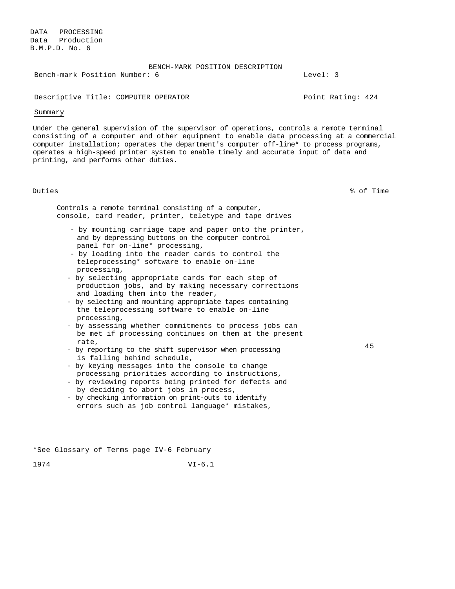BENCH-MARK POSITION DESCRIPTION

Bench-mark Position Number: 6 Level: 3

Descriptive Title: COMPUTER OPERATOR FOR Point Rating: 424

Summary

Under the general supervision of the supervisor of operations, controls a remote terminal consisting of a computer and other equipment to enable data processing at a commercial computer installation; operates the department's computer off-line\* to process programs, operates a high-speed printer system to enable timely and accurate input of data and printing, and performs other duties.

Duties % of Time

45

Controls a remote terminal consisting of a computer, console, card reader, printer, teletype and tape drives

- by mounting carriage tape and paper onto the printer, and by depressing buttons on the computer control panel for on-line\* processing,
- by loading into the reader cards to control the teleprocessing\* software to enable on-line processing,
- by selecting appropriate cards for each step of production jobs, and by making necessary corrections and loading them into the reader,
- by selecting and mounting appropriate tapes containing the teleprocessing software to enable on-line processing,
- by assessing whether commitments to process jobs can be met if processing continues on them at the present rate,
- by reporting to the shift supervisor when processing is falling behind schedule,
- by keying messages into the console to change processing priorities according to instructions,
- by reviewing reports being printed for defects and by deciding to abort jobs in process,
- by checking information on print-outs to identify errors such as job control language\* mistakes,

\*See Glossary of Terms page IV-6 February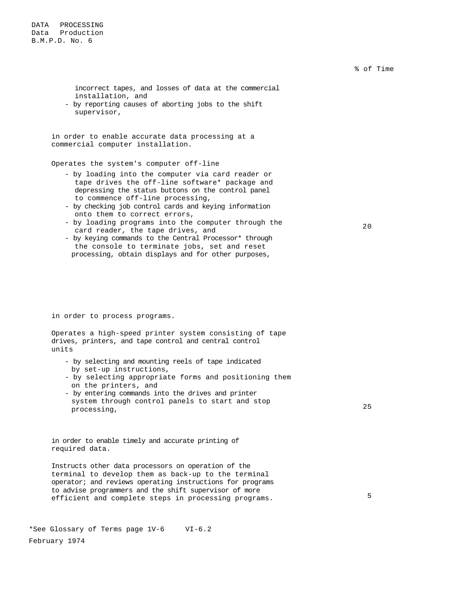% of Time

incorrect tapes, and losses of data at the commercial installation, and

- by reporting causes of aborting jobs to the shift supervisor,

in order to enable accurate data processing at a commercial computer installation.

Operates the system's computer off-line

- by loading into the computer via card reader or tape drives the off-line software\* package and depressing the status buttons on the control panel to commence off-line processing,
- by checking job control cards and keying information onto them to correct errors,
- by loading programs into the computer through the card reader, the tape drives, and
- by keying commands to the Central Processor\* through the console to terminate jobs, set and reset processing, obtain displays and for other purposes,

#### in order to process programs.

Operates a high-speed printer system consisting of tape drives, printers, and tape control and central control units

- by selecting and mounting reels of tape indicated by set-up instructions,
- by selecting appropriate forms and positioning them on the printers, and
- by entering commands into the drives and printer system through control panels to start and stop exprocessing, 25 and 25 and 25 and 25 and 25 and 25 and 25 and 25 and 25 and 25 and 25 and 25 and 25 and 25 and 25 and 25 and 25 and 25 and 25 and 25 and 25 and 25 and 25 and 25 and 25 and 25 and 25 and 25 and 25 and 25 an

in order to enable timely and accurate printing of required data.

Instructs other data processors on operation of the terminal to develop them as back-up to the terminal operator; and reviews operating instructions for programs to advise programmers and the shift supervisor of more efficient and complete steps in processing programs. 5

\*See Glossary of Terms page 1V-6 VI-6.2 February 1974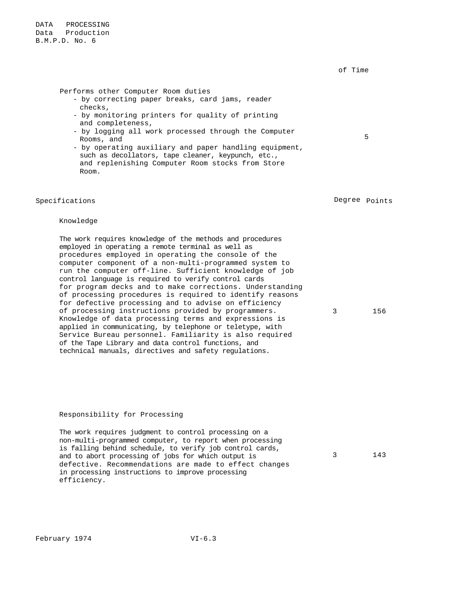of Time

Performs other Computer Room duties

- by correcting paper breaks, card jams, reader checks,
- by monitoring printers for quality of printing and completeness,
- by logging all work processed through the Computer Rooms, and
- by operating auxiliary and paper handling equipment, such as decollators, tape cleaner, keypunch, etc., and replenishing Computer Room stocks from Store Room.

Specifications **Degree Points Degree Points** 

5

#### Knowledge

The work requires knowledge of the methods and procedures employed in operating a remote terminal as well as procedures employed in operating the console of the computer component of a non-multi-programmed system to run the computer off-line. Sufficient knowledge of job control language is required to verify control cards for program decks and to make corrections. Understanding of processing procedures is required to identify reasons for defective processing and to advise on efficiency of processing instructions provided by programmers. Knowledge of data processing terms and expressions is applied in communicating, by telephone or teletype, with Service Bureau personnel. Familiarity is also required of the Tape Library and data control functions, and technical manuals, directives and safety regulations.

#### Responsibility for Processing

The work requires judgment to control processing on a non-multi-programmed computer, to report when processing is falling behind schedule, to verify job control cards, and to abort processing of jobs for which output is defective. Recommendations are made to effect changes in processing instructions to improve processing efficiency.

3 156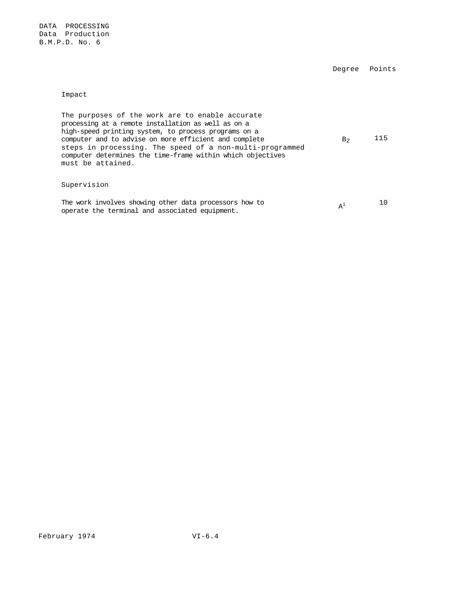Degree Points

## Impact

The purposes of the work are to enable accurate processing at a remote installation as well as on a high-speed printing system, to process programs on a computer and to advise on more efficient and complete steps in processing. The speed of a non-multi-programmed computer determines the time-frame within which objectives must be attained. B2 115

# Supervision

|  |  | The work involves showing other data processors how to |  |  |
|--|--|--------------------------------------------------------|--|--|
|  |  | operate the terminal and associated equipment.         |  |  |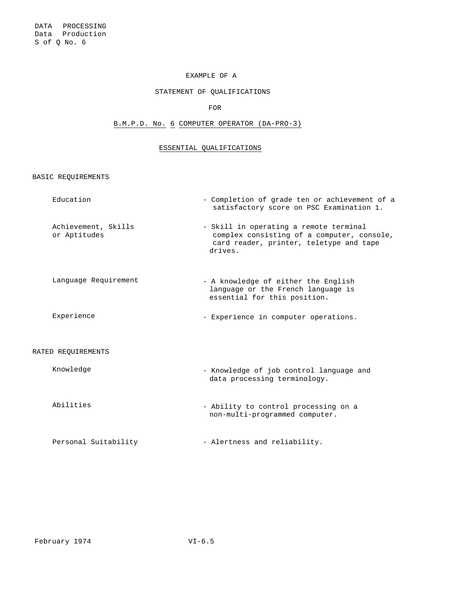# STATEMENT OF QUALIFICATIONS

### FOR

# B.M.P.D. No. 6 COMPUTER OPERATOR (DA-PRO-3)

# ESSENTIAL QUALIFICATIONS

## BASIC REQUIREMENTS

| Education                           | - Completion of grade ten or achievement of a<br>satisfactory score on PSC Examination 1.                                                  |
|-------------------------------------|--------------------------------------------------------------------------------------------------------------------------------------------|
| Achievement, Skills<br>or Aptitudes | - Skill in operating a remote terminal<br>complex consisting of a computer, console,<br>card reader, printer, teletype and tape<br>drives. |
| Language Requirement                | - A knowledge of either the English<br>language or the French language is<br>essential for this position.                                  |
| Experience                          | - Experience in computer operations.                                                                                                       |
| RATED REQUIREMENTS                  |                                                                                                                                            |
| Knowledge                           | - Knowledge of job control language and<br>data processing terminology.                                                                    |
| Abilities                           | - Ability to control processing on a<br>non-multi-programmed computer.                                                                     |
| Personal Suitability                | - Alertness and reliability.                                                                                                               |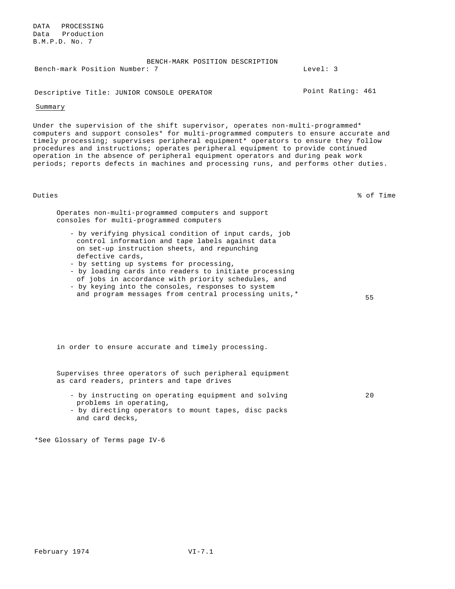# BENCH-MARK POSITION DESCRIPTION

Bench-mark Position Number: 7 Level: 3

# Descriptive Title: JUNIOR CONSOLE OPERATOR Point Rating: 461

#### Summary

Under the supervision of the shift supervisor, operates non-multi-programmed\* computers and support consoles\* for multi-programmed computers to ensure accurate and timely processing; supervises peripheral equipment\* operators to ensure they follow procedures and instructions; operates peripheral equipment to provide continued operation in the absence of peripheral equipment operators and during peak work periods; reports defects in machines and processing runs, and performs other duties.

Duties % of Time

Operates non-multi-programmed computers and support consoles for multi-programmed computers

- by verifying physical condition of input cards, job control information and tape labels against data on set-up instruction sheets, and repunching defective cards,
- by setting up systems for processing,
- by loading cards into readers to initiate processing of jobs in accordance with priority schedules, and
- by keying into the consoles, responses to system and program messages from central processing units, \*

in order to ensure accurate and timely processing.

Supervises three operators of such peripheral equipment as card readers, printers and tape drives

- by instructing on operating equipment and solving problems in operating, 20
- by directing operators to mount tapes, disc packs and card decks,

\*See Glossary of Terms page IV-6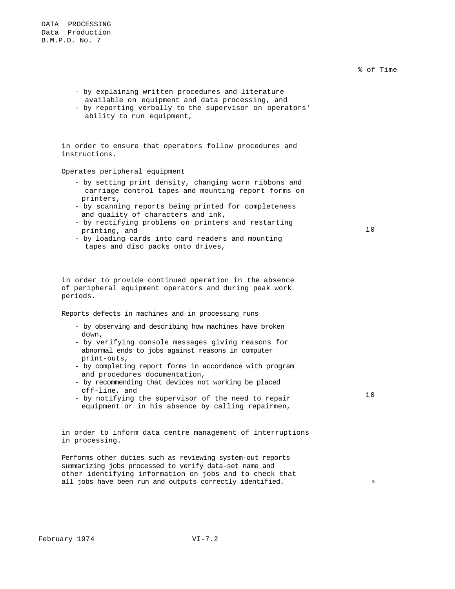- by explaining written procedures and literature available on equipment and data processing, and
- by reporting verbally to the supervisor on operators' ability to run equipment,

in order to ensure that operators follow procedures and instructions.

Operates peripheral equipment

- by setting print density, changing worn ribbons and carriage control tapes and mounting report forms on printers,
- by scanning reports being printed for completeness and quality of characters and ink,
- by rectifying problems on printers and restarting printing, and
- by loading cards into card readers and mounting tapes and disc packs onto drives,

in order to provide continued operation in the absence of peripheral equipment operators and during peak work periods.

Reports defects in machines and in processing runs

- by observing and describing how machines have broken down,
- by verifying console messages giving reasons for abnormal ends to jobs against reasons in computer print-outs,
- by completing report forms in accordance with program and procedures documentation,
- by recommending that devices not working be placed off-line, and
- by notifying the supervisor of the need to repair equipment or in his absence by calling repairmen,

in order to inform data centre management of interruptions in processing.

Performs other duties such as reviewing system-out reports summarizing jobs processed to verify data-set name and other identifying information on jobs and to check that all jobs have been run and outputs correctly identified.  $\frac{1}{5}$ 

10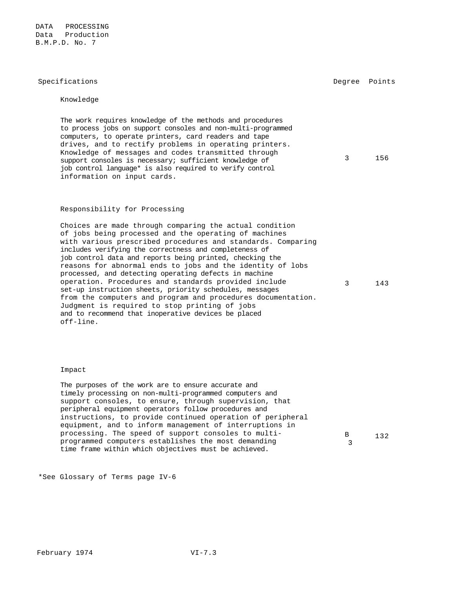Specifications and the contractions of the contractions of the contractions of the contractions of the contractions of the contractions of the contractions of the contractions of the contractions of the contractions of the

3 156

#### Knowledge

The work requires knowledge of the methods and procedures to process jobs on support consoles and non-multi-programmed computers, to operate printers, card readers and tape drives, and to rectify problems in operating printers. Knowledge of messages and codes transmitted through support consoles is necessary; sufficient knowledge of job control language\* is also required to verify control information on input cards.

### Responsibility for Processing

Choices are made through comparing the actual condition of jobs being processed and the operating of machines with various prescribed procedures and standards. Comparing includes verifying the correctness and completeness of job control data and reports being printed, checking the reasons for abnormal ends to jobs and the identity of lobs processed, and detecting operating defects in machine operation. Procedures and standards provided include set-up instruction sheets, priority schedules, messages from the computers and program and procedures documentation. Judgment is required to stop printing of jobs and to recommend that inoperative devices be placed off-line. 3 143

#### Impact

The purposes of the work are to ensure accurate and timely processing on non-multi-programmed computers and support consoles, to ensure, through supervision, that peripheral equipment operators follow procedures and instructions, to provide continued operation of peripheral equipment, and to inform management of interruptions in processing. The speed of support consoles to multiprogrammed computers establishes the most demanding time frame within which objectives must be achieved.

132

B  $\mathcal{R}$ 

\*See Glossary of Terms page IV-6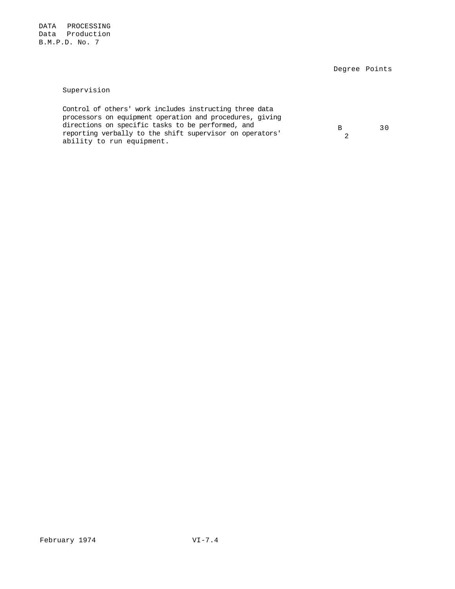Degree Points

Supervision

Control of others' work includes instructing three data processors on equipment operation and procedures, giving directions on specific tasks to be performed, and reporting verbally to the shift supervisor on operators' ability to run equipment.

B 2 30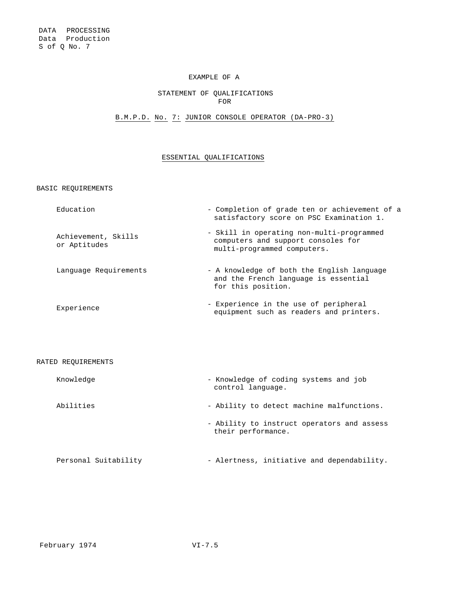## STATEMENT OF QUALIFICATIONS FOR

# B.M.P.D. No. 7: JUNIOR CONSOLE OPERATOR (DA-PRO-3)

# ESSENTIAL QUALIFICATIONS

BASIC REQUIREMENTS

| Education                           | - Completion of grade ten or achievement of a<br>satisfactory score on PSC Examination 1.                      |
|-------------------------------------|----------------------------------------------------------------------------------------------------------------|
| Achievement, Skills<br>or Aptitudes | - Skill in operating non-multi-programmed<br>computers and support consoles for<br>multi-programmed computers. |
| Language Requirements               | - A knowledge of both the English language<br>and the French language is essential<br>for this position.       |
| Experience                          | - Experience in the use of peripheral<br>equipment such as readers and printers.                               |

| RATED REOUIREMENTS   |                                                                  |
|----------------------|------------------------------------------------------------------|
| Knowledge            | - Knowledge of coding systems and job<br>control language.       |
| Abilities            | - Ability to detect machine malfunctions.                        |
|                      | - Ability to instruct operators and assess<br>their performance. |
| Personal Suitability | - Alertness, initiative and dependability.                       |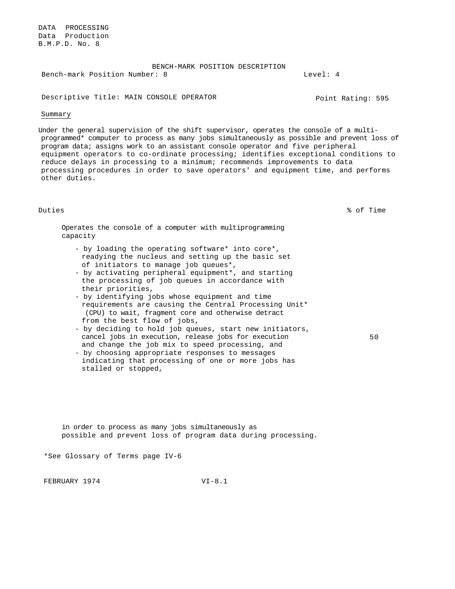BENCH-MARK POSITION DESCRIPTION

Bench-mark Position Number: 8 Level: 4

Descriptive Title: MAIN CONSOLE OPERATOR FOR THE POINT Rating: 595

Summary

Under the general supervision of the shift supervisor, operates the console of a multiprogrammed\* computer to process as many jobs simultaneously as possible and prevent loss of program data; assigns work to an assistant console operator and five peripheral equipment operators to co-ordinate processing; identifies exceptional conditions to reduce delays in processing to a minimum; recommends improvements to data processing procedures in order to save operators' and equipment time, and performs other duties.

Duties % of Time

Operates the console of a computer with multiprogramming capacity

- by loading the operating software\* into core\*, readying the nucleus and setting up the basic set of initiators to manage job queues\*,
- by activating peripheral equipment\*, and starting the processing of job queues in accordance with their priorities,
- by identifying jobs whose equipment and time requirements are causing the Central Processing Unit\* (CPU) to wait, fragment core and otherwise detract from the best flow of jobs,
- by deciding to hold job queues, start new initiators, cancel jobs in execution, release jobs for execution and change the job mix to speed processing, and
- by choosing appropriate responses to messages indicating that processing of one or more jobs has stalled or stopped,

50

in order to process as many jobs simultaneously as possible and prevent loss of program data during processing.

\*See Glossary of Terms page IV-6

FEBRUARY 1974 VI-8.1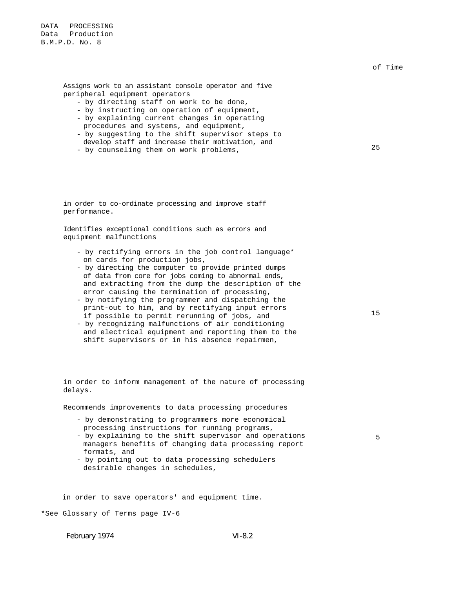of Time

Assigns work to an assistant console operator and five peripheral equipment operators

- by directing staff on work to be done,
- by instructing on operation of equipment,
- by explaining current changes in operating
- procedures and systems, and equipment, - by suggesting to the shift supervisor steps to
- develop staff and increase their motivation, and - by counseling them on work problems, and the counseling them on work problems,
- 

in order to co-ordinate processing and improve staff performance.

Identifies exceptional conditions such as errors and equipment malfunctions

- by rectifying errors in the job control language\* on cards for production jobs,
- by directing the computer to provide printed dumps of data from core for jobs coming to abnormal ends, and extracting from the dump the description of the error causing the termination of processing,
- by notifying the programmer and dispatching the print-out to him, and by rectifying input errors if possible to permit rerunning of jobs, and
- by recognizing malfunctions of air conditioning and electrical equipment and reporting them to the shift supervisors or in his absence repairmen,

in order to inform management of the nature of processing delays.

Recommends improvements to data processing procedures

- by demonstrating to programmers more economical processing instructions for running programs,
- by explaining to the shift supervisor and operations managers benefits of changing data processing report formats, and
- by pointing out to data processing schedulers desirable changes in schedules,

in order to save operators' and equipment time.

\*See Glossary of Terms page IV-6

February 1974 VI-8.2

15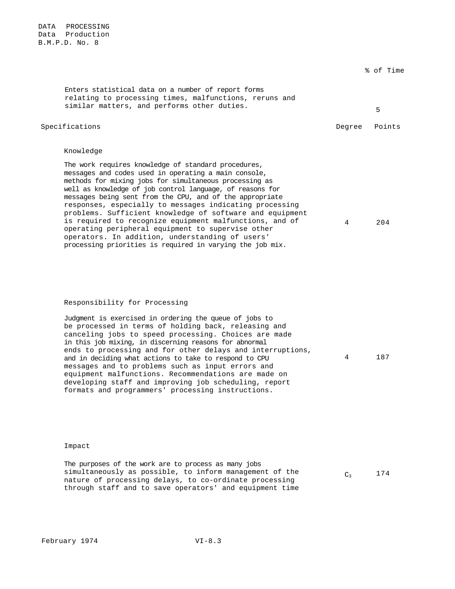Enters statistical data on a number of report forms relating to processing times, malfunctions, reruns and similar matters, and performs other duties.<br>5

### Knowledge

The work requires knowledge of standard procedures, messages and codes used in operating a main console, methods for mixing jobs for simultaneous processing as well as knowledge of job control language, of reasons for messages being sent from the CPU, and of the appropriate responses, especially to messages indicating processing problems. Sufficient knowledge of software and equipment is required to recognize equipment malfunctions, and of operating peripheral equipment to supervise other operators. In addition, understanding of users' processing priorities is required in varying the job mix.

#### Responsibility for Processing

Judgment is exercised in ordering the queue of jobs to be processed in terms of holding back, releasing and canceling jobs to speed processing. Choices are made in this job mixing, in discerning reasons for abnormal ends to processing and for other delays and interruptions, and in deciding what actions to take to respond to CPU messages and to problems such as input errors and equipment malfunctions. Recommendations are made on developing staff and improving job scheduling, report formats and programmers' processing instructions. 4 187

Impact

The purposes of the work are to process as many jobs simultaneously as possible, to inform management of the nature of processing delays, to co-ordinate processing through staff and to save operators' and equipment time

 $C_3$  174

% of Time

Specifications **Degree** Points **Degree** Points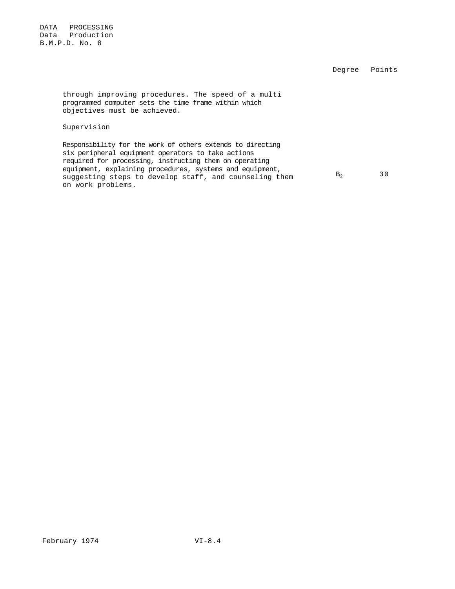Degree Points

through improving procedures. The speed of a multi programmed computer sets the time frame within which objectives must be achieved.

Supervision

Responsibility for the work of others extends to directing six peripheral equipment operators to take actions required for processing, instructing them on operating equipment, explaining procedures, systems and equipment, suggesting steps to develop staff, and counseling them on work problems.

 $B_2$  30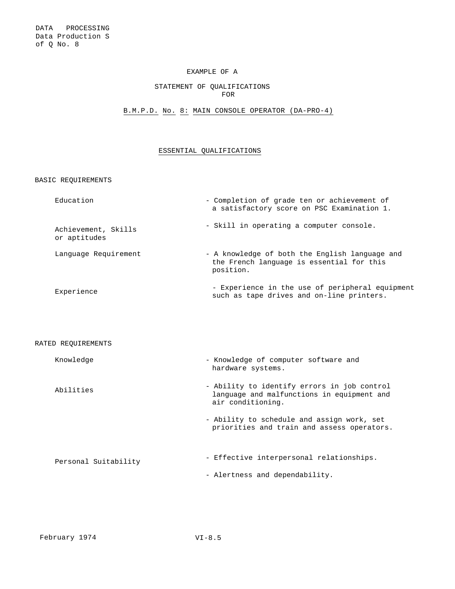# STATEMENT OF QUALIFICATIONS FOR

# B.M.P.D. No. 8: MAIN CONSOLE OPERATOR (DA-PRO-4)

# ESSENTIAL QUALIFICATIONS

#### BASIC REQUIREMENTS

| Education                           | - Completion of grade ten or achievement of<br>a satisfactory score on PSC Examination 1.                |
|-------------------------------------|----------------------------------------------------------------------------------------------------------|
| Achievement, Skills<br>or aptitudes | - Skill in operating a computer console.                                                                 |
| Language Requirement                | - A knowledge of both the English language and<br>the French language is essential for this<br>position. |
| Experience                          | - Experience in the use of peripheral equipment<br>such as tape drives and on-line printers.             |

## RATED REQUIREMENTS

| Knowledge            | - Knowledge of computer software and<br>hardware systems.                                                      |
|----------------------|----------------------------------------------------------------------------------------------------------------|
| Abilities            | - Ability to identify errors in job control<br>language and malfunctions in equipment and<br>air conditioning. |
|                      | - Ability to schedule and assign work, set<br>priorities and train and assess operators.                       |
| Personal Suitability | - Effective interpersonal relationships.                                                                       |
|                      | - Alertness and dependability.                                                                                 |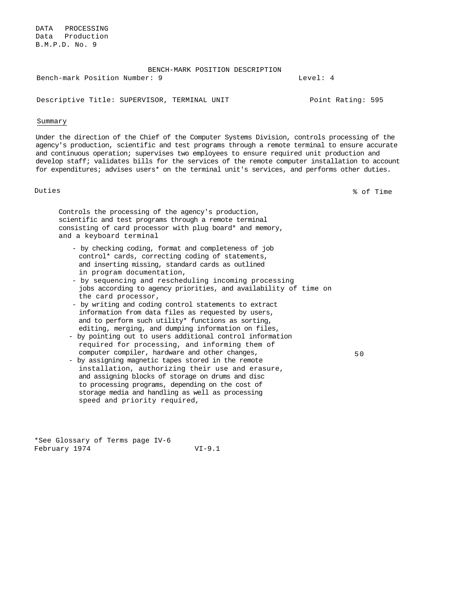### BENCH-MARK POSITION DESCRIPTION

Bench-mark Position Number: 9 Level: 4

#### Descriptive Title: SUPERVISOR, TERMINAL UNIT Foint Rating: 595

#### Summary

Under the direction of the Chief of the Computer Systems Division, controls processing of the agency's production, scientific and test programs through a remote terminal to ensure accurate and continuous operation; supervises two employees to ensure required unit production and develop staff; validates bills for the services of the remote computer installation to account for expenditures; advises users\* on the terminal unit's services, and performs other duties.

Duties % of Time

Controls the processing of the agency's production, scientific and test programs through a remote terminal consisting of card processor with plug board\* and memory, and a keyboard terminal

- by checking coding, format and completeness of job control\* cards, correcting coding of statements, and inserting missing, standard cards as outlined in program documentation,
- by sequencing and rescheduling incoming processing jobs according to agency priorities, and availability of time on the card processor,
- by writing and coding control statements to extract information from data files as requested by users, and to perform such utility\* functions as sorting, editing, merging, and dumping information on files,
- by pointing out to users additional control information required for processing, and informing them of computer compiler, hardware and other changes,
- by assigning magnetic tapes stored in the remote installation, authorizing their use and erasure, and assigning blocks of storage on drums and disc to processing programs, depending on the cost of storage media and handling as well as processing speed and priority required,

\*See Glossary of Terms page IV-6 February 1974 VI-9.1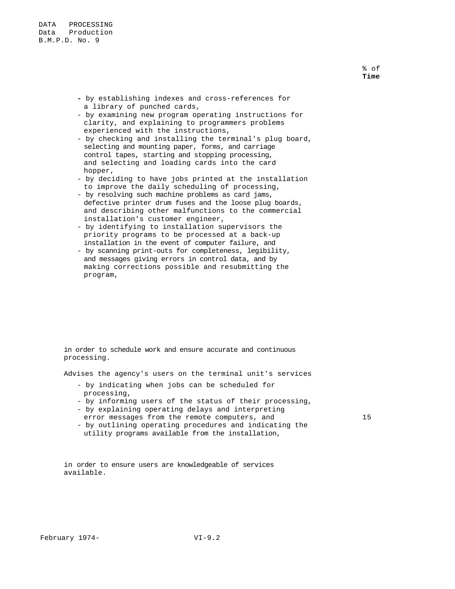- by establishing indexes and cross-references for a library of punched cards,
- by examining new program operating instructions for clarity, and explaining to programmers problems experienced with the instructions,
- by checking and installing the terminal's plug board, selecting and mounting paper, forms, and carriage control tapes, starting and stopping processing, and selecting and loading cards into the card hopper,
- by deciding to have jobs printed at the installation to improve the daily scheduling of processing,
- by resolving such machine problems as card jams, defective printer drum fuses and the loose plug boards, and describing other malfunctions to the commercial installation's customer engineer,
- by identifying to installation supervisors the priority programs to be processed at a back-up installation in the event of computer failure, and
- by scanning print-outs for completeness, legibility, and messages giving errors in control data, and by making corrections possible and resubmitting the program,

in order to schedule work and ensure accurate and continuous processing.

Advises the agency's users on the terminal unit's services

- by indicating when jobs can be scheduled for processing,
- by informing users of the status of their processing,
- by explaining operating delays and interpreting error messages from the remote computers, and
- by outlining operating procedures and indicating the utility programs available from the installation,

in order to ensure users are knowledgeable of services available.

% of **Time**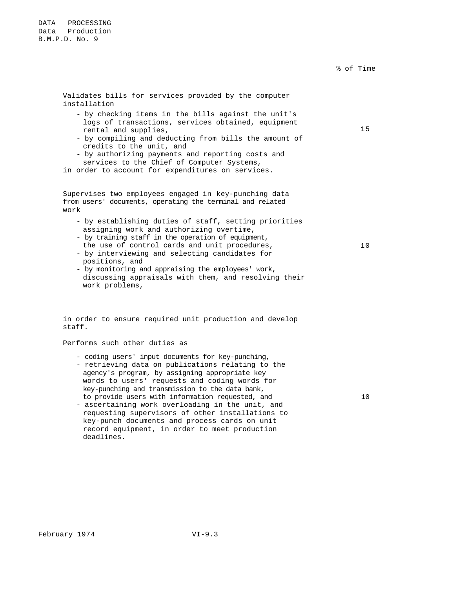15

Validates bills for services provided by the computer installation

- by checking items in the bills against the unit's logs of transactions, services obtained, equipment rental and supplies,
- by compiling and deducting from bills the amount of credits to the unit, and
- by authorizing payments and reporting costs and services to the Chief of Computer Systems,

in order to account for expenditures on services.

Supervises two employees engaged in key-punching data from users' documents, operating the terminal and related work

- by establishing duties of staff, setting priorities assigning work and authorizing overtime,
- by training staff in the operation of equipment, the use of control cards and unit procedures,
- by interviewing and selecting candidates for positions, and
- by monitoring and appraising the employees' work, discussing appraisals with them, and resolving their work problems,

in order to ensure required unit production and develop staff.

Performs such other duties as

- coding users' input documents for key-punching,
- retrieving data on publications relating to the agency's program, by assigning appropriate key words to users' requests and coding words for key-punching and transmission to the data bank, to provide users with information requested, and
- ascertaining work overloading in the unit, and requesting supervisors of other installations to key-punch documents and process cards on unit record equipment, in order to meet production deadlines.

10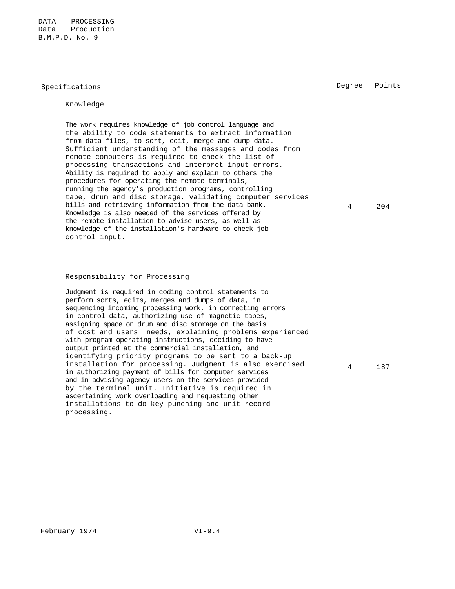Specifications Degree Points

Knowledge

The work requires knowledge of job control language and the ability to code statements to extract information from data files, to sort, edit, merge and dump data. Sufficient understanding of the messages and codes from remote computers is required to check the list of processing transactions and interpret input errors. Ability is required to apply and explain to others the procedures for operating the remote terminals, running the agency's production programs, controlling tape, drum and disc storage, validating computer services bills and retrieving information from the data bank. Knowledge is also needed of the services offered by the remote installation to advise users, as well as knowledge of the installation's hardware to check job control input.

#### Responsibility for Processing

Judgment is required in coding control statements to perform sorts, edits, merges and dumps of data, in sequencing incoming processing work, in correcting errors in control data, authorizing use of magnetic tapes, assigning space on drum and disc storage on the basis of cost and users' needs, explaining problems experienced with program operating instructions, deciding to have output printed at the commercial installation, and identifying priority programs to be sent to a back-up installation for processing. Judgment is also exercised in authorizing payment of bills for computer services and in advising agency users on the services provided by the terminal unit. Initiative is required in ascertaining work overloading and requesting other installations to do key-punching and unit record processing.

4 204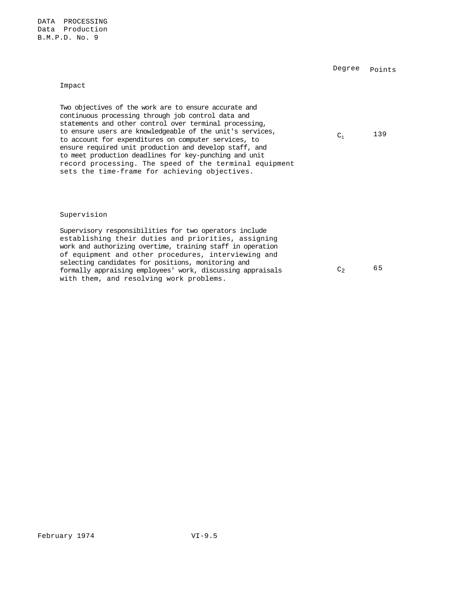Degree Points

Impact

Two objectives of the work are to ensure accurate and continuous processing through job control data and statements and other control over terminal processing, to ensure users are knowledgeable of the unit's services, to account for expenditures on computer services, to ensure required unit production and develop staff, and to meet production deadlines for key-punching and unit record processing. The speed of the terminal equipment sets the time-frame for achieving objectives.

#### Supervision

Supervisory responsibilities for two operators include establishing their duties and priorities, assigning work and authorizing overtime, training staff in operation of equipment and other procedures, interviewing and selecting candidates for positions, monitoring and formally appraising employees' work, discussing appraisals with them, and resolving work problems.

 $C_1$  139

 $C_2$  65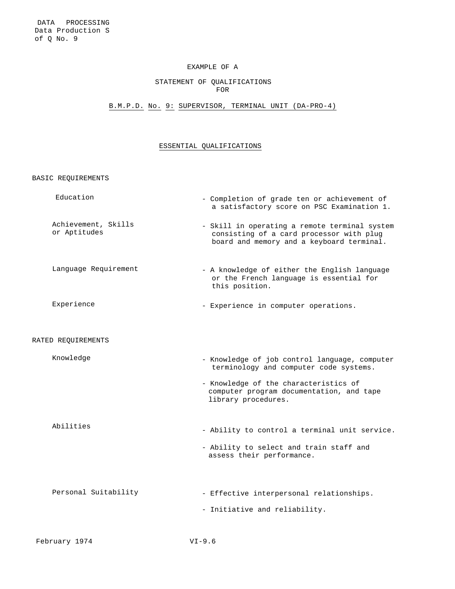## STATEMENT OF QUALIFICATIONS FOR

# B.M.P.D. No. 9: SUPERVISOR, TERMINAL UNIT (DA-PRO-4)

## ESSENTIAL QUALIFICATIONS

BASIC REQUIREMENTS

| Education                           | - Completion of grade ten or achievement of<br>a satisfactory score on PSC Examination 1.                                              |
|-------------------------------------|----------------------------------------------------------------------------------------------------------------------------------------|
| Achievement, Skills<br>or Aptitudes | - Skill in operating a remote terminal system<br>consisting of a card processor with plug<br>board and memory and a keyboard terminal. |
| Language Requirement                | - A knowledge of either the English language<br>or the French language is essential for<br>this position.                              |
| Experience                          | - Experience in computer operations.                                                                                                   |
| RATED REQUIREMENTS                  |                                                                                                                                        |
| Knowledge                           | - Knowledge of job control language, computer<br>terminology and computer code systems.                                                |
|                                     | - Knowledge of the characteristics of<br>computer program documentation, and tape<br>library procedures.                               |
| Abilities                           | - Ability to control a terminal unit service.                                                                                          |
|                                     | - Ability to select and train staff and<br>assess their performance.                                                                   |
| Personal Suitability                | - Effective interpersonal relationships.                                                                                               |
|                                     | - Initiative and reliability.                                                                                                          |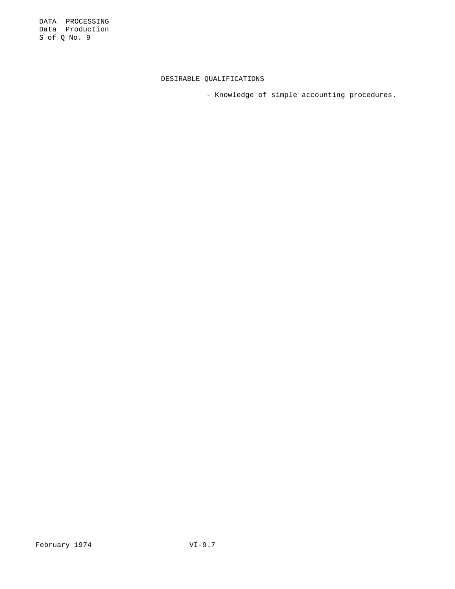DATA PROCESSING Data Production S of Q No. 9

# DESIRABLE QUALIFICATIONS

- Knowledge of simple accounting procedures.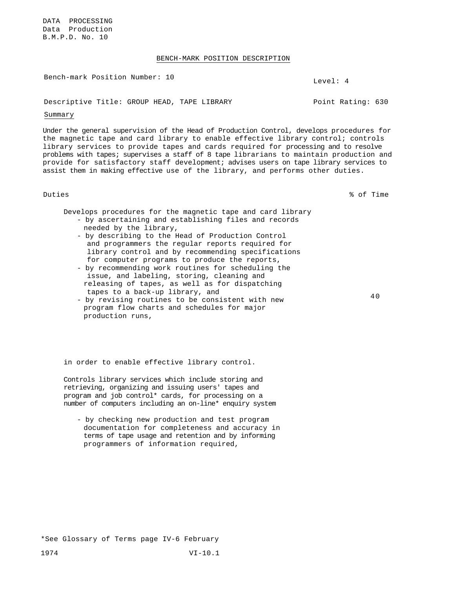#### BENCH-MARK POSITION DESCRIPTION

Bench-mark Position Number: 10 Level: 4

Descriptive Title: GROUP HEAD, TAPE LIBRARY Point Rating: 630

#### Summary

Under the general supervision of the Head of Production Control, develops procedures for the magnetic tape and card library to enable effective library control; controls library services to provide tapes and cards required for processing and to resolve problems with tapes; supervises a staff of 8 tape librarians to maintain production and provide for satisfactory staff development; advises users on tape library services to assist them in making effective use of the library, and performs other duties.

Duties % of Time

40

- Develops procedures for the magnetic tape and card library - by ascertaining and establishing files and records needed by the library,
	- by describing to the Head of Production Control and programmers the regular reports required for library control and by recommending specifications for computer programs to produce the reports,
	- by recommending work routines for scheduling the issue, and labeling, storing, cleaning and releasing of tapes, as well as for dispatching tapes to a back-up library, and
	- by revising routines to be consistent with new program flow charts and schedules for major production runs,

in order to enable effective library control.

Controls library services which include storing and retrieving, organizing and issuing users' tapes and program and job control\* cards, for processing on a number of computers including an on-line\* enquiry system

- by checking new production and test program documentation for completeness and accuracy in terms of tape usage and retention and by informing programmers of information required,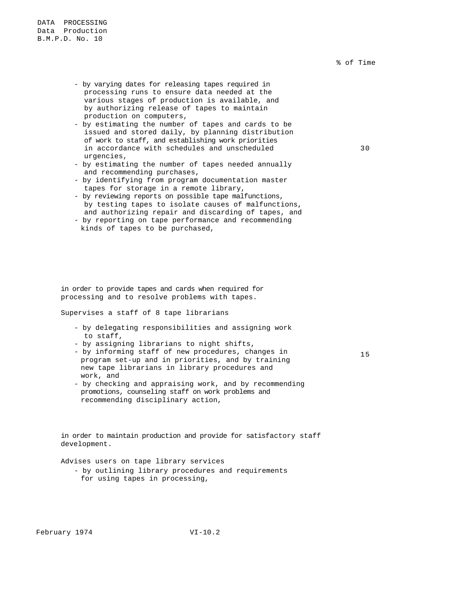- by varying dates for releasing tapes required in processing runs to ensure data needed at the various stages of production is available, and by authorizing release of tapes to maintain production on computers,
- by estimating the number of tapes and cards to be issued and stored daily, by planning distribution of work to staff, and establishing work priorities in accordance with schedules and unscheduled urgencies,
- by estimating the number of tapes needed annually and recommending purchases,
- by identifying from program documentation master tapes for storage in a remote library,
- by reviewing reports on possible tape malfunctions, by testing tapes to isolate causes of malfunctions, and authorizing repair and discarding of tapes, and
- by reporting on tape performance and recommending kinds of tapes to be purchased,

in order to provide tapes and cards when required for processing and to resolve problems with tapes.

Supervises a staff of 8 tape librarians

- by delegating responsibilities and assigning work to staff,
- by assigning librarians to night shifts,
- by informing staff of new procedures, changes in program set-up and in priorities, and by training new tape librarians in library procedures and work, and
- by checking and appraising work, and by recommending promotions, counseling staff on work problems and recommending disciplinary action,

in order to maintain production and provide for satisfactory staff development.

Advises users on tape library services

- by outlining library procedures and requirements for using tapes in processing,

February 1974 VI-10.2

30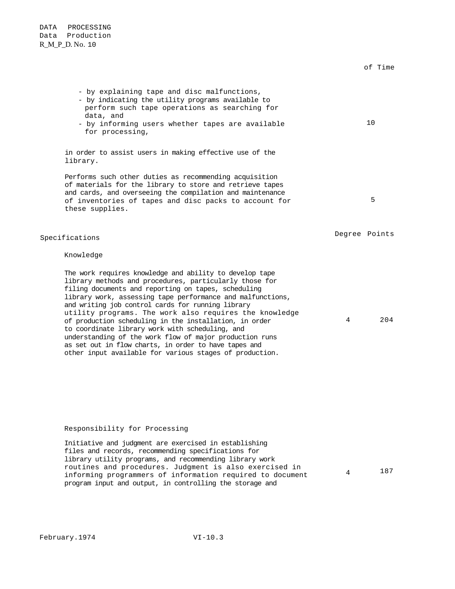|                                                                                                                                                                                                                                                                                                                                                                                                                                                                                                                                                                                                                                                   |               | of Time |
|---------------------------------------------------------------------------------------------------------------------------------------------------------------------------------------------------------------------------------------------------------------------------------------------------------------------------------------------------------------------------------------------------------------------------------------------------------------------------------------------------------------------------------------------------------------------------------------------------------------------------------------------------|---------------|---------|
| - by explaining tape and disc malfunctions,<br>- by indicating the utility programs available to<br>perform such tape operations as searching for<br>data, and<br>- by informing users whether tapes are available<br>for processing,                                                                                                                                                                                                                                                                                                                                                                                                             |               | 10      |
| in order to assist users in making effective use of the<br>library.                                                                                                                                                                                                                                                                                                                                                                                                                                                                                                                                                                               |               |         |
| Performs such other duties as recommending acquisition<br>of materials for the library to store and retrieve tapes<br>and cards, and overseeing the compilation and maintenance<br>of inventories of tapes and disc packs to account for<br>these supplies.                                                                                                                                                                                                                                                                                                                                                                                       |               | 5       |
| Specifications                                                                                                                                                                                                                                                                                                                                                                                                                                                                                                                                                                                                                                    | Degree Points |         |
| Knowledge                                                                                                                                                                                                                                                                                                                                                                                                                                                                                                                                                                                                                                         |               |         |
| The work requires knowledge and ability to develop tape<br>library methods and procedures, particularly those for<br>filing documents and reporting on tapes, scheduling<br>library work, assessing tape performance and malfunctions,<br>and writing job control cards for running library<br>utility programs. The work also requires the knowledge<br>of production scheduling in the installation, in order<br>to coordinate library work with scheduling, and<br>understanding of the work flow of major production runs<br>as set out in flow charts, in order to have tapes and<br>other input available for various stages of production. | 4             | 204     |

# Responsibility for Processing

| Initiative and judgment are exercised in establishing     |                |     |
|-----------------------------------------------------------|----------------|-----|
| files and records, recommending specifications for        |                |     |
| library utility programs, and recommending library work   |                |     |
| routines and procedures. Judgment is also exercised in    |                | 187 |
| informing programmers of information required to document | $\overline{4}$ |     |
| program input and output, in controlling the storage and  |                |     |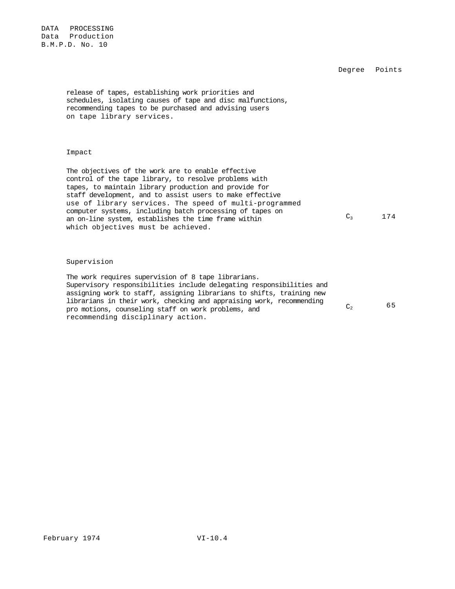Degree Points

 $C_3$  174

release of tapes, establishing work priorities and schedules, isolating causes of tape and disc malfunctions, recommending tapes to be purchased and advising users on tape library services.

## Impact

The objectives of the work are to enable effective control of the tape library, to resolve problems with tapes, to maintain library production and provide for staff development, and to assist users to make effective use of library services. The speed of multi-programmed computer systems, including batch processing of tapes on an on-line system, establishes the time frame within which objectives must be achieved.

#### Supervision

The work requires supervision of 8 tape librarians. Supervisory responsibilities include delegating responsibilities and assigning work to staff, assigning librarians to shifts, training new librarians in their work, checking and appraising work, recommending pro motions, counseling staff on work problems, and recommending disciplinary action.  $C<sub>2</sub>$  65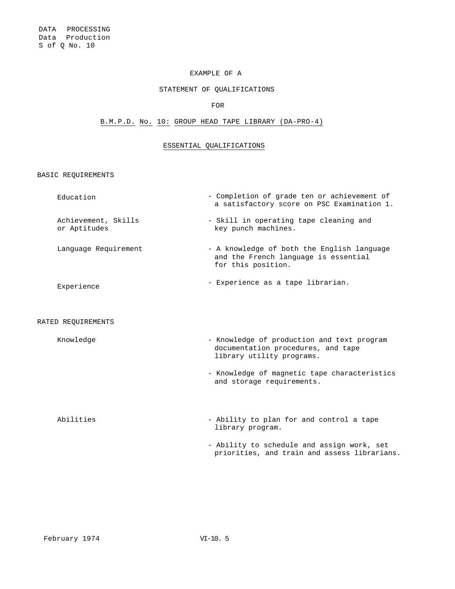# EXAMPLE OF A

# STATEMENT OF QUALIFICATIONS

### FOR

# B.M.P.D. No. 10: GROUP HEAD TAPE LIBRARY (DA-PRO-4)

# ESSENTIAL QUALIFICATIONS

BASIC REQUIREMENTS

| Education                           | - Completion of grade ten or achievement of<br>a satisfactory score on PSC Examination 1.                     |
|-------------------------------------|---------------------------------------------------------------------------------------------------------------|
| Achievement, Skills<br>or Aptitudes | - Skill in operating tape cleaning and<br>key punch machines.                                                 |
| Language Requirement                | - A knowledge of both the English language<br>and the French language is essential<br>for this position.      |
| Experience                          | - Experience as a tape librarian.                                                                             |
| RATED REQUIREMENTS                  |                                                                                                               |
| Knowledge                           | - Knowledge of production and text program<br>documentation procedures, and tape<br>library utility programs. |
|                                     | - Knowledge of magnetic tape characteristics<br>and storage requirements.                                     |
| Abilities                           | - Ability to plan for and control a tape<br>library program.                                                  |
|                                     | - Ability to schedule and assign work, set<br>priorities, and train and assess librarians.                    |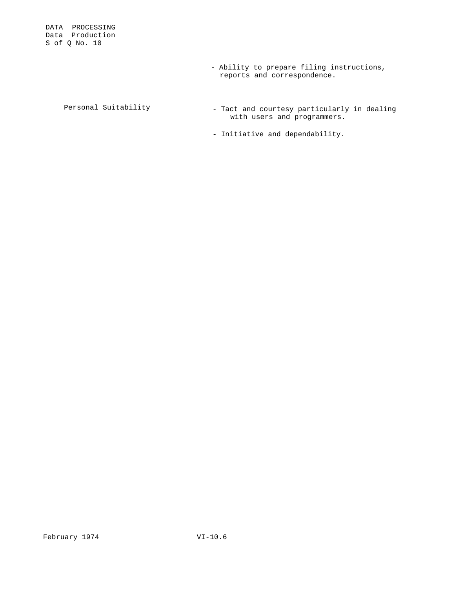DATA PROCESSING Data Production S of Q No. 10

> - Ability to prepare filing instructions, reports and correspondence.

- Personal Suitability Tact and courtesy particularly in dealing with users and programmers.
	- Initiative and dependability.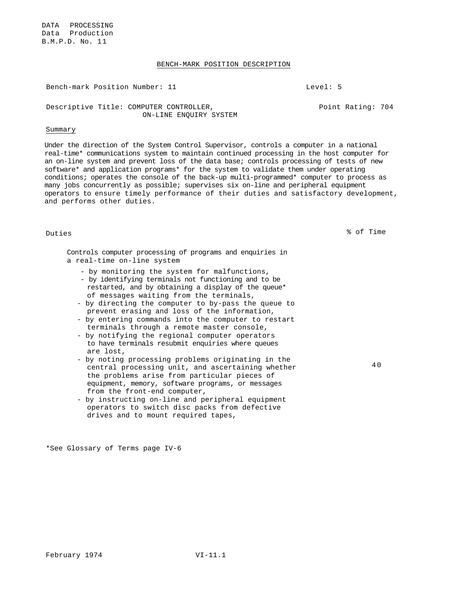### BENCH-MARK POSITION DESCRIPTION

Bench-mark Position Number: 11 Level: 5

Point Rating: 704

Descriptive Title: COMPUTER CONTROLLER, ON-LINE ENQUIRY SYSTEM

### Summary

Under the direction of the System Control Supervisor, controls a computer in a national real-time\* communications system to maintain continued processing in the host computer for an on-line system and prevent loss of the data base; controls processing of tests of new software\* and application programs\* for the system to validate them under operating conditions; operates the console of the back-up multi-programmed\* computer to process as many jobs concurrently as possible; supervises six on-line and peripheral equipment operators to ensure timely performance of their duties and satisfactory development, and performs other duties.

Duties % of Time

40

Controls computer processing of programs and enquiries in a real-time on-line system

- by monitoring the system for malfunctions,
- by identifying terminals not functioning and to be restarted, and by obtaining a display of the queue\* of messages waiting from the terminals,
- by directing the computer to by-pass the queue to prevent erasing and loss of the information,
- by entering commands into the computer to restart terminals through a remote master console,
- by notifying the regional computer operators to have terminals resubmit enquiries where queues are lost,
- by noting processing problems originating in the central processing unit, and ascertaining whether the problems arise from particular pieces of equipment, memory, software programs, or messages from the front-end computer,
- by instructing on-line and peripheral equipment operators to switch disc packs from defective drives and to mount required tapes,

\*See Glossary of Terms page IV-6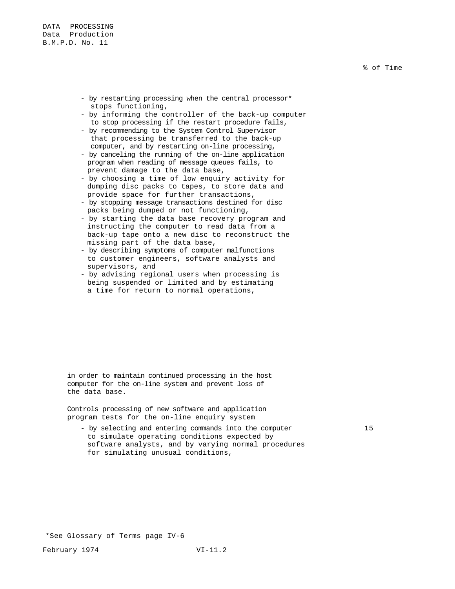- by restarting processing when the central processor\* stops functioning,

- by informing the controller of the back-up computer to stop processing if the restart procedure fails,
- by recommending to the System Control Supervisor that processing be transferred to the back-up computer, and by restarting on-line processing,
- by canceling the running of the on-line application program when reading of message queues fails, to prevent damage to the data base,
- by choosing a time of low enquiry activity for dumping disc packs to tapes, to store data and provide space for further transactions,
- by stopping message transactions destined for disc packs being dumped or not functioning,
- by starting the data base recovery program and instructing the computer to read data from a back-up tape onto a new disc to reconstruct the missing part of the data base,
- by describing symptoms of computer malfunctions to customer engineers, software analysts and supervisors, and
- by advising regional users when processing is being suspended or limited and by estimating a time for return to normal operations,

in order to maintain continued processing in the host computer for the on-line system and prevent loss of the data base.

Controls processing of new software and application program tests for the on-line enquiry system

- by selecting and entering commands into the computer to simulate operating conditions expected by software analysts, and by varying normal procedures for simulating unusual conditions,

% of Time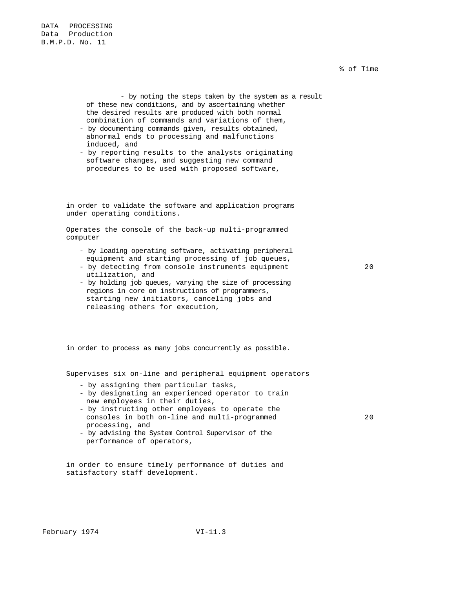% of Time

- by noting the steps taken by the system as a result of these new conditions, and by ascertaining whether the desired results are produced with both normal combination of commands and variations of them,

- by documenting commands given, results obtained, abnormal ends to processing and malfunctions induced, and
- by reporting results to the analysts originating software changes, and suggesting new command procedures to be used with proposed software,

in order to validate the software and application programs under operating conditions.

Operates the console of the back-up multi-programmed computer

- by loading operating software, activating peripheral equipment and starting processing of job queues,
- by detecting from console instruments equipment utilization, and
- by holding job queues, varying the size of processing regions in core on instructions of programmers, starting new initiators, canceling jobs and releasing others for execution,

in order to process as many jobs concurrently as possible.

Supervises six on-line and peripheral equipment operators

- by assigning them particular tasks,
- by designating an experienced operator to train new employees in their duties,
- by instructing other employees to operate the consoles in both on-line and multi-programmed processing, and
- by advising the System Control Supervisor of the performance of operators,

in order to ensure timely performance of duties and satisfactory staff development.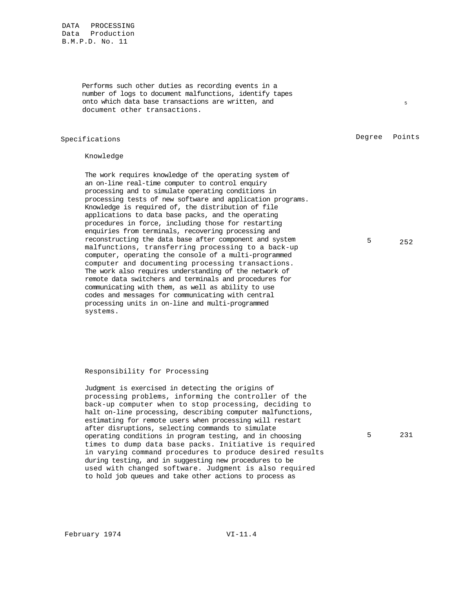> Performs such other duties as recording events in a number of logs to document malfunctions, identify tapes onto which data base transactions are written, and document other transactions.

# Specifications **Degree** Points

5 252

5

### Knowledge

The work requires knowledge of the operating system of an on-line real-time computer to control enquiry processing and to simulate operating conditions in processing tests of new software and application programs. Knowledge is required of, the distribution of file applications to data base packs, and the operating procedures in force, including those for restarting enquiries from terminals, recovering processing and reconstructing the data base after component and system malfunctions, transferring processing to a back-up computer, operating the console of a multi-programmed computer and documenting processing transactions. The work also requires understanding of the network of remote data switchers and terminals and procedures for communicating with them, as well as ability to use codes and messages for communicating with central processing units in on-line and multi-programmed systems.

## Responsibility for Processing

Judgment is exercised in detecting the origins of processing problems, informing the controller of the back-up computer when to stop processing, deciding to halt on-line processing, describing computer malfunctions, estimating for remote users when processing will restart after disruptions, selecting commands to simulate operating conditions in program testing, and in choosing times to dump data base packs. Initiative is required in varying command procedures to produce desired results during testing, and in suggesting new procedures to be used with changed software. Judgment is also required to hold job queues and take other actions to process as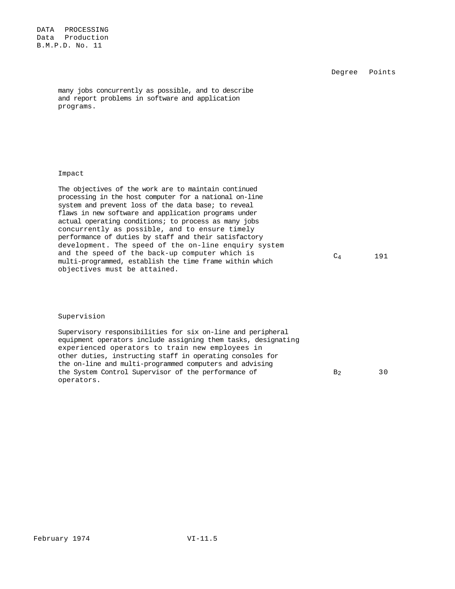Degree Points

many jobs concurrently as possible, and to describe and report problems in software and application programs.

Impact

The objectives of the work are to maintain continued processing in the host computer for a national on-line system and prevent loss of the data base; to reveal flaws in new software and application programs under actual operating conditions; to process as many jobs concurrently as possible, and to ensure timely performance of duties by staff and their satisfactory development. The speed of the on-line enquiry system and the speed of the back-up computer which is multi-programmed, establish the time frame within which objectives must be attained.

C4 191

B2 30

Supervision

Supervisory responsibilities for six on-line and peripheral equipment operators include assigning them tasks, designating experienced operators to train new employees in other duties, instructing staff in operating consoles for the on-line and multi-programmed computers and advising the System Control Supervisor of the performance of operators.

February 1974 VI-11.5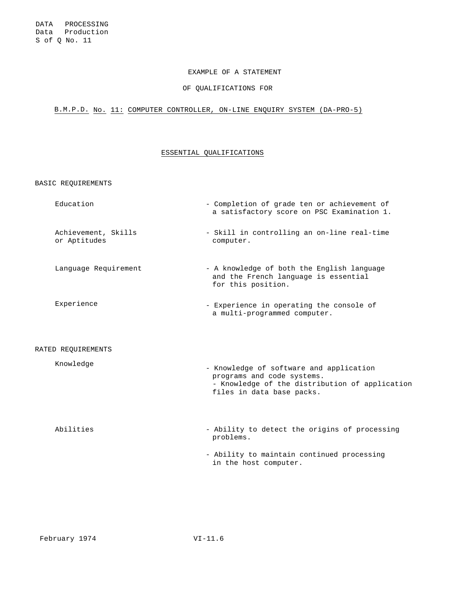## EXAMPLE OF A STATEMENT

## OF QUALIFICATIONS FOR

# B.M.P.D. No. 11: COMPUTER CONTROLLER, ON-LINE ENQUIRY SYSTEM (DA-PRO-5)

# ESSENTIAL QUALIFICATIONS

# BASIC REQUIREMENTS

| Education                           | - Completion of grade ten or achievement of<br>a satisfactory score on PSC Examination 1.                                                            |  |  |
|-------------------------------------|------------------------------------------------------------------------------------------------------------------------------------------------------|--|--|
| Achievement, Skills<br>or Aptitudes | - Skill in controlling an on-line real-time<br>computer.                                                                                             |  |  |
| Language Requirement                | - A knowledge of both the English language<br>and the French language is essential<br>for this position.                                             |  |  |
| Experience                          | - Experience in operating the console of<br>a multi-programmed computer.                                                                             |  |  |
| RATED REOUIREMENTS                  |                                                                                                                                                      |  |  |
| Knowledge                           | - Knowledge of software and application<br>programs and code systems.<br>- Knowledge of the distribution of application<br>files in data base packs. |  |  |
| Abilities                           | - Ability to detect the origins of processing                                                                                                        |  |  |

problems.

- Ability to maintain continued processing in the host computer.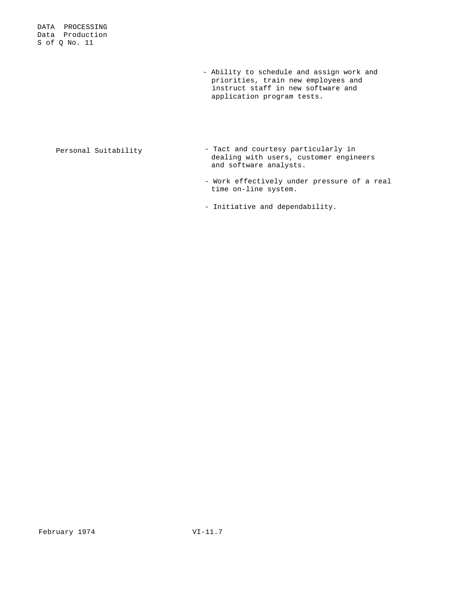DATA PROCESSING Data Production S of Q No. 11

> - Ability to schedule and assign work and priorities, train new employees and instruct staff in new software and application program tests.

- Personal Suitability Tact and courtesy particularly in dealing with users, customer engineers and software analysts.
	- Work effectively under pressure of a real time on-line system.
	- Initiative and dependability.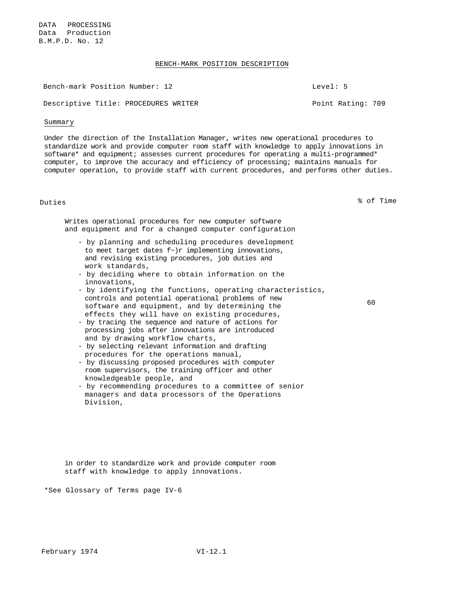#### BENCH-MARK POSITION DESCRIPTION

Bench-mark Position Number: 12 Level: 5

Descriptive Title: PROCEDURES WRITER Point Rating: 709

### Summary

Under the direction of the Installation Manager, writes new operational procedures to standardize work and provide computer room staff with knowledge to apply innovations in software\* and equipment; assesses current procedures for operating a multi-programmed\* computer, to improve the accuracy and efficiency of processing; maintains manuals for computer operation, to provide staff with current procedures, and performs other duties.

Duties % of Time

Writes operational procedures for new computer software and equipment and for a changed computer configuration

- by planning and scheduling procedures development to meet target dates f~)r implementing innovations, and revising existing procedures, job duties and work standards,
- by deciding where to obtain information on the innovations,
- by identifying the functions, operating characteristics, controls and potential operational problems of new software and equipment, and by determining the effects they will have on existing procedures,
- by tracing the sequence and nature of actions for processing jobs after innovations are introduced and by drawing workflow charts,
- by selecting relevant information and drafting procedures for the operations manual,
- by discussing proposed procedures with computer room supervisors, the training officer and other knowledgeable people, and
- by recommending procedures to a committee of senior managers and data processors of the Operations Division,

in order to standardize work and provide computer room staff with knowledge to apply innovations.

\*See Glossary of Terms page IV-6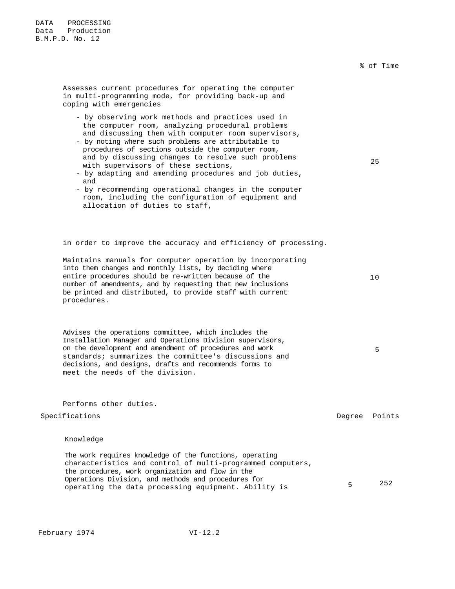| Assesses current procedures for operating the computer<br>in multi-programming mode, for providing back-up and<br>coping with emergencies                                                                                                                                                                                                                                                                                                                                                                                                                                              |        |        |
|----------------------------------------------------------------------------------------------------------------------------------------------------------------------------------------------------------------------------------------------------------------------------------------------------------------------------------------------------------------------------------------------------------------------------------------------------------------------------------------------------------------------------------------------------------------------------------------|--------|--------|
| - by observing work methods and practices used in<br>the computer room, analyzing procedural problems<br>and discussing them with computer room supervisors,<br>- by noting where such problems are attributable to<br>procedures of sections outside the computer room,<br>and by discussing changes to resolve such problems<br>with supervisors of these sections,<br>- by adapting and amending procedures and job duties,<br>and<br>- by recommending operational changes in the computer<br>room, including the configuration of equipment and<br>allocation of duties to staff, |        | 25     |
| in order to improve the accuracy and efficiency of processing.                                                                                                                                                                                                                                                                                                                                                                                                                                                                                                                         |        |        |
| Maintains manuals for computer operation by incorporating<br>into them changes and monthly lists, by deciding where<br>entire procedures should be re-written because of the<br>number of amendments, and by requesting that new inclusions<br>be printed and distributed, to provide staff with current<br>procedures.                                                                                                                                                                                                                                                                |        | 10     |
| Advises the operations committee, which includes the<br>Installation Manager and Operations Division supervisors,<br>on the development and amendment of procedures and work<br>standards; summarizes the committee's discussions and<br>decisions, and designs, drafts and recommends forms to<br>meet the needs of the division.                                                                                                                                                                                                                                                     |        | 5      |
| Performs other duties.                                                                                                                                                                                                                                                                                                                                                                                                                                                                                                                                                                 |        |        |
| Specifications                                                                                                                                                                                                                                                                                                                                                                                                                                                                                                                                                                         | Degree | Points |
| Knowledge                                                                                                                                                                                                                                                                                                                                                                                                                                                                                                                                                                              |        |        |
| The work requires knowledge of the functions, operating<br>characteristics and control of multi-programmed computers,<br>the procedures, work organization and flow in the                                                                                                                                                                                                                                                                                                                                                                                                             |        |        |
| Operations Division, and methods and procedures for<br>operating the data processing equipment. Ability is                                                                                                                                                                                                                                                                                                                                                                                                                                                                             | 5      | 252    |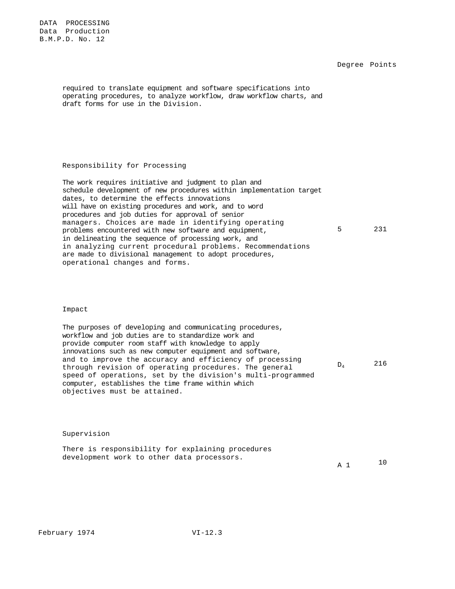Degree Points

required to translate equipment and software specifications into operating procedures, to analyze workflow, draw workflow charts, and draft forms for use in the Division.

### Responsibility for Processing

The work requires initiative and judgment to plan and schedule development of new procedures within implementation target dates, to determine the effects innovations will have on existing procedures and work, and to word procedures and job duties for approval of senior managers. Choices are made in identifying operating problems encountered with new software and equipment, in delineating the sequence of processing work, and in analyzing current procedural problems. Recommendations are made to divisional management to adopt procedures, operational changes and forms. 5 231

Impact

The purposes of developing and communicating procedures, workflow and job duties are to standardize work and provide computer room staff with knowledge to apply innovations such as new computer equipment and software, and to improve the accuracy and efficiency of processing through revision of operating procedures. The general speed of operations, set by the division's multi-programmed computer, establishes the time frame within which objectives must be attained.  $D_4$  216

Supervision

There is responsibility for explaining procedures development work to other data processors.

A 1 10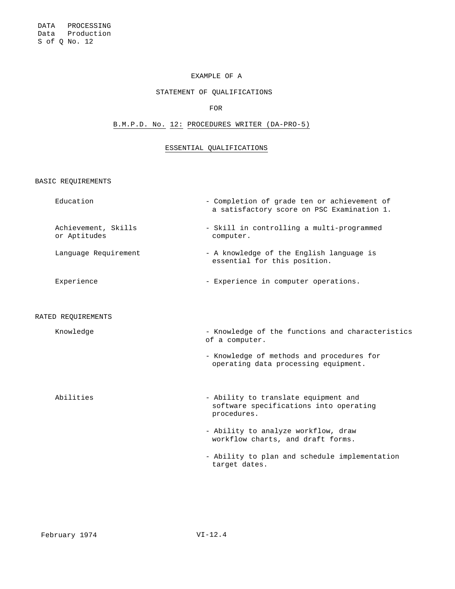## EXAMPLE OF A

# STATEMENT OF QUALIFICATIONS

## FOR

# B.M.P.D. No. 12: PROCEDURES WRITER (DA-PRO-5)

# ESSENTIAL QUALIFICATIONS

# BASIC REQUIREMENTS

| Education                           | - Completion of grade ten or achievement of<br>a satisfactory score on PSC Examination 1. |
|-------------------------------------|-------------------------------------------------------------------------------------------|
| Achievement, Skills<br>or Aptitudes | - Skill in controlling a multi-programmed<br>computer.                                    |
| Language Requirement                | - A knowledge of the English language is<br>essential for this position.                  |
| Experience                          | - Experience in computer operations.                                                      |
|                                     |                                                                                           |
| RATED REQUIREMENTS                  |                                                                                           |
| Knowledge                           | - Knowledge of the functions and characteristics<br>of a computer.                        |
|                                     | - Knowledge of methods and procedures for<br>operating data processing equipment.         |
| Abilities                           | - Ability to translate equipment and<br>software specifications into operating            |
|                                     | procedures.                                                                               |
|                                     | - Ability to analyze workflow, draw<br>workflow charts, and draft forms.                  |
|                                     | - Ability to plan and schedule implementation<br>target dates.                            |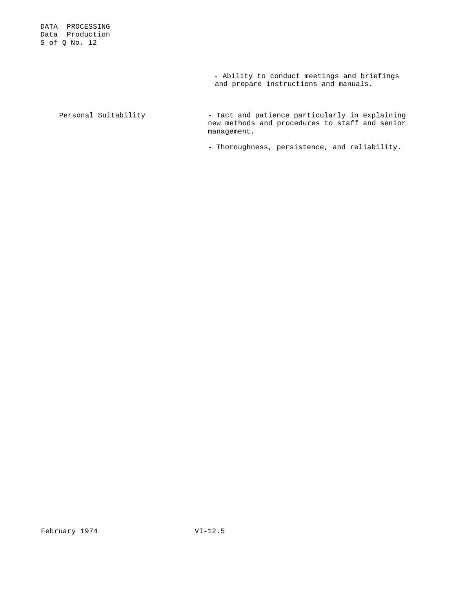DATA PROCESSING Data Production S of Q No. 12

> - Ability to conduct meetings and briefings and prepare instructions and manuals.

Personal Suitability - Tact and patience particularly in explaining new methods and procedures to staff and senior management.

- Thoroughness, persistence, and reliability.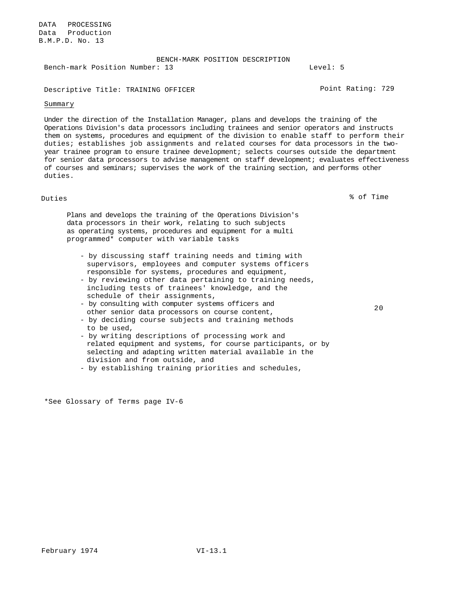BENCH-MARK POSITION DESCRIPTION Bench-mark Position Number: 13 Level: 5

# Descriptive Title: TRAINING OFFICER Point Rating: 729

#### Summary

Under the direction of the Installation Manager, plans and develops the training of the Operations Division's data processors including trainees and senior operators and instructs them on systems, procedures and equipment of the division to enable staff to perform their duties; establishes job assignments and related courses for data processors in the twoyear trainee program to ensure trainee development; selects courses outside the department for senior data processors to advise management on staff development; evaluates effectiveness of courses and seminars; supervises the work of the training section, and performs other duties.

Duties % of Time

20

Plans and develops the training of the Operations Division's data processors in their work, relating to such subjects as operating systems, procedures and equipment for a multi programmed\* computer with variable tasks

- by discussing staff training needs and timing with supervisors, employees and computer systems officers responsible for systems, procedures and equipment,
- by reviewing other data pertaining to training needs, including tests of trainees' knowledge, and the schedule of their assignments,
- by consulting with computer systems officers and other senior data processors on course content,
- by deciding course subjects and training methods to be used,
- by writing descriptions of processing work and related equipment and systems, for course participants, or by selecting and adapting written material available in the division and from outside, and
- by establishing training priorities and schedules,

\*See Glossary of Terms page IV-6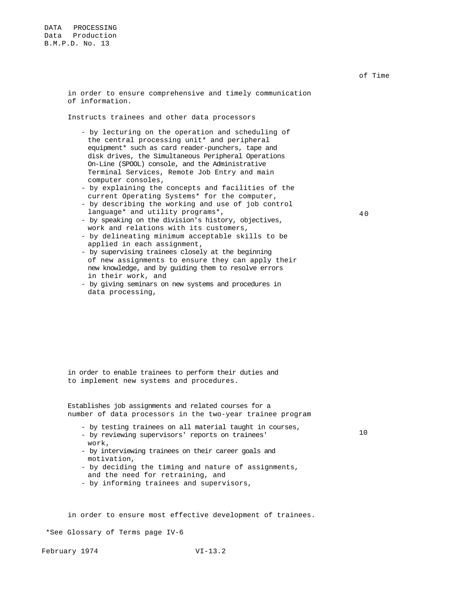of Time

in order to ensure comprehensive and timely communication of information.

Instructs trainees and other data processors

- by lecturing on the operation and scheduling of the central processing unit\* and peripheral equipment\* such as card reader-punchers, tape and disk drives, the Simultaneous Peripheral Operations On-Line (SPOOL) console, and the Administrative Terminal Services, Remote Job Entry and main computer consoles,
- by explaining the concepts and facilities of the current Operating Systems\* for the computer,
- by describing the working and use of job control language\* and utility programs\*,
- by speaking on the division's history, objectives, work and relations with its customers,
- by delineating minimum acceptable skills to be applied in each assignment,
- by supervising trainees closely at the beginning of new assignments to ensure they can apply their new knowledge, and by guiding them to resolve errors in their work, and
- by giving seminars on new systems and procedures in data processing,

in order to enable trainees to perform their duties and to implement new systems and procedures.

Establishes job assignments and related courses for a number of data processors in the two-year trainee program

- by testing trainees on all material taught in courses,
- by reviewing supervisors' reports on trainees' work,
- by interviewing trainees on their career goals and motivation,
- by deciding the timing and nature of assignments, and the need for retraining, and
- by informing trainees and supervisors,

in order to ensure most effective development of trainees.

\*See Glossary of Terms page IV-6

 $40$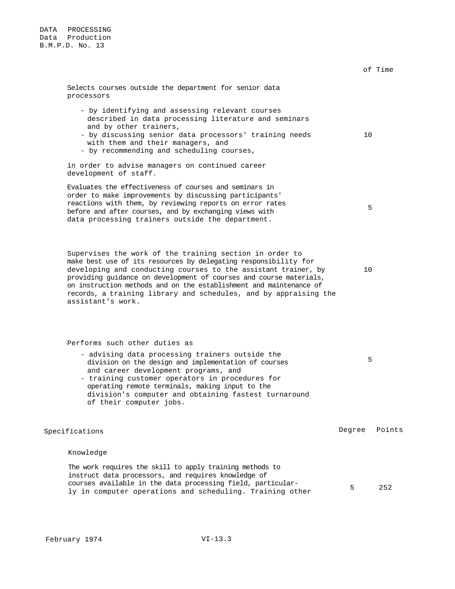| Selects courses outside the department for senior data<br>processors                                                                                                                                                                                                                                                                                                                                                              |        |        |
|-----------------------------------------------------------------------------------------------------------------------------------------------------------------------------------------------------------------------------------------------------------------------------------------------------------------------------------------------------------------------------------------------------------------------------------|--------|--------|
| - by identifying and assessing relevant courses<br>described in data processing literature and seminars<br>and by other trainers,<br>- by discussing senior data processors' training needs<br>with them and their managers, and<br>- by recommending and scheduling courses,                                                                                                                                                     | 10     |        |
| in order to advise managers on continued career<br>development of staff.                                                                                                                                                                                                                                                                                                                                                          |        |        |
| Evaluates the effectiveness of courses and seminars in<br>order to make improvements by discussing participants'<br>reactions with them, by reviewing reports on error rates<br>before and after courses, and by exchanging views with<br>data processing trainers outside the department.                                                                                                                                        | 5      |        |
| Supervises the work of the training section in order to<br>make best use of its resources by delegating responsibility for<br>developing and conducting courses to the assistant trainer, by<br>providing quidance on development of courses and course materials,<br>on instruction methods and on the establishment and maintenance of<br>records, a training library and schedules, and by appraising the<br>assistant's work. | 10     |        |
| Performs such other duties as                                                                                                                                                                                                                                                                                                                                                                                                     |        |        |
| - advising data processing trainers outside the<br>division on the design and implementation of courses<br>and career development programs, and<br>- training customer operators in procedures for<br>operating remote terminals, making input to the<br>division's computer and obtaining fastest turnaround<br>of their computer jobs.                                                                                          | 5      |        |
| Specifications                                                                                                                                                                                                                                                                                                                                                                                                                    | Degree | Points |
| Knowledge                                                                                                                                                                                                                                                                                                                                                                                                                         |        |        |
| The work requires the skill to apply training methods to<br>instruct data processors, and requires knowledge of<br>courses available in the data processing field, particular-<br>ly in computer operations and scheduling. Training other                                                                                                                                                                                        | 5      | 252    |

of Time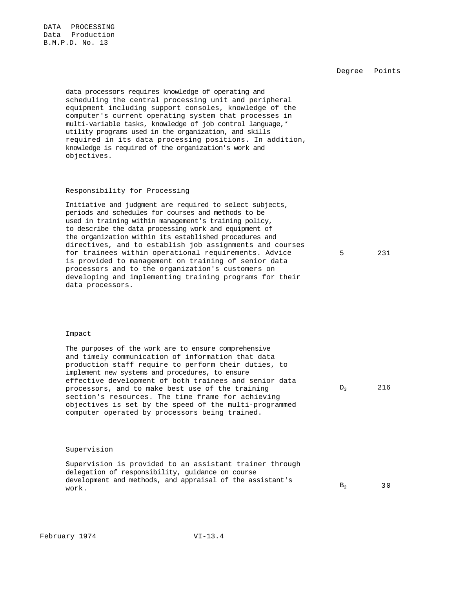Degree Points

data processors requires knowledge of operating and scheduling the central processing unit and peripheral equipment including support consoles, knowledge of the computer's current operating system that processes in multi-variable tasks, knowledge of job control language,\* utility programs used in the organization, and skills required in its data processing positions. In addition, knowledge is required of the organization's work and objectives.

### Responsibility for Processing

Initiative and judgment are required to select subjects, periods and schedules for courses and methods to be used in training within management's training policy, to describe the data processing work and equipment of the organization within its established procedures and directives, and to establish job assignments and courses for trainees within operational requirements. Advice is provided to management on training of senior data processors and to the organization's customers on developing and implementing training programs for their data processors.

#### 5 231

#### Impact

The purposes of the work are to ensure comprehensive and timely communication of information that data production staff require to perform their duties, to implement new systems and procedures, to ensure effective development of both trainees and senior data processors, and to make best use of the training section's resources. The time frame for achieving objectives is set by the speed of the multi-programmed computer operated by processors being trained.

Supervision

Supervision is provided to an assistant trainer through delegation of responsibility, guidance on course development and methods, and appraisal of the assistant's work.  $B_2$  30

 $D_3$  216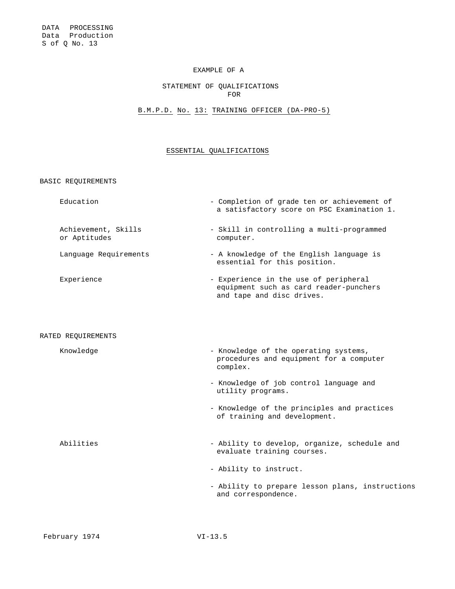# EXAMPLE OF A

## STATEMENT OF QUALIFICATIONS FOR

# B.M.P.D. No. 13: TRAINING OFFICER (DA-PRO-5)

# ESSENTIAL QUALIFICATIONS

BASIC REQUIREMENTS

|                    | Education                           | - Completion of grade ten or achievement of<br>a satisfactory score on PSC Examination 1.                    |  |  |
|--------------------|-------------------------------------|--------------------------------------------------------------------------------------------------------------|--|--|
|                    | Achievement, Skills<br>or Aptitudes | - Skill in controlling a multi-programmed<br>computer.                                                       |  |  |
|                    | Language Requirements               | - A knowledge of the English language is<br>essential for this position.                                     |  |  |
|                    | Experience                          | - Experience in the use of peripheral<br>equipment such as card reader-punchers<br>and tape and disc drives. |  |  |
| RATED REOUIREMENTS |                                     |                                                                                                              |  |  |
|                    | Knowledge                           | - Knowledge of the operating systems,<br>procedures and equipment for a computer<br>complex.                 |  |  |
|                    |                                     | - Knowledge of job control language and<br>utility programs.                                                 |  |  |
|                    |                                     | - Knowledge of the principles and practices<br>of training and development.                                  |  |  |
|                    | Abilities                           | - Ability to develop, organize, schedule and<br>evaluate training courses.                                   |  |  |
|                    |                                     | - Ability to instruct.                                                                                       |  |  |
|                    |                                     | - Ability to prepare lesson plans, instructions<br>and correspondence.                                       |  |  |
|                    |                                     |                                                                                                              |  |  |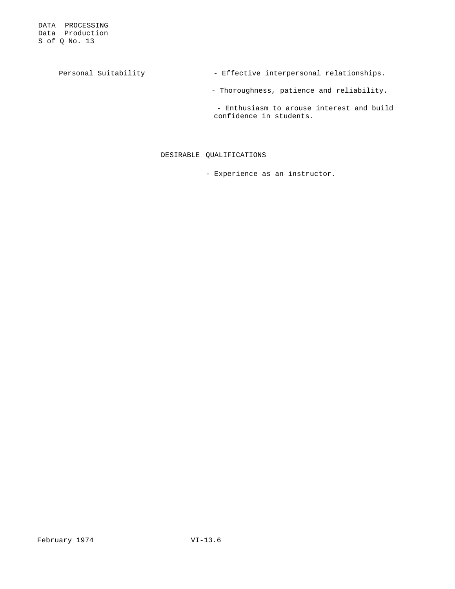DATA PROCESSING Data Production S of Q No. 13

Personal Suitability - Effective interpersonal relationships.

- Thoroughness, patience and reliability.

- Enthusiasm to arouse interest and build confidence in students.

## DESIRABLE QUALIFICATIONS

- Experience as an instructor.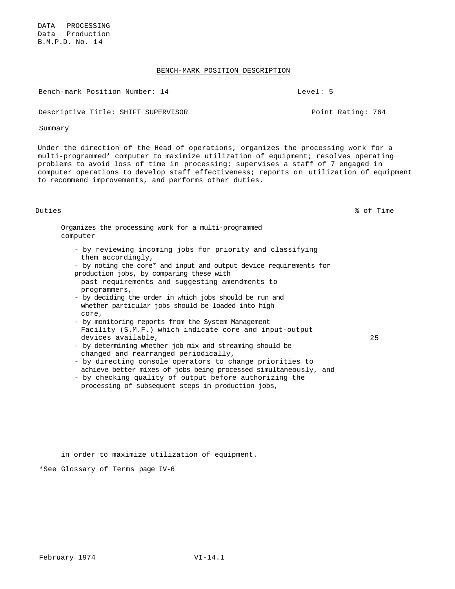February 1974 VI-14.1

DATA PROCESSING Data Production B.M.P.D. No. 14

## BENCH-MARK POSITION DESCRIPTION

## Descriptive Title: SHIFT SUPERVISOR **Point Rating: 764**

#### Summary

Under the direction of the Head of operations, organizes the processing work for a multi-programmed\* computer to maximize utilization of equipment; resolves operating problems to avoid loss of time in processing; supervises a staff of 7 engaged in computer operations to develop staff effectiveness; reports on utilization of equipment to recommend improvements, and performs other duties.

Duties % of Time

Organizes the processing work for a multi-programmed computer

- by reviewing incoming jobs for priority and classifying them accordingly,
- by noting the core\* and input and output device requirements for production jobs, by comparing these with
- past requirements and suggesting amendments to programmers,
- by deciding the order in which jobs should be run and whether particular jobs should be loaded into high core,
- by monitoring reports from the System Management Facility (S.M.F.) which indicate core and input-output devices available,
- by determining whether job mix and streaming should be changed and rearranged periodically,
- by directing console operators to change priorities to achieve better mixes of jobs being processed simultaneously, and
- by checking quality of output before authorizing the processing of subsequent steps in production jobs,

in order to maximize utilization of equipment.

\*See Glossary of Terms page IV-6

Bench-mark Position Number: 14 Level: 5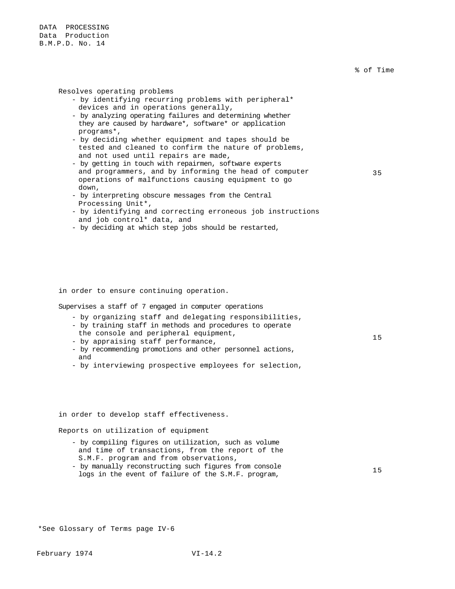% of Time

35

Resolves operating problems

- by identifying recurring problems with peripheral\* devices and in operations generally,
- by analyzing operating failures and determining whether they are caused by hardware\*, software\* or application programs\*,
- by deciding whether equipment and tapes should be tested and cleaned to confirm the nature of problems, and not used until repairs are made,
- by getting in touch with repairmen, software experts and programmers, and by informing the head of computer operations of malfunctions causing equipment to go down,
- by interpreting obscure messages from the Central Processing Unit\*,
- by identifying and correcting erroneous job instructions and job control\* data, and
- by deciding at which step jobs should be restarted,

in order to ensure continuing operation.

Supervises a staff of 7 engaged in computer operations

- by organizing staff and delegating responsibilities,
- by training staff in methods and procedures to operate
- the console and peripheral equipment,
- by appraising staff performance,
- by recommending promotions and other personnel actions, and
- by interviewing prospective employees for selection,

## in order to develop staff effectiveness.

Reports on utilization of equipment

- by compiling figures on utilization, such as volume and time of transactions, from the report of the S.M.F. program and from observations,
- by manually reconstructing such figures from console by manually reconstructing such rigures from console  $15$ <br>logs in the event of failure of the S.M.F. program,

15

\*See Glossary of Terms page IV-6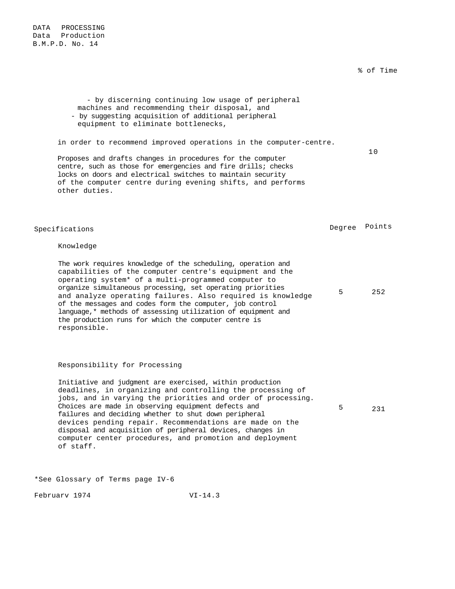% of Time

- by discerning continuing low usage of peripheral machines and recommending their disposal, and - by suggesting acquisition of additional peripheral equipment to eliminate bottlenecks,

in order to recommend improved operations in the computer-centre.

10

Proposes and drafts changes in procedures for the computer centre, such as those for emergencies and fire drills; checks locks on doors and electrical switches to maintain security of the computer centre during evening shifts, and performs other duties.

# Specifications **Degree** Points

#### Knowledge

The work requires knowledge of the scheduling, operation and capabilities of the computer centre's equipment and the operating system\* of a multi-programmed computer to organize simultaneous processing, set operating priorities and analyze operating failures. Also required is knowledge of the messages and codes form the computer, job control language,\* methods of assessing utilization of equipment and the production runs for which the computer centre is responsible. 5 252

### Responsibility for Processing

Initiative and judgment are exercised, within production deadlines, in organizing and controlling the processing of jobs, and in varying the priorities and order of processing. Choices are made in observing equipment defects and failures and deciding whether to shut down peripheral devices pending repair. Recommendations are made on the disposal and acquisition of peripheral devices, changes in computer center procedures, and promotion and deployment of staff.

\*See Glossary of Terms page IV-6

February 1974 VI-14.3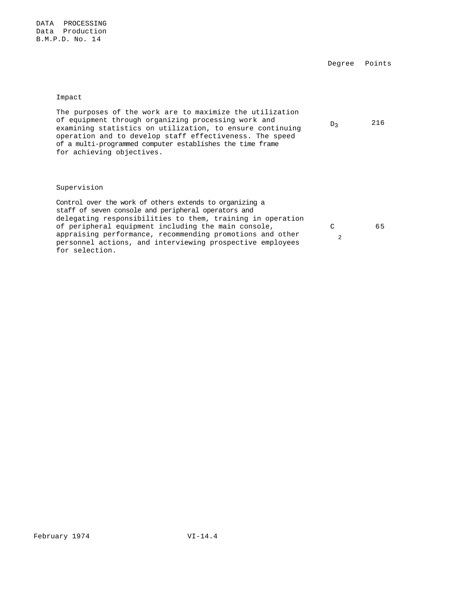Degree Points

#### Impact

The purposes of the work are to maximize the utilization of equipment through organizing processing work and examining statistics on utilization, to ensure continuing operation and to develop staff effectiveness. The speed of a multi-programmed computer establishes the time frame for achieving objectives. D3 216

## Supervision

Control over the work of others extends to organizing a staff of seven console and peripheral operators and delegating responsibilities to them, training in operation of peripheral equipment including the main console, appraising performance, recommending promotions and other personnel actions, and interviewing prospective employees for selection. C 2 65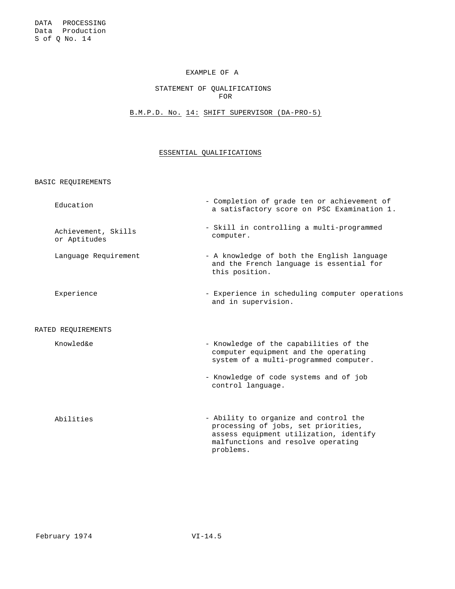## EXAMPLE OF A

## STATEMENT OF QUALIFICATIONS FOR

# B.M.P.D. No. 14: SHIFT SUPERVISOR (DA-PRO-5)

# ESSENTIAL QUALIFICATIONS

## BASIC REQUIREMENTS

| Education                           | - Completion of grade ten or achievement of<br>a satisfactory score on PSC Examination 1.                                                                                 |
|-------------------------------------|---------------------------------------------------------------------------------------------------------------------------------------------------------------------------|
| Achievement, Skills<br>or Aptitudes | - Skill in controlling a multi-programmed<br>computer.                                                                                                                    |
| Language Requirement                | - A knowledge of both the English language<br>and the French language is essential for<br>this position.                                                                  |
| Experience                          | - Experience in scheduling computer operations<br>and in supervision.                                                                                                     |
| RATED REOUIREMENTS                  |                                                                                                                                                                           |
| Knowled&e                           | - Knowledge of the capabilities of the<br>computer equipment and the operating<br>system of a multi-programmed computer.                                                  |
|                                     | - Knowledge of code systems and of job<br>control language.                                                                                                               |
| Abilities                           | - Ability to organize and control the<br>processing of jobs, set priorities,<br>assess equipment utilization, identify<br>malfunctions and resolve operating<br>problems. |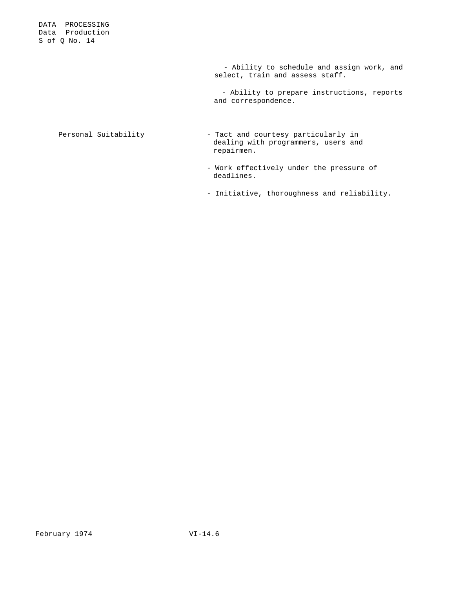DATA PROCESSING Data Production S of Q No. 14

> - Ability to schedule and assign work, and select, train and assess staff.

> - Ability to prepare instructions, reports and correspondence.

- Personal Suitability Tact and courtesy particularly in dealing with programmers, users and repairmen.
	- Work effectively under the pressure of deadlines.
	- Initiative, thoroughness and reliability.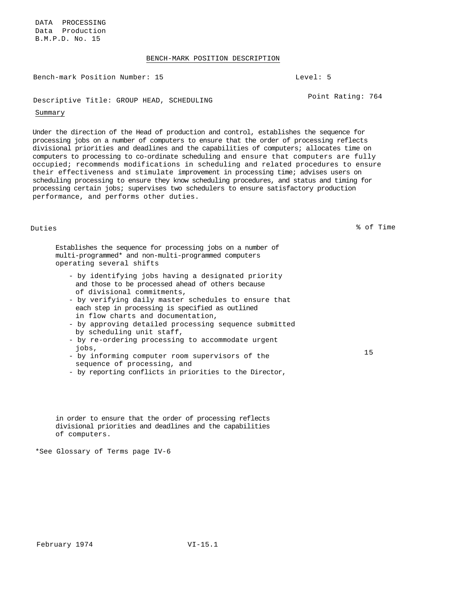#### BENCH-MARK POSITION DESCRIPTION

Bench-mark Position Number: 15 Level: 5

Descriptive Title: GROUP HEAD, SCHEDULING Point Rating: 764

Summary

Under the direction of the Head of production and control, establishes the sequence for processing jobs on a number of computers to ensure that the order of processing reflects divisional priorities and deadlines and the capabilities of computers; allocates time on computers to processing to co-ordinate scheduling and ensure that computers are fully occupied; recommends modifications in scheduling and related procedures to ensure their effectiveness and stimulate improvement in processing time; advises users on scheduling processing to ensure they know scheduling procedures, and status and timing for processing certain jobs; supervises two schedulers to ensure satisfactory production performance, and performs other duties.

Duties % of Time

15

Establishes the sequence for processing jobs on a number of multi-programmed\* and non-multi-programmed computers operating several shifts

- by identifying jobs having a designated priority and those to be processed ahead of others because of divisional commitments,
- by verifying daily master schedules to ensure that each step in processing is specified as outlined in flow charts and documentation,
- by approving detailed processing sequence submitted by scheduling unit staff,
- by re-ordering processing to accommodate urgent jobs,
- by informing computer room supervisors of the sequence of processing, and
- by reporting conflicts in priorities to the Director,

in order to ensure that the order of processing reflects divisional priorities and deadlines and the capabilities of computers.

\*See Glossary of Terms page IV-6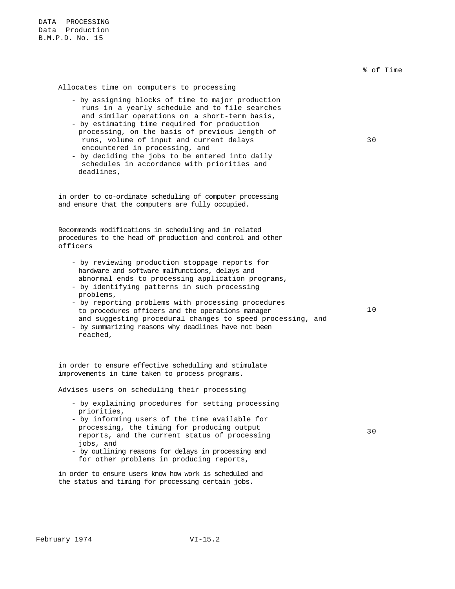% of Time

30

10

30

Allocates time on computers to processing

- by assigning blocks of time to major production runs in a yearly schedule and to file searches and similar operations on a short-term basis,
- by estimating time required for production processing, on the basis of previous length of runs, volume of input and current delays encountered in processing, and
- by deciding the jobs to be entered into daily schedules in accordance with priorities and deadlines,

in order to co-ordinate scheduling of computer processing and ensure that the computers are fully occupied.

Recommends modifications in scheduling and in related procedures to the head of production and control and other officers

- by reviewing production stoppage reports for hardware and software malfunctions, delays and abnormal ends to processing application programs,
- by identifying patterns in such processing problems,
- by reporting problems with processing procedures to procedures officers and the operations manager and suggesting procedural changes to speed processing, and
- by summarizing reasons why deadlines have not been reached,

in order to ensure effective scheduling and stimulate improvements in time taken to process programs.

Advises users on scheduling their processing

- by explaining procedures for setting processing priorities,
- by informing users of the time available for processing, the timing for producing output reports, and the current status of processing jobs, and
- by outlining reasons for delays in processing and for other problems in producing reports,

in order to ensure users know how work is scheduled and the status and timing for processing certain jobs.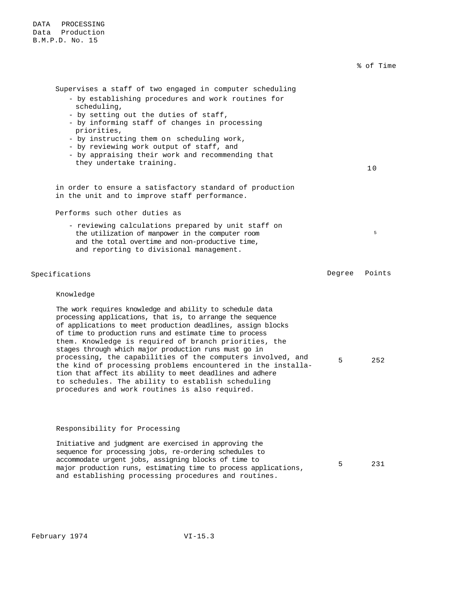% of Time Supervises a staff of two engaged in computer scheduling - by establishing procedures and work routines for scheduling, - by setting out the duties of staff, - by informing staff of changes in processing priorities, - by instructing them on scheduling work, - by reviewing work output of staff, and - by appraising their work and recommending that they undertake training. 10 in order to ensure a satisfactory standard of production in the unit and to improve staff performance. Performs such other duties as - reviewing calculations prepared by unit staff on the utilization of manpower in the computer room and the total overtime and non-productive time, and reporting to divisional management. 5 Specifications **Degree** Points Knowledge The work requires knowledge and ability to schedule data processing applications, that is, to arrange the sequence of applications to meet production deadlines, assign blocks of time to production runs and estimate time to process them. Knowledge is required of branch priorities, the stages through which major production runs must go in processing, the capabilities of the computers involved, and the kind of processing problems encountered in the installation that affect its ability to meet deadlines and adhere to schedules. The ability to establish scheduling procedures and work routines is also required. 5 252

## Responsibility for Processing

Initiative and judgment are exercised in approving the sequence for processing jobs, re-ordering schedules to accommodate urgent jobs, assigning blocks of time to major production runs, estimating time to process applications, and establishing processing procedures and routines. 5 231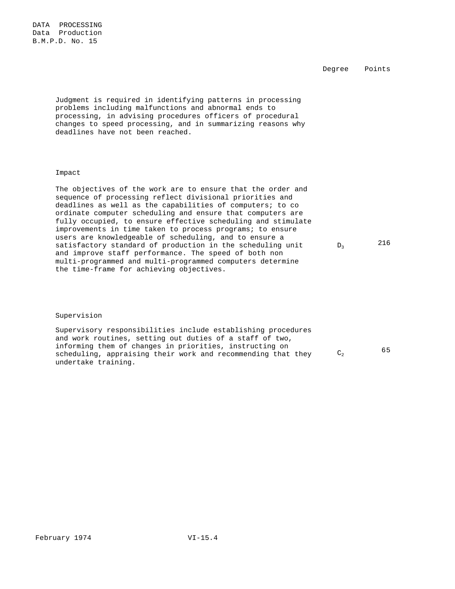Degree Points

Judgment is required in identifying patterns in processing problems including malfunctions and abnormal ends to processing, in advising procedures officers of procedural changes to speed processing, and in summarizing reasons why deadlines have not been reached.

### Impact

The objectives of the work are to ensure that the order and sequence of processing reflect divisional priorities and deadlines as well as the capabilities of computers; to co ordinate computer scheduling and ensure that computers are fully occupied, to ensure effective scheduling and stimulate improvements in time taken to process programs; to ensure users are knowledgeable of scheduling, and to ensure a satisfactory standard of production in the scheduling unit and improve staff performance. The speed of both non multi-programmed and multi-programmed computers determine the time-frame for achieving objectives.

#### Supervision

Supervisory responsibilities include establishing procedures and work routines, setting out duties of a staff of two, informing them of changes in priorities, instructing on  $\frac{1}{100}$  scheduling, appraising their work and recommending that they  $C_2$  65 undertake training.

 $D_3$  216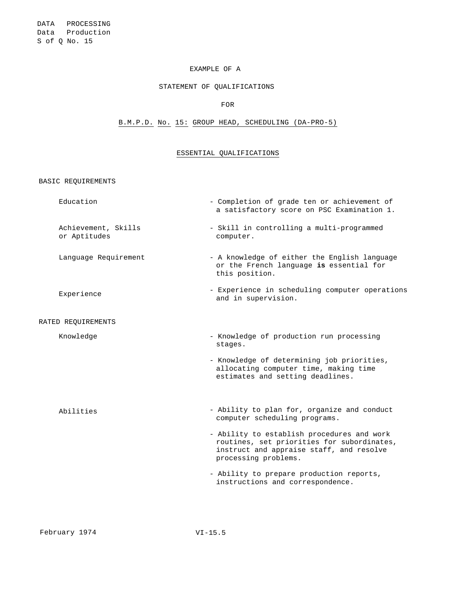## EXAMPLE OF A

# STATEMENT OF QUALIFICATIONS

FOR

# B.M.P.D. No. 15: GROUP HEAD, SCHEDULING (DA-PRO-5)

# ESSENTIAL QUALIFICATIONS

BASIC REQUIREMENTS

| Education                           | - Completion of grade ten or achievement of<br>a satisfactory score on PSC Examination 1.                                                                    |
|-------------------------------------|--------------------------------------------------------------------------------------------------------------------------------------------------------------|
| Achievement, Skills<br>or Aptitudes | - Skill in controlling a multi-programmed<br>computer.                                                                                                       |
| Language Requirement                | - A knowledge of either the English language<br>or the French language is essential for<br>this position.                                                    |
| Experience                          | - Experience in scheduling computer operations<br>and in supervision.                                                                                        |
| RATED REOUIREMENTS                  |                                                                                                                                                              |
| Knowledge                           | - Knowledge of production run processing<br>stages.                                                                                                          |
|                                     | - Knowledge of determining job priorities,<br>allocating computer time, making time<br>estimates and setting deadlines.                                      |
| Abilities                           | - Ability to plan for, organize and conduct<br>computer scheduling programs.                                                                                 |
|                                     | - Ability to establish procedures and work<br>routines, set priorities for subordinates,<br>instruct and appraise staff, and resolve<br>processing problems. |
|                                     | - Ability to prepare production reports,<br>instructions and correspondence.                                                                                 |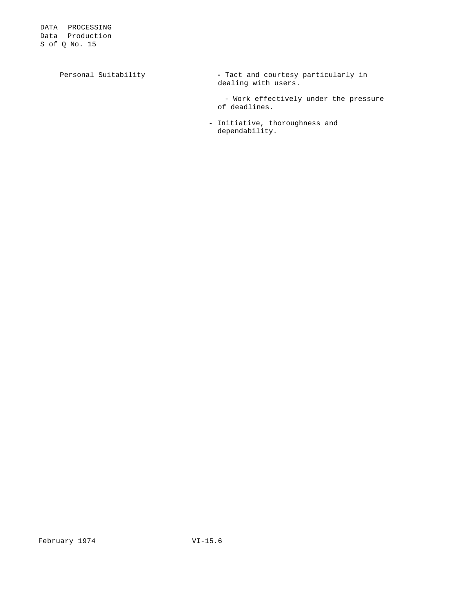DATA PROCESSING Data Production S of Q No. 15

Personal Suitability **-** Tact and courtesy particularly in dealing with users.

> - Work effectively under the pressure of deadlines.

- Initiative, thoroughness and dependability.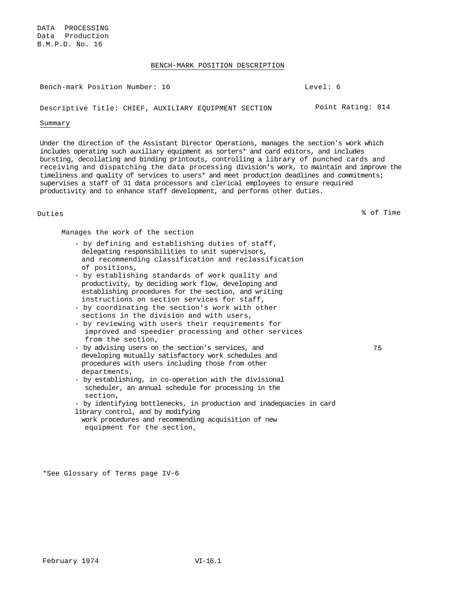#### BENCH-MARK POSITION DESCRIPTION

Bench-mark Position Number: 16 Level: 6

Descriptive Title: CHIEF, AUXILIARY EQUIPMENT SECTION Point Rating: 814

Summary

Under the direction of the Assistant Director Operations, manages the section's work which includes operating such auxiliary equipment as sorters\* and card editors, and includes bursting, decollating and binding printouts, controlling a library of punched cards and receiving and dispatching the data processing division's work, to maintain and improve the timeliness and quality of services to users\* and meet production deadlines and commitments; supervises a staff of 31 data processors and clerical employees to ensure required productivity and to enhance staff development, and performs other duties.

Duties % of Time

75

Manages the work of the section

- by defining and establishing duties of staff, delegating responsibilities to unit supervisors, and recommending classification and reclassification of positions,
- by establishing standards of work quality and productivity, by deciding work flow, developing and establishing procedures for the section, and writing instructions on section services for staff,
- by coordinating the section's work with other sections in the division and with users,
- by reviewing with users their requirements for improved and speedier processing and other services from the section,
- by advising users on the section's services, and developing mutually satisfactory work schedules and procedures with users including those from other departments,
- by establishing, in co-operation with the divisional scheduler, an annual schedule for processing in the section,
- by identifying bottlenecks, in production and inadequacies in card library control, and by modifying
- work procedures and recommending acquisition of new equipment for the section,

\*See Glossary of Terms page IV-6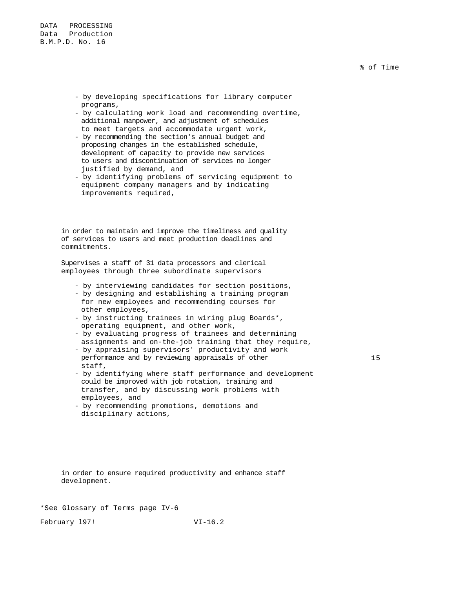15

- by developing specifications for library computer programs,
- by calculating work load and recommending overtime, additional manpower, and adjustment of schedules to meet targets and accommodate urgent work,
- by recommending the section's annual budget and proposing changes in the established schedule, development of capacity to provide new services to users and discontinuation of services no longer justified by demand, and
- by identifying problems of servicing equipment to equipment company managers and by indicating improvements required,

in order to maintain and improve the timeliness and quality of services to users and meet production deadlines and commitments.

Supervises a staff of 31 data processors and clerical employees through three subordinate supervisors

- by interviewing candidates for section positions,
- by designing and establishing a training program for new employees and recommending courses for other employees,
- by instructing trainees in wiring plug Boards\*, operating equipment, and other work,
- by evaluating progress of trainees and determining assignments and on-the-job training that they require,
- by appraising supervisors' productivity and work performance and by reviewing appraisals of other staff,
- by identifying where staff performance and development could be improved with job rotation, training and transfer, and by discussing work problems with employees, and
- by recommending promotions, demotions and disciplinary actions,

in order to ensure required productivity and enhance staff development.

\*See Glossary of Terms page IV-6

February l97! VI-16.2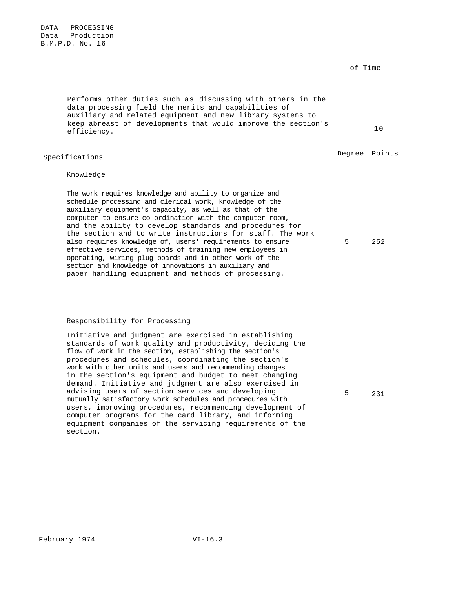> Performs other duties such as discussing with others in the data processing field the merits and capabilities of auxiliary and related equipment and new library systems to keep abreast of developments that would improve the section's efficiency. 10

# Specifications Degree Points

5 252

#### Knowledge

The work requires knowledge and ability to organize and schedule processing and clerical work, knowledge of the auxiliary equipment's capacity, as well as that of the computer to ensure co-ordination with the computer room, and the ability to develop standards and procedures for the section and to write instructions for staff. The work also requires knowledge of, users' requirements to ensure effective services, methods of training new employees in operating, wiring plug boards and in other work of the section and knowledge of innovations in auxiliary and paper handling equipment and methods of processing.

#### Responsibility for Processing

Initiative and judgment are exercised in establishing standards of work quality and productivity, deciding the flow of work in the section, establishing the section's procedures and schedules, coordinating the section's work with other units and users and recommending changes in the section's equipment and budget to meet changing demand. Initiative and judgment are also exercised in advising users of section services and developing mutually satisfactory work schedules and procedures with users, improving procedures, recommending development of computer programs for the card library, and informing equipment companies of the servicing requirements of the section.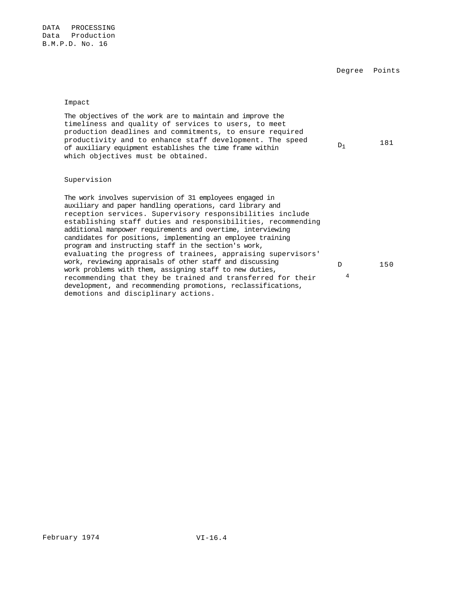Degree Points

## Impact

The objectives of the work are to maintain and improve the timeliness and quality of services to users, to meet production deadlines and commitments, to ensure required productivity and to enhance staff development. The speed of auxiliary equipment establishes the time frame within which objectives must be obtained. D<sub>1</sub> 181

Supervision

The work involves supervision of 31 employees engaged in auxiliary and paper handling operations, card library and reception services. Supervisory responsibilities include establishing staff duties and responsibilities, recommending additional manpower requirements and overtime, interviewing candidates for positions, implementing an employee training program and instructing staff in the section's work, evaluating the progress of trainees, appraising supervisors' work, reviewing appraisals of other staff and discussing work problems with them, assigning staff to new duties, recommending that they be trained and transferred for their development, and recommending promotions, reclassifications, demotions and disciplinary actions. D 4 150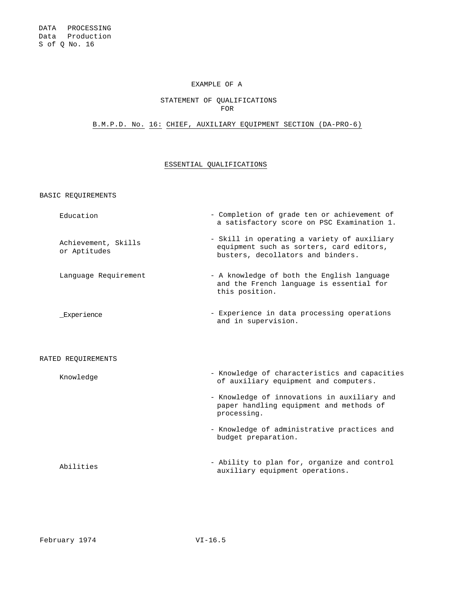#### EXAMPLE OF A

# STATEMENT OF QUALIFICATIONS FOR

# B.M.P.D. No. 16: CHIEF, AUXILIARY EQUIPMENT SECTION (DA-PRO-6)

#### ESSENTIAL QUALIFICATIONS

BASIC REQUIREMENTS

| Education | - Completion of grade ten or achievement of |
|-----------|---------------------------------------------|
|           | a satisfactory score on PSC Examination 1.  |

- Achievement, Skills or Aptitudes - Skill in operating a variety of auxiliary equipment such as sorters, card editors, busters, decollators and binders.
- Language Requirement A knowledge of both the English language and the French language is essential for this position.
- \_Experience Experience in data processing operations and in supervision.

#### RATED REQUIREMENTS

Knowledge - Knowledge of characteristics and capacities of auxiliary equipment and computers. - Knowledge of innovations in auxiliary and paper handling equipment and methods of processing. - Knowledge of administrative practices and

budget preparation.

Abilities - Ability to plan for, organize and control auxiliary equipment operations.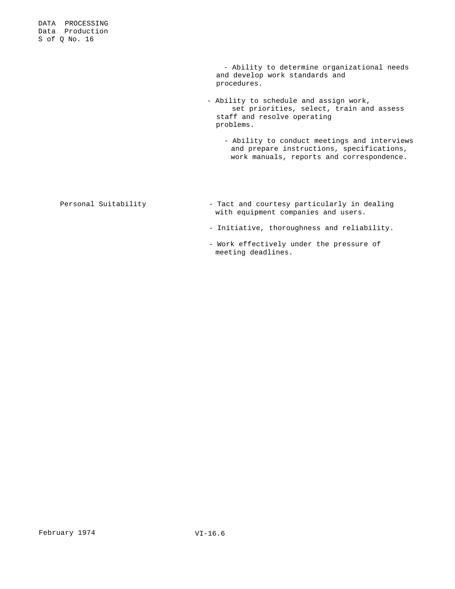DATA PROCESSING Data Production S of Q No. 16

> - Ability to determine organizational needs and develop work standards and procedures.

- Ability to schedule and assign work, set priorities, select, train and assess staff and resolve operating problems.
	- Ability to conduct meetings and interviews and prepare instructions, specifications, work manuals, reports and correspondence.

- Personal Suitability Tact and courtesy particularly in dealing with equipment companies and users.
	- Initiative, thoroughness and reliability.
	- Work effectively under the pressure of meeting deadlines.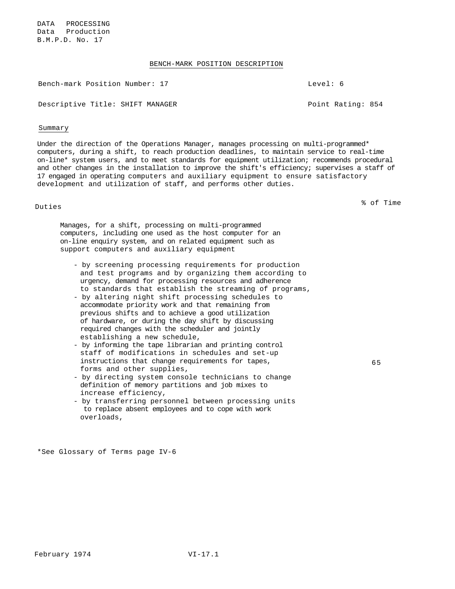DATA PROCESSING<br>Data Production Production B.M.P.D. No. 17

#### BENCH-MARK POSITION DESCRIPTION

Bench-mark Position Number: 17 Level: 6

Descriptive Title: SHIFT MANAGER **Point Rating: 854** 

#### Summary

Under the direction of the Operations Manager, manages processing on multi-programmed\* computers, during a shift, to reach production deadlines, to maintain service to real-time on-line\* system users, and to meet standards for equipment utilization; recommends procedural and other changes in the installation to improve the shift's efficiency; supervises a staff of 17 engaged in operating computers and auxiliary equipment to ensure satisfactory development and utilization of staff, and performs other duties.

Duties % of Time

65

Manages, for a shift, processing on multi-programmed computers, including one used as the host computer for an on-line enquiry system, and on related equipment such as support computers and auxiliary equipment

- by screening processing requirements for production and test programs and by organizing them according to urgency, demand for processing resources and adherence to standards that establish the streaming of programs,
- by altering night shift processing schedules to accommodate priority work and that remaining from previous shifts and to achieve a good utilization of hardware, or during the day shift by discussing required changes with the scheduler and jointly establishing a new schedule,
- by informing the tape librarian and printing control staff of modifications in schedules and set-up instructions that change requirements for tapes, forms and other supplies,
- by directing system console technicians to change definition of memory partitions and job mixes to increase efficiency,
- by transferring personnel between processing units to replace absent employees and to cope with work overloads,

\*See Glossary of Terms page IV-6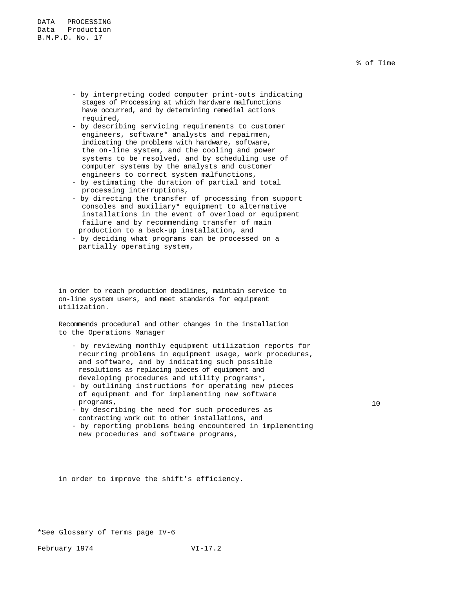% of Time

- by interpreting coded computer print-outs indicating stages of Processing at which hardware malfunctions have occurred, and by determining remedial actions required,
- by describing servicing requirements to customer engineers, software\* analysts and repairmen, indicating the problems with hardware, software, the on-line system, and the cooling and power systems to be resolved, and by scheduling use of computer systems by the analysts and customer engineers to correct system malfunctions,
- by estimating the duration of partial and total processing interruptions,
- by directing the transfer of processing from support consoles and auxiliary\* equipment to alternative installations in the event of overload or equipment failure and by recommending transfer of main production to a back-up installation, and
- by deciding what programs can be processed on a partially operating system,

in order to reach production deadlines, maintain service to on-line system users, and meet standards for equipment utilization.

Recommends procedural and other changes in the installation to the Operations Manager

- by reviewing monthly equipment utilization reports for recurring problems in equipment usage, work procedures, and software, and by indicating such possible resolutions as replacing pieces of equipment and developing procedures and utility programs\*,
- by outlining instructions for operating new pieces of equipment and for implementing new software programs,
- by describing the need for such procedures as contracting work out to other installations, and
- by reporting problems being encountered in implementing new procedures and software programs,

in order to improve the shift's efficiency.

\*See Glossary of Terms page IV-6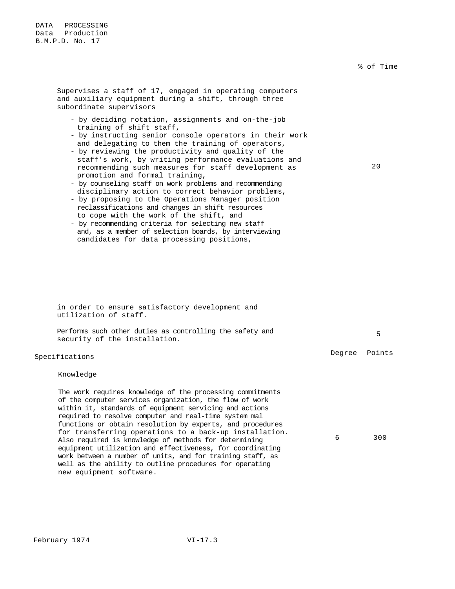% of Time

Supervises a staff of 17, engaged in operating computers and auxiliary equipment during a shift, through three subordinate supervisors

- by deciding rotation, assignments and on-the-job training of shift staff,
- by instructing senior console operators in their work and delegating to them the training of operators,
- by reviewing the productivity and quality of the staff's work, by writing performance evaluations and recommending such measures for staff development as promotion and formal training,
- by counseling staff on work problems and recommending disciplinary action to correct behavior problems,
- by proposing to the Operations Manager position reclassifications and changes in shift resources to cope with the work of the shift, and
- by recommending criteria for selecting new staff and, as a member of selection boards, by interviewing candidates for data processing positions,

in order to ensure satisfactory development and utilization of staff.

Performs such other duties as controlling the safety and security of the installation.

# Specifications and the set of the set of the set of the Degree Points of the Degree  $\mathbb R$

Knowledge

The work requires knowledge of the processing commitments of the computer services organization, the flow of work within it, standards of equipment servicing and actions required to resolve computer and real-time system mal functions or obtain resolution by experts, and procedures for transferring operations to a back-up installation. Also required is knowledge of methods for determining equipment utilization and effectiveness, for coordinating work between a number of units, and for training staff, as well as the ability to outline procedures for operating new equipment software.

20

5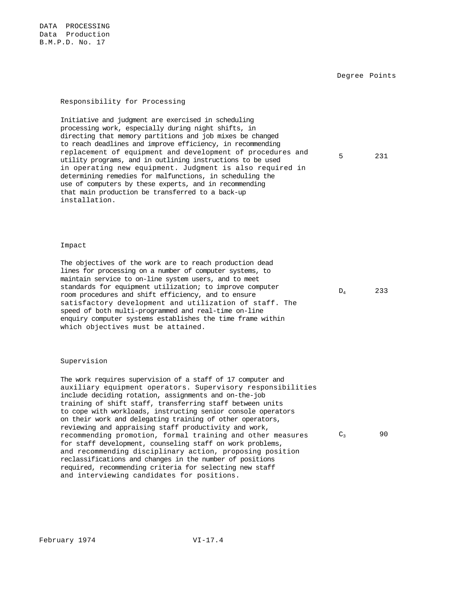Degree Points

### Responsibility for Processing

Initiative and judgment are exercised in scheduling processing work, especially during night shifts, in directing that memory partitions and job mixes be changed to reach deadlines and improve efficiency, in recommending replacement of equipment and development of procedures and utility programs, and in outlining instructions to be used in operating new equipment. Judgment is also required in determining remedies for malfunctions, in scheduling the use of computers by these experts, and in recommending that main production be transferred to a back-up installation.

Impact

The objectives of the work are to reach production dead lines for processing on a number of computer systems, to maintain service to on-line system users, and to meet standards for equipment utilization; to improve computer room procedures and shift efficiency, and to ensure satisfactory development and utilization of staff. The speed of both multi-programmed and real-time on-line enquiry computer systems establishes the time frame within which objectives must be attained.

#### Supervision

The work requires supervision of a staff of 17 computer and auxiliary equipment operators. Supervisory responsibilities include deciding rotation, assignments and on-the-job training of shift staff, transferring staff between units to cope with workloads, instructing senior console operators on their work and delegating training of other operators, reviewing and appraising staff productivity and work, recommending promotion, formal training and other measures for staff development, counseling staff on work problems, and recommending disciplinary action, proposing position reclassifications and changes in the number of positions required, recommending criteria for selecting new staff and interviewing candidates for positions.  $C_3$  90

5 231

D4 233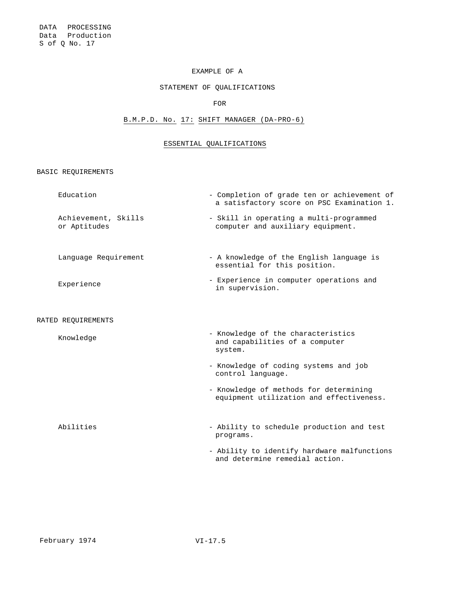# EXAMPLE OF A

# STATEMENT OF QUALIFICATIONS

FOR

# B.M.P.D. No. 17: SHIFT MANAGER (DA-PRO-6)

# ESSENTIAL QUALIFICATIONS

BASIC REQUIREMENTS

| Education                           | - Completion of grade ten or achievement of<br>a satisfactory score on PSC Examination 1. |  |  |  |
|-------------------------------------|-------------------------------------------------------------------------------------------|--|--|--|
| Achievement, Skills<br>or Aptitudes | - Skill in operating a multi-programmed<br>computer and auxiliary equipment.              |  |  |  |
| Language Requirement                | - A knowledge of the English language is<br>essential for this position.                  |  |  |  |
| Experience                          | - Experience in computer operations and<br>in supervision.                                |  |  |  |
| RATED REQUIREMENTS                  |                                                                                           |  |  |  |
| Knowledge                           | - Knowledge of the characteristics<br>and capabilities of a computer<br>system.           |  |  |  |
|                                     | - Knowledge of coding systems and job<br>control language.                                |  |  |  |
|                                     | - Knowledge of methods for determining<br>equipment utilization and effectiveness.        |  |  |  |
| Abilities                           | - Ability to schedule production and test<br>programs.                                    |  |  |  |
|                                     | - Ability to identify hardware malfunctions<br>and determine remedial action.             |  |  |  |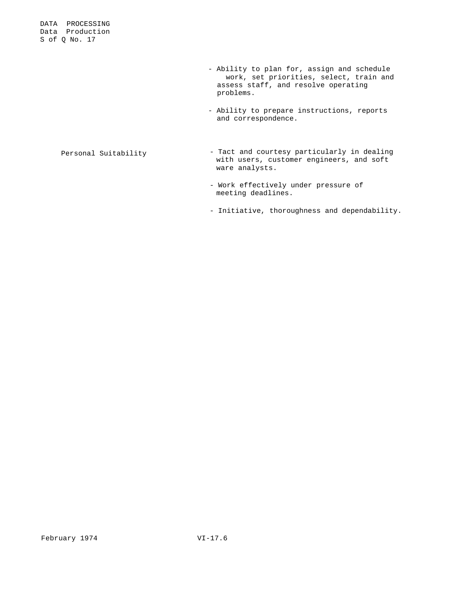DATA PROCESSING Data Production S of Q No. 17

- Ability to plan for, assign and schedule work, set priorities, select, train and assess staff, and resolve operating problems.
- Ability to prepare instructions, reports and correspondence.

Personal Suitability - Tact and courtesy particularly in dealing with users, customer engineers, and soft ware analysts.

- Work effectively under pressure of meeting deadlines.
- Initiative, thoroughness and dependability.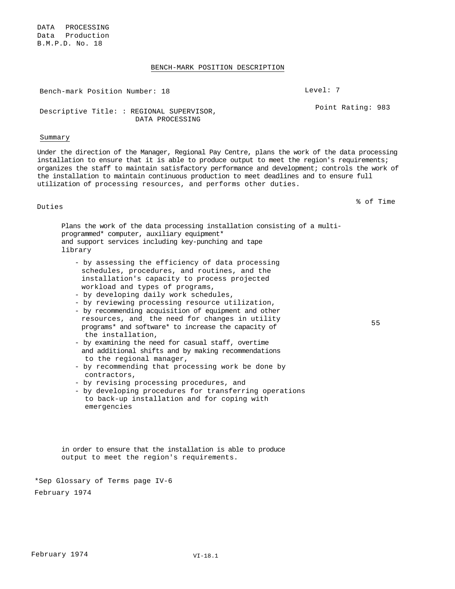#### BENCH-MARK POSITION DESCRIPTION

Bench-mark Position Number: 18 Level: 7

Point Rating: 983

Descriptive Title: : REGIONAL SUPERVISOR, DATA PROCESSING

#### Summary

Under the direction of the Manager, Regional Pay Centre, plans the work of the data processing installation to ensure that it is able to produce output to meet the region's requirements; organizes the staff to maintain satisfactory performance and development; controls the work of the installation to maintain continuous production to meet deadlines and to ensure full utilization of processing resources, and performs other duties.

# Duties

% of Time

Plans the work of the data processing installation consisting of a multiprogrammed\* computer, auxiliary equipment\* and support services including key-punching and tape library

- by assessing the efficiency of data processing schedules, procedures, and routines, and the installation's capacity to process projected workload and types of programs,
- by developing daily work schedules,
- by reviewing processing resource utilization,
- by recommending acquisition of equipment and other resources, and. the need for changes in utility programs\* and software\* to increase the capacity of the installation,
- by examining the need for casual staff, overtime and additional shifts and by making recommendations to the regional manager,
- by recommending that processing work be done by contractors,
- by revising processing procedures, and
- by developing procedures for transferring operations to back-up installation and for coping with emergencies

in order to ensure that the installation is able to produce output to meet the region's requirements.

\*Sep Glossary of Terms page IV-6 February 1974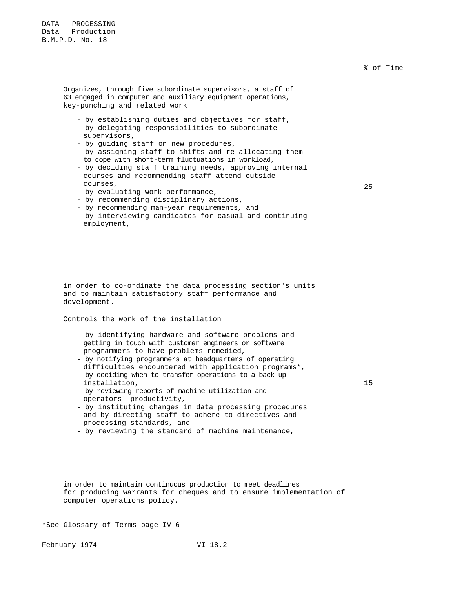Organizes, through five subordinate supervisors, a staff of 63 engaged in computer and auxiliary equipment operations, key-punching and related work

- by establishing duties and objectives for staff,
- by delegating responsibilities to subordinate supervisors,
- by guiding staff on new procedures,
- by assigning staff to shifts and re-allocating them to cope with short-term fluctuations in workload,
- by deciding staff training needs, approving internal courses and recommending staff attend outside courses,
- by evaluating work performance,
- by recommending disciplinary actions,
- by recommending man-year requirements, and
- by interviewing candidates for casual and continuing employment,

in order to co-ordinate the data processing section's units and to maintain satisfactory staff performance and development.

Controls the work of the installation

- by identifying hardware and software problems and getting in touch with customer engineers or software programmers to have problems remedied,
- by notifying programmers at headquarters of operating difficulties encountered with application programs\*,
- by deciding when to transfer operations to a back-up installation,
- by reviewing reports of machine utilization and operators' productivity,
- by instituting changes in data processing procedures and by directing staff to adhere to directives and processing standards, and
- by reviewing the standard of machine maintenance,

in order to maintain continuous production to meet deadlines for producing warrants for cheques and to ensure implementation of computer operations policy.

\*See Glossary of Terms page IV-6

February 1974 VI-18.2

% of Time

25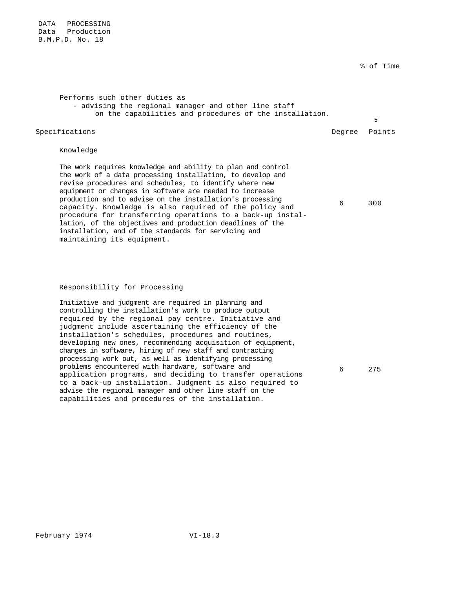% of Time

5

Performs such other duties as - advising the regional manager and other line staff on the capabilities and procedures of the installation.

### Specifications **Degree** Points **Degree** Points

6 300

#### Knowledge

The work requires knowledge and ability to plan and control the work of a data processing installation, to develop and revise procedures and schedules, to identify where new equipment or changes in software are needed to increase production and to advise on the installation's processing capacity. Knowledge is also required of the policy and procedure for transferring operations to a back-up installation, of the objectives and production deadlines of the installation, and of the standards for servicing and maintaining its equipment.

# Responsibility for Processing

Initiative and judgment are required in planning and controlling the installation's work to produce output required by the regional pay centre. Initiative and judgment include ascertaining the efficiency of the installation's schedules, procedures and routines, developing new ones, recommending acquisition of equipment, changes in software, hiring of new staff and contracting processing work out, as well as identifying processing problems encountered with hardware, software and application programs, and deciding to transfer operations to a back-up installation. Judgment is also required to advise the regional manager and other line staff on the capabilities and procedures of the installation. 6 275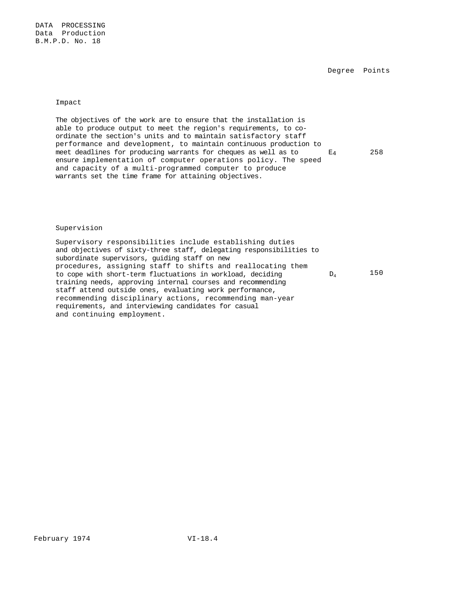Degree Points

#### Impact

The objectives of the work are to ensure that the installation is able to produce output to meet the region's requirements, to coordinate the section's units and to maintain satisfactory staff performance and development, to maintain continuous production to meet deadlines for producing warrants for cheques as well as to ensure implementation of computer operations policy. The speed and capacity of a multi-programmed computer to produce warrants set the time frame for attaining objectives.

E4 258

# Supervision

Supervisory responsibilities include establishing duties and objectives of sixty-three staff, delegating responsibilities to subordinate supervisors, guiding staff on new procedures, assigning staff to shifts and reallocating them to cope with short-term fluctuations in workload, deciding training needs, approving internal courses and recommending staff attend outside ones, evaluating work performance, recommending disciplinary actions, recommending man-year requirements, and interviewing candidates for casual and continuing employment.  $D_4$  150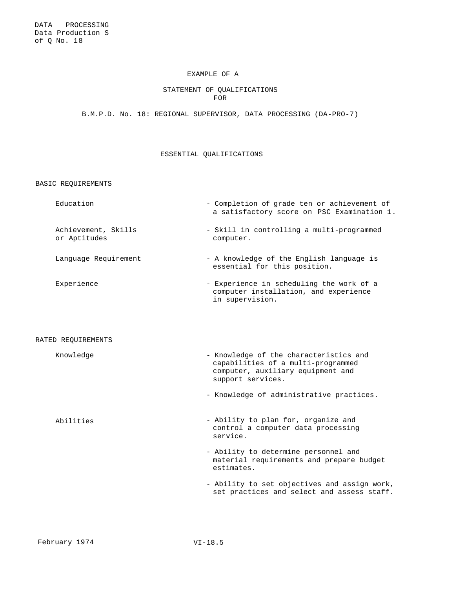# EXAMPLE OF A

# STATEMENT OF QUALIFICATIONS FOR

# B.M.P.D. No. 18: REGIONAL SUPERVISOR, DATA PROCESSING (DA-PRO-7)

# ESSENTIAL QUALIFICATIONS

# BASIC REQUIREMENTS

| Education                           | - Completion of grade ten or achievement of<br>a satisfactory score on PSC Examination 1.                                              |  |
|-------------------------------------|----------------------------------------------------------------------------------------------------------------------------------------|--|
| Achievement, Skills<br>or Aptitudes | - Skill in controlling a multi-programmed<br>computer.                                                                                 |  |
| Language Requirement                | - A knowledge of the English language is<br>essential for this position.                                                               |  |
| Experience                          | - Experience in scheduling the work of a<br>computer installation, and experience<br>in supervision.                                   |  |
| RATED REQUIREMENTS                  |                                                                                                                                        |  |
| Knowledge                           | - Knowledge of the characteristics and<br>capabilities of a multi-programmed<br>computer, auxiliary equipment and<br>support services. |  |
|                                     | - Knowledge of administrative practices.                                                                                               |  |
| Abilities                           | - Ability to plan for, organize and<br>control a computer data processing<br>service.                                                  |  |
|                                     | - Ability to determine personnel and<br>material requirements and prepare budget<br>estimates.                                         |  |
|                                     | - Ability to set objectives and assign work,<br>set practices and select and assess staff.                                             |  |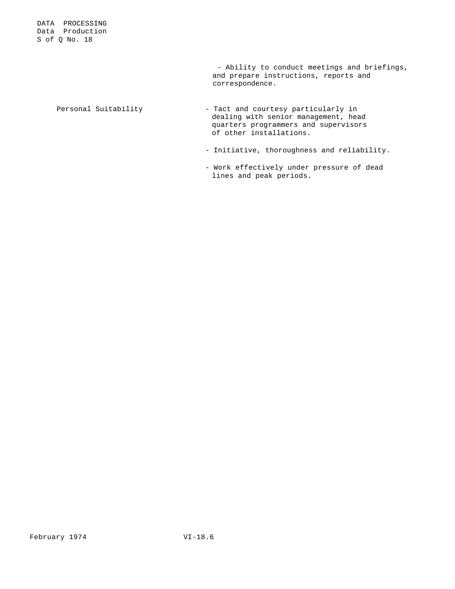DATA PROCESSING Data Production S of Q No. 18

> - Ability to conduct meetings and briefings, and prepare instructions, reports and correspondence.

Personal Suitability - Tact and courtesy particularly in dealing with senior management, head quarters programmers and supervisors of other installations.

- Initiative, thoroughness and reliability.
- Work effectively under pressure of dead lines and peak periods.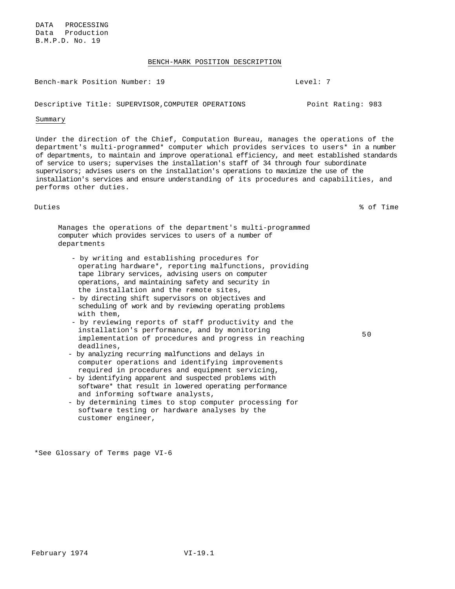#### BENCH-MARK POSITION DESCRIPTION

# Bench-mark Position Number: 19 Level: 7

# Descriptive Title: SUPERVISOR, COMPUTER OPERATIONS Point Rating: 983

Summary

Under the direction of the Chief, Computation Bureau, manages the operations of the department's multi-programmed\* computer which provides services to users\* in a number of departments, to maintain and improve operational efficiency, and meet established standards of service to users; supervises the installation's staff of 34 through four subordinate supervisors; advises users on the installation's operations to maximize the use of the installation's services and ensure understanding of its procedures and capabilities, and performs other duties.

Duties % of Time

50

Manages the operations of the department's multi-programmed computer which provides services to users of a number of departments

- by writing and establishing procedures for operating hardware\*, reporting malfunctions, providing tape library services, advising users on computer operations, and maintaining safety and security in the installation and the remote sites,
- by directing shift supervisors on objectives and scheduling of work and by reviewing operating problems with them,
- by reviewing reports of staff productivity and the installation's performance, and by monitoring implementation of procedures and progress in reaching deadlines,
- by analyzing recurring malfunctions and delays in computer operations and identifying improvements required in procedures and equipment servicing,
- by identifying apparent and suspected problems with software\* that result in lowered operating performance and informing software analysts,
- by determining times to stop computer processing for software testing or hardware analyses by the customer engineer,

\*See Glossary of Terms page VI-6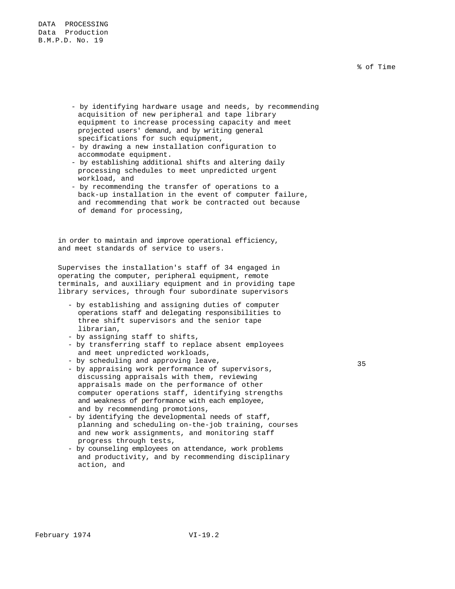#### % of Time

- by identifying hardware usage and needs, by recommending acquisition of new peripheral and tape library equipment to increase processing capacity and meet projected users' demand, and by writing general specifications for such equipment,
- by drawing a new installation configuration to accommodate equipment.
- by establishing additional shifts and altering daily processing schedules to meet unpredicted urgent workload, and
- by recommending the transfer of operations to a back-up installation in the event of computer failure, and recommending that work be contracted out because of demand for processing,

in order to maintain and improve operational efficiency, and meet standards of service to users.

Supervises the installation's staff of 34 engaged in operating the computer, peripheral equipment, remote terminals, and auxiliary equipment and in providing tape library services, through four subordinate supervisors

- by establishing and assigning duties of computer operations staff and delegating responsibilities to three shift supervisors and the senior tape librarian,
- by assigning staff to shifts,
- by transferring staff to replace absent employees and meet unpredicted workloads,
- by scheduling and approving leave,
- by appraising work performance of supervisors, discussing appraisals with them, reviewing appraisals made on the performance of other computer operations staff, identifying strengths and weakness of performance with each employee, and by recommending promotions,
- by identifying the developmental needs of staff, planning and scheduling on-the-job training, courses and new work assignments, and monitoring staff progress through tests,
- by counseling employees on attendance, work problems and productivity, and by recommending disciplinary action, and

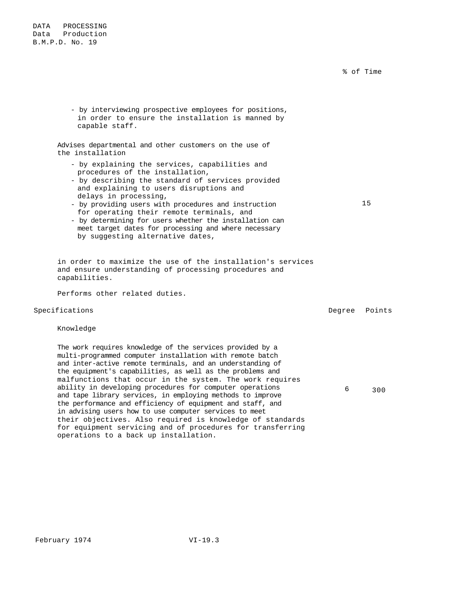> - by interviewing prospective employees for positions, in order to ensure the installation is manned by capable staff.

Advises departmental and other customers on the use of the installation

- by explaining the services, capabilities and procedures of the installation,
- by describing the standard of services provided and explaining to users disruptions and delays in processing,
- by providing users with procedures and instruction for operating their remote terminals, and
- by determining for users whether the installation can meet target dates for processing and where necessary by suggesting alternative dates,

in order to maximize the use of the installation's services and ensure understanding of processing procedures and capabilities.

Performs other related duties.

## Specifications Degree Points

#### Knowledge

The work requires knowledge of the services provided by a multi-programmed computer installation with remote batch and inter-active remote terminals, and an understanding of the equipment's capabilities, as well as the problems and malfunctions that occur in the system. The work requires ability in developing procedures for computer operations and tape library services, in employing methods to improve the performance and efficiency of equipment and staff, and in advising users how to use computer services to meet their objectives. Also required is knowledge of standards for equipment servicing and of procedures for transferring operations to a back up installation.

6 300

% of Time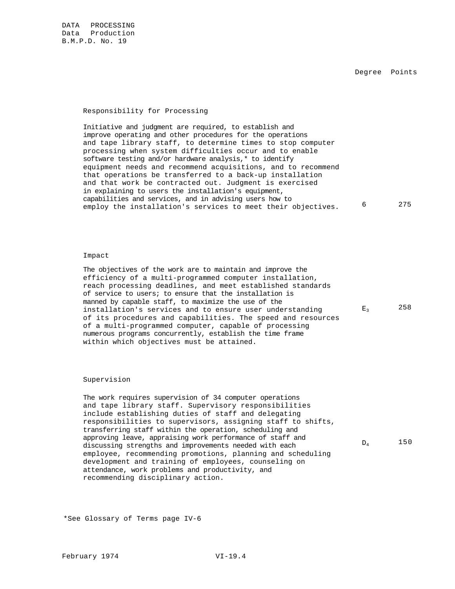Degree Points

#### Responsibility for Processing

Initiative and judgment are required, to establish and improve operating and other procedures for the operations and tape library staff, to determine times to stop computer processing when system difficulties occur and to enable software testing and/or hardware analysis,\* to identify equipment needs and recommend acquisitions, and to recommend that operations be transferred to a back-up installation and that work be contracted out. Judgment is exercised in explaining to users the installation's equipment, capabilities and services, and in advising users how to employ the installation's services to meet their objectives. 6 275

#### Impact

The objectives of the work are to maintain and improve the efficiency of a multi-programmed computer installation, reach processing deadlines, and meet established standards of service to users; to ensure that the installation is manned by capable staff, to maximize the use of the installation's services and to ensure user understanding of its procedures and capabilities. The speed and resources of a multi-programmed computer, capable of processing numerous programs concurrently, establish the time frame within which objectives must be attained.  $E<sub>2</sub>$  258

# Supervision

The work requires supervision of 34 computer operations and tape library staff. Supervisory responsibilities include establishing duties of staff and delegating responsibilities to supervisors, assigning staff to shifts, transferring staff within the operation, scheduling and approving leave, appraising work performance of staff and discussing strengths and improvements needed with each employee, recommending promotions, planning and scheduling development and training of employees, counseling on attendance, work problems and productivity, and recommending disciplinary action. D4 150

\*See Glossary of Terms page IV-6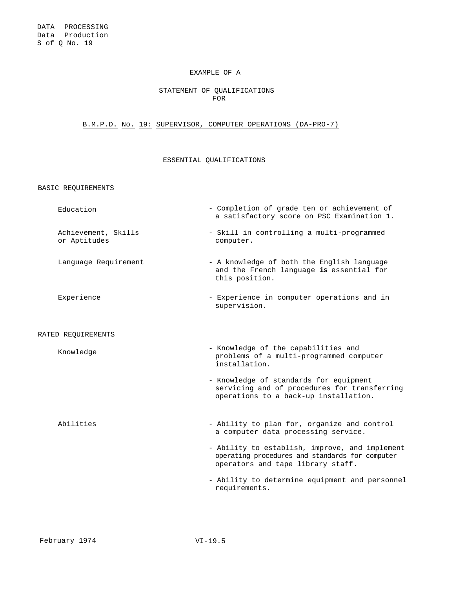# EXAMPLE OF A

# STATEMENT OF QUALIFICATIONS FOR

# B.M.P.D. No. 19: SUPERVISOR, COMPUTER OPERATIONS (DA-PRO-7)

# ESSENTIAL QUALIFICATIONS

# BASIC REQUIREMENTS

|                    | Education                           | - Completion of grade ten or achievement of<br>a satisfactory score on PSC Examination 1.                                              |  |
|--------------------|-------------------------------------|----------------------------------------------------------------------------------------------------------------------------------------|--|
|                    | Achievement, Skills<br>or Aptitudes | - Skill in controlling a multi-programmed<br>computer.                                                                                 |  |
|                    | Language Requirement                | - A knowledge of both the English language<br>and the French language is essential for<br>this position.                               |  |
|                    | Experience                          | - Experience in computer operations and in<br>supervision.                                                                             |  |
| RATED REQUIREMENTS |                                     |                                                                                                                                        |  |
|                    | Knowledge                           | - Knowledge of the capabilities and<br>problems of a multi-programmed computer<br>installation.                                        |  |
|                    |                                     | - Knowledge of standards for equipment<br>servicing and of procedures for transferring<br>operations to a back-up installation.        |  |
|                    | Abilities                           | - Ability to plan for, organize and control<br>a computer data processing service.                                                     |  |
|                    |                                     | - Ability to establish, improve, and implement<br>operating procedures and standards for computer<br>operators and tape library staff. |  |
|                    |                                     | - Ability to determine equipment and personnel<br>requirements.                                                                        |  |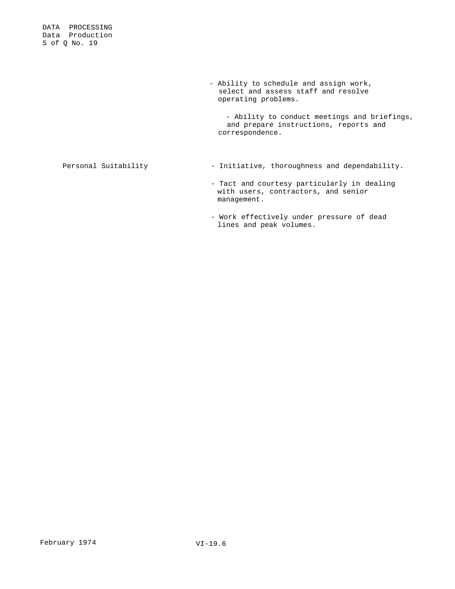DATA PROCESSING Data Production S of Q No. 19

> - Ability to schedule and assign work, select and assess staff and resolve operating problems.

- Ability to conduct meetings and briefings, and prepare instructions, reports and correspondence.

- Personal Suitability Initiative, thoroughness and dependability.
	- Tact and courtesy particularly in dealing with users, contractors, and senior management.
	- Work effectively under pressure of dead lines and peak volumes.